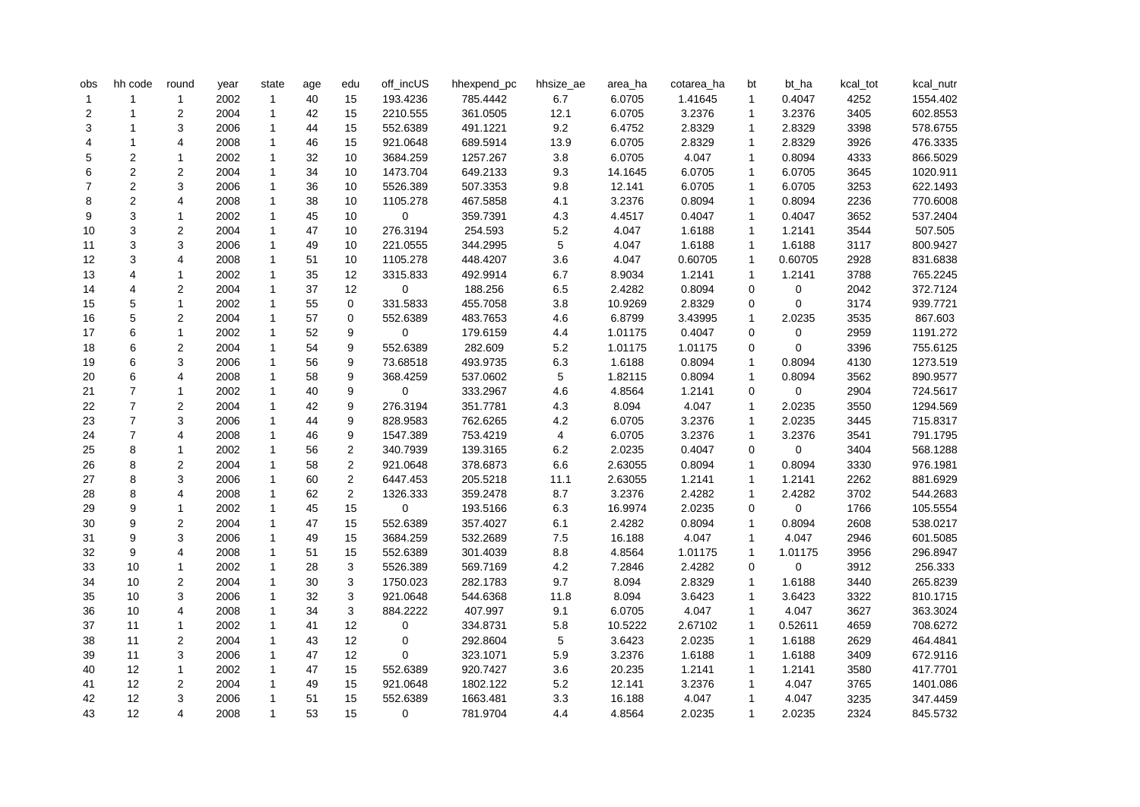| obs                     | hh code        | round            | year | state        | age | edu              | off_incUS    | hhexpend_pc | hhsize_ae               | area_ha | cotarea_ha | bt           | bt_ha       | kcal_tot | kcal_nutr |
|-------------------------|----------------|------------------|------|--------------|-----|------------------|--------------|-------------|-------------------------|---------|------------|--------------|-------------|----------|-----------|
| $\mathbf{1}$            | 1              | $\mathbf{1}$     | 2002 | $\mathbf{1}$ | 40  | 15               | 193.4236     | 785.4442    | 6.7                     | 6.0705  | 1.41645    | $\mathbf{1}$ | 0.4047      | 4252     | 1554.402  |
| $\overline{\mathbf{c}}$ | 1              | $\overline{c}$   | 2004 | $\mathbf{1}$ | 42  | 15               | 2210.555     | 361.0505    | 12.1                    | 6.0705  | 3.2376     | $\mathbf{1}$ | 3.2376      | 3405     | 602.8553  |
| 3                       | 1              | 3                | 2006 | $\mathbf{1}$ | 44  | 15               | 552.6389     | 491.1221    | 9.2                     | 6.4752  | 2.8329     | $\mathbf{1}$ | 2.8329      | 3398     | 578.6755  |
| 4                       | -1             | 4                | 2008 | 1            | 46  | 15               | 921.0648     | 689.5914    | 13.9                    | 6.0705  | 2.8329     | $\mathbf{1}$ | 2.8329      | 3926     | 476.3335  |
| 5                       | $\overline{2}$ | $\mathbf{1}$     | 2002 | 1            | 32  | 10               | 3684.259     | 1257.267    | 3.8                     | 6.0705  | 4.047      | $\mathbf{1}$ | 0.8094      | 4333     | 866.5029  |
| 6                       | $\overline{2}$ | 2                | 2004 | $\mathbf{1}$ | 34  | 10               | 1473.704     | 649.2133    | 9.3                     | 14.1645 | 6.0705     | $\mathbf{1}$ | 6.0705      | 3645     | 1020.911  |
| 7                       | $\overline{2}$ | 3                | 2006 | 1            | 36  | 10               | 5526.389     | 507.3353    | 9.8                     | 12.141  | 6.0705     | $\mathbf{1}$ | 6.0705      | 3253     | 622.1493  |
| 8                       | $\overline{2}$ | $\overline{4}$   | 2008 | $\mathbf{1}$ | 38  | 10               | 1105.278     | 467.5858    | 4.1                     | 3.2376  | 0.8094     | $\mathbf{1}$ | 0.8094      | 2236     | 770.6008  |
| 9                       | 3              | $\mathbf{1}$     | 2002 | $\mathbf{1}$ | 45  | 10               | $\mathbf 0$  | 359.7391    | 4.3                     | 4.4517  | 0.4047     | $\mathbf{1}$ | 0.4047      | 3652     | 537.2404  |
| 10                      | 3              | $\overline{2}$   | 2004 | $\mathbf{1}$ | 47  | 10               | 276.3194     | 254.593     | 5.2                     | 4.047   | 1.6188     | $\mathbf{1}$ | 1.2141      | 3544     | 507.505   |
| 11                      | 3              | 3                | 2006 | 1            | 49  | 10               | 221.0555     | 344.2995    | 5                       | 4.047   | 1.6188     | 1            | 1.6188      | 3117     | 800.9427  |
| 12                      | 3              | 4                | 2008 | $\mathbf{1}$ | 51  | 10               | 1105.278     | 448.4207    | 3.6                     | 4.047   | 0.60705    | $\mathbf{1}$ | 0.60705     | 2928     | 831.6838  |
| 13                      | 4              | $\mathbf{1}$     | 2002 | 1            | 35  | 12               | 3315.833     | 492.9914    | 6.7                     | 8.9034  | 1.2141     | $\mathbf{1}$ | 1.2141      | 3788     | 765.2245  |
| 14                      | $\overline{4}$ | 2                | 2004 | 1            | 37  | 12               | 0            | 188.256     | 6.5                     | 2.4282  | 0.8094     | $\Omega$     | $\mathbf 0$ | 2042     | 372.7124  |
| 15                      | 5              | $\mathbf{1}$     | 2002 | $\mathbf{1}$ | 55  | 0                | 331.5833     | 455.7058    | 3.8                     | 10.9269 | 2.8329     | 0            | 0           | 3174     | 939.7721  |
| 16                      | 5              | $\overline{2}$   | 2004 | $\mathbf{1}$ | 57  | 0                | 552.6389     | 483.7653    | 4.6                     | 6.8799  | 3.43995    | $\mathbf{1}$ | 2.0235      | 3535     | 867.603   |
| 17                      | 6              | $\mathbf{1}$     | 2002 | 1            | 52  | 9                | 0            | 179.6159    | 4.4                     | 1.01175 | 0.4047     | 0            | 0           | 2959     | 1191.272  |
| 18                      | 6              | 2                | 2004 | 1            | 54  | 9                | 552.6389     | 282.609     | 5.2                     | 1.01175 | 1.01175    | 0            | $\mathbf 0$ | 3396     | 755.6125  |
| 19                      | 6              | 3                | 2006 | $\mathbf{1}$ | 56  | 9                | 73.68518     | 493.9735    | 6.3                     | 1.6188  | 0.8094     | $\mathbf{1}$ | 0.8094      | 4130     | 1273.519  |
| 20                      | 6              | 4                | 2008 | $\mathbf{1}$ | 58  | 9                | 368.4259     | 537.0602    | 5                       | 1.82115 | 0.8094     | $\mathbf{1}$ | 0.8094      | 3562     | 890.9577  |
| 21                      | $\overline{7}$ | $\mathbf{1}$     | 2002 | 1            | 40  | 9                | 0            | 333.2967    | 4.6                     | 4.8564  | 1.2141     | $\Omega$     | 0           | 2904     | 724.5617  |
| 22                      | $\overline{7}$ | $\overline{c}$   | 2004 | $\mathbf{1}$ | 42  | 9                | 276.3194     | 351.7781    | 4.3                     | 8.094   | 4.047      | $\mathbf{1}$ | 2.0235      | 3550     | 1294.569  |
| 23                      | $\overline{7}$ | 3                | 2006 | $\mathbf{1}$ | 44  | 9                | 828.9583     | 762.6265    | 4.2                     | 6.0705  | 3.2376     | $\mathbf{1}$ | 2.0235      | 3445     | 715.8317  |
| 24                      | $\overline{7}$ | 4                | 2008 | 1            | 46  | 9                | 1547.389     | 753.4219    | $\overline{\mathbf{4}}$ | 6.0705  | 3.2376     | $\mathbf{1}$ | 3.2376      | 3541     | 791.1795  |
| 25                      | 8              | $\mathbf{1}$     | 2002 | 1            | 56  | $\boldsymbol{2}$ | 340.7939     | 139.3165    | $6.2\,$                 | 2.0235  | 0.4047     | 0            | 0           | 3404     | 568.1288  |
| 26                      | 8              | $\sqrt{2}$       | 2004 | $\mathbf{1}$ | 58  | $\mathbf 2$      | 921.0648     | 378.6873    | 6.6                     | 2.63055 | 0.8094     | $\mathbf{1}$ | 0.8094      | 3330     | 976.1981  |
| 27                      | 8              | 3                | 2006 | 1            | 60  | $\boldsymbol{2}$ | 6447.453     | 205.5218    | 11.1                    | 2.63055 | 1.2141     | $\mathbf{1}$ | 1.2141      | 2262     | 881.6929  |
| 28                      | 8              | 4                | 2008 | $\mathbf{1}$ | 62  | $\overline{c}$   | 1326.333     | 359.2478    | 8.7                     | 3.2376  | 2.4282     | 1            | 2.4282      | 3702     | 544.2683  |
| 29                      | 9              | $\mathbf{1}$     | 2002 | 1            | 45  | 15               | $\mathbf 0$  | 193.5166    | 6.3                     | 16.9974 | 2.0235     | 0            | $\mathbf 0$ | 1766     | 105.5554  |
| 30                      | 9              | $\boldsymbol{2}$ | 2004 | 1            | 47  | 15               | 552.6389     | 357.4027    | 6.1                     | 2.4282  | 0.8094     | $\mathbf{1}$ | 0.8094      | 2608     | 538.0217  |
| 31                      | 9              | 3                | 2006 | 1            | 49  | 15               | 3684.259     | 532.2689    | $7.5\,$                 | 16.188  | 4.047      | 1            | 4.047       | 2946     | 601.5085  |
| 32                      | 9              | 4                | 2008 | 1            | 51  | 15               | 552.6389     | 301.4039    | $8.8\,$                 | 4.8564  | 1.01175    | 1            | 1.01175     | 3956     | 296.8947  |
| 33                      | 10             | $\mathbf{1}$     | 2002 | $\mathbf{1}$ | 28  | 3                | 5526.389     | 569.7169    | 4.2                     | 7.2846  | 2.4282     | $\mathbf 0$  | $\mathbf 0$ | 3912     | 256.333   |
| 34                      | 10             | $\overline{2}$   | 2004 | $\mathbf{1}$ | 30  | 3                | 1750.023     | 282.1783    | 9.7                     | 8.094   | 2.8329     | $\mathbf{1}$ | 1.6188      | 3440     | 265.8239  |
| 35                      | 10             | 3                | 2006 | $\mathbf{1}$ | 32  | 3                | 921.0648     | 544.6368    | 11.8                    | 8.094   | 3.6423     | $\mathbf{1}$ | 3.6423      | 3322     | 810.1715  |
| 36                      | 10             | 4                | 2008 | 1            | 34  | 3                | 884.2222     | 407.997     | 9.1                     | 6.0705  | 4.047      | $\mathbf{1}$ | 4.047       | 3627     | 363.3024  |
| 37                      | 11             | $\mathbf{1}$     | 2002 | 1            | 41  | 12               | $\mathbf 0$  | 334.8731    | 5.8                     | 10.5222 | 2.67102    | $\mathbf{1}$ | 0.52611     | 4659     | 708.6272  |
| 38                      | 11             | $\overline{2}$   | 2004 | 1            | 43  | 12               | 0            | 292.8604    | 5                       | 3.6423  | 2.0235     | 1            | 1.6188      | 2629     | 464.4841  |
| 39                      | 11             | 3                | 2006 | $\mathbf{1}$ | 47  | 12               | $\mathbf{0}$ | 323.1071    | 5.9                     | 3.2376  | 1.6188     | $\mathbf{1}$ | 1.6188      | 3409     | 672.9116  |
| 40                      | 12             | $\mathbf{1}$     | 2002 | $\mathbf{1}$ | 47  | 15               | 552.6389     | 920.7427    | 3.6                     | 20.235  | 1.2141     | $\mathbf{1}$ | 1.2141      | 3580     | 417.7701  |
| 41                      | 12             | 2                | 2004 | 1            | 49  | 15               | 921.0648     | 1802.122    | 5.2                     | 12.141  | 3.2376     | $\mathbf{1}$ | 4.047       | 3765     | 1401.086  |
| 42                      | 12             | 3                | 2006 | 1            | 51  | 15               | 552.6389     | 1663.481    | 3.3                     | 16.188  | 4.047      | 1            | 4.047       | 3235     | 347.4459  |
| 43                      | 12             | 4                | 2008 | $\mathbf{1}$ | 53  | 15               | $\Omega$     | 781.9704    | 4.4                     | 4.8564  | 2.0235     | $\mathbf{1}$ | 2.0235      | 2324     | 845.5732  |
|                         |                |                  |      |              |     |                  |              |             |                         |         |            |              |             |          |           |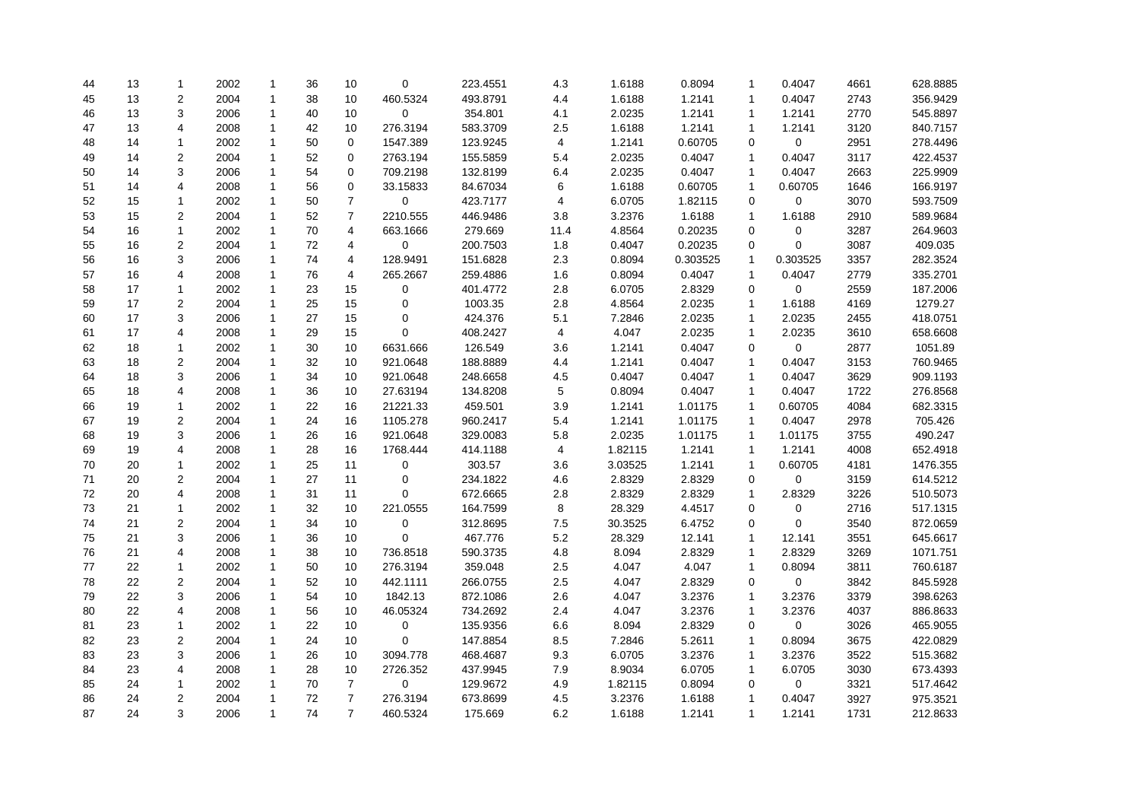| 44 | 13 | 1                       | 2002 | $\mathbf{1}$ | 36 | 10             | 0              | 223.4551 | 4.3            | 1.6188  | 0.8094   | 1            | 0.4047      | 4661 | 628.8885 |
|----|----|-------------------------|------|--------------|----|----------------|----------------|----------|----------------|---------|----------|--------------|-------------|------|----------|
| 45 | 13 | $\boldsymbol{2}$        | 2004 | $\mathbf{1}$ | 38 | 10             | 460.5324       | 493.8791 | 4.4            | 1.6188  | 1.2141   | $\mathbf{1}$ | 0.4047      | 2743 | 356.9429 |
| 46 | 13 | 3                       | 2006 | $\mathbf{1}$ | 40 | 10             | 0              | 354.801  | 4.1            | 2.0235  | 1.2141   | 1            | 1.2141      | 2770 | 545.8897 |
| 47 | 13 | $\overline{4}$          | 2008 | $\mathbf{1}$ | 42 | 10             | 276.3194       | 583.3709 | 2.5            | 1.6188  | 1.2141   | $\mathbf{1}$ | 1.2141      | 3120 | 840.7157 |
| 48 | 14 | 1                       | 2002 | $\mathbf{1}$ | 50 | 0              | 1547.389       | 123.9245 | $\overline{4}$ | 1.2141  | 0.60705  | 0            | 0           | 2951 | 278.4496 |
| 49 | 14 | 2                       | 2004 | 1            | 52 | 0              | 2763.194       | 155.5859 | 5.4            | 2.0235  | 0.4047   | 1            | 0.4047      | 3117 | 422.4537 |
| 50 | 14 | 3                       | 2006 | $\mathbf{1}$ | 54 | 0              | 709.2198       | 132.8199 | 6.4            | 2.0235  | 0.4047   | $\mathbf{1}$ | 0.4047      | 2663 | 225.9909 |
| 51 | 14 | 4                       | 2008 | 1            | 56 | 0              | 33.15833       | 84.67034 | 6              | 1.6188  | 0.60705  | 1            | 0.60705     | 1646 | 166.9197 |
| 52 | 15 | $\mathbf{1}$            | 2002 | $\mathbf{1}$ | 50 | $\overline{7}$ | 0              | 423.7177 | $\overline{4}$ | 6.0705  | 1.82115  | 0            | 0           | 3070 | 593.7509 |
| 53 | 15 | $\overline{2}$          | 2004 | $\mathbf{1}$ | 52 | $\overline{7}$ | 2210.555       | 446.9486 | 3.8            | 3.2376  | 1.6188   | 1            | 1.6188      | 2910 | 589.9684 |
| 54 | 16 | $\mathbf{1}$            | 2002 | $\mathbf{1}$ | 70 | 4              | 663.1666       | 279.669  | 11.4           | 4.8564  | 0.20235  | 0            | $\Omega$    | 3287 | 264.9603 |
| 55 | 16 | $\overline{2}$          | 2004 | $\mathbf{1}$ | 72 | 4              | 0              | 200.7503 | 1.8            | 0.4047  | 0.20235  | 0            | $\Omega$    | 3087 | 409.035  |
| 56 | 16 | 3                       | 2006 | 1            | 74 | 4              | 128.9491       | 151.6828 | 2.3            | 0.8094  | 0.303525 | $\mathbf{1}$ | 0.303525    | 3357 | 282.3524 |
| 57 | 16 | 4                       | 2008 | $\mathbf{1}$ | 76 | 4              | 265.2667       | 259.4886 | 1.6            | 0.8094  | 0.4047   | 1            | 0.4047      | 2779 | 335.2701 |
| 58 | 17 | 1                       | 2002 | $\mathbf{1}$ | 23 | 15             | 0              | 401.4772 | 2.8            | 6.0705  | 2.8329   | 0            | 0           | 2559 | 187.2006 |
| 59 | 17 | $\overline{2}$          | 2004 | $\mathbf{1}$ | 25 | 15             | $\mathbf 0$    | 1003.35  | 2.8            | 4.8564  | 2.0235   | $\mathbf{1}$ | 1.6188      | 4169 | 1279.27  |
| 60 | 17 | 3                       | 2006 | 1            | 27 | 15             | 0              | 424.376  | 5.1            | 7.2846  | 2.0235   | 1            | 2.0235      | 2455 | 418.0751 |
| 61 | 17 | $\overline{4}$          | 2008 | $\mathbf{1}$ | 29 | 15             | 0              | 408.2427 | $\overline{4}$ | 4.047   | 2.0235   | $\mathbf{1}$ | 2.0235      | 3610 | 658.6608 |
| 62 | 18 | 1                       | 2002 | 1            | 30 | 10             | 6631.666       | 126.549  | 3.6            | 1.2141  | 0.4047   | 0            | 0           | 2877 | 1051.89  |
| 63 | 18 | 2                       | 2004 | $\mathbf{1}$ | 32 | 10             | 921.0648       | 188.8889 | 4.4            | 1.2141  | 0.4047   | 1            | 0.4047      | 3153 | 760.9465 |
| 64 | 18 | 3                       | 2006 | 1            | 34 | 10             | 921.0648       | 248.6658 | 4.5            | 0.4047  | 0.4047   | $\mathbf{1}$ | 0.4047      | 3629 | 909.1193 |
| 65 | 18 | 4                       | 2008 | 1            | 36 | 10             | 27.63194       | 134.8208 | 5              | 0.8094  | 0.4047   | 1            | 0.4047      | 1722 | 276.8568 |
| 66 | 19 | 1                       | 2002 | $\mathbf{1}$ | 22 | 16             | 21221.33       | 459.501  | 3.9            | 1.2141  | 1.01175  | $\mathbf{1}$ | 0.60705     | 4084 | 682.3315 |
| 67 | 19 | $\overline{\mathbf{c}}$ | 2004 | 1            | 24 | 16             | 1105.278       | 960.2417 | 5.4            | 1.2141  | 1.01175  | 1            | 0.4047      | 2978 | 705.426  |
| 68 | 19 | 3                       | 2006 | $\mathbf{1}$ | 26 | 16             | 921.0648       | 329.0083 | 5.8            | 2.0235  | 1.01175  | $\mathbf{1}$ | 1.01175     | 3755 | 490.247  |
| 69 | 19 | 4                       | 2008 | 1            | 28 | 16             | 1768.444       | 414.1188 | 4              | 1.82115 | 1.2141   | 1            | 1.2141      | 4008 | 652.4918 |
| 70 | 20 | 1                       | 2002 | $\mathbf{1}$ | 25 | 11             | $\mathbf 0$    | 303.57   | 3.6            | 3.03525 | 1.2141   | 1            | 0.60705     | 4181 | 1476.355 |
| 71 | 20 | $\overline{2}$          | 2004 | $\mathbf{1}$ | 27 | 11             | $\mathbf 0$    | 234.1822 | 4.6            | 2.8329  | 2.8329   | 0            | $\mathbf 0$ | 3159 | 614.5212 |
| 72 | 20 | 4                       | 2008 | 1            | 31 | 11             | 0              | 672.6665 | 2.8            | 2.8329  | 2.8329   | 1            | 2.8329      | 3226 | 510.5073 |
| 73 | 21 | $\mathbf{1}$            | 2002 | $\mathbf{1}$ | 32 | 10             | 221.0555       | 164.7599 | 8              | 28.329  | 4.4517   | 0            | 0           | 2716 | 517.1315 |
| 74 | 21 | $\overline{2}$          | 2004 | 1            | 34 | 10             | $\mathbf 0$    | 312.8695 | 7.5            | 30.3525 | 6.4752   | 0            | 0           | 3540 | 872.0659 |
| 75 | 21 | 3                       | 2006 | $\mathbf{1}$ | 36 | 10             | $\overline{0}$ | 467.776  | 5.2            | 28.329  | 12.141   | $\mathbf{1}$ | 12.141      | 3551 | 645.6617 |
| 76 | 21 | 4                       | 2008 | $\mathbf{1}$ | 38 | 10             | 736.8518       | 590.3735 | 4.8            | 8.094   | 2.8329   | $\mathbf{1}$ | 2.8329      | 3269 | 1071.751 |
| 77 | 22 | $\mathbf{1}$            | 2002 | $\mathbf{1}$ | 50 | 10             | 276.3194       | 359.048  | $2.5\,$        | 4.047   | 4.047    | $\mathbf{1}$ | 0.8094      | 3811 | 760.6187 |
| 78 | 22 | $\mathbf{2}$            | 2004 | $\mathbf{1}$ | 52 | 10             | 442.1111       | 266.0755 | 2.5            | 4.047   | 2.8329   | 0            | $\mathbf 0$ | 3842 | 845.5928 |
| 79 | 22 | 3                       | 2006 | 1            | 54 | 10             | 1842.13        | 872.1086 | 2.6            | 4.047   | 3.2376   | 1            | 3.2376      | 3379 | 398.6263 |
| 80 | 22 | 4                       | 2008 | $\mathbf{1}$ | 56 | 10             | 46.05324       | 734.2692 | 2.4            | 4.047   | 3.2376   | $\mathbf{1}$ | 3.2376      | 4037 | 886.8633 |
| 81 | 23 | 1                       | 2002 | 1            | 22 | 10             | 0              | 135.9356 | 6.6            | 8.094   | 2.8329   | 0            | 0           | 3026 | 465.9055 |
| 82 | 23 | $\overline{2}$          | 2004 | $\mathbf{1}$ | 24 | 10             | $\overline{0}$ | 147.8854 | 8.5            | 7.2846  | 5.2611   | 1            | 0.8094      | 3675 | 422.0829 |
| 83 | 23 | 3                       | 2006 | $\mathbf{1}$ | 26 | 10             | 3094.778       | 468.4687 | 9.3            | 6.0705  | 3.2376   | 1            | 3.2376      | 3522 | 515.3682 |
| 84 | 23 | $\overline{4}$          | 2008 | $\mathbf{1}$ | 28 | 10             | 2726.352       | 437.9945 | 7.9            | 8.9034  | 6.0705   | $\mathbf{1}$ | 6.0705      | 3030 | 673.4393 |
| 85 | 24 | 1                       | 2002 | $\mathbf{1}$ | 70 | $\overline{7}$ | 0              | 129.9672 | 4.9            | 1.82115 | 0.8094   | 0            | 0           | 3321 | 517.4642 |
| 86 | 24 | 2                       | 2004 | $\mathbf{1}$ | 72 | $\overline{7}$ | 276.3194       | 673.8699 | 4.5            | 3.2376  | 1.6188   | 1            | 0.4047      | 3927 | 975.3521 |
| 87 | 24 | 3                       | 2006 | $\mathbf{1}$ | 74 | $\overline{7}$ | 460.5324       | 175.669  | 6.2            | 1.6188  | 1.2141   | $\mathbf{1}$ | 1.2141      | 1731 | 212.8633 |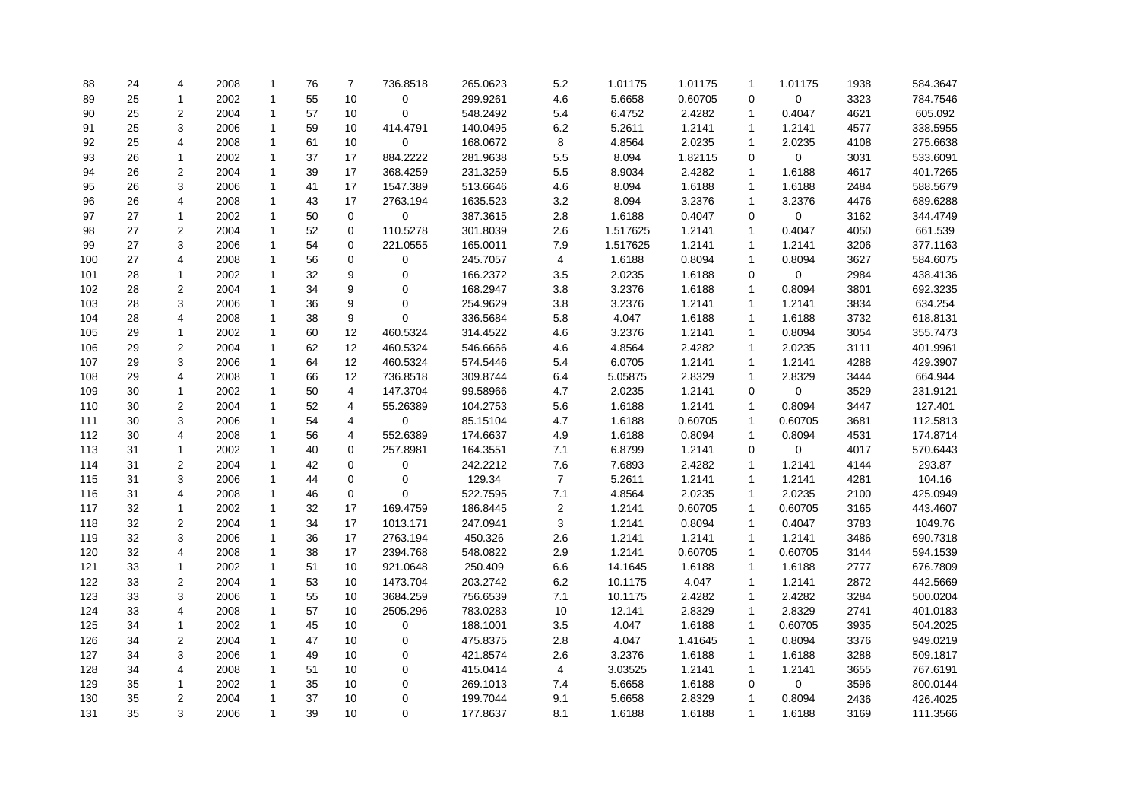| 88  | 24 | 4                | 2008 | 1            | 76 | $\overline{7}$ | 736.8518    | 265.0623 | 5.2              | 1.01175  | 1.01175 | 1            | 1.01175     | 1938 | 584.3647 |
|-----|----|------------------|------|--------------|----|----------------|-------------|----------|------------------|----------|---------|--------------|-------------|------|----------|
| 89  | 25 | $\mathbf{1}$     | 2002 | $\mathbf{1}$ | 55 | 10             | 0           | 299.9261 | 4.6              | 5.6658   | 0.60705 | $\mathbf 0$  | $\mathbf 0$ | 3323 | 784.7546 |
| 90  | 25 | $\overline{2}$   | 2004 | $\mathbf{1}$ | 57 | 10             | $\mathbf 0$ | 548.2492 | 5.4              | 6.4752   | 2.4282  | $\mathbf{1}$ | 0.4047      | 4621 | 605.092  |
| 91  | 25 | 3                | 2006 | $\mathbf{1}$ | 59 | 10             | 414.4791    | 140.0495 | $6.2\,$          | 5.2611   | 1.2141  | $\mathbf{1}$ | 1.2141      | 4577 | 338.5955 |
| 92  | 25 | 4                | 2008 | $\mathbf{1}$ | 61 | 10             | $\mathbf 0$ | 168.0672 | 8                | 4.8564   | 2.0235  | $\mathbf{1}$ | 2.0235      | 4108 | 275.6638 |
| 93  | 26 | $\mathbf{1}$     | 2002 | 1            | 37 | 17             | 884.2222    | 281.9638 | 5.5              | 8.094    | 1.82115 | 0            | 0           | 3031 | 533.6091 |
| 94  | 26 | $\overline{2}$   | 2004 | $\mathbf{1}$ | 39 | 17             | 368.4259    | 231.3259 | 5.5              | 8.9034   | 2.4282  | $\mathbf{1}$ | 1.6188      | 4617 | 401.7265 |
| 95  | 26 | 3                | 2006 | $\mathbf{1}$ | 41 | 17             | 1547.389    | 513.6646 | 4.6              | 8.094    | 1.6188  | $\mathbf{1}$ | 1.6188      | 2484 | 588.5679 |
| 96  | 26 | $\overline{4}$   | 2008 | $\mathbf{1}$ | 43 | 17             | 2763.194    | 1635.523 | 3.2              | 8.094    | 3.2376  | 1            | 3.2376      | 4476 | 689.6288 |
| 97  | 27 | $\mathbf{1}$     | 2002 | $\mathbf{1}$ | 50 | 0              | 0           | 387.3615 | 2.8              | 1.6188   | 0.4047  | 0            | $\mathbf 0$ | 3162 | 344.4749 |
| 98  | 27 | $\overline{2}$   | 2004 | $\mathbf{1}$ | 52 | $\mathbf 0$    | 110.5278    | 301.8039 | 2.6              | 1.517625 | 1.2141  | $\mathbf{1}$ | 0.4047      | 4050 | 661.539  |
| 99  | 27 | 3                | 2006 | $\mathbf 1$  | 54 | $\mathbf 0$    | 221.0555    | 165.0011 | 7.9              | 1.517625 | 1.2141  | $\mathbf{1}$ | 1.2141      | 3206 | 377.1163 |
| 100 | 27 | 4                | 2008 | $\mathbf 1$  | 56 | 0              | 0           | 245.7057 | 4                | 1.6188   | 0.8094  | 1            | 0.8094      | 3627 | 584.6075 |
| 101 | 28 | $\mathbf{1}$     | 2002 | $\mathbf{1}$ | 32 | 9              | $\mathbf 0$ | 166.2372 | 3.5              | 2.0235   | 1.6188  | $\mathbf 0$  | $\mathbf 0$ | 2984 | 438.4136 |
| 102 | 28 | $\overline{c}$   | 2004 | $\mathbf{1}$ | 34 | 9              | $\mathbf 0$ | 168.2947 | 3.8              | 3.2376   | 1.6188  | $\mathbf{1}$ | 0.8094      | 3801 | 692.3235 |
| 103 | 28 | 3                | 2006 | $\mathbf{1}$ | 36 | 9              | $\Omega$    | 254.9629 | 3.8              | 3.2376   | 1.2141  | $\mathbf{1}$ | 1.2141      | 3834 | 634.254  |
| 104 | 28 | 4                | 2008 | 1            | 38 | 9              | $\mathbf 0$ | 336.5684 | 5.8              | 4.047    | 1.6188  | $\mathbf{1}$ | 1.6188      | 3732 | 618.8131 |
| 105 | 29 | $\mathbf{1}$     | 2002 | $\mathbf{1}$ | 60 | 12             | 460.5324    | 314.4522 | 4.6              | 3.2376   | 1.2141  | $\mathbf{1}$ | 0.8094      | 3054 | 355.7473 |
| 106 | 29 | $\overline{2}$   | 2004 | 1            | 62 | 12             | 460.5324    | 546.6666 | 4.6              | 4.8564   | 2.4282  | 1            | 2.0235      | 3111 | 401.9961 |
| 107 | 29 | 3                | 2006 | $\mathbf{1}$ | 64 | 12             | 460.5324    | 574.5446 | 5.4              | 6.0705   | 1.2141  | $\mathbf{1}$ | 1.2141      | 4288 | 429.3907 |
| 108 | 29 | 4                | 2008 | $\mathbf{1}$ | 66 | 12             | 736.8518    | 309.8744 | 6.4              | 5.05875  | 2.8329  | $\mathbf{1}$ | 2.8329      | 3444 | 664.944  |
| 109 | 30 | $\mathbf{1}$     | 2002 | 1            | 50 | 4              | 147.3704    | 99.58966 | 4.7              | 2.0235   | 1.2141  | 0            | 0           | 3529 | 231.9121 |
| 110 | 30 | $\overline{2}$   | 2004 | $\mathbf{1}$ | 52 | 4              | 55.26389    | 104.2753 | 5.6              | 1.6188   | 1.2141  | $\mathbf{1}$ | 0.8094      | 3447 | 127.401  |
| 111 | 30 | 3                | 2006 | 1            | 54 | 4              | $\mathbf 0$ | 85.15104 | 4.7              | 1.6188   | 0.60705 | $\mathbf{1}$ | 0.60705     | 3681 | 112.5813 |
| 112 | 30 | $\overline{4}$   | 2008 | $\mathbf{1}$ | 56 | 4              | 552.6389    | 174.6637 | 4.9              | 1.6188   | 0.8094  | $\mathbf{1}$ | 0.8094      | 4531 | 174.8714 |
| 113 | 31 | $\mathbf{1}$     | 2002 | $\mathbf 1$  | 40 | 0              | 257.8981    | 164.3551 | 7.1              | 6.8799   | 1.2141  | $\mathbf 0$  | 0           | 4017 | 570.6443 |
| 114 | 31 | $\boldsymbol{2}$ | 2004 | $\mathbf{1}$ | 42 | $\pmb{0}$      | 0           | 242.2212 | 7.6              | 7.6893   | 2.4282  | $\mathbf{1}$ | 1.2141      | 4144 | 293.87   |
| 115 | 31 | 3                | 2006 | 1            | 44 | $\mathbf 0$    | $\mathbf 0$ | 129.34   | $\overline{7}$   | 5.2611   | 1.2141  | $\mathbf{1}$ | 1.2141      | 4281 | 104.16   |
| 116 | 31 | 4                | 2008 | 1            | 46 | 0              | $\mathbf 0$ | 522.7595 | 7.1              | 4.8564   | 2.0235  | 1            | 2.0235      | 2100 | 425.0949 |
| 117 | 32 | $\mathbf{1}$     | 2002 | $\mathbf{1}$ | 32 | 17             | 169.4759    | 186.8445 | $\boldsymbol{2}$ | 1.2141   | 0.60705 | 1            | 0.60705     | 3165 | 443.4607 |
| 118 | 32 | $\overline{c}$   | 2004 | 1            | 34 | 17             | 1013.171    | 247.0941 | 3                | 1.2141   | 0.8094  | $\mathbf{1}$ | 0.4047      | 3783 | 1049.76  |
| 119 | 32 | 3                | 2006 | $\mathbf{1}$ | 36 | 17             | 2763.194    | 450.326  | 2.6              | 1.2141   | 1.2141  | $\mathbf{1}$ | 1.2141      | 3486 | 690.7318 |
| 120 | 32 | 4                | 2008 | $\mathbf{1}$ | 38 | 17             | 2394.768    | 548.0822 | 2.9              | 1.2141   | 0.60705 | $\mathbf{1}$ | 0.60705     | 3144 | 594.1539 |
| 121 | 33 | $\mathbf{1}$     | 2002 | $\mathbf{1}$ | 51 | 10             | 921.0648    | 250.409  | $6.6\,$          | 14.1645  | 1.6188  | $\mathbf{1}$ | 1.6188      | 2777 | 676.7809 |
| 122 | 33 | 2                | 2004 | $\mathbf{1}$ | 53 | 10             | 1473.704    | 203.2742 | 6.2              | 10.1175  | 4.047   | $\mathbf{1}$ | 1.2141      | 2872 | 442.5669 |
| 123 | 33 | 3                | 2006 | 1            | 55 | 10             | 3684.259    | 756.6539 | 7.1              | 10.1175  | 2.4282  | 1            | 2.4282      | 3284 | 500.0204 |
| 124 | 33 | 4                | 2008 | $\mathbf{1}$ | 57 | 10             | 2505.296    | 783.0283 | 10               | 12.141   | 2.8329  | $\mathbf{1}$ | 2.8329      | 2741 | 401.0183 |
| 125 | 34 | $\mathbf{1}$     | 2002 | 1            | 45 | 10             | 0           | 188.1001 | 3.5              | 4.047    | 1.6188  | $\mathbf{1}$ | 0.60705     | 3935 | 504.2025 |
| 126 | 34 | 2                | 2004 | $\mathbf{1}$ | 47 | 10             | $\mathbf 0$ | 475.8375 | 2.8              | 4.047    | 1.41645 | $\mathbf{1}$ | 0.8094      | 3376 | 949.0219 |
| 127 | 34 | 3                | 2006 | $\mathbf{1}$ | 49 | 10             | $\mathbf 0$ | 421.8574 | 2.6              | 3.2376   | 1.6188  | $\mathbf{1}$ | 1.6188      | 3288 | 509.1817 |
| 128 | 34 | 4                | 2008 | $\mathbf{1}$ | 51 | 10             | $\mathbf 0$ | 415.0414 | $\overline{4}$   | 3.03525  | 1.2141  | $\mathbf{1}$ | 1.2141      | 3655 | 767.6191 |
| 129 | 35 | $\mathbf{1}$     | 2002 | $\mathbf{1}$ | 35 | 10             | $\mathbf 0$ | 269.1013 | 7.4              | 5.6658   | 1.6188  | $\mathbf 0$  | 0           | 3596 | 800.0144 |
| 130 | 35 | 2                | 2004 | $\mathbf{1}$ | 37 | 10             | $\mathbf 0$ | 199.7044 | 9.1              | 5.6658   | 2.8329  | 1            | 0.8094      | 2436 | 426.4025 |
| 131 | 35 | 3                | 2006 | $\mathbf{1}$ | 39 | 10             | $\mathbf 0$ | 177.8637 | 8.1              | 1.6188   | 1.6188  | $\mathbf{1}$ | 1.6188      | 3169 | 111.3566 |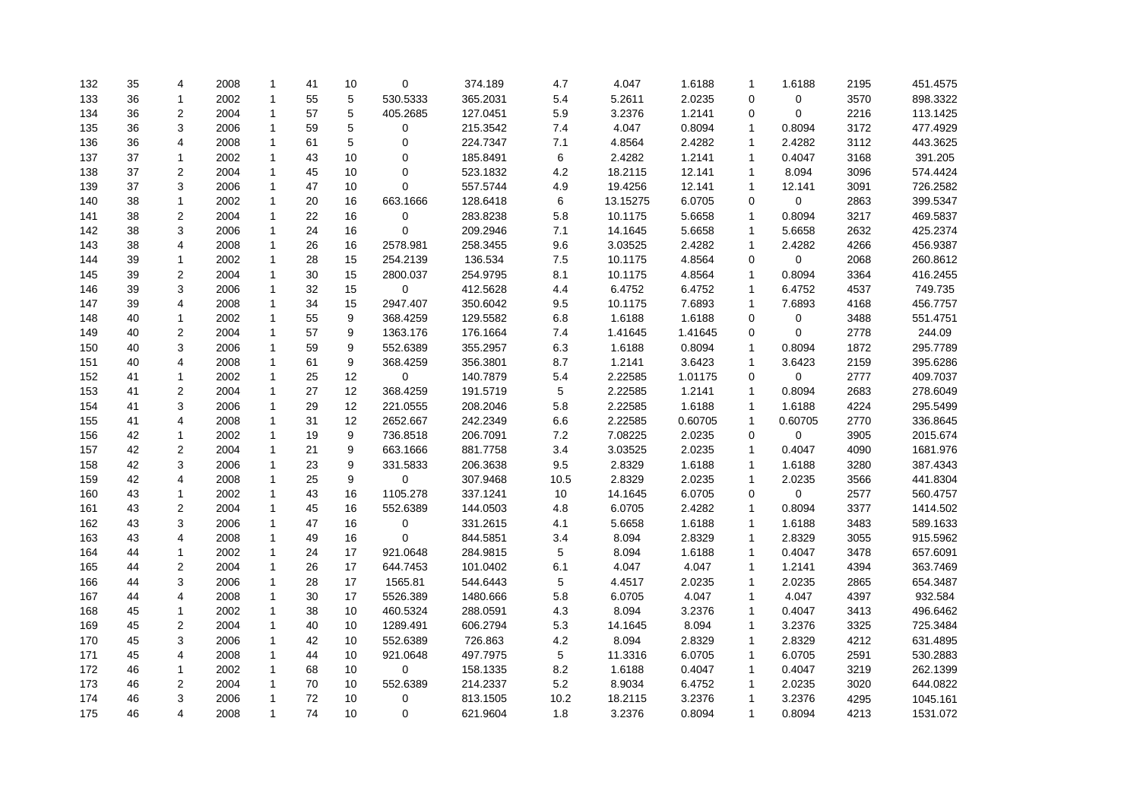| 133<br>2002<br>55<br>5<br>530.5333<br>365.2031<br>5.4<br>5.2611<br>2.0235<br>$\mathbf 0$<br>36<br>$\mathbf{1}$<br>1<br>5<br>405.2685<br>134<br>36<br>2<br>2004<br>$\mathbf{1}$<br>57<br>127.0451<br>5.9<br>3.2376<br>1.2141<br>$\mathbf 0$<br>5<br>3<br>2006<br>$\mathbf{1}$<br>59<br>215.3542<br>7.4<br>4.047<br>0.8094<br>135<br>36<br>0<br>$\mathbf{1}$<br>5<br>7.1<br>136<br>36<br>2008<br>$\mathbf 0$<br>224.7347<br>4.8564<br>2.4282<br>4<br>$\mathbf{1}$<br>61<br>$\mathbf{1}$<br>10<br>1<br>0<br>$\mathbf{1}$ | $\mathbf 0$<br>3570<br>898.3322<br>2216<br>$\mathbf 0$<br>113.1425<br>3172<br>477.4929<br>0.8094<br>3112<br>2.4282<br>443.3625 |
|-----------------------------------------------------------------------------------------------------------------------------------------------------------------------------------------------------------------------------------------------------------------------------------------------------------------------------------------------------------------------------------------------------------------------------------------------------------------------------------------------------------------------|--------------------------------------------------------------------------------------------------------------------------------|
|                                                                                                                                                                                                                                                                                                                                                                                                                                                                                                                       |                                                                                                                                |
|                                                                                                                                                                                                                                                                                                                                                                                                                                                                                                                       |                                                                                                                                |
|                                                                                                                                                                                                                                                                                                                                                                                                                                                                                                                       |                                                                                                                                |
|                                                                                                                                                                                                                                                                                                                                                                                                                                                                                                                       |                                                                                                                                |
| 185.8491<br>6<br>2.4282<br>1.2141<br>137<br>37<br>2002<br>1<br>43                                                                                                                                                                                                                                                                                                                                                                                                                                                     | 391.205<br>0.4047<br>3168                                                                                                      |
| 37<br>$\overline{2}$<br>45<br>523.1832<br>4.2<br>18.2115<br>138<br>2004<br>$\mathbf{1}$<br>10<br>$\mathbf 0$<br>12.141<br>1                                                                                                                                                                                                                                                                                                                                                                                           | 3096<br>574.4424<br>8.094                                                                                                      |
| 139<br>37<br>3<br>2006<br>47<br>0<br>557.5744<br>4.9<br>19.4256<br>12.141<br>$\mathbf{1}$<br>10<br>$\mathbf{1}$                                                                                                                                                                                                                                                                                                                                                                                                       | 726.2582<br>3091<br>12.141                                                                                                     |
| 6<br>6.0705<br>140<br>38<br>2002<br>$\mathbf{1}$<br>20<br>16<br>663.1666<br>128.6418<br>13.15275<br>0<br>1                                                                                                                                                                                                                                                                                                                                                                                                            | 2863<br>399.5347<br>$\mathbf 0$                                                                                                |
| 5.8<br>38<br>2<br>2004<br>22<br>16<br>0<br>283.8238<br>10.1175<br>5.6658<br>141<br>$\mathbf{1}$<br>$\mathbf{1}$                                                                                                                                                                                                                                                                                                                                                                                                       | 0.8094<br>3217<br>469.5837                                                                                                     |
| 3<br>24<br>$\Omega$<br>209.2946<br>7.1<br>5.6658<br>142<br>38<br>2006<br>$\mathbf{1}$<br>16<br>14.1645<br>$\mathbf{1}$                                                                                                                                                                                                                                                                                                                                                                                                | 425.2374<br>5.6658<br>2632                                                                                                     |
| 143<br>2008<br>26<br>2578.981<br>258.3455<br>9.6<br>3.03525<br>2.4282<br>38<br>4<br>1<br>16<br>1                                                                                                                                                                                                                                                                                                                                                                                                                      | 456.9387<br>2.4282<br>4266                                                                                                     |
| 28<br>15<br>254.2139<br>136.534<br>$7.5\,$<br>4.8564<br>144<br>39<br>1<br>2002<br>1<br>10.1175<br>0                                                                                                                                                                                                                                                                                                                                                                                                                   | 0<br>2068<br>260.8612                                                                                                          |
| 2<br>8.1<br>145<br>39<br>2004<br>$\mathbf{1}$<br>30<br>15<br>2800.037<br>254.9795<br>10.1175<br>4.8564<br>$\mathbf{1}$                                                                                                                                                                                                                                                                                                                                                                                                | 3364<br>416.2455<br>0.8094                                                                                                     |
| 3<br>2006<br>32<br>15<br>0<br>412.5628<br>4.4<br>6.4752<br>6.4752<br>146<br>39<br>$\mathbf{1}$<br>$\mathbf{1}$                                                                                                                                                                                                                                                                                                                                                                                                        | 6.4752<br>4537<br>749.735                                                                                                      |
| 9.5<br>147<br>39<br>2008<br>$\mathbf{1}$<br>34<br>15<br>2947.407<br>350.6042<br>10.1175<br>7.6893<br>$\mathbf{1}$<br>4                                                                                                                                                                                                                                                                                                                                                                                                | 456.7757<br>7.6893<br>4168                                                                                                     |
| 2002<br>55<br>9<br>368.4259<br>129.5582<br>6.8<br>1.6188<br>1.6188<br>0<br>148<br>40<br>1<br>$\mathbf{1}$                                                                                                                                                                                                                                                                                                                                                                                                             | 0<br>3488<br>551.4751                                                                                                          |
| $\overline{2}$<br>9<br>149<br>40<br>2004<br>57<br>1363.176<br>176.1664<br>7.4<br>1.41645<br>1.41645<br>$\mathbf 0$<br>$\mathbf{1}$                                                                                                                                                                                                                                                                                                                                                                                    | $\Omega$<br>244.09<br>2778                                                                                                     |
| 9<br>6.3<br>0.8094<br>150<br>40<br>3<br>2006<br>$\mathbf{1}$<br>59<br>552.6389<br>355.2957<br>1.6188<br>$\mathbf{1}$                                                                                                                                                                                                                                                                                                                                                                                                  | 295.7789<br>0.8094<br>1872                                                                                                     |
| 9<br>61<br>368.4259<br>356.3801<br>8.7<br>1.2141<br>3.6423<br>151<br>40<br>2008<br>1<br>$\mathbf{1}$<br>4                                                                                                                                                                                                                                                                                                                                                                                                             | 3.6423<br>2159<br>395.6286                                                                                                     |
| 12<br>$\mathbf 0$<br>5.4<br>152<br>41<br>$\mathbf{1}$<br>2002<br>$\mathbf{1}$<br>25<br>140.7879<br>2.22585<br>1.01175<br>$\mathbf 0$                                                                                                                                                                                                                                                                                                                                                                                  | $\mathbf 0$<br>2777<br>409.7037                                                                                                |
| 5<br>2<br>27<br>12<br>368.4259<br>191.5719<br>2.22585<br>1.2141<br>153<br>2004<br>41<br>1<br>1                                                                                                                                                                                                                                                                                                                                                                                                                        | 0.8094<br>2683<br>278.6049                                                                                                     |
| 3<br>29<br>12<br>5.8<br>154<br>2006<br>$\mathbf{1}$<br>221.0555<br>208.2046<br>2.22585<br>1.6188<br>41<br>$\mathbf{1}$                                                                                                                                                                                                                                                                                                                                                                                                | 4224<br>1.6188<br>295.5499                                                                                                     |
| 155<br>2008<br>31<br>12<br>2652.667<br>242.2349<br>6.6<br>2.22585<br>0.60705<br>$\mathbf{1}$<br>41<br>4<br>$\mathbf{1}$                                                                                                                                                                                                                                                                                                                                                                                               | 0.60705<br>2770<br>336.8645                                                                                                    |
| 9<br>206.7091<br>7.2<br>7.08225<br>2.0235<br>156<br>42<br>2002<br>19<br>736.8518<br>$\mathbf 0$<br>$\mathbf{1}$<br>$\mathbf{1}$                                                                                                                                                                                                                                                                                                                                                                                       | $\mathbf 0$<br>3905<br>2015.674                                                                                                |
| 9<br>3.4<br>157<br>42<br>2<br>2004<br>$\mathbf{1}$<br>21<br>663.1666<br>881.7758<br>3.03525<br>2.0235<br>$\mathbf{1}$                                                                                                                                                                                                                                                                                                                                                                                                 | 0.4047<br>4090<br>1681.976                                                                                                     |
| 9<br>158<br>42<br>3<br>23<br>206.3638<br>9.5<br>2.8329<br>1.6188<br>2006<br>$\mathbf{1}$<br>331.5833<br>1                                                                                                                                                                                                                                                                                                                                                                                                             | 1.6188<br>3280<br>387.4343                                                                                                     |
| 25<br>9<br>2.8329<br>42<br>2008<br>0<br>307.9468<br>10.5<br>2.0235<br>$\mathbf{1}$<br>159<br>4<br>$\mathbf{1}$                                                                                                                                                                                                                                                                                                                                                                                                        | 2.0235<br>3566<br>441.8304                                                                                                     |
| 2002<br>43<br>16<br>1105.278<br>337.1241<br>10<br>14.1645<br>6.0705<br>160<br>43<br>1<br>0<br>1                                                                                                                                                                                                                                                                                                                                                                                                                       | 0<br>2577<br>560.4757                                                                                                          |
| $\overline{2}$<br>45<br>16<br>552.6389<br>4.8<br>2.4282<br>43<br>2004<br>$\mathbf{1}$<br>144.0503<br>6.0705<br>$\mathbf{1}$<br>161                                                                                                                                                                                                                                                                                                                                                                                    | 3377<br>0.8094<br>1414.502                                                                                                     |
| 162<br>43<br>3<br>2006<br>$\mathbf{1}$<br>47<br>16<br>331.2615<br>4.1<br>5.6658<br>1.6188<br>0<br>$\mathbf{1}$                                                                                                                                                                                                                                                                                                                                                                                                        | 1.6188<br>3483<br>589.1633                                                                                                     |
| $\mathbf 0$<br>844.5851<br>3.4<br>8.094<br>2.8329<br>163<br>43<br>2008<br>$\mathbf{1}$<br>49<br>16<br>4<br>$\mathbf{1}$                                                                                                                                                                                                                                                                                                                                                                                               | 915.5962<br>2.8329<br>3055                                                                                                     |
| 5<br>24<br>921.0648<br>284.9815<br>8.094<br>1.6188<br>164<br>44<br>$\mathbf{1}$<br>2002<br>1<br>17<br>$\mathbf{1}$                                                                                                                                                                                                                                                                                                                                                                                                    | 3478<br>657.6091<br>0.4047                                                                                                     |
| $\overline{2}$<br>2004<br>26<br>17<br>644.7453<br>101.0402<br>6.1<br>4.047<br>4.047<br>165<br>44<br>$\mathbf{1}$<br>$\mathbf{1}$                                                                                                                                                                                                                                                                                                                                                                                      | 1.2141<br>4394<br>363.7469                                                                                                     |
| 544.6443<br>5<br>166<br>3<br>2006<br>28<br>17<br>1565.81<br>4.4517<br>2.0235<br>44<br>$\mathbf{1}$<br>$\mathbf{1}$                                                                                                                                                                                                                                                                                                                                                                                                    | 654.3487<br>2.0235<br>2865                                                                                                     |
| 30<br>17<br>5526.389<br>1480.666<br>5.8<br>6.0705<br>4.047<br>167<br>44<br>2008<br>1<br>4<br>1                                                                                                                                                                                                                                                                                                                                                                                                                        | 4.047<br>4397<br>932.584                                                                                                       |
| 4.3<br>8.094<br>168<br>2002<br>$\mathbf{1}$<br>38<br>10<br>460.5324<br>288.0591<br>3.2376<br>45<br>1<br>$\mathbf{1}$                                                                                                                                                                                                                                                                                                                                                                                                  | 0.4047<br>3413<br>496.6462                                                                                                     |
| 2<br>40<br>606.2794<br>5.3<br>8.094<br>169<br>45<br>2004<br>1<br>10<br>1289.491<br>14.1645<br>$\mathbf{1}$                                                                                                                                                                                                                                                                                                                                                                                                            | 3.2376<br>3325<br>725.3484                                                                                                     |
| 4.2<br>8.094<br>2.8329<br>170<br>3<br>2006<br>42<br>552.6389<br>726.863<br>45<br>1<br>10<br>$\mathbf{1}$                                                                                                                                                                                                                                                                                                                                                                                                              | 2.8329<br>4212<br>631.4895                                                                                                     |
| 45<br>2008<br>44<br>10<br>921.0648<br>497.7975<br>5<br>11.3316<br>6.0705<br>171<br>4<br>$\mathbf{1}$<br>$\mathbf{1}$                                                                                                                                                                                                                                                                                                                                                                                                  | 6.0705<br>2591<br>530.2883                                                                                                     |
| 8.2<br>$\mathbf 0$<br>158.1335<br>1.6188<br>0.4047<br>172<br>46<br>$\mathbf{1}$<br>2002<br>$\mathbf{1}$<br>68<br>10<br>$\mathbf{1}$                                                                                                                                                                                                                                                                                                                                                                                   | 3219<br>262.1399<br>0.4047                                                                                                     |
| 214.2337<br>5.2<br>173<br>2<br>2004<br>70<br>10<br>552.6389<br>8.9034<br>6.4752<br>46<br>$\mathbf{1}$<br>$\mathbf{1}$                                                                                                                                                                                                                                                                                                                                                                                                 | 644.0822<br>2.0235<br>3020                                                                                                     |
| 3<br>72<br>10.2<br>174<br>46<br>2006<br>1<br>10<br>0<br>813.1505<br>18.2115<br>3.2376<br>1                                                                                                                                                                                                                                                                                                                                                                                                                            | 3.2376<br>4295<br>1045.161                                                                                                     |
| 74<br>1.8<br>175<br>46<br>4<br>2008<br>$\mathbf{1}$<br>10<br>$\Omega$<br>621.9604<br>3.2376<br>0.8094<br>$\mathbf{1}$                                                                                                                                                                                                                                                                                                                                                                                                 | 0.8094<br>4213<br>1531.072                                                                                                     |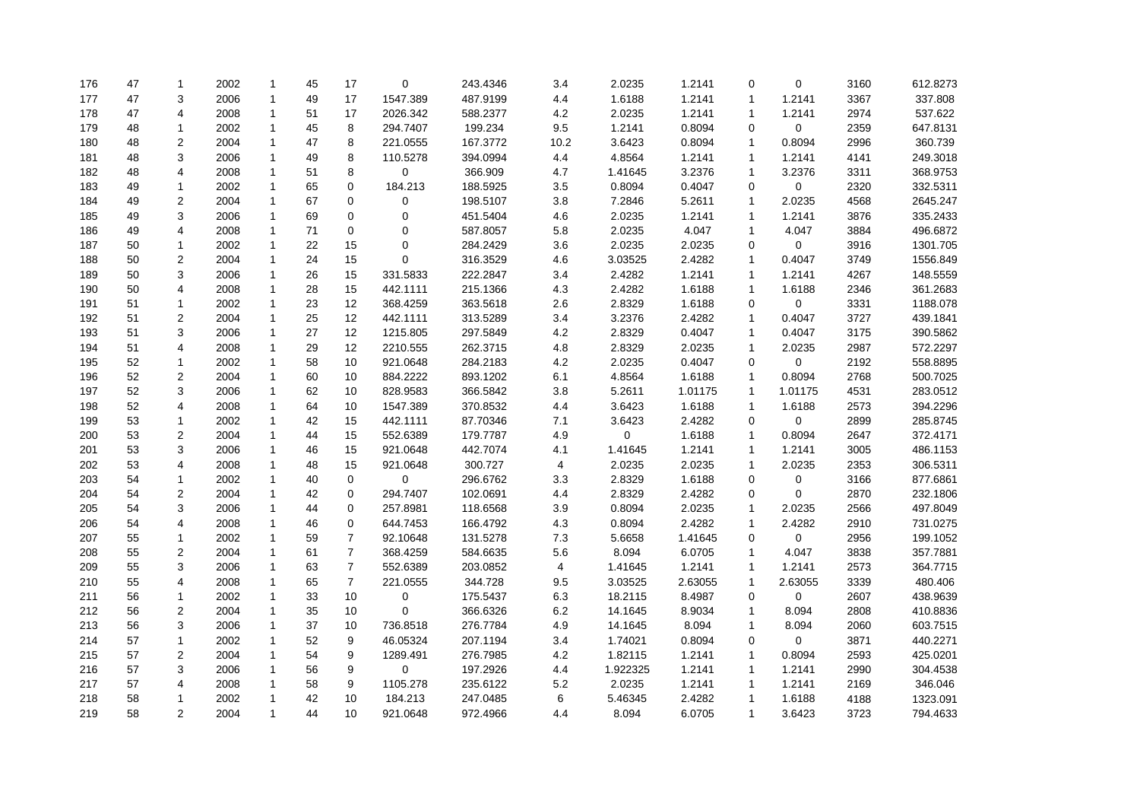| 176 | 47 | 1              | 2002 | 1            | 45 | 17             | $\mathbf 0$ | 243.4346 | 3.4            | 2.0235   | 1.2141  | 0            | 0           | 3160 | 612.8273 |
|-----|----|----------------|------|--------------|----|----------------|-------------|----------|----------------|----------|---------|--------------|-------------|------|----------|
| 177 | 47 | 3              | 2006 | $\mathbf{1}$ | 49 | 17             | 1547.389    | 487.9199 | 4.4            | 1.6188   | 1.2141  | 1            | 1.2141      | 3367 | 337.808  |
| 178 | 47 | 4              | 2008 | $\mathbf{1}$ | 51 | 17             | 2026.342    | 588.2377 | 4.2            | 2.0235   | 1.2141  | $\mathbf{1}$ | 1.2141      | 2974 | 537.622  |
| 179 | 48 | 1              | 2002 | $\mathbf{1}$ | 45 | 8              | 294.7407    | 199.234  | 9.5            | 1.2141   | 0.8094  | $\Omega$     | $\mathbf 0$ | 2359 | 647.8131 |
| 180 | 48 | 2              | 2004 | 1            | 47 | 8              | 221.0555    | 167.3772 | 10.2           | 3.6423   | 0.8094  | $\mathbf{1}$ | 0.8094      | 2996 | 360.739  |
| 181 | 48 | 3              | 2006 | 1            | 49 | 8              | 110.5278    | 394.0994 | 4.4            | 4.8564   | 1.2141  | $\mathbf{1}$ | 1.2141      | 4141 | 249.3018 |
| 182 | 48 | 4              | 2008 | $\mathbf{1}$ | 51 | 8              | $\Omega$    | 366.909  | 4.7            | 1.41645  | 3.2376  | $\mathbf{1}$ | 3.2376      | 3311 | 368.9753 |
| 183 | 49 | 1              | 2002 | 1            | 65 | $\mathbf 0$    | 184.213     | 188.5925 | 3.5            | 0.8094   | 0.4047  | $\mathbf 0$  | $\mathbf 0$ | 2320 | 332.5311 |
| 184 | 49 | 2              | 2004 | 1            | 67 | $\Omega$       | $\Omega$    | 198.5107 | 3.8            | 7.2846   | 5.2611  | $\mathbf{1}$ | 2.0235      | 4568 | 2645.247 |
| 185 | 49 | 3              | 2006 | $\mathbf{1}$ | 69 | $\mathbf 0$    | 0           | 451.5404 | 4.6            | 2.0235   | 1.2141  | $\mathbf{1}$ | 1.2141      | 3876 | 335.2433 |
| 186 | 49 | 4              | 2008 | $\mathbf{1}$ | 71 | $\mathbf 0$    | $\Omega$    | 587.8057 | 5.8            | 2.0235   | 4.047   | $\mathbf{1}$ | 4.047       | 3884 | 496.6872 |
| 187 | 50 | 1              | 2002 | 1            | 22 | 15             | 0           | 284.2429 | 3.6            | 2.0235   | 2.0235  | $\mathbf 0$  | 0           | 3916 | 1301.705 |
| 188 | 50 | 2              | 2004 | 1            | 24 | 15             | $\Omega$    | 316.3529 | 4.6            | 3.03525  | 2.4282  | $\mathbf{1}$ | 0.4047      | 3749 | 1556.849 |
| 189 | 50 | 3              | 2006 | $\mathbf{1}$ | 26 | 15             | 331.5833    | 222.2847 | 3.4            | 2.4282   | 1.2141  | $\mathbf{1}$ | 1.2141      | 4267 | 148.5559 |
| 190 | 50 | 4              | 2008 | 1            | 28 | 15             | 442.1111    | 215.1366 | 4.3            | 2.4282   | 1.6188  | $\mathbf{1}$ | 1.6188      | 2346 | 361.2683 |
| 191 | 51 | 1              | 2002 | $\mathbf{1}$ | 23 | 12             | 368.4259    | 363.5618 | 2.6            | 2.8329   | 1.6188  | $\mathbf 0$  | 0           | 3331 | 1188.078 |
| 192 | 51 | 2              | 2004 | $\mathbf{1}$ | 25 | 12             | 442.1111    | 313.5289 | 3.4            | 3.2376   | 2.4282  | $\mathbf{1}$ | 0.4047      | 3727 | 439.1841 |
| 193 | 51 | 3              | 2006 | $\mathbf{1}$ | 27 | 12             | 1215.805    | 297.5849 | 4.2            | 2.8329   | 0.4047  | $\mathbf{1}$ | 0.4047      | 3175 | 390.5862 |
| 194 | 51 | 4              | 2008 | 1            | 29 | 12             | 2210.555    | 262.3715 | 4.8            | 2.8329   | 2.0235  | $\mathbf{1}$ | 2.0235      | 2987 | 572.2297 |
| 195 | 52 | 1              | 2002 | $\mathbf{1}$ | 58 | 10             | 921.0648    | 284.2183 | 4.2            | 2.0235   | 0.4047  | 0            | $\mathbf 0$ | 2192 | 558.8895 |
| 196 | 52 | 2              | 2004 | $\mathbf{1}$ | 60 | 10             | 884.2222    | 893.1202 | 6.1            | 4.8564   | 1.6188  | $\mathbf{1}$ | 0.8094      | 2768 | 500.7025 |
| 197 | 52 | 3              | 2006 | 1            | 62 | 10             | 828.9583    | 366.5842 | 3.8            | 5.2611   | 1.01175 | 1            | 1.01175     | 4531 | 283.0512 |
| 198 | 52 | 4              | 2008 | $\mathbf{1}$ | 64 | 10             | 1547.389    | 370.8532 | 4.4            | 3.6423   | 1.6188  | $\mathbf{1}$ | 1.6188      | 2573 | 394.2296 |
| 199 | 53 | 1              | 2002 | $\mathbf{1}$ | 42 | 15             | 442.1111    | 87.70346 | 7.1            | 3.6423   | 2.4282  | $\mathbf 0$  | $\mathbf 0$ | 2899 | 285.8745 |
| 200 | 53 | 2              | 2004 | $\mathbf{1}$ | 44 | 15             | 552.6389    | 179.7787 | 4.9            | 0        | 1.6188  | $\mathbf{1}$ | 0.8094      | 2647 | 372.4171 |
| 201 | 53 | 3              | 2006 | 1            | 46 | 15             | 921.0648    | 442.7074 | 4.1            | 1.41645  | 1.2141  | $\mathbf{1}$ | 1.2141      | 3005 | 486.1153 |
| 202 | 53 | 4              | 2008 | $\mathbf{1}$ | 48 | 15             | 921.0648    | 300.727  | 4              | 2.0235   | 2.0235  | $\mathbf{1}$ | 2.0235      | 2353 | 306.5311 |
| 203 | 54 | 1              | 2002 | $\mathbf{1}$ | 40 | $\mathbf 0$    | $\mathbf 0$ | 296.6762 | 3.3            | 2.8329   | 1.6188  | 0            | $\mathbf 0$ | 3166 | 877.6861 |
| 204 | 54 | 2              | 2004 | 1            | 42 | 0              | 294.7407    | 102.0691 | 4.4            | 2.8329   | 2.4282  | 0            | $\mathbf 0$ | 2870 | 232.1806 |
| 205 | 54 | 3              | 2006 | 1            | 44 | 0              | 257.8981    | 118.6568 | 3.9            | 0.8094   | 2.0235  | $\mathbf{1}$ | 2.0235      | 2566 | 497.8049 |
| 206 | 54 | 4              | 2008 | 1            | 46 | $\mathbf 0$    | 644.7453    | 166.4792 | 4.3            | 0.8094   | 2.4282  | $\mathbf{1}$ | 2.4282      | 2910 | 731.0275 |
| 207 | 55 | 1              | 2002 | 1            | 59 | $\overline{7}$ | 92.10648    | 131.5278 | 7.3            | 5.6658   | 1.41645 | $\mathbf 0$  | $\mathbf 0$ | 2956 | 199.1052 |
| 208 | 55 | 2              | 2004 | 1            | 61 | $\overline{7}$ | 368.4259    | 584.6635 | 5.6            | 8.094    | 6.0705  | $\mathbf{1}$ | 4.047       | 3838 | 357.7881 |
| 209 | 55 | 3              | 2006 | $\mathbf{1}$ | 63 | $\overline{7}$ | 552.6389    | 203.0852 | $\overline{4}$ | 1.41645  | 1.2141  | $\mathbf{1}$ | 1.2141      | 2573 | 364.7715 |
| 210 | 55 | 4              | 2008 | $\mathbf{1}$ | 65 | $\overline{7}$ | 221.0555    | 344.728  | 9.5            | 3.03525  | 2.63055 | $\mathbf{1}$ | 2.63055     | 3339 | 480.406  |
| 211 | 56 | 1              | 2002 | 1            | 33 | 10             | 0           | 175.5437 | 6.3            | 18.2115  | 8.4987  | 0            | 0           | 2607 | 438.9639 |
| 212 | 56 | 2              | 2004 | $\mathbf{1}$ | 35 | 10             | $\Omega$    | 366.6326 | 6.2            | 14.1645  | 8.9034  | $\mathbf{1}$ | 8.094       | 2808 | 410.8836 |
| 213 | 56 | 3              | 2006 | 1            | 37 | 10             | 736.8518    | 276.7784 | 4.9            | 14.1645  | 8.094   | $\mathbf{1}$ | 8.094       | 2060 | 603.7515 |
| 214 | 57 | 1              | 2002 | 1            | 52 | 9              | 46.05324    | 207.1194 | 3.4            | 1.74021  | 0.8094  | 0            | $\mathbf 0$ | 3871 | 440.2271 |
| 215 | 57 | 2              | 2004 | 1            | 54 | 9              | 1289.491    | 276.7985 | 4.2            | 1.82115  | 1.2141  | $\mathbf{1}$ | 0.8094      | 2593 | 425.0201 |
| 216 | 57 | 3              | 2006 | $\mathbf{1}$ | 56 | 9              | $\Omega$    | 197.2926 | 4.4            | 1.922325 | 1.2141  | $\mathbf{1}$ | 1.2141      | 2990 | 304.4538 |
| 217 | 57 | 4              | 2008 | 1            | 58 | 9              | 1105.278    | 235.6122 | 5.2            | 2.0235   | 1.2141  | 1            | 1.2141      | 2169 | 346.046  |
| 218 | 58 | 1              | 2002 | 1            | 42 | 10             | 184.213     | 247.0485 | 6              | 5.46345  | 2.4282  | 1            | 1.6188      | 4188 | 1323.091 |
| 219 | 58 | $\overline{2}$ | 2004 | 1            | 44 | 10             | 921.0648    | 972.4966 | 4.4            | 8.094    | 6.0705  | $\mathbf{1}$ | 3.6423      | 3723 | 794.4633 |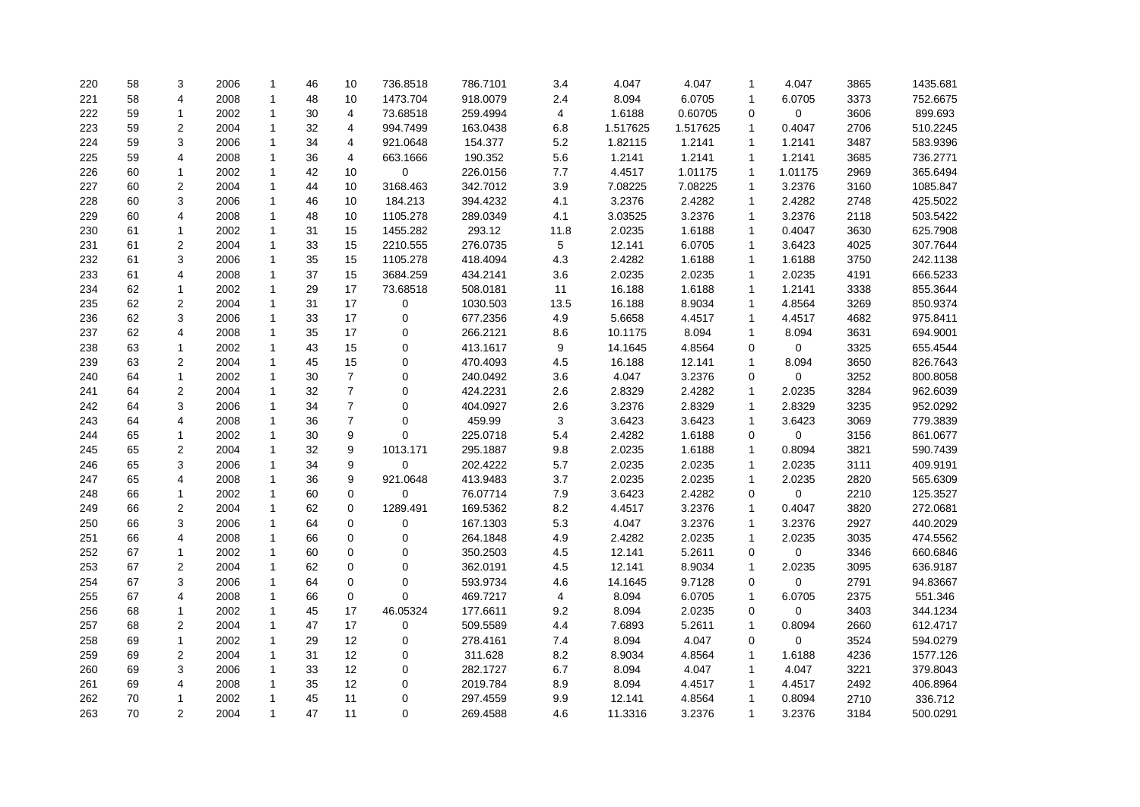| 220 | 58 | 3              | 2006 | $\mathbf{1}$ | 46 | 10               | 736.8518    | 786.7101 | 3.4  | 4.047    | 4.047    | 1            | 4.047       | 3865 | 1435.681 |
|-----|----|----------------|------|--------------|----|------------------|-------------|----------|------|----------|----------|--------------|-------------|------|----------|
| 221 | 58 | 4              | 2008 | 1            | 48 | 10               | 1473.704    | 918.0079 | 2.4  | 8.094    | 6.0705   | 1            | 6.0705      | 3373 | 752.6675 |
| 222 | 59 | 1              | 2002 | $\mathbf{1}$ | 30 | 4                | 73.68518    | 259.4994 | 4    | 1.6188   | 0.60705  | 0            | 0           | 3606 | 899.693  |
| 223 | 59 | $\overline{2}$ | 2004 | $\mathbf{1}$ | 32 | $\overline{4}$   | 994.7499    | 163.0438 | 6.8  | 1.517625 | 1.517625 | $\mathbf{1}$ | 0.4047      | 2706 | 510.2245 |
| 224 | 59 | 3              | 2006 | 1            | 34 | $\overline{4}$   | 921.0648    | 154.377  | 5.2  | 1.82115  | 1.2141   | $\mathbf{1}$ | 1.2141      | 3487 | 583.9396 |
| 225 | 59 | 4              | 2008 | $\mathbf{1}$ | 36 | $\overline{4}$   | 663.1666    | 190.352  | 5.6  | 1.2141   | 1.2141   | $\mathbf 1$  | 1.2141      | 3685 | 736.2771 |
| 226 | 60 | 1              | 2002 | $\mathbf{1}$ | 42 | 10               | $\mathbf 0$ | 226.0156 | 7.7  | 4.4517   | 1.01175  | $\mathbf{1}$ | 1.01175     | 2969 | 365.6494 |
| 227 | 60 | $\overline{c}$ | 2004 | $\mathbf{1}$ | 44 | 10               | 3168.463    | 342.7012 | 3.9  | 7.08225  | 7.08225  | $\mathbf{1}$ | 3.2376      | 3160 | 1085.847 |
| 228 | 60 | 3              | 2006 | $\mathbf{1}$ | 46 | 10               | 184.213     | 394.4232 | 4.1  | 3.2376   | 2.4282   | $\mathbf{1}$ | 2.4282      | 2748 | 425.5022 |
| 229 | 60 | 4              | 2008 | $\mathbf{1}$ | 48 | 10               | 1105.278    | 289.0349 | 4.1  | 3.03525  | 3.2376   | $\mathbf{1}$ | 3.2376      | 2118 | 503.5422 |
| 230 | 61 | $\mathbf{1}$   | 2002 | $\mathbf{1}$ | 31 | 15               | 1455.282    | 293.12   | 11.8 | 2.0235   | 1.6188   | $\mathbf{1}$ | 0.4047      | 3630 | 625.7908 |
| 231 | 61 | $\overline{c}$ | 2004 | 1            | 33 | 15               | 2210.555    | 276.0735 | 5    | 12.141   | 6.0705   | $\mathbf{1}$ | 3.6423      | 4025 | 307.7644 |
| 232 | 61 | 3              | 2006 | $\mathbf{1}$ | 35 | 15               | 1105.278    | 418.4094 | 4.3  | 2.4282   | 1.6188   | 1            | 1.6188      | 3750 | 242.1138 |
| 233 | 61 | 4              | 2008 | $\mathbf{1}$ | 37 | 15               | 3684.259    | 434.2141 | 3.6  | 2.0235   | 2.0235   | $\mathbf{1}$ | 2.0235      | 4191 | 666.5233 |
| 234 | 62 | 1              | 2002 | 1            | 29 | 17               | 73.68518    | 508.0181 | 11   | 16.188   | 1.6188   | $\mathbf{1}$ | 1.2141      | 3338 | 855.3644 |
| 235 | 62 | 2              | 2004 | $\mathbf{1}$ | 31 | 17               | $\mathbf 0$ | 1030.503 | 13.5 | 16.188   | 8.9034   | $\mathbf{1}$ | 4.8564      | 3269 | 850.9374 |
| 236 | 62 | 3              | 2006 | $\mathbf{1}$ | 33 | 17               | 0           | 677.2356 | 4.9  | 5.6658   | 4.4517   | 1            | 4.4517      | 4682 | 975.8411 |
| 237 | 62 | 4              | 2008 | $\mathbf{1}$ | 35 | 17               | $\mathbf 0$ | 266.2121 | 8.6  | 10.1175  | 8.094    | $\mathbf{1}$ | 8.094       | 3631 | 694.9001 |
| 238 | 63 | 1              | 2002 | 1            | 43 | 15               | $\mathbf 0$ | 413.1617 | 9    | 14.1645  | 4.8564   | 0            | 0           | 3325 | 655.4544 |
| 239 | 63 | $\overline{c}$ | 2004 | $\mathbf{1}$ | 45 | 15               | 0           | 470.4093 | 4.5  | 16.188   | 12.141   | $\mathbf{1}$ | 8.094       | 3650 | 826.7643 |
| 240 | 64 | $\mathbf{1}$   | 2002 | $\mathbf{1}$ | 30 | $\overline{7}$   | 0           | 240.0492 | 3.6  | 4.047    | 3.2376   | $\mathbf 0$  | $\mathbf 0$ | 3252 | 800.8058 |
| 241 | 64 | $\overline{c}$ | 2004 | $\mathbf{1}$ | 32 | $\overline{7}$   | 0           | 424.2231 | 2.6  | 2.8329   | 2.4282   | 1            | 2.0235      | 3284 | 962.6039 |
| 242 | 64 | 3              | 2006 | $\mathbf{1}$ | 34 | $\overline{7}$   | $\mathbf 0$ | 404.0927 | 2.6  | 3.2376   | 2.8329   | $\mathbf{1}$ | 2.8329      | 3235 | 952.0292 |
| 243 | 64 | 4              | 2008 | $\mathbf{1}$ | 36 | $\overline{7}$   | $\mathbf 0$ | 459.99   | 3    | 3.6423   | 3.6423   | $\mathbf{1}$ | 3.6423      | 3069 | 779.3839 |
| 244 | 65 | 1              | 2002 | $\mathbf{1}$ | 30 | 9                | $\Omega$    | 225.0718 | 5.4  | 2.4282   | 1.6188   | $\mathbf 0$  | $\mathbf 0$ | 3156 | 861.0677 |
| 245 | 65 | 2              | 2004 | $\mathbf{1}$ | 32 | 9                | 1013.171    | 295.1887 | 9.8  | 2.0235   | 1.6188   | $\mathbf{1}$ | 0.8094      | 3821 | 590.7439 |
| 246 | 65 | 3              | 2006 | $\mathbf{1}$ | 34 | $\boldsymbol{9}$ | $\Omega$    | 202.4222 | 5.7  | 2.0235   | 2.0235   | $\mathbf{1}$ | 2.0235      | 3111 | 409.9191 |
| 247 | 65 | 4              | 2008 | $\mathbf{1}$ | 36 | 9                | 921.0648    | 413.9483 | 3.7  | 2.0235   | 2.0235   | $\mathbf{1}$ | 2.0235      | 2820 | 565.6309 |
| 248 | 66 | 1              | 2002 | 1            | 60 | $\mathbf 0$      | 0           | 76.07714 | 7.9  | 3.6423   | 2.4282   | 0            | 0           | 2210 | 125.3527 |
| 249 | 66 | $\overline{2}$ | 2004 | $\mathbf{1}$ | 62 | $\mathbf 0$      | 1289.491    | 169.5362 | 8.2  | 4.4517   | 3.2376   | $\mathbf{1}$ | 0.4047      | 3820 | 272.0681 |
| 250 | 66 | 3              | 2006 | $\mathbf{1}$ | 64 | $\mathbf 0$      | $\mathbf 0$ | 167.1303 | 5.3  | 4.047    | 3.2376   | 1            | 3.2376      | 2927 | 440.2029 |
| 251 | 66 | 4              | 2008 | $\mathbf{1}$ | 66 | $\mathbf 0$      | $\mathbf 0$ | 264.1848 | 4.9  | 2.4282   | 2.0235   | $\mathbf{1}$ | 2.0235      | 3035 | 474.5562 |
| 252 | 67 | 1              | 2002 | $\mathbf{1}$ | 60 | $\mathbf 0$      | 0           | 350.2503 | 4.5  | 12.141   | 5.2611   | 0            | 0           | 3346 | 660.6846 |
| 253 | 67 | 2              | 2004 | $\mathbf{1}$ | 62 | $\mathbf 0$      | $\mathbf 0$ | 362.0191 | 4.5  | 12.141   | 8.9034   | $\mathbf{1}$ | 2.0235      | 3095 | 636.9187 |
| 254 | 67 | 3              | 2006 | $\mathbf{1}$ | 64 | $\mathbf 0$      | $\mathbf 0$ | 593.9734 | 4.6  | 14.1645  | 9.7128   | $\mathbf 0$  | $\mathbf 0$ | 2791 | 94.83667 |
| 255 | 67 | 4              | 2008 | 1            | 66 | 0                | $\mathbf 0$ | 469.7217 | 4    | 8.094    | 6.0705   | $\mathbf{1}$ | 6.0705      | 2375 | 551.346  |
| 256 | 68 | 1              | 2002 | $\mathbf{1}$ | 45 | 17               | 46.05324    | 177.6611 | 9.2  | 8.094    | 2.0235   | $\mathbf 0$  | $\mathbf 0$ | 3403 | 344.1234 |
| 257 | 68 | $\overline{c}$ | 2004 | $\mathbf{1}$ | 47 | 17               | 0           | 509.5589 | 4.4  | 7.6893   | 5.2611   | $\mathbf{1}$ | 0.8094      | 2660 | 612.4717 |
| 258 | 69 | 1              | 2002 | $\mathbf{1}$ | 29 | 12               | $\mathbf 0$ | 278.4161 | 7.4  | 8.094    | 4.047    | 0            | $\mathbf 0$ | 3524 | 594.0279 |
| 259 | 69 | $\overline{2}$ | 2004 | $\mathbf{1}$ | 31 | 12               | 0           | 311.628  | 8.2  | 8.9034   | 4.8564   | $\mathbf{1}$ | 1.6188      | 4236 | 1577.126 |
| 260 | 69 | 3              | 2006 | $\mathbf{1}$ | 33 | 12               | $\mathbf 0$ | 282.1727 | 6.7  | 8.094    | 4.047    | $\mathbf{1}$ | 4.047       | 3221 | 379.8043 |
| 261 | 69 | 4              | 2008 | $\mathbf{1}$ | 35 | 12               | 0           | 2019.784 | 8.9  | 8.094    | 4.4517   | $\mathbf{1}$ | 4.4517      | 2492 | 406.8964 |
| 262 | 70 | 1              | 2002 | $\mathbf{1}$ | 45 | 11               | 0           | 297.4559 | 9.9  | 12.141   | 4.8564   | 1            | 0.8094      | 2710 | 336.712  |
| 263 | 70 | $\overline{2}$ | 2004 | $\mathbf{1}$ | 47 | 11               | $\Omega$    | 269.4588 | 4.6  | 11.3316  | 3.2376   | $\mathbf{1}$ | 3.2376      | 3184 | 500.0291 |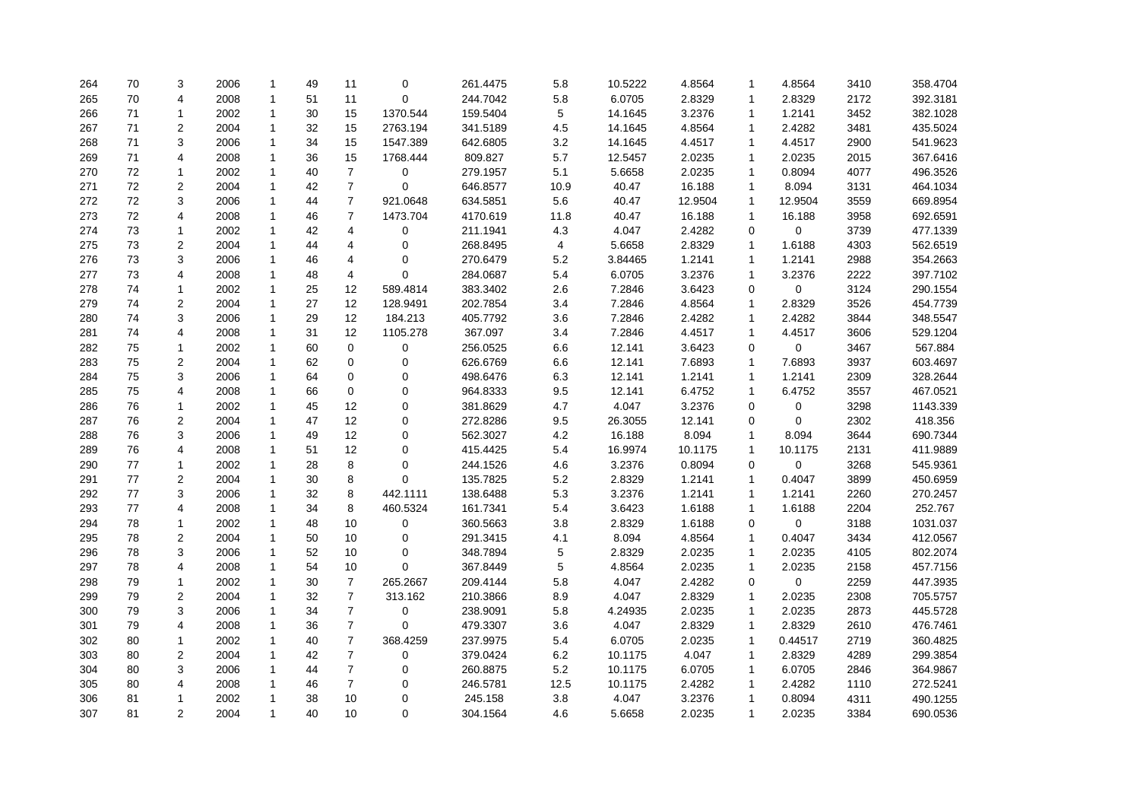| 264 | 70 | 3              | 2006 | 1            | 49 | 11             | 0           | 261.4475 | 5.8  | 10.5222 | 4.8564  | 1            | 4.8564      | 3410 | 358.4704 |
|-----|----|----------------|------|--------------|----|----------------|-------------|----------|------|---------|---------|--------------|-------------|------|----------|
| 265 | 70 | 4              | 2008 | $\mathbf{1}$ | 51 | 11             | $\mathbf 0$ | 244.7042 | 5.8  | 6.0705  | 2.8329  | 1            | 2.8329      | 2172 | 392.3181 |
| 266 | 71 | 1              | 2002 | $\mathbf{1}$ | 30 | 15             | 1370.544    | 159.5404 | 5    | 14.1645 | 3.2376  | $\mathbf{1}$ | 1.2141      | 3452 | 382.1028 |
| 267 | 71 | $\overline{2}$ | 2004 | $\mathbf{1}$ | 32 | 15             | 2763.194    | 341.5189 | 4.5  | 14.1645 | 4.8564  | $\mathbf{1}$ | 2.4282      | 3481 | 435.5024 |
| 268 | 71 | 3              | 2006 | $\mathbf{1}$ | 34 | 15             | 1547.389    | 642.6805 | 3.2  | 14.1645 | 4.4517  | $\mathbf{1}$ | 4.4517      | 2900 | 541.9623 |
| 269 | 71 | 4              | 2008 | 1            | 36 | 15             | 1768.444    | 809.827  | 5.7  | 12.5457 | 2.0235  | 1            | 2.0235      | 2015 | 367.6416 |
| 270 | 72 | 1              | 2002 | 1            | 40 | $\overline{7}$ | $\Omega$    | 279.1957 | 5.1  | 5.6658  | 2.0235  | 1            | 0.8094      | 4077 | 496.3526 |
| 271 | 72 | 2              | 2004 | 1            | 42 | $\overline{7}$ | $\mathbf 0$ | 646.8577 | 10.9 | 40.47   | 16.188  | $\mathbf{1}$ | 8.094       | 3131 | 464.1034 |
| 272 | 72 | 3              | 2006 | 1            | 44 | $\overline{7}$ | 921.0648    | 634.5851 | 5.6  | 40.47   | 12.9504 |              | 12.9504     | 3559 | 669.8954 |
| 273 | 72 | 4              | 2008 | 1            | 46 | $\overline{7}$ | 1473.704    | 4170.619 | 11.8 | 40.47   | 16.188  | $\mathbf{1}$ | 16.188      | 3958 | 692.6591 |
| 274 | 73 | $\mathbf{1}$   | 2002 | $\mathbf{1}$ | 42 | $\overline{4}$ | 0           | 211.1941 | 4.3  | 4.047   | 2.4282  | $\mathbf 0$  | $\mathbf 0$ | 3739 | 477.1339 |
| 275 | 73 | 2              | 2004 | 1            | 44 | $\overline{4}$ | $\Omega$    | 268.8495 | 4    | 5.6658  | 2.8329  | $\mathbf{1}$ | 1.6188      | 4303 | 562.6519 |
| 276 | 73 | 3              | 2006 | 1            | 46 | 4              | $\Omega$    | 270.6479 | 5.2  | 3.84465 | 1.2141  | $\mathbf{1}$ | 1.2141      | 2988 | 354.2663 |
| 277 | 73 | 4              | 2008 | $\mathbf{1}$ | 48 | $\overline{4}$ | $\Omega$    | 284.0687 | 5.4  | 6.0705  | 3.2376  | $\mathbf{1}$ | 3.2376      | 2222 | 397.7102 |
| 278 | 74 | 1              | 2002 | $\mathbf{1}$ | 25 | 12             | 589.4814    | 383.3402 | 2.6  | 7.2846  | 3.6423  | 0            | $\mathbf 0$ | 3124 | 290.1554 |
| 279 | 74 | 2              | 2004 | $\mathbf{1}$ | 27 | 12             | 128.9491    | 202.7854 | 3.4  | 7.2846  | 4.8564  | $\mathbf{1}$ | 2.8329      | 3526 | 454.7739 |
| 280 | 74 | 3              | 2006 | 1            | 29 | 12             | 184.213     | 405.7792 | 3.6  | 7.2846  | 2.4282  | $\mathbf{1}$ | 2.4282      | 3844 | 348.5547 |
| 281 | 74 | 4              | 2008 | $\mathbf{1}$ | 31 | 12             | 1105.278    | 367.097  | 3.4  | 7.2846  | 4.4517  | $\mathbf{1}$ | 4.4517      | 3606 | 529.1204 |
| 282 | 75 | 1              | 2002 | $\mathbf{1}$ | 60 | $\mathbf 0$    | $\mathbf 0$ | 256.0525 | 6.6  | 12.141  | 3.6423  | $\mathbf 0$  | 0           | 3467 | 567.884  |
| 283 | 75 | 2              | 2004 | $\mathbf{1}$ | 62 | $\mathbf 0$    | 0           | 626.6769 | 6.6  | 12.141  | 7.6893  | $\mathbf{1}$ | 7.6893      | 3937 | 603.4697 |
| 284 | 75 | 3              | 2006 | $\mathbf{1}$ | 64 | $\mathbf 0$    | $\mathbf 0$ | 498.6476 | 6.3  | 12.141  | 1.2141  | $\mathbf{1}$ | 1.2141      | 2309 | 328.2644 |
| 285 | 75 | 4              | 2008 | 1            | 66 | 0              | 0           | 964.8333 | 9.5  | 12.141  | 6.4752  | 1            | 6.4752      | 3557 | 467.0521 |
| 286 | 76 | 1              | 2002 | $\mathbf{1}$ | 45 | 12             | $\mathbf 0$ | 381.8629 | 4.7  | 4.047   | 3.2376  | 0            | 0           | 3298 | 1143.339 |
| 287 | 76 | 2              | 2004 | 1            | 47 | 12             | 0           | 272.8286 | 9.5  | 26.3055 | 12.141  | $\mathbf 0$  | $\mathbf 0$ | 2302 | 418.356  |
| 288 | 76 | 3              | 2006 | $\mathbf{1}$ | 49 | 12             | $\mathbf 0$ | 562.3027 | 4.2  | 16.188  | 8.094   | $\mathbf{1}$ | 8.094       | 3644 | 690.7344 |
| 289 | 76 | 4              | 2008 | 1            | 51 | 12             | 0           | 415.4425 | 5.4  | 16.9974 | 10.1175 | $\mathbf{1}$ | 10.1175     | 2131 | 411.9889 |
| 290 | 77 | 1              | 2002 | $\mathbf{1}$ | 28 | 8              | 0           | 244.1526 | 4.6  | 3.2376  | 0.8094  | 0            | $\mathbf 0$ | 3268 | 545.9361 |
| 291 | 77 | $\overline{2}$ | 2004 | $\mathbf{1}$ | 30 | 8              | $\Omega$    | 135.7825 | 5.2  | 2.8329  | 1.2141  | $\mathbf{1}$ | 0.4047      | 3899 | 450.6959 |
| 292 | 77 | 3              | 2006 | 1            | 32 | 8              | 442.1111    | 138.6488 | 5.3  | 3.2376  | 1.2141  | $\mathbf{1}$ | 1.2141      | 2260 | 270.2457 |
| 293 | 77 | 4              | 2008 | $\mathbf{1}$ | 34 | 8              | 460.5324    | 161.7341 | 5.4  | 3.6423  | 1.6188  | $\mathbf{1}$ | 1.6188      | 2204 | 252.767  |
| 294 | 78 | 1              | 2002 | $\mathbf{1}$ | 48 | 10             | 0           | 360.5663 | 3.8  | 2.8329  | 1.6188  | $\mathbf 0$  | $\mathbf 0$ | 3188 | 1031.037 |
| 295 | 78 | 2              | 2004 | $\mathbf{1}$ | 50 | 10             | $\mathbf 0$ | 291.3415 | 4.1  | 8.094   | 4.8564  | $\mathbf{1}$ | 0.4047      | 3434 | 412.0567 |
| 296 | 78 | 3              | 2006 | 1            | 52 | 10             | 0           | 348.7894 | 5    | 2.8329  | 2.0235  | $\mathbf{1}$ | 2.0235      | 4105 | 802.2074 |
| 297 | 78 | $\overline{4}$ | 2008 | $\mathbf{1}$ | 54 | 10             | $\Omega$    | 367.8449 | 5    | 4.8564  | 2.0235  | 1            | 2.0235      | 2158 | 457.7156 |
| 298 | 79 | 1              | 2002 | $\mathbf{1}$ | 30 | $\overline{7}$ | 265.2667    | 209.4144 | 5.8  | 4.047   | 2.4282  | $\mathbf 0$  | $\mathbf 0$ | 2259 | 447.3935 |
| 299 | 79 | 2              | 2004 | 1            | 32 | 7              | 313.162     | 210.3866 | 8.9  | 4.047   | 2.8329  | $\mathbf{1}$ | 2.0235      | 2308 | 705.5757 |
| 300 | 79 | 3              | 2006 | 1            | 34 | $\overline{7}$ | $\mathbf 0$ | 238.9091 | 5.8  | 4.24935 | 2.0235  | $\mathbf{1}$ | 2.0235      | 2873 | 445.5728 |
| 301 | 79 | 4              | 2008 | $\mathbf{1}$ | 36 | $\overline{7}$ | $\mathbf 0$ | 479.3307 | 3.6  | 4.047   | 2.8329  | $\mathbf{1}$ | 2.8329      | 2610 | 476.7461 |
| 302 | 80 | 1              | 2002 | 1            | 40 | $\overline{7}$ | 368.4259    | 237.9975 | 5.4  | 6.0705  | 2.0235  | 1            | 0.44517     | 2719 | 360.4825 |
| 303 | 80 | 2              | 2004 | 1            | 42 | $\overline{7}$ | 0           | 379.0424 | 6.2  | 10.1175 | 4.047   | 1            | 2.8329      | 4289 | 299.3854 |
| 304 | 80 | 3              | 2006 | $\mathbf{1}$ | 44 | $\overline{7}$ | $\mathbf 0$ | 260.8875 | 5.2  | 10.1175 | 6.0705  | $\mathbf{1}$ | 6.0705      | 2846 | 364.9867 |
| 305 | 80 | 4              | 2008 | 1            | 46 | $\overline{7}$ | 0           | 246.5781 | 12.5 | 10.1175 | 2.4282  | 1            | 2.4282      | 1110 | 272.5241 |
| 306 | 81 | 1              | 2002 | 1            | 38 | 10             | $\Omega$    | 245.158  | 3.8  | 4.047   | 3.2376  | 1            | 0.8094      | 4311 | 490.1255 |
| 307 | 81 | $\overline{2}$ | 2004 | 1            | 40 | 10             | $\Omega$    | 304.1564 | 4.6  | 5.6658  | 2.0235  | $\mathbf{1}$ | 2.0235      | 3384 | 690.0536 |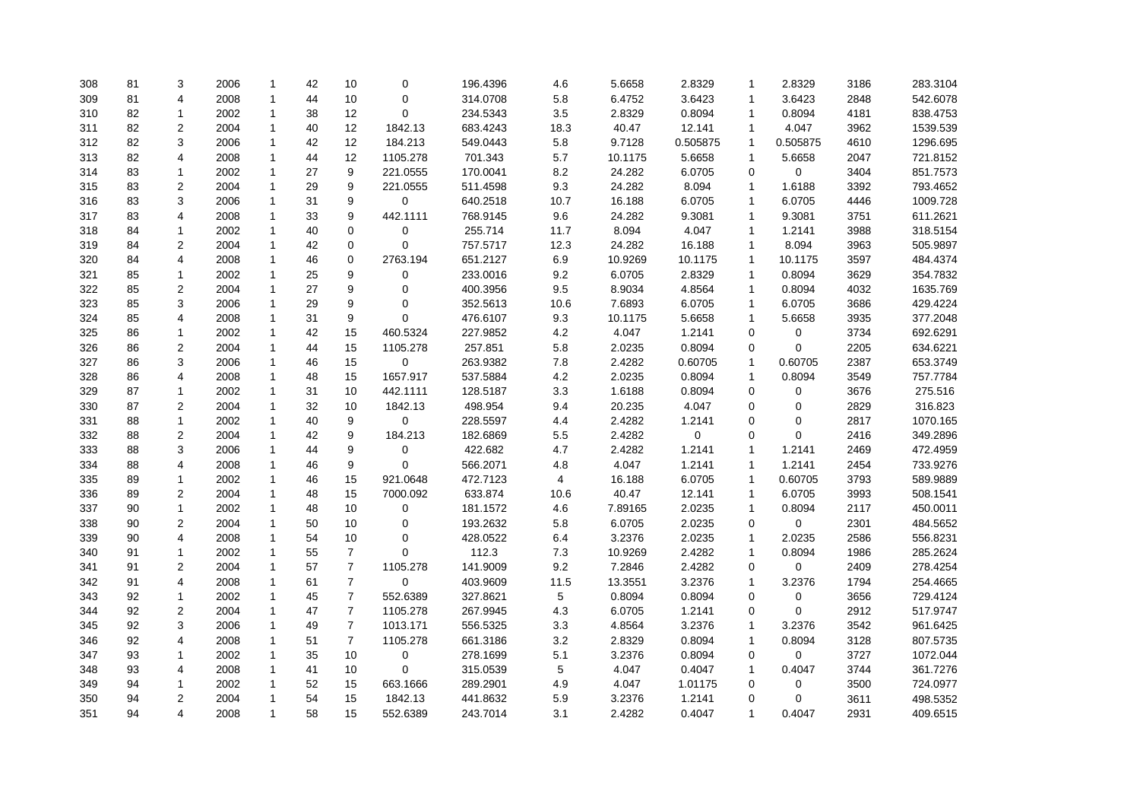| 308 | 81 | 3              | 2006 | 1            | 42 | 10                | 0           | 196.4396 | 4.6     | 5.6658  | 2.8329   | 1            | 2.8329      | 3186 | 283.3104 |
|-----|----|----------------|------|--------------|----|-------------------|-------------|----------|---------|---------|----------|--------------|-------------|------|----------|
| 309 | 81 | 4              | 2008 | $\mathbf{1}$ | 44 | 10                | $\Omega$    | 314.0708 | 5.8     | 6.4752  | 3.6423   | 1            | 3.6423      | 2848 | 542.6078 |
| 310 | 82 | 1              | 2002 | 1            | 38 | 12                | $\mathbf 0$ | 234.5343 | 3.5     | 2.8329  | 0.8094   | 1            | 0.8094      | 4181 | 838.4753 |
| 311 | 82 | $\overline{2}$ | 2004 | 1            | 40 | $12 \overline{ }$ | 1842.13     | 683.4243 | 18.3    | 40.47   | 12.141   | 1            | 4.047       | 3962 | 1539.539 |
| 312 | 82 | 3              | 2006 | 1            | 42 | 12                | 184.213     | 549.0443 | 5.8     | 9.7128  | 0.505875 | 1            | 0.505875    | 4610 | 1296.695 |
| 313 | 82 | 4              | 2008 | 1            | 44 | 12                | 1105.278    | 701.343  | 5.7     | 10.1175 | 5.6658   | 1            | 5.6658      | 2047 | 721.8152 |
| 314 | 83 | 1              | 2002 | 1            | 27 | 9                 | 221.0555    | 170.0041 | 8.2     | 24.282  | 6.0705   | $\mathbf 0$  | $\mathbf 0$ | 3404 | 851.7573 |
| 315 | 83 | 2              | 2004 | 1            | 29 | 9                 | 221.0555    | 511.4598 | 9.3     | 24.282  | 8.094    | $\mathbf{1}$ | 1.6188      | 3392 | 793.4652 |
| 316 | 83 | 3              | 2006 | 1            | 31 | 9                 | $\mathbf 0$ | 640.2518 | 10.7    | 16.188  | 6.0705   | 1            | 6.0705      | 4446 | 1009.728 |
| 317 | 83 | 4              | 2008 | 1            | 33 | 9                 | 442.1111    | 768.9145 | 9.6     | 24.282  | 9.3081   | 1            | 9.3081      | 3751 | 611.2621 |
| 318 | 84 | $\mathbf{1}$   | 2002 | $\mathbf{1}$ | 40 | $\mathbf 0$       | $\Omega$    | 255.714  | 11.7    | 8.094   | 4.047    | $\mathbf{1}$ | 1.2141      | 3988 | 318.5154 |
| 319 | 84 | 2              | 2004 | 1            | 42 | 0                 | $\mathbf 0$ | 757.5717 | 12.3    | 24.282  | 16.188   | 1            | 8.094       | 3963 | 505.9897 |
| 320 | 84 | 4              | 2008 | 1            | 46 | 0                 | 2763.194    | 651.2127 | $6.9\,$ | 10.9269 | 10.1175  | 1            | 10.1175     | 3597 | 484.4374 |
| 321 | 85 | 1              | 2002 | 1            | 25 | 9                 | $\mathbf 0$ | 233.0016 | 9.2     | 6.0705  | 2.8329   | 1            | 0.8094      | 3629 | 354.7832 |
| 322 | 85 | 2              | 2004 | $\mathbf{1}$ | 27 | 9                 | 0           | 400.3956 | 9.5     | 8.9034  | 4.8564   | $\mathbf{1}$ | 0.8094      | 4032 | 1635.769 |
| 323 | 85 | 3              | 2006 | $\mathbf{1}$ | 29 | 9                 | $\Omega$    | 352.5613 | 10.6    | 7.6893  | 6.0705   | $\mathbf{1}$ | 6.0705      | 3686 | 429.4224 |
| 324 | 85 | 4              | 2008 | 1            | 31 | 9                 | $\Omega$    | 476.6107 | 9.3     | 10.1175 | 5.6658   | 1            | 5.6658      | 3935 | 377.2048 |
| 325 | 86 | $\mathbf{1}$   | 2002 | 1            | 42 | 15                | 460.5324    | 227.9852 | 4.2     | 4.047   | 1.2141   | $\mathbf 0$  | $\mathbf 0$ | 3734 | 692.6291 |
| 326 | 86 | 2              | 2004 | 1            | 44 | 15                | 1105.278    | 257.851  | 5.8     | 2.0235  | 0.8094   | 0            | $\Omega$    | 2205 | 634.6221 |
| 327 | 86 | 3              | 2006 | 1            | 46 | 15                | $\mathbf 0$ | 263.9382 | $7.8$   | 2.4282  | 0.60705  | $\mathbf{1}$ | 0.60705     | 2387 | 653.3749 |
| 328 | 86 | 4              | 2008 | $\mathbf{1}$ | 48 | 15                | 1657.917    | 537.5884 | 4.2     | 2.0235  | 0.8094   | 1            | 0.8094      | 3549 | 757.7784 |
| 329 | 87 | 1              | 2002 | 1            | 31 | 10                | 442.1111    | 128.5187 | 3.3     | 1.6188  | 0.8094   | 0            | 0           | 3676 | 275.516  |
| 330 | 87 | $\overline{2}$ | 2004 | 1            | 32 | 10                | 1842.13     | 498.954  | 9.4     | 20.235  | 4.047    | 0            | $\mathbf 0$ | 2829 | 316.823  |
| 331 | 88 | 1              | 2002 | 1            | 40 | 9                 | $\mathbf 0$ | 228.5597 | 4.4     | 2.4282  | 1.2141   | 0            | $\mathbf 0$ | 2817 | 1070.165 |
| 332 | 88 | 2              | 2004 | $\mathbf{1}$ | 42 | 9                 | 184.213     | 182.6869 | 5.5     | 2.4282  | 0        | $\Omega$     | $\Omega$    | 2416 | 349.2896 |
| 333 | 88 | 3              | 2006 | 1            | 44 | 9                 | 0           | 422.682  | 4.7     | 2.4282  | 1.2141   | $\mathbf{1}$ | 1.2141      | 2469 | 472.4959 |
| 334 | 88 | 4              | 2008 | 1            | 46 | 9                 | $\Omega$    | 566.2071 | 4.8     | 4.047   | 1.2141   | 1            | 1.2141      | 2454 | 733.9276 |
| 335 | 89 | $\mathbf{1}$   | 2002 | 1            | 46 | 15                | 921.0648    | 472.7123 | 4       | 16.188  | 6.0705   | $\mathbf{1}$ | 0.60705     | 3793 | 589.9889 |
| 336 | 89 | 2              | 2004 | 1            | 48 | 15                | 7000.092    | 633.874  | 10.6    | 40.47   | 12.141   | 1            | 6.0705      | 3993 | 508.1541 |
| 337 | 90 | $\mathbf{1}$   | 2002 | 1            | 48 | 10                | $\mathbf 0$ | 181.1572 | 4.6     | 7.89165 | 2.0235   | $\mathbf{1}$ | 0.8094      | 2117 | 450.0011 |
| 338 | 90 | 2              | 2004 | $\mathbf{1}$ | 50 | 10                | 0           | 193.2632 | 5.8     | 6.0705  | 2.0235   | 0            | 0           | 2301 | 484.5652 |
| 339 | 90 | 4              | 2008 | 1            | 54 | 10                | $\mathbf 0$ | 428.0522 | 6.4     | 3.2376  | 2.0235   | $\mathbf{1}$ | 2.0235      | 2586 | 556.8231 |
| 340 | 91 | 1              | 2002 | 1            | 55 | $\overline{7}$    | $\Omega$    | 112.3    | 7.3     | 10.9269 | 2.4282   | $\mathbf{1}$ | 0.8094      | 1986 | 285.2624 |
| 341 | 91 | $\overline{2}$ | 2004 | $\mathbf{1}$ | 57 | $\overline{7}$    | 1105.278    | 141.9009 | 9.2     | 7.2846  | 2.4282   | 0            | $\mathbf 0$ | 2409 | 278.4254 |
| 342 | 91 | 4              | 2008 | $\mathbf{1}$ | 61 | $\overline{7}$    | $\mathbf 0$ | 403.9609 | 11.5    | 13.3551 | 3.2376   | $\mathbf{1}$ | 3.2376      | 1794 | 254.4665 |
| 343 | 92 | 1              | 2002 | 1            | 45 | $\overline{7}$    | 552.6389    | 327.8621 | 5       | 0.8094  | 0.8094   | 0            | 0           | 3656 | 729.4124 |
| 344 | 92 | 2              | 2004 | 1            | 47 | $\overline{7}$    | 1105.278    | 267.9945 | 4.3     | 6.0705  | 1.2141   | $\mathbf 0$  | $\mathbf 0$ | 2912 | 517.9747 |
| 345 | 92 | 3              | 2006 | 1            | 49 | $\overline{7}$    | 1013.171    | 556.5325 | 3.3     | 4.8564  | 3.2376   | 1            | 3.2376      | 3542 | 961.6425 |
| 346 | 92 | 4              | 2008 | 1            | 51 | $\overline{7}$    | 1105.278    | 661.3186 | 3.2     | 2.8329  | 0.8094   | $\mathbf{1}$ | 0.8094      | 3128 | 807.5735 |
| 347 | 93 | 1              | 2002 | 1            | 35 | 10                | 0           | 278.1699 | 5.1     | 3.2376  | 0.8094   | 0            | 0           | 3727 | 1072.044 |
| 348 | 93 | 4              | 2008 | $\mathbf{1}$ | 41 | 10                | $\Omega$    | 315.0539 | 5       | 4.047   | 0.4047   | $\mathbf{1}$ | 0.4047      | 3744 | 361.7276 |
| 349 | 94 | 1              | 2002 | 1            | 52 | 15                | 663.1666    | 289.2901 | 4.9     | 4.047   | 1.01175  | $\mathbf 0$  | $\mathbf 0$ | 3500 | 724.0977 |
| 350 | 94 | $\overline{2}$ | 2004 | 1            | 54 | 15                | 1842.13     | 441.8632 | 5.9     | 3.2376  | 1.2141   | 0            | 0           | 3611 | 498.5352 |
| 351 | 94 | 4              | 2008 | $\mathbf{1}$ | 58 | 15                | 552.6389    | 243.7014 | 3.1     | 2.4282  | 0.4047   | $\mathbf{1}$ | 0.4047      | 2931 | 409.6515 |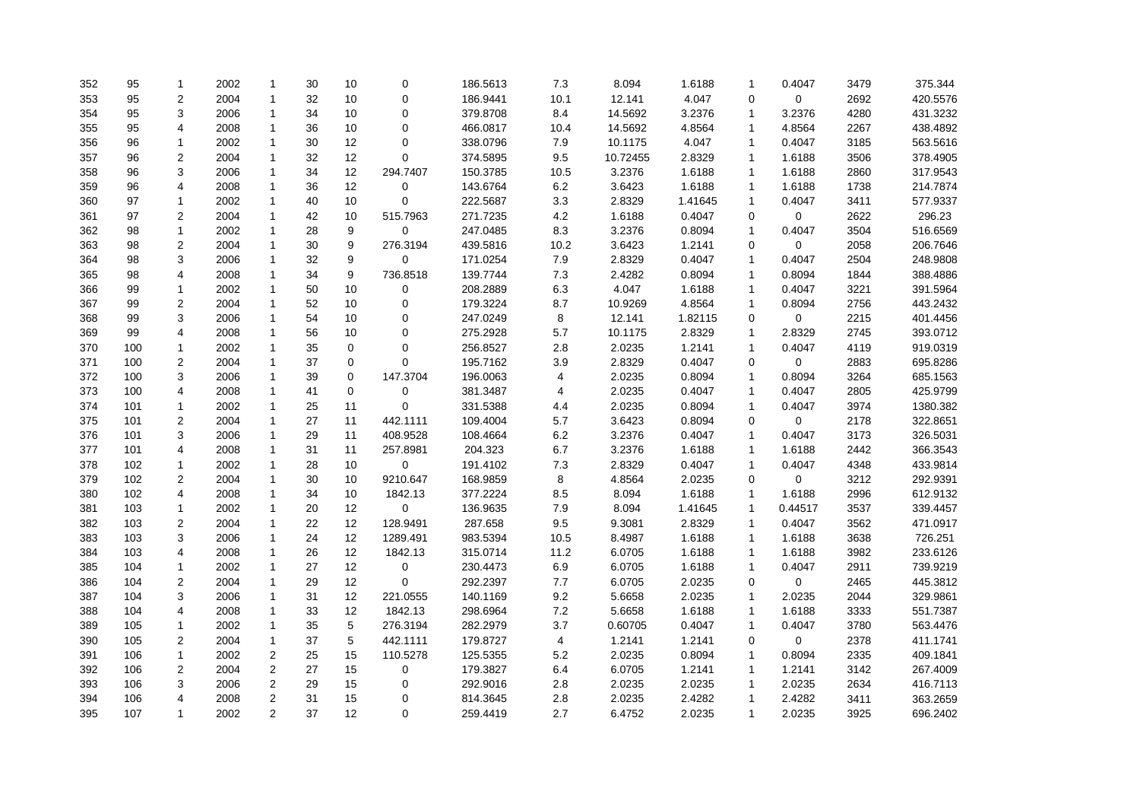| 352 | 95  | $\mathbf{1}$   | 2002 | 1              | 30 | 10          | $\mathbf 0$ | 186.5613 | 7.3            | 8.094    | 1.6188  | 1            | 0.4047      | 3479 | 375.344  |
|-----|-----|----------------|------|----------------|----|-------------|-------------|----------|----------------|----------|---------|--------------|-------------|------|----------|
| 353 | 95  | $\overline{2}$ | 2004 | 1              | 32 | 10          | $\mathbf 0$ | 186.9441 | 10.1           | 12.141   | 4.047   | $\mathbf 0$  | $\mathbf 0$ | 2692 | 420.5576 |
| 354 | 95  | 3              | 2006 | $\mathbf{1}$   | 34 | 10          | $\mathbf 0$ | 379.8708 | 8.4            | 14.5692  | 3.2376  | 1            | 3.2376      | 4280 | 431.3232 |
| 355 | 95  | 4              | 2008 | 1              | 36 | 10          | $\mathbf 0$ | 466.0817 | 10.4           | 14.5692  | 4.8564  | 1            | 4.8564      | 2267 | 438.4892 |
| 356 | 96  | $\mathbf{1}$   | 2002 | 1              | 30 | 12          | $\mathbf 0$ | 338.0796 | 7.9            | 10.1175  | 4.047   | $\mathbf{1}$ | 0.4047      | 3185 | 563.5616 |
| 357 | 96  | 2              | 2004 | 1              | 32 | 12          | $\mathbf 0$ | 374.5895 | 9.5            | 10.72455 | 2.8329  | 1            | 1.6188      | 3506 | 378.4905 |
| 358 | 96  | 3              | 2006 | $\mathbf{1}$   | 34 | 12          | 294.7407    | 150.3785 | 10.5           | 3.2376   | 1.6188  | $\mathbf{1}$ | 1.6188      | 2860 | 317.9543 |
| 359 | 96  | 4              | 2008 | 1              | 36 | 12          | $\pmb{0}$   | 143.6764 | 6.2            | 3.6423   | 1.6188  | $\mathbf{1}$ | 1.6188      | 1738 | 214.7874 |
| 360 | 97  | $\mathbf{1}$   | 2002 | $\mathbf{1}$   | 40 | 10          | $\mathbf 0$ | 222.5687 | 3.3            | 2.8329   | 1.41645 | 1            | 0.4047      | 3411 | 577.9337 |
| 361 | 97  | 2              | 2004 | $\mathbf{1}$   | 42 | 10          | 515.7963    | 271.7235 | 4.2            | 1.6188   | 0.4047  | 0            | $\mathbf 0$ | 2622 | 296.23   |
| 362 | 98  | $\mathbf{1}$   | 2002 | $\mathbf{1}$   | 28 | 9           | $\mathbf 0$ | 247.0485 | 8.3            | 3.2376   | 0.8094  | $\mathbf{1}$ | 0.4047      | 3504 | 516.6569 |
| 363 | 98  | 2              | 2004 | 1              | 30 | 9           | 276.3194    | 439.5816 | 10.2           | 3.6423   | 1.2141  | $\mathbf 0$  | $\mathbf 0$ | 2058 | 206.7646 |
| 364 | 98  | 3              | 2006 | 1              | 32 | 9           | 0           | 171.0254 | $7.9$          | 2.8329   | 0.4047  | $\mathbf{1}$ | 0.4047      | 2504 | 248.9808 |
| 365 | 98  | 4              | 2008 | 1              | 34 | 9           | 736.8518    | 139.7744 | 7.3            | 2.4282   | 0.8094  | $\mathbf{1}$ | 0.8094      | 1844 | 388.4886 |
| 366 | 99  | $\mathbf{1}$   | 2002 | 1              | 50 | 10          | $\mathbf 0$ | 208.2889 | 6.3            | 4.047    | 1.6188  | $\mathbf{1}$ | 0.4047      | 3221 | 391.5964 |
| 367 | 99  | $\overline{2}$ | 2004 | $\mathbf{1}$   | 52 | 10          | $\mathbf 0$ | 179.3224 | 8.7            | 10.9269  | 4.8564  | $\mathbf{1}$ | 0.8094      | 2756 | 443.2432 |
| 368 | 99  | 3              | 2006 | 1              | 54 | 10          | $\mathbf 0$ | 247.0249 | 8              | 12.141   | 1.82115 | 0            | 0           | 2215 | 401.4456 |
| 369 | 99  | 4              | 2008 | $\mathbf{1}$   | 56 | 10          | $\mathbf 0$ | 275.2928 | 5.7            | 10.1175  | 2.8329  | $\mathbf{1}$ | 2.8329      | 2745 | 393.0712 |
| 370 | 100 | $\mathbf{1}$   | 2002 | 1              | 35 | 0           | $\mathbf 0$ | 256.8527 | 2.8            | 2.0235   | 1.2141  | 1            | 0.4047      | 4119 | 919.0319 |
| 371 | 100 | 2              | 2004 | 1              | 37 | 0           | $\Omega$    | 195.7162 | 3.9            | 2.8329   | 0.4047  | 0            | $\mathbf 0$ | 2883 | 695.8286 |
| 372 | 100 | 3              | 2006 | $\mathbf{1}$   | 39 | $\mathbf 0$ | 147.3704    | 196.0063 | $\overline{4}$ | 2.0235   | 0.8094  | $\mathbf{1}$ | 0.8094      | 3264 | 685.1563 |
| 373 | 100 | 4              | 2008 | 1              | 41 | 0           | $\mathbf 0$ | 381.3487 | 4              | 2.0235   | 0.4047  | 1            | 0.4047      | 2805 | 425.9799 |
| 374 | 101 | $\mathbf{1}$   | 2002 | $\mathbf{1}$   | 25 | 11          | $\mathbf 0$ | 331.5388 | 4.4            | 2.0235   | 0.8094  | $\mathbf{1}$ | 0.4047      | 3974 | 1380.382 |
| 375 | 101 | 2              | 2004 | 1              | 27 | 11          | 442.1111    | 109.4004 | 5.7            | 3.6423   | 0.8094  | 0            | $\mathbf 0$ | 2178 | 322.8651 |
| 376 | 101 | 3              | 2006 | $\mathbf{1}$   | 29 | 11          | 408.9528    | 108.4664 | 6.2            | 3.2376   | 0.4047  | $\mathbf{1}$ | 0.4047      | 3173 | 326.5031 |
| 377 | 101 | 4              | 2008 | $\mathbf{1}$   | 31 | 11          | 257.8981    | 204.323  | 6.7            | 3.2376   | 1.6188  | 1            | 1.6188      | 2442 | 366.3543 |
| 378 | 102 | $\mathbf{1}$   | 2002 | 1              | 28 | 10          | $\mathbf 0$ | 191.4102 | 7.3            | 2.8329   | 0.4047  | $\mathbf 1$  | 0.4047      | 4348 | 433.9814 |
| 379 | 102 | $\overline{2}$ | 2004 | $\mathbf{1}$   | 30 | 10          | 9210.647    | 168.9859 | 8              | 4.8564   | 2.0235  | $\mathbf 0$  | $\mathbf 0$ | 3212 | 292.9391 |
| 380 | 102 | 4              | 2008 | 1              | 34 | 10          | 1842.13     | 377.2224 | 8.5            | 8.094    | 1.6188  | 1            | 1.6188      | 2996 | 612.9132 |
| 381 | 103 | $\mathbf{1}$   | 2002 | $\mathbf{1}$   | 20 | 12          | $\mathbf 0$ | 136.9635 | $7.9$          | 8.094    | 1.41645 | 1            | 0.44517     | 3537 | 339.4457 |
| 382 | 103 | 2              | 2004 | $\mathbf{1}$   | 22 | 12          | 128.9491    | 287.658  | 9.5            | 9.3081   | 2.8329  | 1            | 0.4047      | 3562 | 471.0917 |
| 383 | 103 | 3              | 2006 | $\mathbf{1}$   | 24 | 12          | 1289.491    | 983.5394 | 10.5           | 8.4987   | 1.6188  | $\mathbf{1}$ | 1.6188      | 3638 | 726.251  |
| 384 | 103 | 4              | 2008 | $\mathbf{1}$   | 26 | 12          | 1842.13     | 315.0714 | 11.2           | 6.0705   | 1.6188  | $\mathbf{1}$ | 1.6188      | 3982 | 233.6126 |
| 385 | 104 | $\mathbf{1}$   | 2002 | $\mathbf{1}$   | 27 | 12          | $\mathbf 0$ | 230.4473 | $6.9\,$        | 6.0705   | 1.6188  | $\mathbf{1}$ | 0.4047      | 2911 | 739.9219 |
| 386 | 104 | 2              | 2004 | $\mathbf{1}$   | 29 | 12          | $\mathbf 0$ | 292.2397 | 7.7            | 6.0705   | 2.0235  | $\mathbf 0$  | 0           | 2465 | 445.3812 |
| 387 | 104 | 3              | 2006 | 1              | 31 | 12          | 221.0555    | 140.1169 | 9.2            | 5.6658   | 2.0235  | 1            | 2.0235      | 2044 | 329.9861 |
| 388 | 104 | 4              | 2008 | $\mathbf{1}$   | 33 | 12          | 1842.13     | 298.6964 | 7.2            | 5.6658   | 1.6188  | $\mathbf{1}$ | 1.6188      | 3333 | 551.7387 |
| 389 | 105 | $\mathbf{1}$   | 2002 | 1              | 35 | 5           | 276.3194    | 282.2979 | 3.7            | 0.60705  | 0.4047  | $\mathbf{1}$ | 0.4047      | 3780 | 563.4476 |
| 390 | 105 | 2              | 2004 | $\mathbf{1}$   | 37 | 5           | 442.1111    | 179.8727 | $\overline{4}$ | 1.2141   | 1.2141  | 0            | $\mathbf 0$ | 2378 | 411.1741 |
| 391 | 106 | $\mathbf{1}$   | 2002 | 2              | 25 | 15          | 110.5278    | 125.5355 | 5.2            | 2.0235   | 0.8094  | $\mathbf{1}$ | 0.8094      | 2335 | 409.1841 |
| 392 | 106 | $\overline{2}$ | 2004 | $\overline{c}$ | 27 | 15          | $\mathbf 0$ | 179.3827 | 6.4            | 6.0705   | 1.2141  | $\mathbf{1}$ | 1.2141      | 3142 | 267.4009 |
| 393 | 106 | 3              | 2006 | 2              | 29 | 15          | $\mathbf 0$ | 292.9016 | 2.8            | 2.0235   | 2.0235  | $\mathbf{1}$ | 2.0235      | 2634 | 416.7113 |
| 394 | 106 | 4              | 2008 | 2              | 31 | 15          | $\mathbf 0$ | 814.3645 | 2.8            | 2.0235   | 2.4282  | 1            | 2.4282      | 3411 | 363.2659 |
| 395 | 107 | $\mathbf{1}$   | 2002 | $\overline{2}$ | 37 | 12          | $\Omega$    | 259.4419 | 2.7            | 6.4752   | 2.0235  | $\mathbf{1}$ | 2.0235      | 3925 | 696.2402 |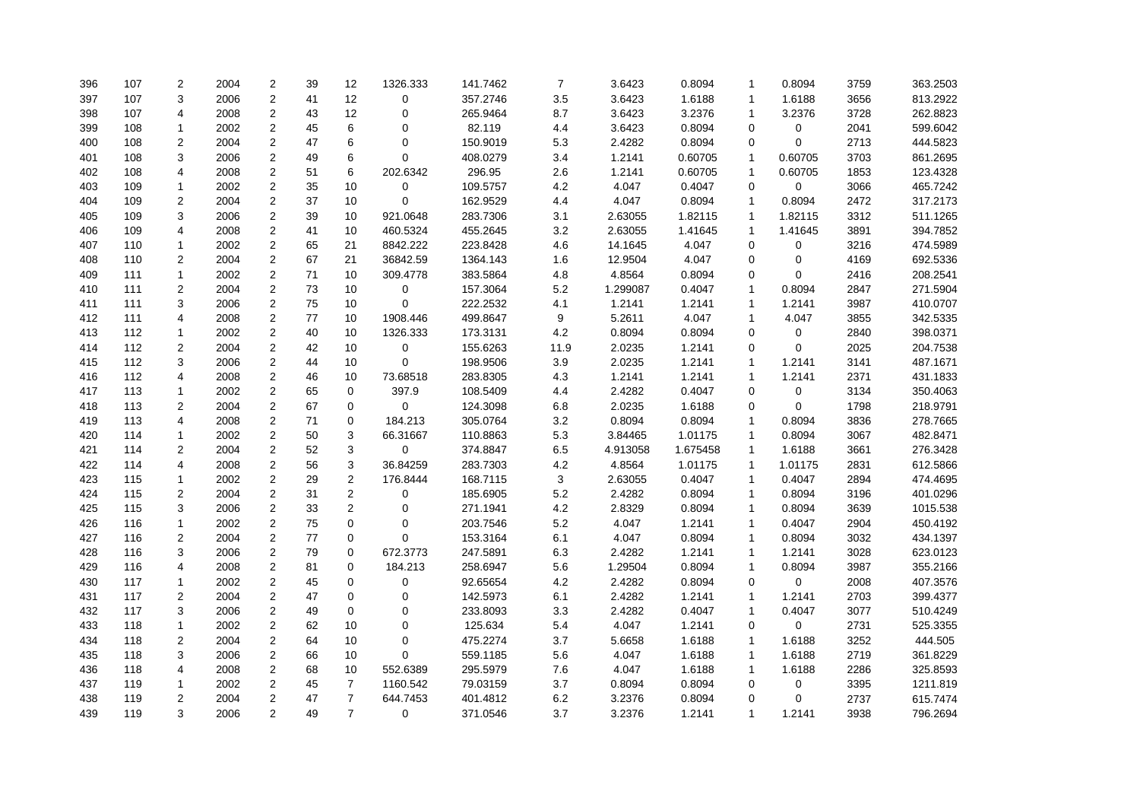| 396 | 107 | 2              | 2004 | 2                       | 39 | 12                      | 1326.333    | 141.7462 | $\overline{7}$ | 3.6423   | 0.8094   | 1            | 0.8094      | 3759 | 363.2503 |
|-----|-----|----------------|------|-------------------------|----|-------------------------|-------------|----------|----------------|----------|----------|--------------|-------------|------|----------|
| 397 | 107 | 3              | 2006 | $\boldsymbol{2}$        | 41 | 12                      | 0           | 357.2746 | 3.5            | 3.6423   | 1.6188   | 1            | 1.6188      | 3656 | 813.2922 |
| 398 | 107 | 4              | 2008 | $\overline{c}$          | 43 | 12                      | 0           | 265.9464 | 8.7            | 3.6423   | 3.2376   | 1            | 3.2376      | 3728 | 262.8823 |
| 399 | 108 | 1              | 2002 | $\overline{2}$          | 45 | 6                       | $\Omega$    | 82.119   | 4.4            | 3.6423   | 0.8094   | 0            | 0           | 2041 | 599.6042 |
| 400 | 108 | 2              | 2004 | $\overline{2}$          | 47 | 6                       | $\Omega$    | 150.9019 | 5.3            | 2.4282   | 0.8094   | 0            | $\mathbf 0$ | 2713 | 444.5823 |
| 401 | 108 | 3              | 2006 | $\overline{c}$          | 49 | 6                       | 0           | 408.0279 | 3.4            | 1.2141   | 0.60705  | $\mathbf{1}$ | 0.60705     | 3703 | 861.2695 |
| 402 | 108 | 4              | 2008 | $\boldsymbol{2}$        | 51 | 6                       | 202.6342    | 296.95   | 2.6            | 1.2141   | 0.60705  | 1            | 0.60705     | 1853 | 123.4328 |
| 403 | 109 | 1              | 2002 | $\overline{c}$          | 35 | 10                      | $\pmb{0}$   | 109.5757 | 4.2            | 4.047    | 0.4047   | $\mathbf 0$  | 0           | 3066 | 465.7242 |
| 404 | 109 | 2              | 2004 | $\boldsymbol{2}$        | 37 | 10                      | $\Omega$    | 162.9529 | 4.4            | 4.047    | 0.8094   |              | 0.8094      | 2472 | 317.2173 |
| 405 | 109 | 3              | 2006 | $\overline{\mathbf{c}}$ | 39 | 10                      | 921.0648    | 283.7306 | 3.1            | 2.63055  | 1.82115  | 1            | 1.82115     | 3312 | 511.1265 |
| 406 | 109 | 4              | 2008 | $\overline{2}$          | 41 | 10                      | 460.5324    | 455.2645 | 3.2            | 2.63055  | 1.41645  | $\mathbf{1}$ | 1.41645     | 3891 | 394.7852 |
| 407 | 110 | 1              | 2002 | $\boldsymbol{2}$        | 65 | 21                      | 8842.222    | 223.8428 | 4.6            | 14.1645  | 4.047    | 0            | 0           | 3216 | 474.5989 |
| 408 | 110 | 2              | 2004 | $\overline{c}$          | 67 | 21                      | 36842.59    | 1364.143 | 1.6            | 12.9504  | 4.047    | 0            | 0           | 4169 | 692.5336 |
| 409 | 111 | $\mathbf{1}$   | 2002 | $\boldsymbol{2}$        | 71 | 10                      | 309.4778    | 383.5864 | 4.8            | 4.8564   | 0.8094   | 0            | $\mathbf 0$ | 2416 | 208.2541 |
| 410 | 111 | 2              | 2004 | $\overline{\mathbf{c}}$ | 73 | 10                      | 0           | 157.3064 | 5.2            | 1.299087 | 0.4047   | 1            | 0.8094      | 2847 | 271.5904 |
| 411 | 111 | 3              | 2006 | $\boldsymbol{2}$        | 75 | 10                      | $\mathbf 0$ | 222.2532 | 4.1            | 1.2141   | 1.2141   | $\mathbf{1}$ | 1.2141      | 3987 | 410.0707 |
| 412 | 111 | 4              | 2008 | $\boldsymbol{2}$        | 77 | 10                      | 1908.446    | 499.8647 | 9              | 5.2611   | 4.047    | 1            | 4.047       | 3855 | 342.5335 |
| 413 | 112 | $\mathbf{1}$   | 2002 | $\overline{2}$          | 40 | 10                      | 1326.333    | 173.3131 | 4.2            | 0.8094   | 0.8094   | 0            | $\mathbf 0$ | 2840 | 398.0371 |
| 414 | 112 | 2              | 2004 | $\boldsymbol{2}$        | 42 | 10                      | $\mathbf 0$ | 155.6263 | 11.9           | 2.0235   | 1.2141   | $\Omega$     | $\mathbf 0$ | 2025 | 204.7538 |
| 415 | 112 | 3              | 2006 | 2                       | 44 | 10                      | $\Omega$    | 198.9506 | $3.9\,$        | 2.0235   | 1.2141   | $\mathbf{1}$ | 1.2141      | 3141 | 487.1671 |
| 416 | 112 | 4              | 2008 | $\mathbf 2$             | 46 | 10                      | 73.68518    | 283.8305 | 4.3            | 1.2141   | 1.2141   | $\mathbf{1}$ | 1.2141      | 2371 | 431.1833 |
| 417 | 113 | 1              | 2002 | $\mathbf 2$             | 65 | 0                       | 397.9       | 108.5409 | 4.4            | 2.4282   | 0.4047   | 0            | 0           | 3134 | 350.4063 |
| 418 | 113 | 2              | 2004 | $\boldsymbol{2}$        | 67 | 0                       | $\mathbf 0$ | 124.3098 | 6.8            | 2.0235   | 1.6188   | 0            | $\mathbf 0$ | 1798 | 218.9791 |
| 419 | 113 | 4              | 2008 | $\mathbf 2$             | 71 | 0                       | 184.213     | 305.0764 | 3.2            | 0.8094   | 0.8094   | 1            | 0.8094      | 3836 | 278.7665 |
| 420 | 114 | $\mathbf{1}$   | 2002 | $\overline{2}$          | 50 | 3                       | 66.31667    | 110.8863 | 5.3            | 3.84465  | 1.01175  | $\mathbf{1}$ | 0.8094      | 3067 | 482.8471 |
| 421 | 114 | 2              | 2004 | $\overline{2}$          | 52 | 3                       | $\mathbf 0$ | 374.8847 | 6.5            | 4.913058 | 1.675458 | 1            | 1.6188      | 3661 | 276.3428 |
| 422 | 114 | 4              | 2008 | $\mathbf 2$             | 56 | 3                       | 36.84259    | 283.7303 | 4.2            | 4.8564   | 1.01175  | 1            | 1.01175     | 2831 | 612.5866 |
| 423 | 115 | $\mathbf{1}$   | 2002 | $\overline{2}$          | 29 | $\mathbf{2}$            | 176.8444    | 168.7115 | 3              | 2.63055  | 0.4047   | $\mathbf{1}$ | 0.4047      | 2894 | 474.4695 |
| 424 | 115 | 2              | 2004 | $\overline{c}$          | 31 | $\overline{\mathbf{c}}$ | 0           | 185.6905 | $5.2\,$        | 2.4282   | 0.8094   | 1            | 0.8094      | 3196 | 401.0296 |
| 425 | 115 | 3              | 2006 | $\overline{2}$          | 33 | $\overline{c}$          | 0           | 271.1941 | 4.2            | 2.8329   | 0.8094   | $\mathbf{1}$ | 0.8094      | 3639 | 1015.538 |
| 426 | 116 | 1              | 2002 | $\boldsymbol{2}$        | 75 | 0                       | 0           | 203.7546 | 5.2            | 4.047    | 1.2141   | $\mathbf{1}$ | 0.4047      | 2904 | 450.4192 |
| 427 | 116 | 2              | 2004 | $\overline{2}$          | 77 | 0                       | $\Omega$    | 153.3164 | 6.1            | 4.047    | 0.8094   | $\mathbf{1}$ | 0.8094      | 3032 | 434.1397 |
| 428 | 116 | 3              | 2006 | $\boldsymbol{2}$        | 79 | 0                       | 672.3773    | 247.5891 | 6.3            | 2.4282   | 1.2141   | $\mathbf{1}$ | 1.2141      | 3028 | 623.0123 |
| 429 | 116 | $\overline{4}$ | 2008 | $\sqrt{2}$              | 81 | $\overline{0}$          | 184.213     | 258.6947 | 5.6            | 1.29504  | 0.8094   | $\mathbf{1}$ | 0.8094      | 3987 | 355.2166 |
| 430 | 117 | 1              | 2002 | $\boldsymbol{2}$        | 45 | 0                       | 0           | 92.65654 | 4.2            | 2.4282   | 0.8094   | $\mathbf 0$  | $\mathbf 0$ | 2008 | 407.3576 |
| 431 | 117 | 2              | 2004 | $\overline{c}$          | 47 | 0                       | 0           | 142.5973 | 6.1            | 2.4282   | 1.2141   | 1            | 1.2141      | 2703 | 399.4377 |
| 432 | 117 | 3              | 2006 | $\boldsymbol{2}$        | 49 | 0                       | 0           | 233.8093 | 3.3            | 2.4282   | 0.4047   | $\mathbf{1}$ | 0.4047      | 3077 | 510.4249 |
| 433 | 118 | 1              | 2002 | $\boldsymbol{2}$        | 62 | 10                      | 0           | 125.634  | 5.4            | 4.047    | 1.2141   | 0            | 0           | 2731 | 525.3355 |
| 434 | 118 | 2              | 2004 | $\boldsymbol{2}$        | 64 | 10                      | $\Omega$    | 475.2274 | 3.7            | 5.6658   | 1.6188   | $\mathbf{1}$ | 1.6188      | 3252 | 444.505  |
| 435 | 118 | 3              | 2006 | $\overline{c}$          | 66 | 10                      | $\Omega$    | 559.1185 | 5.6            | 4.047    | 1.6188   | $\mathbf{1}$ | 1.6188      | 2719 | 361.8229 |
| 436 | 118 | 4              | 2008 | $\overline{c}$          | 68 | 10                      | 552.6389    | 295.5979 | 7.6            | 4.047    | 1.6188   | $\mathbf{1}$ | 1.6188      | 2286 | 325.8593 |
| 437 | 119 | $\mathbf{1}$   | 2002 | $\overline{2}$          | 45 | $\overline{7}$          | 1160.542    | 79.03159 | 3.7            | 0.8094   | 0.8094   | $\mathbf 0$  | $\mathbf 0$ | 3395 | 1211.819 |
| 438 | 119 | $\overline{2}$ | 2004 | $\overline{c}$          | 47 | $\overline{7}$          | 644.7453    | 401.4812 | 6.2            | 3.2376   | 0.8094   | $\Omega$     | 0           | 2737 | 615.7474 |
| 439 | 119 | 3              | 2006 | $\overline{2}$          | 49 | $\overline{7}$          | $\Omega$    | 371.0546 | 3.7            | 3.2376   | 1.2141   | $\mathbf{1}$ | 1.2141      | 3938 | 796.2694 |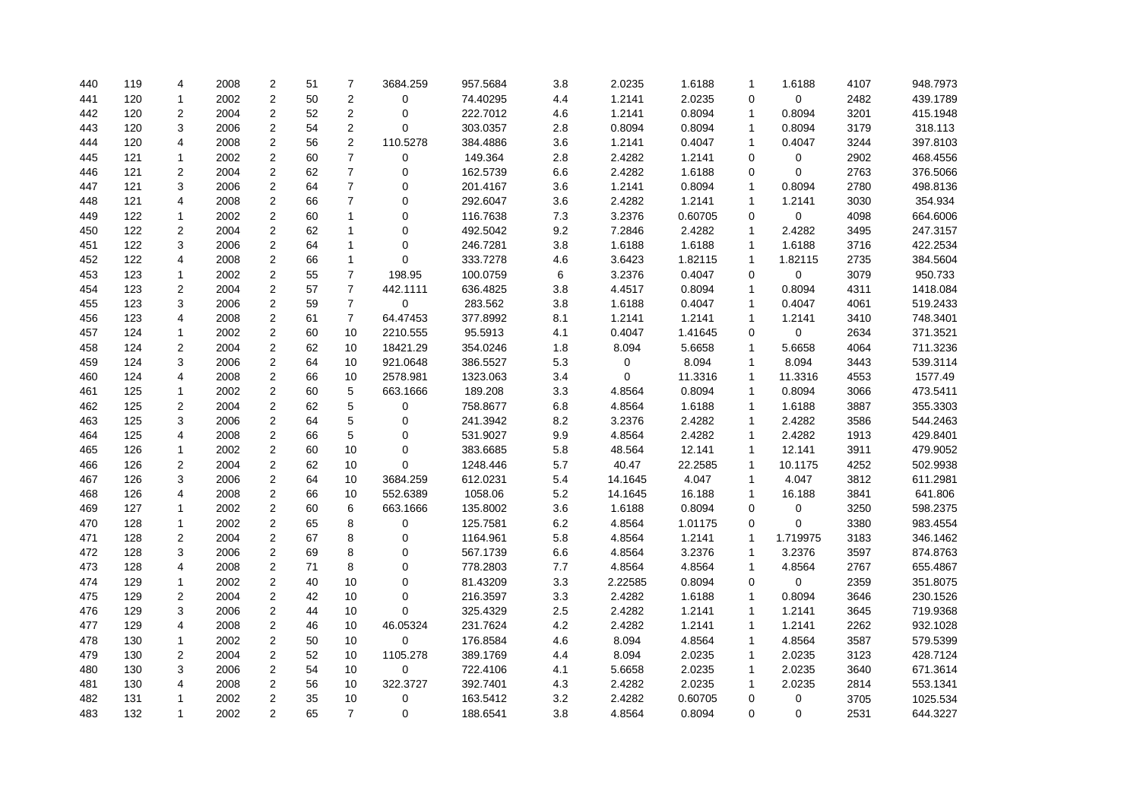| 440 | 119 | 4              | 2008 | 2                       | 51 | 7              | 3684.259       | 957.5684 | 3.8 | 2.0235  | 1.6188  | -1           | 1.6188      | 4107 | 948.7973 |
|-----|-----|----------------|------|-------------------------|----|----------------|----------------|----------|-----|---------|---------|--------------|-------------|------|----------|
| 441 | 120 | $\mathbf{1}$   | 2002 | $\boldsymbol{2}$        | 50 | $\overline{2}$ | $\mathbf 0$    | 74.40295 | 4.4 | 1.2141  | 2.0235  | $\mathbf 0$  | 0           | 2482 | 439.1789 |
| 442 | 120 | 2              | 2004 | $\mathbf 2$             | 52 | $\overline{c}$ | $\mathbf 0$    | 222.7012 | 4.6 | 1.2141  | 0.8094  | $\mathbf{1}$ | 0.8094      | 3201 | 415.1948 |
| 443 | 120 | 3              | 2006 | $\overline{2}$          | 54 | $\overline{2}$ | $\mathbf{0}$   | 303.0357 | 2.8 | 0.8094  | 0.8094  | $\mathbf{1}$ | 0.8094      | 3179 | 318.113  |
| 444 | 120 | 4              | 2008 | $\boldsymbol{2}$        | 56 | $\overline{c}$ | 110.5278       | 384.4886 | 3.6 | 1.2141  | 0.4047  | 1            | 0.4047      | 3244 | 397.8103 |
| 445 | 121 | 1              | 2002 | $\overline{2}$          | 60 | $\overline{7}$ | 0              | 149.364  | 2.8 | 2.4282  | 1.2141  | $\mathbf 0$  | $\mathbf 0$ | 2902 | 468.4556 |
| 446 | 121 | 2              | 2004 | $\boldsymbol{2}$        | 62 | $\overline{7}$ | 0              | 162.5739 | 6.6 | 2.4282  | 1.6188  | 0            | $\mathbf 0$ | 2763 | 376.5066 |
| 447 | 121 | 3              | 2006 | $\overline{2}$          | 64 | $\overline{7}$ | $\mathbf 0$    | 201.4167 | 3.6 | 1.2141  | 0.8094  | $\mathbf{1}$ | 0.8094      | 2780 | 498.8136 |
| 448 | 121 | 4              | 2008 | $\overline{2}$          | 66 | $\overline{7}$ | $\mathbf 0$    | 292.6047 | 3.6 | 2.4282  | 1.2141  | $\mathbf{1}$ | 1.2141      | 3030 | 354.934  |
| 449 | 122 | 1              | 2002 | $\mathbf 2$             | 60 | $\mathbf{1}$   | $\mathbf 0$    | 116.7638 | 7.3 | 3.2376  | 0.60705 | $\mathbf 0$  | $\mathbf 0$ | 4098 | 664.6006 |
| 450 | 122 | $\overline{2}$ | 2004 | $\overline{2}$          | 62 | $\mathbf{1}$   | $\mathbf 0$    | 492.5042 | 9.2 | 7.2846  | 2.4282  | $\mathbf{1}$ | 2.4282      | 3495 | 247.3157 |
| 451 | 122 | 3              | 2006 | $\overline{2}$          | 64 | $\mathbf{1}$   | $\Omega$       | 246.7281 | 3.8 | 1.6188  | 1.6188  | $\mathbf{1}$ | 1.6188      | 3716 | 422.2534 |
| 452 | 122 | 4              | 2008 | $\boldsymbol{2}$        | 66 | $\mathbf{1}$   | $\mathbf 0$    | 333.7278 | 4.6 | 3.6423  | 1.82115 | $\mathbf{1}$ | 1.82115     | 2735 | 384.5604 |
| 453 | 123 | $\mathbf{1}$   | 2002 | $\overline{c}$          | 55 | $\overline{7}$ | 198.95         | 100.0759 | 6   | 3.2376  | 0.4047  | $\Omega$     | $\mathbf 0$ | 3079 | 950.733  |
| 454 | 123 | 2              | 2004 | $\boldsymbol{2}$        | 57 | $\overline{7}$ | 442.1111       | 636.4825 | 3.8 | 4.4517  | 0.8094  | 1            | 0.8094      | 4311 | 1418.084 |
| 455 | 123 | 3              | 2006 | $\overline{c}$          | 59 | $\overline{7}$ | $\mathbf 0$    | 283.562  | 3.8 | 1.6188  | 0.4047  | 1            | 0.4047      | 4061 | 519.2433 |
| 456 | 123 | 4              | 2008 | $\mathbf 2$             | 61 | $\overline{7}$ | 64.47453       | 377.8992 | 8.1 | 1.2141  | 1.2141  | $\mathbf{1}$ | 1.2141      | 3410 | 748.3401 |
| 457 | 124 | $\mathbf{1}$   | 2002 | $\overline{c}$          | 60 | 10             | 2210.555       | 95.5913  | 4.1 | 0.4047  | 1.41645 | 0            | $\mathbf 0$ | 2634 | 371.3521 |
| 458 | 124 | 2              | 2004 | $\overline{2}$          | 62 | 10             | 18421.29       | 354.0246 | 1.8 | 8.094   | 5.6658  | $\mathbf{1}$ | 5.6658      | 4064 | 711.3236 |
| 459 | 124 | 3              | 2006 | $\boldsymbol{2}$        | 64 | 10             | 921.0648       | 386.5527 | 5.3 | 0       | 8.094   | 1            | 8.094       | 3443 | 539.3114 |
| 460 | 124 | 4              | 2008 | $\overline{2}$          | 66 | 10             | 2578.981       | 1323.063 | 3.4 | 0       | 11.3316 | $\mathbf{1}$ | 11.3316     | 4553 | 1577.49  |
| 461 | 125 | 1              | 2002 | $\boldsymbol{2}$        | 60 | 5              | 663.1666       | 189.208  | 3.3 | 4.8564  | 0.8094  | 1            | 0.8094      | 3066 | 473.5411 |
| 462 | 125 | 2              | 2004 | $\boldsymbol{2}$        | 62 | 5              | 0              | 758.8677 | 6.8 | 4.8564  | 1.6188  | $\mathbf{1}$ | 1.6188      | 3887 | 355.3303 |
| 463 | 125 | 3              | 2006 | $\boldsymbol{2}$        | 64 | 5              | 0              | 241.3942 | 8.2 | 3.2376  | 2.4282  | 1            | 2.4282      | 3586 | 544.2463 |
| 464 | 125 | 4              | 2008 | $\boldsymbol{2}$        | 66 | 5              | $\mathbf 0$    | 531.9027 | 9.9 | 4.8564  | 2.4282  | $\mathbf{1}$ | 2.4282      | 1913 | 429.8401 |
| 465 | 126 | $\mathbf{1}$   | 2002 | $\overline{\mathbf{c}}$ | 60 | 10             | 0              | 383.6685 | 5.8 | 48.564  | 12.141  | 1            | 12.141      | 3911 | 479.9052 |
| 466 | 126 | $\overline{2}$ | 2004 | $\boldsymbol{2}$        | 62 | 10             | $\overline{0}$ | 1248.446 | 5.7 | 40.47   | 22.2585 | $\mathbf{1}$ | 10.1175     | 4252 | 502.9938 |
| 467 | 126 | 3              | 2006 | $\overline{c}$          | 64 | 10             | 3684.259       | 612.0231 | 5.4 | 14.1645 | 4.047   | $\mathbf{1}$ | 4.047       | 3812 | 611.2981 |
| 468 | 126 | 4              | 2008 | $\overline{2}$          | 66 | 10             | 552.6389       | 1058.06  | 5.2 | 14.1645 | 16.188  | 1            | 16.188      | 3841 | 641.806  |
| 469 | 127 | 1              | 2002 | $\boldsymbol{2}$        | 60 | 6              | 663.1666       | 135.8002 | 3.6 | 1.6188  | 0.8094  | 0            | 0           | 3250 | 598.2375 |
| 470 | 128 | $\mathbf{1}$   | 2002 | $\overline{c}$          | 65 | 8              | $\mathbf 0$    | 125.7581 | 6.2 | 4.8564  | 1.01175 | $\mathbf 0$  | $\Omega$    | 3380 | 983.4554 |
| 471 | 128 | 2              | 2004 | $\boldsymbol{2}$        | 67 | 8              | 0              | 1164.961 | 5.8 | 4.8564  | 1.2141  | 1            | 1.719975    | 3183 | 346.1462 |
| 472 | 128 | 3              | 2006 | $\overline{2}$          | 69 | 8              | $\mathbf 0$    | 567.1739 | 6.6 | 4.8564  | 3.2376  | 1            | 3.2376      | 3597 | 874.8763 |
| 473 | 128 | 4              | 2008 | $\boldsymbol{2}$        | 71 | 8              | $\mathbf 0$    | 778.2803 | 7.7 | 4.8564  | 4.8564  | 1            | 4.8564      | 2767 | 655.4867 |
| 474 | 129 | $\mathbf{1}$   | 2002 | $\overline{2}$          | 40 | 10             | $\mathbf 0$    | 81.43209 | 3.3 | 2.22585 | 0.8094  | $\Omega$     | $\mathbf 0$ | 2359 | 351.8075 |
| 475 | 129 | 2              | 2004 | $\overline{c}$          | 42 | 10             | $\mathbf 0$    | 216.3597 | 3.3 | 2.4282  | 1.6188  | $\mathbf{1}$ | 0.8094      | 3646 | 230.1526 |
| 476 | 129 | 3              | 2006 | $\sqrt{2}$              | 44 | 10             | $\overline{0}$ | 325.4329 | 2.5 | 2.4282  | 1.2141  | 1            | 1.2141      | 3645 | 719.9368 |
| 477 | 129 | 4              | 2008 | $\boldsymbol{2}$        | 46 | 10             | 46.05324       | 231.7624 | 4.2 | 2.4282  | 1.2141  | $\mathbf{1}$ | 1.2141      | 2262 | 932.1028 |
| 478 | 130 | 1              | 2002 | $\overline{c}$          | 50 | 10             | 0              | 176.8584 | 4.6 | 8.094   | 4.8564  | 1            | 4.8564      | 3587 | 579.5399 |
| 479 | 130 | 2              | 2004 | $\overline{2}$          | 52 | 10             | 1105.278       | 389.1769 | 4.4 | 8.094   | 2.0235  | $\mathbf{1}$ | 2.0235      | 3123 | 428.7124 |
| 480 | 130 | 3              | 2006 | $\boldsymbol{2}$        | 54 | 10             | $\Omega$       | 722.4106 | 4.1 | 5.6658  | 2.0235  | $\mathbf{1}$ | 2.0235      | 3640 | 671.3614 |
| 481 | 130 | 4              | 2008 | $\overline{2}$          | 56 | 10             | 322.3727       | 392.7401 | 4.3 | 2.4282  | 2.0235  | $\mathbf{1}$ | 2.0235      | 2814 | 553.1341 |
| 482 | 131 | 1              | 2002 | $\overline{\mathbf{c}}$ | 35 | 10             | 0              | 163.5412 | 3.2 | 2.4282  | 0.60705 | 0            | 0           | 3705 | 1025.534 |
| 483 | 132 | 1              | 2002 | $\overline{2}$          | 65 | $\overline{7}$ | $\Omega$       | 188.6541 | 3.8 | 4.8564  | 0.8094  | $\Omega$     | $\Omega$    | 2531 | 644.3227 |
|     |     |                |      |                         |    |                |                |          |     |         |         |              |             |      |          |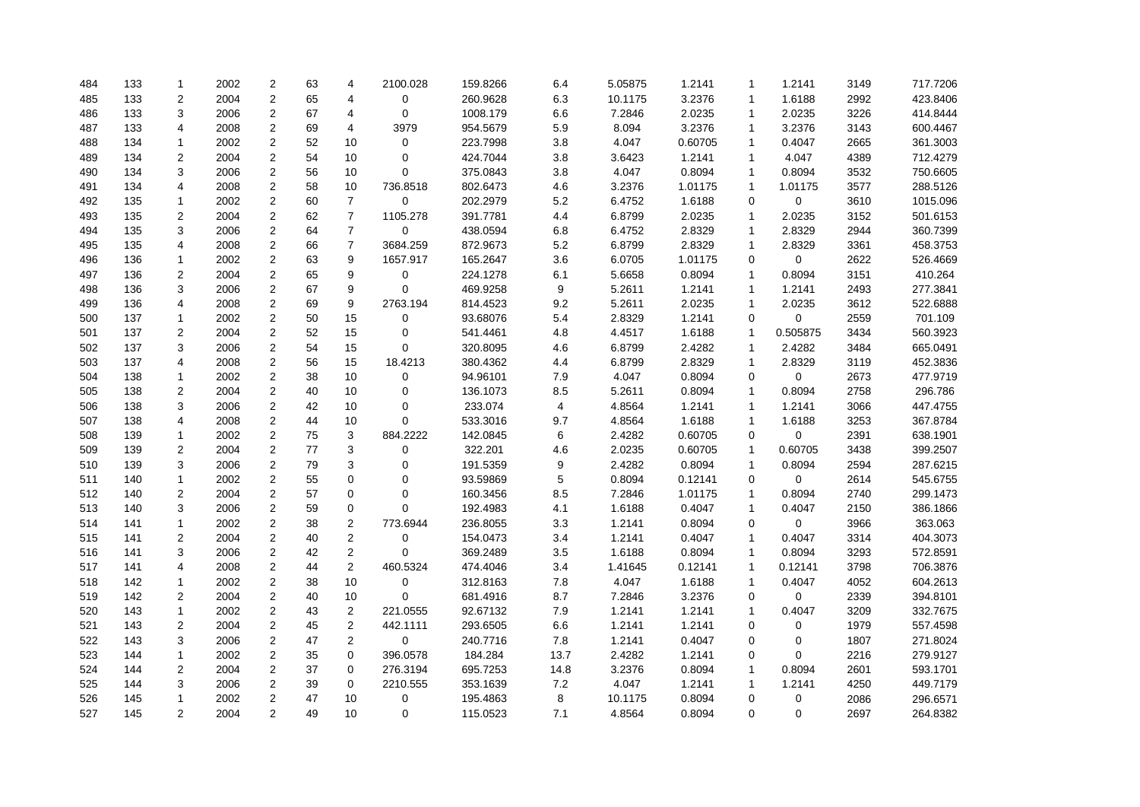| 484 | 133 | 1              | 2002 | 2                       | 63 | 4                       | 2100.028    | 159.8266 | 6.4  | 5.05875 | 1.2141  | 1            | 1.2141      | 3149 | 717.7206 |
|-----|-----|----------------|------|-------------------------|----|-------------------------|-------------|----------|------|---------|---------|--------------|-------------|------|----------|
| 485 | 133 | 2              | 2004 | $\boldsymbol{2}$        | 65 | $\overline{4}$          | $\mathbf 0$ | 260.9628 | 6.3  | 10.1175 | 3.2376  | 1            | 1.6188      | 2992 | 423.8406 |
| 486 | 133 | 3              | 2006 | $\overline{c}$          | 67 | $\overline{4}$          | 0           | 1008.179 | 6.6  | 7.2846  | 2.0235  | 1            | 2.0235      | 3226 | 414.8444 |
| 487 | 133 | 4              | 2008 | $\overline{2}$          | 69 | 4                       | 3979        | 954.5679 | 5.9  | 8.094   | 3.2376  | $\mathbf{1}$ | 3.2376      | 3143 | 600.4467 |
| 488 | 134 | 1              | 2002 | $\overline{2}$          | 52 | 10                      | $\mathbf 0$ | 223.7998 | 3.8  | 4.047   | 0.60705 | 1            | 0.4047      | 2665 | 361.3003 |
| 489 | 134 | $\overline{2}$ | 2004 | $\overline{2}$          | 54 | 10                      | $\mathbf 0$ | 424.7044 | 3.8  | 3.6423  | 1.2141  | 1            | 4.047       | 4389 | 712.4279 |
| 490 | 134 | 3              | 2006 | $\boldsymbol{2}$        | 56 | 10                      | $\mathbf 0$ | 375.0843 | 3.8  | 4.047   | 0.8094  | $\mathbf{1}$ | 0.8094      | 3532 | 750.6605 |
| 491 | 134 | 4              | 2008 | $\boldsymbol{2}$        | 58 | 10                      | 736.8518    | 802.6473 | 4.6  | 3.2376  | 1.01175 | $\mathbf{1}$ | 1.01175     | 3577 | 288.5126 |
| 492 | 135 | 1              | 2002 | $\overline{2}$          | 60 | $\overline{7}$          | $\mathbf 0$ | 202.2979 | 5.2  | 6.4752  | 1.6188  | 0            | 0           | 3610 | 1015.096 |
| 493 | 135 | 2              | 2004 | $\boldsymbol{2}$        | 62 | $\overline{7}$          | 1105.278    | 391.7781 | 4.4  | 6.8799  | 2.0235  | 1            | 2.0235      | 3152 | 501.6153 |
| 494 | 135 | 3              | 2006 | $\boldsymbol{2}$        | 64 | $\overline{7}$          | $\Omega$    | 438.0594 | 6.8  | 6.4752  | 2.8329  | 1            | 2.8329      | 2944 | 360.7399 |
| 495 | 135 | 4              | 2008 | $\overline{\mathbf{c}}$ | 66 | $\overline{7}$          | 3684.259    | 872.9673 | 5.2  | 6.8799  | 2.8329  | 1            | 2.8329      | 3361 | 458.3753 |
| 496 | 136 | 1              | 2002 | $\boldsymbol{2}$        | 63 | 9                       | 1657.917    | 165.2647 | 3.6  | 6.0705  | 1.01175 | $\mathbf 0$  | 0           | 2622 | 526.4669 |
| 497 | 136 | 2              | 2004 | $\boldsymbol{2}$        | 65 | 9                       | 0           | 224.1278 | 6.1  | 5.6658  | 0.8094  | $\mathbf{1}$ | 0.8094      | 3151 | 410.264  |
| 498 | 136 | 3              | 2006 | $\overline{2}$          | 67 | 9                       | $\mathbf 0$ | 469.9258 | 9    | 5.2611  | 1.2141  | $\mathbf{1}$ | 1.2141      | 2493 | 277.3841 |
| 499 | 136 | 4              | 2008 | $\overline{2}$          | 69 | 9                       | 2763.194    | 814.4523 | 9.2  | 5.2611  | 2.0235  | 1            | 2.0235      | 3612 | 522.6888 |
| 500 | 137 | $\mathbf{1}$   | 2002 | $\boldsymbol{2}$        | 50 | 15                      | $\mathbf 0$ | 93.68076 | 5.4  | 2.8329  | 1.2141  | 0            | $\mathbf 0$ | 2559 | 701.109  |
| 501 | 137 | 2              | 2004 | $\overline{2}$          | 52 | 15                      | $\mathbf 0$ | 541.4461 | 4.8  | 4.4517  | 1.6188  | $\mathbf{1}$ | 0.505875    | 3434 | 560.3923 |
| 502 | 137 | 3              | 2006 | $\boldsymbol{2}$        | 54 | 15                      | $\Omega$    | 320.8095 | 4.6  | 6.8799  | 2.4282  | 1            | 2.4282      | 3484 | 665.0491 |
| 503 | 137 | 4              | 2008 | $\boldsymbol{2}$        | 56 | 15                      | 18.4213     | 380.4362 | 4.4  | 6.8799  | 2.8329  | $\mathbf{1}$ | 2.8329      | 3119 | 452.3836 |
| 504 | 138 | 1              | 2002 | $\boldsymbol{2}$        | 38 | 10                      | 0           | 94.96101 | 7.9  | 4.047   | 0.8094  | 0            | 0           | 2673 | 477.9719 |
| 505 | 138 | $\overline{2}$ | 2004 | $\boldsymbol{2}$        | 40 | 10                      | $\Omega$    | 136.1073 | 8.5  | 5.2611  | 0.8094  | 1            | 0.8094      | 2758 | 296.786  |
| 506 | 138 | 3              | 2006 | $\overline{c}$          | 42 | 10                      | 0           | 233.074  | 4    | 4.8564  | 1.2141  | 1            | 1.2141      | 3066 | 447.4755 |
| 507 | 138 | 4              | 2008 | $\boldsymbol{2}$        | 44 | 10                      | $\Omega$    | 533.3016 | 9.7  | 4.8564  | 1.6188  | $\mathbf{1}$ | 1.6188      | 3253 | 367.8784 |
| 508 | 139 | 1              | 2002 | $\overline{c}$          | 75 | 3                       | 884.2222    | 142.0845 | 6    | 2.4282  | 0.60705 | 0            | $\mathbf 0$ | 2391 | 638.1901 |
| 509 | 139 | 2              | 2004 | $\overline{2}$          | 77 | 3                       | $\mathbf 0$ | 322.201  | 4.6  | 2.0235  | 0.60705 | $\mathbf{1}$ | 0.60705     | 3438 | 399.2507 |
| 510 | 139 | 3              | 2006 | $\boldsymbol{2}$        | 79 | 3                       | 0           | 191.5359 | 9    | 2.4282  | 0.8094  | 1            | 0.8094      | 2594 | 287.6215 |
| 511 | 140 | $\mathbf{1}$   | 2002 | $\overline{2}$          | 55 | $\mathbf 0$             | $\mathbf 0$ | 93.59869 | 5    | 0.8094  | 0.12141 | $\mathbf 0$  | $\Omega$    | 2614 | 545.6755 |
| 512 | 140 | 2              | 2004 | $\boldsymbol{2}$        | 57 | 0                       | $\Omega$    | 160.3456 | 8.5  | 7.2846  | 1.01175 | 1            | 0.8094      | 2740 | 299.1473 |
| 513 | 140 | 3              | 2006 | $\boldsymbol{2}$        | 59 | $\mathbf 0$             | $\Omega$    | 192.4983 | 4.1  | 1.6188  | 0.4047  | 1            | 0.4047      | 2150 | 386.1866 |
| 514 | 141 | $\mathbf{1}$   | 2002 | $\boldsymbol{2}$        | 38 | $\overline{2}$          | 773.6944    | 236.8055 | 3.3  | 1.2141  | 0.8094  | $\mathbf 0$  | $\mathbf 0$ | 3966 | 363.063  |
| 515 | 141 | 2              | 2004 | $\boldsymbol{2}$        | 40 | $\overline{\mathbf{c}}$ | 0           | 154.0473 | 3.4  | 1.2141  | 0.4047  | 1            | 0.4047      | 3314 | 404.3073 |
| 516 | 141 | 3              | 2006 | $\overline{2}$          | 42 | $\overline{2}$          | $\Omega$    | 369.2489 | 3.5  | 1.6188  | 0.8094  | $\mathbf{1}$ | 0.8094      | 3293 | 572.8591 |
| 517 | 141 | 4              | 2008 | $\mathbf 2$             | 44 | $\overline{\mathbf{c}}$ | 460.5324    | 474.4046 | 3.4  | 1.41645 | 0.12141 | 1            | 0.12141     | 3798 | 706.3876 |
| 518 | 142 | 1              | 2002 | $\overline{2}$          | 38 | 10                      | $\mathbf 0$ | 312.8163 | 7.8  | 4.047   | 1.6188  | 1            | 0.4047      | 4052 | 604.2613 |
| 519 | 142 | 2              | 2004 | $\overline{c}$          | 40 | 10                      | $\Omega$    | 681.4916 | 8.7  | 7.2846  | 3.2376  | 0            | 0           | 2339 | 394.8101 |
| 520 | 143 | $\mathbf{1}$   | 2002 | $\boldsymbol{2}$        | 43 | $\overline{\mathbf{c}}$ | 221.0555    | 92.67132 | 7.9  | 1.2141  | 1.2141  | $\mathbf{1}$ | 0.4047      | 3209 | 332.7675 |
| 521 | 143 | 2              | 2004 | $\boldsymbol{2}$        | 45 | $\overline{\mathbf{c}}$ | 442.1111    | 293.6505 | 6.6  | 1.2141  | 1.2141  | $\mathbf 0$  | 0           | 1979 | 557.4598 |
| 522 | 143 | 3              | 2006 | $\boldsymbol{2}$        | 47 | $\overline{2}$          | 0           | 240.7716 | 7.8  | 1.2141  | 0.4047  | $\Omega$     | $\Omega$    | 1807 | 271.8024 |
| 523 | 144 | 1              | 2002 | $\overline{2}$          | 35 | 0                       | 396.0578    | 184.284  | 13.7 | 2.4282  | 1.2141  | 0            | $\mathbf 0$ | 2216 | 279.9127 |
| 524 | 144 | 2              | 2004 | $\mathbf 2$             | 37 | 0                       | 276.3194    | 695.7253 | 14.8 | 3.2376  | 0.8094  | $\mathbf{1}$ | 0.8094      | 2601 | 593.1701 |
| 525 | 144 | 3              | 2006 | $\overline{2}$          | 39 | 0                       | 2210.555    | 353.1639 | 7.2  | 4.047   | 1.2141  | $\mathbf{1}$ | 1.2141      | 4250 | 449.7179 |
| 526 | 145 | 1              | 2002 | $\overline{c}$          | 47 | 10                      | 0           | 195.4863 | 8    | 10.1175 | 0.8094  | 0            | 0           | 2086 | 296.6571 |
| 527 | 145 | $\overline{2}$ | 2004 | $\overline{2}$          | 49 | 10                      | $\Omega$    | 115.0523 | 7.1  | 4.8564  | 0.8094  | $\Omega$     | $\Omega$    | 2697 | 264.8382 |
|     |     |                |      |                         |    |                         |             |          |      |         |         |              |             |      |          |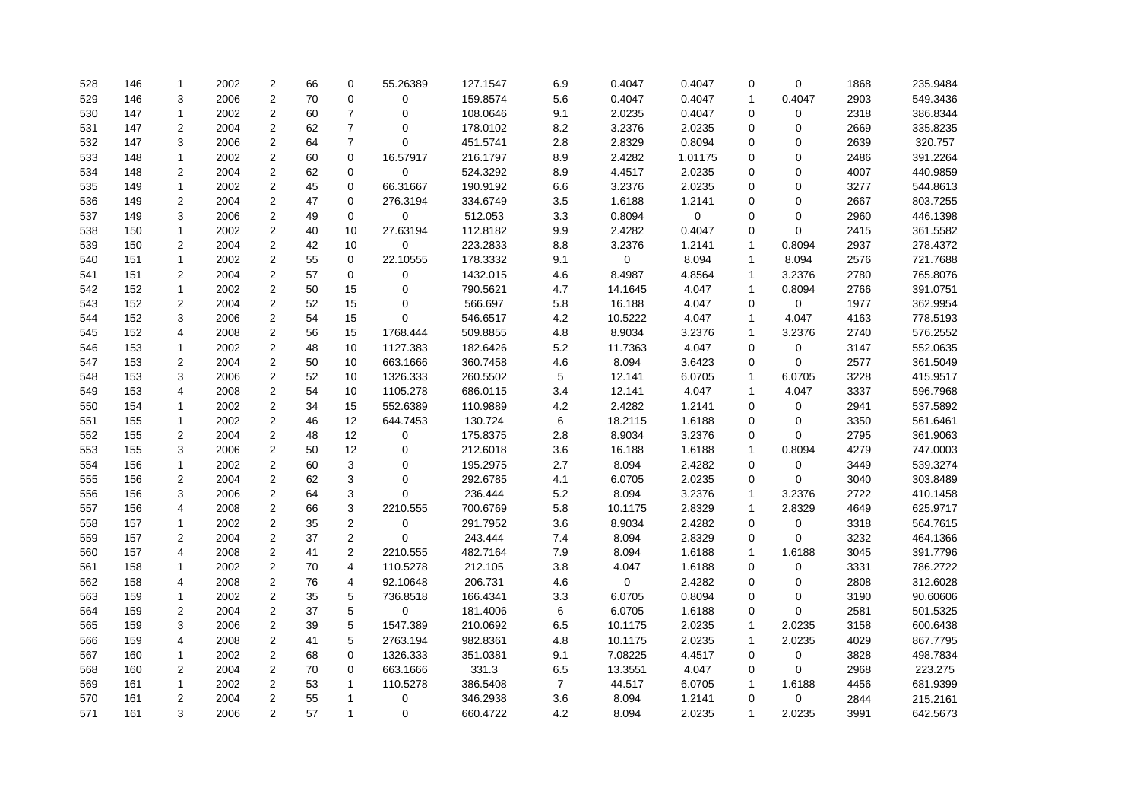| 528 | 146 | 1              | 2002 | $\overline{c}$          | 66 | 0              | 55.26389       | 127.1547 | 6.9            | 0.4047  | 0.4047  | 0            | 0           | 1868 | 235.9484 |
|-----|-----|----------------|------|-------------------------|----|----------------|----------------|----------|----------------|---------|---------|--------------|-------------|------|----------|
| 529 | 146 | 3              | 2006 | $\boldsymbol{2}$        | 70 | $\mathbf 0$    | $\mathbf 0$    | 159.8574 | 5.6            | 0.4047  | 0.4047  | 1            | 0.4047      | 2903 | 549.3436 |
| 530 | 147 | $\mathbf{1}$   | 2002 | $\overline{c}$          | 60 | $\overline{7}$ | 0              | 108.0646 | 9.1            | 2.0235  | 0.4047  | $\mathbf 0$  | 0           | 2318 | 386.8344 |
| 531 | 147 | $\overline{2}$ | 2004 | $\overline{2}$          | 62 | $\overline{7}$ | $\Omega$       | 178.0102 | 8.2            | 3.2376  | 2.0235  | $\mathbf 0$  | $\mathbf 0$ | 2669 | 335.8235 |
| 532 | 147 | 3              | 2006 | $\overline{2}$          | 64 | $\overline{7}$ | 0              | 451.5741 | 2.8            | 2.8329  | 0.8094  | 0            | $\Omega$    | 2639 | 320.757  |
| 533 | 148 | 1              | 2002 | $\overline{2}$          | 60 | 0              | 16.57917       | 216.1797 | 8.9            | 2.4282  | 1.01175 | 0            | $\Omega$    | 2486 | 391.2264 |
| 534 | 148 | 2              | 2004 | $\overline{2}$          | 62 | 0              | $\mathbf 0$    | 524.3292 | 8.9            | 4.4517  | 2.0235  | 0            | $\mathbf 0$ | 4007 | 440.9859 |
| 535 | 149 | $\mathbf{1}$   | 2002 | $\boldsymbol{2}$        | 45 | 0              | 66.31667       | 190.9192 | 6.6            | 3.2376  | 2.0235  | $\Omega$     | $\Omega$    | 3277 | 544.8613 |
| 536 | 149 | 2              | 2004 | $\overline{2}$          | 47 | 0              | 276.3194       | 334.6749 | 3.5            | 1.6188  | 1.2141  | $\Omega$     | $\Omega$    | 2667 | 803.7255 |
| 537 | 149 | 3              | 2006 | $\boldsymbol{2}$        | 49 | 0              | 0              | 512.053  | 3.3            | 0.8094  | 0       | 0            | $\mathbf 0$ | 2960 | 446.1398 |
| 538 | 150 | $\mathbf{1}$   | 2002 | $\overline{2}$          | 40 | 10             | 27.63194       | 112.8182 | 9.9            | 2.4282  | 0.4047  | $\mathbf 0$  | $\Omega$    | 2415 | 361.5582 |
| 539 | 150 | 2              | 2004 | $\boldsymbol{2}$        | 42 | 10             | 0              | 223.2833 | 8.8            | 3.2376  | 1.2141  |              | 0.8094      | 2937 | 278.4372 |
| 540 | 151 | $\mathbf{1}$   | 2002 | $\boldsymbol{2}$        | 55 | $\mathbf 0$    | 22.10555       | 178.3332 | 9.1            | 0       | 8.094   | $\mathbf{1}$ | 8.094       | 2576 | 721.7688 |
| 541 | 151 | 2              | 2004 | $\boldsymbol{2}$        | 57 | 0              | 0              | 1432.015 | 4.6            | 8.4987  | 4.8564  | $\mathbf{1}$ | 3.2376      | 2780 | 765.8076 |
| 542 | 152 | $\mathbf{1}$   | 2002 | $\overline{2}$          | 50 | 15             | $\mathbf 0$    | 790.5621 | 4.7            | 14.1645 | 4.047   | $\mathbf{1}$ | 0.8094      | 2766 | 391.0751 |
| 543 | 152 | 2              | 2004 | $\overline{2}$          | 52 | 15             | 0              | 566.697  | 5.8            | 16.188  | 4.047   | 0            | 0           | 1977 | 362.9954 |
| 544 | 152 | 3              | 2006 | $\mathbf 2$             | 54 | 15             | $\overline{0}$ | 546.6517 | 4.2            | 10.5222 | 4.047   | $\mathbf{1}$ | 4.047       | 4163 | 778.5193 |
| 545 | 152 | 4              | 2008 | $\overline{2}$          | 56 | 15             | 1768.444       | 509.8855 | 4.8            | 8.9034  | 3.2376  | $\mathbf{1}$ | 3.2376      | 2740 | 576.2552 |
| 546 | 153 | 1              | 2002 | $\boldsymbol{2}$        | 48 | 10             | 1127.383       | 182.6426 | 5.2            | 11.7363 | 4.047   | $\Omega$     | 0           | 3147 | 552.0635 |
| 547 | 153 | $\overline{2}$ | 2004 | $\overline{2}$          | 50 | 10             | 663.1666       | 360.7458 | 4.6            | 8.094   | 3.6423  | $\mathbf 0$  | $\mathbf 0$ | 2577 | 361.5049 |
| 548 | 153 | 3              | 2006 | $\boldsymbol{2}$        | 52 | 10             | 1326.333       | 260.5502 | 5              | 12.141  | 6.0705  | 1            | 6.0705      | 3228 | 415.9517 |
| 549 | 153 | 4              | 2008 | $\boldsymbol{2}$        | 54 | 10             | 1105.278       | 686.0115 | 3.4            | 12.141  | 4.047   | 1            | 4.047       | 3337 | 596.7968 |
| 550 | 154 | 1              | 2002 | $\overline{\mathbf{c}}$ | 34 | 15             | 552.6389       | 110.9889 | 4.2            | 2.4282  | 1.2141  | 0            | 0           | 2941 | 537.5892 |
| 551 | 155 | 1              | 2002 | $\boldsymbol{2}$        | 46 | 12             | 644.7453       | 130.724  | 6              | 18.2115 | 1.6188  | 0            | $\Omega$    | 3350 | 561.6461 |
| 552 | 155 | 2              | 2004 | $\overline{\mathbf{c}}$ | 48 | 12             | 0              | 175.8375 | 2.8            | 8.9034  | 3.2376  | 0            | $\Omega$    | 2795 | 361.9063 |
| 553 | 155 | 3              | 2006 | $\overline{2}$          | 50 | 12             | $\mathbf 0$    | 212.6018 | 3.6            | 16.188  | 1.6188  | $\mathbf{1}$ | 0.8094      | 4279 | 747.0003 |
| 554 | 156 | $\mathbf{1}$   | 2002 | $\overline{2}$          | 60 | 3              | 0              | 195.2975 | 2.7            | 8.094   | 2.4282  | $\mathbf 0$  | 0           | 3449 | 539.3274 |
| 555 | 156 | $\overline{2}$ | 2004 | $\overline{2}$          | 62 | 3              | $\Omega$       | 292.6785 | 4.1            | 6.0705  | 2.0235  | $\mathbf 0$  | $\Omega$    | 3040 | 303.8489 |
| 556 | 156 | 3              | 2006 | $\boldsymbol{2}$        | 64 | 3              | $\Omega$       | 236.444  | 5.2            | 8.094   | 3.2376  | 1            | 3.2376      | 2722 | 410.1458 |
| 557 | 156 | 4              | 2008 | $\boldsymbol{2}$        | 66 | 3              | 2210.555       | 700.6769 | 5.8            | 10.1175 | 2.8329  | $\mathbf{1}$ | 2.8329      | 4649 | 625.9717 |
| 558 | 157 | $\mathbf{1}$   | 2002 | $\overline{2}$          | 35 | $\overline{2}$ | $\mathbf 0$    | 291.7952 | 3.6            | 8.9034  | 2.4282  | $\mathbf 0$  | $\mathbf 0$ | 3318 | 564.7615 |
| 559 | 157 | 2              | 2004 | $\boldsymbol{2}$        | 37 | 2              | 0              | 243.444  | 7.4            | 8.094   | 2.8329  | $\mathbf 0$  | $\mathbf 0$ | 3232 | 464.1366 |
| 560 | 157 | 4              | 2008 | $\overline{2}$          | 41 | $\overline{2}$ | 2210.555       | 482.7164 | 7.9            | 8.094   | 1.6188  | $\mathbf{1}$ | 1.6188      | 3045 | 391.7796 |
| 561 | 158 | 1              | 2002 | $\boldsymbol{2}$        | 70 | 4              | 110.5278       | 212.105  | 3.8            | 4.047   | 1.6188  | 0            | $\mathbf 0$ | 3331 | 786.2722 |
| 562 | 158 | 4              | 2008 | $\overline{2}$          | 76 | 4              | 92.10648       | 206.731  | 4.6            | 0       | 2.4282  | 0            | $\Omega$    | 2808 | 312.6028 |
| 563 | 159 | 1              | 2002 | $\overline{c}$          | 35 | 5              | 736.8518       | 166.4341 | 3.3            | 6.0705  | 0.8094  | 0            | $\Omega$    | 3190 | 90.60606 |
| 564 | 159 | $\overline{2}$ | 2004 | $\overline{2}$          | 37 | 5              | $\Omega$       | 181.4006 | 6              | 6.0705  | 1.6188  | 0            | $\Omega$    | 2581 | 501.5325 |
| 565 | 159 | 3              | 2006 | $\boldsymbol{2}$        | 39 | 5              | 1547.389       | 210.0692 | 6.5            | 10.1175 | 2.0235  | $\mathbf{1}$ | 2.0235      | 3158 | 600.6438 |
| 566 | 159 | 4              | 2008 | $\boldsymbol{2}$        | 41 | 5              | 2763.194       | 982.8361 | 4.8            | 10.1175 | 2.0235  | 1            | 2.0235      | 4029 | 867.7795 |
| 567 | 160 | $\mathbf{1}$   | 2002 | $\overline{2}$          | 68 | 0              | 1326.333       | 351.0381 | 9.1            | 7.08225 | 4.4517  | 0            | 0           | 3828 | 498.7834 |
| 568 | 160 | 2              | 2004 | $\mathbf 2$             | 70 | $\overline{0}$ | 663.1666       | 331.3    | 6.5            | 13.3551 | 4.047   | $\Omega$     | $\Omega$    | 2968 | 223.275  |
| 569 | 161 | $\mathbf{1}$   | 2002 | $\overline{2}$          | 53 | 1              | 110.5278       | 386.5408 | $\overline{7}$ | 44.517  | 6.0705  | $\mathbf{1}$ | 1.6188      | 4456 | 681.9399 |
| 570 | 161 | 2              | 2004 | $\overline{c}$          | 55 | 1              | 0              | 346.2938 | 3.6            | 8.094   | 1.2141  | $\Omega$     | 0           | 2844 | 215.2161 |
| 571 | 161 | 3              | 2006 | $\overline{2}$          | 57 | $\mathbf{1}$   | $\Omega$       | 660.4722 | 4.2            | 8.094   | 2.0235  | $\mathbf{1}$ | 2.0235      | 3991 | 642.5673 |
|     |     |                |      |                         |    |                |                |          |                |         |         |              |             |      |          |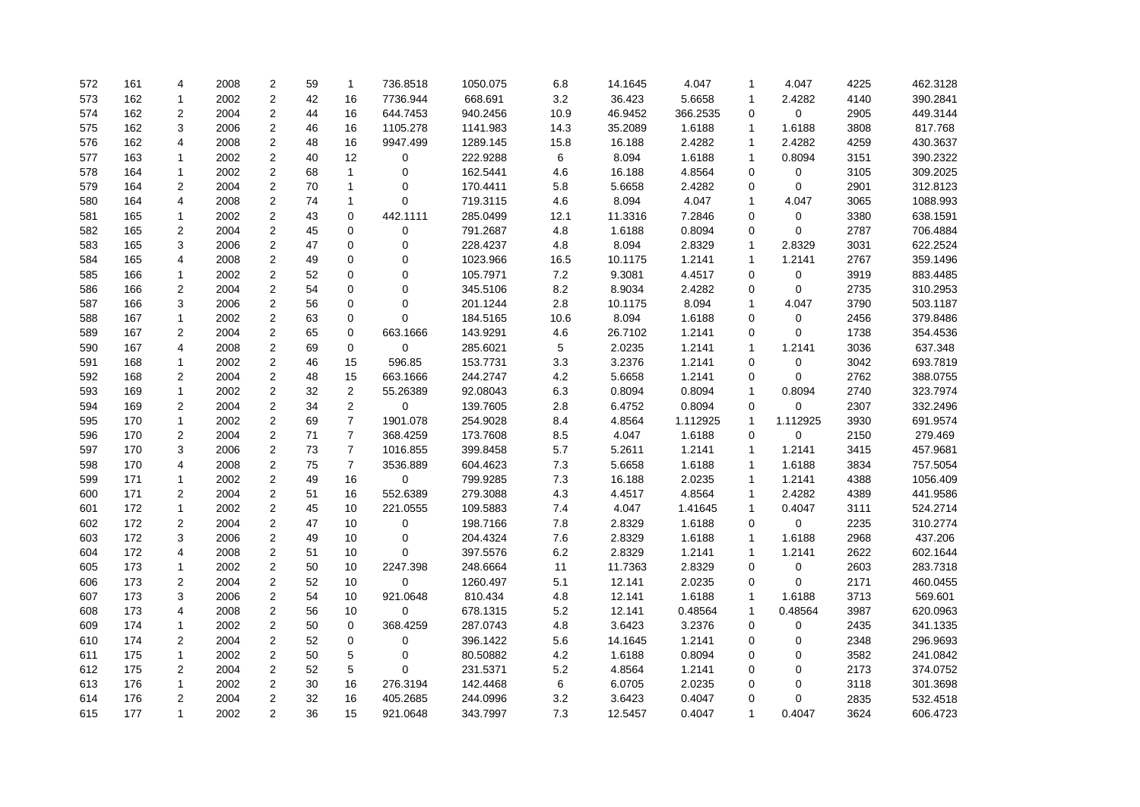| 572 | 161 | 4              | 2008 | $\overline{2}$          | 59 | 1              | 736.8518    | 1050.075 | 6.8     | 14.1645 | 4.047    | 1            | 4.047       | 4225 | 462.3128 |
|-----|-----|----------------|------|-------------------------|----|----------------|-------------|----------|---------|---------|----------|--------------|-------------|------|----------|
| 573 | 162 | 1              | 2002 | $\overline{\mathbf{c}}$ | 42 | 16             | 7736.944    | 668.691  | 3.2     | 36.423  | 5.6658   | 1            | 2.4282      | 4140 | 390.2841 |
| 574 | 162 | 2              | 2004 | $\overline{2}$          | 44 | 16             | 644.7453    | 940.2456 | 10.9    | 46.9452 | 366.2535 | 0            | 0           | 2905 | 449.3144 |
| 575 | 162 | 3              | 2006 | $\overline{2}$          | 46 | 16             | 1105.278    | 1141.983 | 14.3    | 35.2089 | 1.6188   | $\mathbf{1}$ | 1.6188      | 3808 | 817.768  |
| 576 | 162 | 4              | 2008 | $\overline{2}$          | 48 | 16             | 9947.499    | 1289.145 | 15.8    | 16.188  | 2.4282   | $\mathbf{1}$ | 2.4282      | 4259 | 430.3637 |
| 577 | 163 | 1              | 2002 | 2                       | 40 | 12             | 0           | 222.9288 | 6       | 8.094   | 1.6188   | $\mathbf{1}$ | 0.8094      | 3151 | 390.2322 |
| 578 | 164 | 1              | 2002 | 2                       | 68 | $\mathbf{1}$   | $\mathbf 0$ | 162.5441 | 4.6     | 16.188  | 4.8564   | 0            | $\mathbf 0$ | 3105 | 309.2025 |
| 579 | 164 | $\overline{c}$ | 2004 | 2                       | 70 | $\mathbf{1}$   | 0           | 170.4411 | 5.8     | 5.6658  | 2.4282   | 0            | $\mathbf 0$ | 2901 | 312.8123 |
| 580 | 164 | 4              | 2008 | $\overline{2}$          | 74 | $\mathbf{1}$   | $\Omega$    | 719.3115 | 4.6     | 8.094   | 4.047    | 1            | 4.047       | 3065 | 1088.993 |
| 581 | 165 | 1              | 2002 | $\overline{2}$          | 43 | $\mathbf 0$    | 442.1111    | 285.0499 | 12.1    | 11.3316 | 7.2846   | 0            | $\mathbf 0$ | 3380 | 638.1591 |
| 582 | 165 | 2              | 2004 | $\overline{2}$          | 45 | $\mathbf 0$    | $\mathbf 0$ | 791.2687 | 4.8     | 1.6188  | 0.8094   | $\mathbf 0$  | $\mathbf 0$ | 2787 | 706.4884 |
| 583 | 165 | 3              | 2006 | $\overline{2}$          | 47 | $\mathbf 0$    | $\mathbf 0$ | 228.4237 | 4.8     | 8.094   | 2.8329   | $\mathbf{1}$ | 2.8329      | 3031 | 622.2524 |
| 584 | 165 | 4              | 2008 | $\overline{2}$          | 49 | $\mathbf 0$    | 0           | 1023.966 | 16.5    | 10.1175 | 1.2141   | 1            | 1.2141      | 2767 | 359.1496 |
| 585 | 166 | 1              | 2002 | $\boldsymbol{2}$        | 52 | $\overline{0}$ | $\mathbf 0$ | 105.7971 | $7.2\,$ | 9.3081  | 4.4517   | 0            | $\mathbf 0$ | 3919 | 883.4485 |
| 586 | 166 | $\overline{c}$ | 2004 | 2                       | 54 | $\mathbf 0$    | 0           | 345.5106 | 8.2     | 8.9034  | 2.4282   | 0            | $\mathbf 0$ | 2735 | 310.2953 |
| 587 | 166 | 3              | 2006 | $\overline{2}$          | 56 | $\overline{0}$ | $\Omega$    | 201.1244 | 2.8     | 10.1175 | 8.094    | 1            | 4.047       | 3790 | 503.1187 |
| 588 | 167 | 1              | 2002 | 2                       | 63 | $\mathbf 0$    | $\Omega$    | 184.5165 | 10.6    | 8.094   | 1.6188   | 0            | $\mathbf 0$ | 2456 | 379.8486 |
| 589 | 167 | $\overline{2}$ | 2004 | 2                       | 65 | $\overline{0}$ | 663.1666    | 143.9291 | 4.6     | 26.7102 | 1.2141   | $\mathbf 0$  | $\Omega$    | 1738 | 354.4536 |
| 590 | 167 | 4              | 2008 | 2                       | 69 | $\mathbf 0$    | $\mathbf 0$ | 285.6021 | 5       | 2.0235  | 1.2141   | $\mathbf{1}$ | 1.2141      | 3036 | 637.348  |
| 591 | 168 | 1              | 2002 | $\overline{2}$          | 46 | 15             | 596.85      | 153.7731 | 3.3     | 3.2376  | 1.2141   | 0            | 0           | 3042 | 693.7819 |
| 592 | 168 | 2              | 2004 | $\overline{2}$          | 48 | 15             | 663.1666    | 244.2747 | 4.2     | 5.6658  | 1.2141   | 0            | $\mathbf 0$ | 2762 | 388.0755 |
| 593 | 169 | 1              | 2002 | $\boldsymbol{2}$        | 32 | $\overline{c}$ | 55.26389    | 92.08043 | 6.3     | 0.8094  | 0.8094   | 1            | 0.8094      | 2740 | 323.7974 |
| 594 | 169 | $\overline{2}$ | 2004 | $\overline{2}$          | 34 | $\mathbf{2}$   | $\mathbf 0$ | 139.7605 | 2.8     | 6.4752  | 0.8094   | 0            | $\mathbf 0$ | 2307 | 332.2496 |
| 595 | 170 | $\mathbf{1}$   | 2002 | $\boldsymbol{2}$        | 69 | $\overline{7}$ | 1901.078    | 254.9028 | 8.4     | 4.8564  | 1.112925 | $\mathbf{1}$ | 1.112925    | 3930 | 691.9574 |
| 596 | 170 | 2              | 2004 | 2                       | 71 | $\overline{7}$ | 368.4259    | 173.7608 | 8.5     | 4.047   | 1.6188   | $\mathbf 0$  | $\mathbf 0$ | 2150 | 279.469  |
| 597 | 170 | 3              | 2006 | 2                       | 73 | $\overline{7}$ | 1016.855    | 399.8458 | 5.7     | 5.2611  | 1.2141   | $\mathbf{1}$ | 1.2141      | 3415 | 457.9681 |
| 598 | 170 | 4              | 2008 | $\overline{\mathbf{c}}$ | 75 | $\overline{7}$ | 3536.889    | 604.4623 | 7.3     | 5.6658  | 1.6188   | 1            | 1.6188      | 3834 | 757.5054 |
| 599 | 171 | 1              | 2002 | $\overline{2}$          | 49 | 16             | $\mathbf 0$ | 799.9285 | 7.3     | 16.188  | 2.0235   | $\mathbf{1}$ | 1.2141      | 4388 | 1056.409 |
| 600 | 171 | 2              | 2004 | $\overline{2}$          | 51 | 16             | 552.6389    | 279.3088 | 4.3     | 4.4517  | 4.8564   | 1            | 2.4282      | 4389 | 441.9586 |
| 601 | 172 | 1              | 2002 | 2                       | 45 | 10             | 221.0555    | 109.5883 | 7.4     | 4.047   | 1.41645  | $\mathbf{1}$ | 0.4047      | 3111 | 524.2714 |
| 602 | 172 | $\overline{c}$ | 2004 | $\overline{2}$          | 47 | 10             | 0           | 198.7166 | 7.8     | 2.8329  | 1.6188   | 0            | $\mathbf 0$ | 2235 | 310.2774 |
| 603 | 172 | 3              | 2006 | $\overline{2}$          | 49 | 10             | $\mathbf 0$ | 204.4324 | 7.6     | 2.8329  | 1.6188   | $\mathbf{1}$ | 1.6188      | 2968 | 437.206  |
| 604 | 172 | 4              | 2008 | 2                       | 51 | 10             | $\Omega$    | 397.5576 | 6.2     | 2.8329  | 1.2141   | $\mathbf{1}$ | 1.2141      | 2622 | 602.1644 |
| 605 | 173 | 1              | 2002 | $\overline{\mathbf{c}}$ | 50 | 10             | 2247.398    | 248.6664 | 11      | 11.7363 | 2.8329   | 0            | $\mathbf 0$ | 2603 | 283.7318 |
| 606 | 173 | 2              | 2004 | $\overline{2}$          | 52 | 10             | $\mathbf 0$ | 1260.497 | 5.1     | 12.141  | 2.0235   | 0            | $\mathbf 0$ | 2171 | 460.0455 |
| 607 | 173 | 3              | 2006 | 2                       | 54 | 10             | 921.0648    | 810.434  | 4.8     | 12.141  | 1.6188   | 1            | 1.6188      | 3713 | 569.601  |
| 608 | 173 | 4              | 2008 | $\overline{\mathbf{c}}$ | 56 | 10             | $\mathbf 0$ | 678.1315 | 5.2     | 12.141  | 0.48564  | $\mathbf{1}$ | 0.48564     | 3987 | 620.0963 |
| 609 | 174 | 1              | 2002 | 2                       | 50 | 0              | 368.4259    | 287.0743 | 4.8     | 3.6423  | 3.2376   | 0            | 0           | 2435 | 341.1335 |
| 610 | 174 | 2              | 2004 | $\overline{\mathbf{c}}$ | 52 | $\mathbf 0$    | $\mathbf 0$ | 396.1422 | 5.6     | 14.1645 | 1.2141   | 0            | $\Omega$    | 2348 | 296.9693 |
| 611 | 175 | 1              | 2002 | $\overline{2}$          | 50 | 5              | 0           | 80.50882 | 4.2     | 1.6188  | 0.8094   | 0            | $\mathbf 0$ | 3582 | 241.0842 |
| 612 | 175 | 2              | 2004 | $\overline{2}$          | 52 | 5              | $\Omega$    | 231.5371 | 5.2     | 4.8564  | 1.2141   | 0            | $\Omega$    | 2173 | 374.0752 |
| 613 | 176 | 1              | 2002 | $\overline{2}$          | 30 | 16             | 276.3194    | 142.4468 | 6       | 6.0705  | 2.0235   | 0            | $\Omega$    | 3118 | 301.3698 |
| 614 | 176 | 2              | 2004 | 2                       | 32 | 16             | 405.2685    | 244.0996 | 3.2     | 3.6423  | 0.4047   | $\Omega$     | $\Omega$    | 2835 | 532.4518 |
| 615 | 177 | $\mathbf{1}$   | 2002 | $\overline{2}$          | 36 | 15             | 921.0648    | 343.7997 | 7.3     | 12.5457 | 0.4047   | $\mathbf{1}$ | 0.4047      | 3624 | 606.4723 |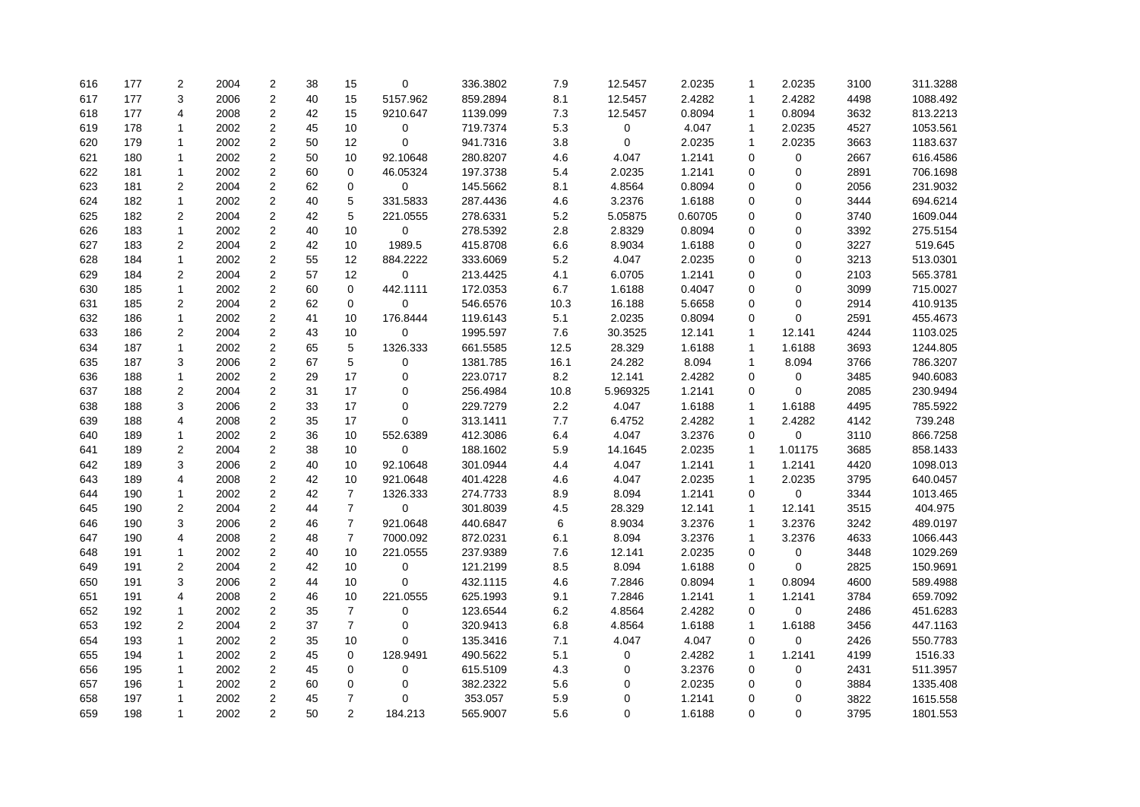| 616 | 177 | 2              | 2004 | 2                       | 38 | 15             | 0           | 336.3802 | 7.9     | 12.5457     | 2.0235  | 1            | 2.0235      | 3100 | 311.3288 |
|-----|-----|----------------|------|-------------------------|----|----------------|-------------|----------|---------|-------------|---------|--------------|-------------|------|----------|
| 617 | 177 | 3              | 2006 | $\overline{\mathbf{c}}$ | 40 | 15             | 5157.962    | 859.2894 | 8.1     | 12.5457     | 2.4282  | 1            | 2.4282      | 4498 | 1088.492 |
| 618 | 177 | 4              | 2008 | 2                       | 42 | 15             | 9210.647    | 1139.099 | 7.3     | 12.5457     | 0.8094  | 1            | 0.8094      | 3632 | 813.2213 |
| 619 | 178 | 1              | 2002 | $\overline{c}$          | 45 | 10             | $\Omega$    | 719.7374 | 5.3     | $\mathbf 0$ | 4.047   | 1            | 2.0235      | 4527 | 1053.561 |
| 620 | 179 | $\mathbf{1}$   | 2002 | 2                       | 50 | 12             | $\mathbf 0$ | 941.7316 | 3.8     | $\mathbf 0$ | 2.0235  | $\mathbf{1}$ | 2.0235      | 3663 | 1183.637 |
| 621 | 180 | 1              | 2002 | 2                       | 50 | 10             | 92.10648    | 280.8207 | 4.6     | 4.047       | 1.2141  | 0            | 0           | 2667 | 616.4586 |
| 622 | 181 | $\mathbf{1}$   | 2002 | $\overline{\mathbf{c}}$ | 60 | 0              | 46.05324    | 197.3738 | 5.4     | 2.0235      | 1.2141  | 0            | $\mathbf 0$ | 2891 | 706.1698 |
| 623 | 181 | 2              | 2004 | 2                       | 62 | $\mathbf 0$    | 0           | 145.5662 | 8.1     | 4.8564      | 0.8094  | 0            | 0           | 2056 | 231.9032 |
| 624 | 182 | $\mathbf{1}$   | 2002 | 2                       | 40 | 5              | 331.5833    | 287.4436 | 4.6     | 3.2376      | 1.6188  | $\Omega$     | $\Omega$    | 3444 | 694.6214 |
| 625 | 182 | 2              | 2004 | 2                       | 42 | 5              | 221.0555    | 278.6331 | 5.2     | 5.05875     | 0.60705 | 0            | 0           | 3740 | 1609.044 |
| 626 | 183 | $\mathbf{1}$   | 2002 | $\overline{c}$          | 40 | 10             | $\mathbf 0$ | 278.5392 | 2.8     | 2.8329      | 0.8094  | $\Omega$     | $\Omega$    | 3392 | 275.5154 |
| 627 | 183 | 2              | 2004 | $\overline{\mathbf{c}}$ | 42 | 10             | 1989.5      | 415.8708 | 6.6     | 8.9034      | 1.6188  | $\Omega$     | 0           | 3227 | 519.645  |
| 628 | 184 | 1              | 2002 | 2                       | 55 | 12             | 884.2222    | 333.6069 | $5.2\,$ | 4.047       | 2.0235  | $\Omega$     | $\Omega$    | 3213 | 513.0301 |
| 629 | 184 | $\overline{2}$ | 2004 | $\overline{\mathbf{c}}$ | 57 | 12             | $\mathbf 0$ | 213.4425 | 4.1     | 6.0705      | 1.2141  | $\Omega$     | $\mathbf 0$ | 2103 | 565.3781 |
| 630 | 185 | $\mathbf{1}$   | 2002 | 2                       | 60 | 0              | 442.1111    | 172.0353 | 6.7     | 1.6188      | 0.4047  | 0            | 0           | 3099 | 715.0027 |
| 631 | 185 | 2              | 2004 | 2                       | 62 | 0              | $\mathbf 0$ | 546.6576 | 10.3    | 16.188      | 5.6658  | $\Omega$     | $\Omega$    | 2914 | 410.9135 |
| 632 | 186 | $\mathbf{1}$   | 2002 | 2                       | 41 | 10             | 176.8444    | 119.6143 | 5.1     | 2.0235      | 0.8094  | 0            | $\mathbf 0$ | 2591 | 455.4673 |
| 633 | 186 | $\overline{2}$ | 2004 | 2                       | 43 | 10             | $\mathbf 0$ | 1995.597 | 7.6     | 30.3525     | 12.141  | $\mathbf{1}$ | 12.141      | 4244 | 1103.025 |
| 634 | 187 | 1              | 2002 | $\overline{\mathbf{c}}$ | 65 | 5              | 1326.333    | 661.5585 | 12.5    | 28.329      | 1.6188  | 1            | 1.6188      | 3693 | 1244.805 |
| 635 | 187 | 3              | 2006 | 2                       | 67 | 5              | 0           | 1381.785 | 16.1    | 24.282      | 8.094   | 1            | 8.094       | 3766 | 786.3207 |
| 636 | 188 | $\mathbf{1}$   | 2002 | 2                       | 29 | 17             | $\mathbf 0$ | 223.0717 | 8.2     | 12.141      | 2.4282  | 0            | $\mathbf 0$ | 3485 | 940.6083 |
| 637 | 188 | 2              | 2004 | 2                       | 31 | 17             | 0           | 256.4984 | 10.8    | 5.969325    | 1.2141  | $\Omega$     | $\mathbf 0$ | 2085 | 230.9494 |
| 638 | 188 | 3              | 2006 | 2                       | 33 | 17             | 0           | 229.7279 | 2.2     | 4.047       | 1.6188  | 1            | 1.6188      | 4495 | 785.5922 |
| 639 | 188 | 4              | 2008 | 2                       | 35 | 17             | $\mathbf 0$ | 313.1411 | 7.7     | 6.4752      | 2.4282  | 1            | 2.4282      | 4142 | 739.248  |
| 640 | 189 | $\mathbf{1}$   | 2002 | 2                       | 36 | 10             | 552.6389    | 412.3086 | 6.4     | 4.047       | 3.2376  | $\mathbf 0$  | $\mathbf 0$ | 3110 | 866.7258 |
| 641 | 189 | 2              | 2004 | 2                       | 38 | 10             | $\mathbf 0$ | 188.1602 | 5.9     | 14.1645     | 2.0235  | 1            | 1.01175     | 3685 | 858.1433 |
| 642 | 189 | 3              | 2006 | $\overline{\mathbf{c}}$ | 40 | 10             | 92.10648    | 301.0944 | 4.4     | 4.047       | 1.2141  | 1            | 1.2141      | 4420 | 1098.013 |
| 643 | 189 | 4              | 2008 | $\overline{\mathbf{c}}$ | 42 | 10             | 921.0648    | 401.4228 | 4.6     | 4.047       | 2.0235  | 1            | 2.0235      | 3795 | 640.0457 |
| 644 | 190 | 1              | 2002 | $\overline{\mathbf{c}}$ | 42 | 7              | 1326.333    | 274.7733 | 8.9     | 8.094       | 1.2141  | 0            | 0           | 3344 | 1013.465 |
| 645 | 190 | 2              | 2004 | 2                       | 44 | $\overline{7}$ | 0           | 301.8039 | 4.5     | 28.329      | 12.141  | $\mathbf{1}$ | 12.141      | 3515 | 404.975  |
| 646 | 190 | 3              | 2006 | 2                       | 46 | $\overline{7}$ | 921.0648    | 440.6847 | 6       | 8.9034      | 3.2376  | 1            | 3.2376      | 3242 | 489.0197 |
| 647 | 190 | $\overline{4}$ | 2008 | $\overline{c}$          | 48 | $\overline{7}$ | 7000.092    | 872.0231 | 6.1     | 8.094       | 3.2376  | $\mathbf{1}$ | 3.2376      | 4633 | 1066.443 |
| 648 | 191 | $\mathbf{1}$   | 2002 | 2                       | 40 | 10             | 221.0555    | 237.9389 | 7.6     | 12.141      | 2.0235  | 0            | 0           | 3448 | 1029.269 |
| 649 | 191 | $\overline{2}$ | 2004 | $\overline{c}$          | 42 | 10             | $\mathbf 0$ | 121.2199 | 8.5     | 8.094       | 1.6188  | 0            | $\Omega$    | 2825 | 150.9691 |
| 650 | 191 | 3              | 2006 | 2                       | 44 | 10             | $\mathbf 0$ | 432.1115 | 4.6     | 7.2846      | 0.8094  | $\mathbf{1}$ | 0.8094      | 4600 | 589.4988 |
| 651 | 191 | 4              | 2008 | 2                       | 46 | 10             | 221.0555    | 625.1993 | 9.1     | 7.2846      | 1.2141  | 1            | 1.2141      | 3784 | 659.7092 |
| 652 | 192 | $\mathbf{1}$   | 2002 | $\overline{\mathbf{c}}$ | 35 | $\overline{7}$ | 0           | 123.6544 | 6.2     | 4.8564      | 2.4282  | 0            | $\mathbf 0$ | 2486 | 451.6283 |
| 653 | 192 | 2              | 2004 | $\overline{\mathbf{c}}$ | 37 | $\overline{7}$ | 0           | 320.9413 | 6.8     | 4.8564      | 1.6188  | 1            | 1.6188      | 3456 | 447.1163 |
| 654 | 193 | 1              | 2002 | $\overline{\mathbf{c}}$ | 35 | 10             | $\Omega$    | 135.3416 | 7.1     | 4.047       | 4.047   | 0            | $\mathbf 0$ | 2426 | 550.7783 |
| 655 | 194 | $\mathbf{1}$   | 2002 | 2                       | 45 | 0              | 128.9491    | 490.5622 | 5.1     | 0           | 2.4282  | $\mathbf{1}$ | 1.2141      | 4199 | 1516.33  |
| 656 | 195 | $\mathbf{1}$   | 2002 | $\overline{c}$          | 45 | 0              | $\mathbf 0$ | 615.5109 | 4.3     | $\mathbf 0$ | 3.2376  | $\Omega$     | $\mathbf 0$ | 2431 | 511.3957 |
| 657 | 196 | $\mathbf{1}$   | 2002 | 2                       | 60 | 0              | $\mathbf 0$ | 382.2322 | 5.6     | 0           | 2.0235  | 0            | 0           | 3884 | 1335.408 |
| 658 | 197 | $\mathbf{1}$   | 2002 | 2                       | 45 | $\overline{7}$ | $\Omega$    | 353.057  | 5.9     | $\Omega$    | 1.2141  | $\Omega$     | $\Omega$    | 3822 | 1615.558 |
| 659 | 198 | $\mathbf{1}$   | 2002 | $\overline{2}$          | 50 | 2              | 184.213     | 565.9007 | 5.6     | $\Omega$    | 1.6188  | $\Omega$     | $\Omega$    | 3795 | 1801.553 |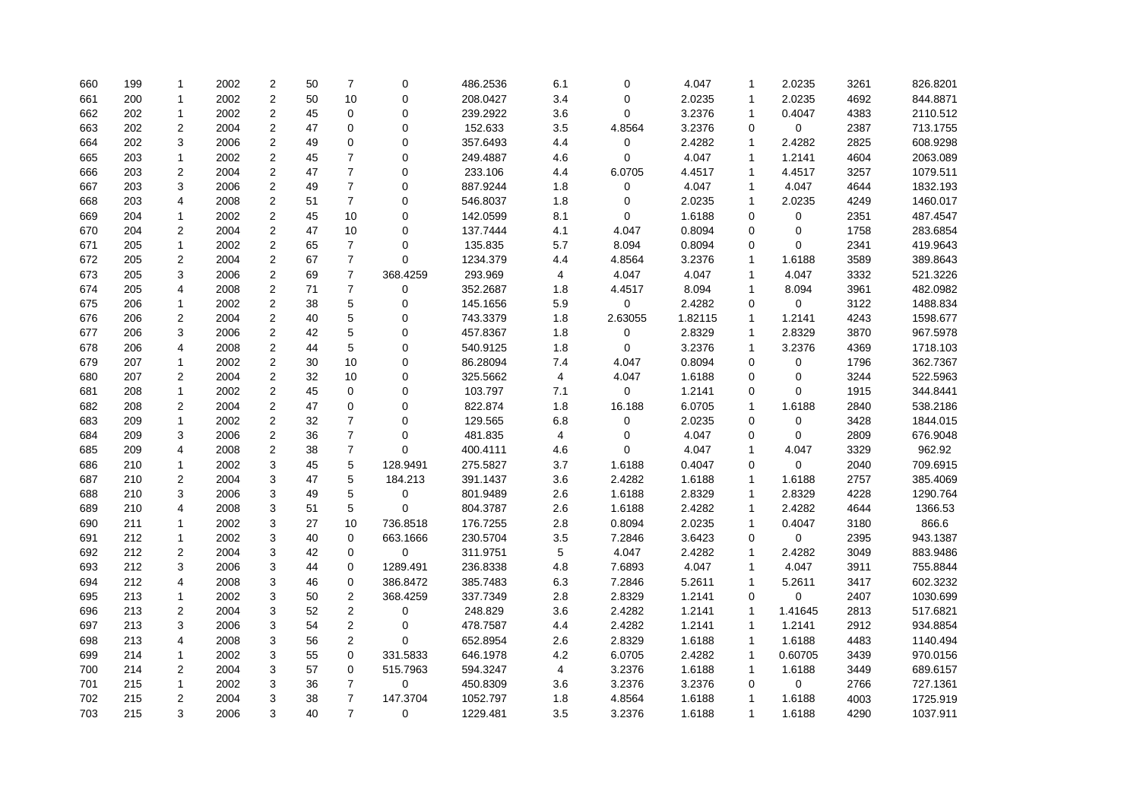| 660 | 199 | 1                       | 2002 | $\overline{2}$          | 50 | $\overline{7}$          | 0           | 486.2536 | 6.1 | 0         | 4.047   | 1            | 2.0235      | 3261 | 826.8201 |
|-----|-----|-------------------------|------|-------------------------|----|-------------------------|-------------|----------|-----|-----------|---------|--------------|-------------|------|----------|
| 661 | 200 | 1                       | 2002 | $\sqrt{2}$              | 50 | 10                      | $\mathbf 0$ | 208.0427 | 3.4 | 0         | 2.0235  | 1            | 2.0235      | 4692 | 844.8871 |
| 662 | 202 | $\mathbf{1}$            | 2002 | 2                       | 45 | 0                       | 0           | 239.2922 | 3.6 | 0         | 3.2376  | $\mathbf{1}$ | 0.4047      | 4383 | 2110.512 |
| 663 | 202 | $\overline{c}$          | 2004 | $\overline{\mathbf{c}}$ | 47 | $\mathbf 0$             | 0           | 152.633  | 3.5 | 4.8564    | 3.2376  | $\Omega$     | $\mathbf 0$ | 2387 | 713.1755 |
| 664 | 202 | 3                       | 2006 | 2                       | 49 | $\mathbf 0$             | $\mathbf 0$ | 357.6493 | 4.4 | $\pmb{0}$ | 2.4282  | $\mathbf{1}$ | 2.4282      | 2825 | 608.9298 |
| 665 | 203 | 1                       | 2002 | 2                       | 45 | $\overline{7}$          | 0           | 249.4887 | 4.6 | 0         | 4.047   | 1            | 1.2141      | 4604 | 2063.089 |
| 666 | 203 | 2                       | 2004 | 2                       | 47 | $\overline{7}$          | $\mathbf 0$ | 233.106  | 4.4 | 6.0705    | 4.4517  | 1            | 4.4517      | 3257 | 1079.511 |
| 667 | 203 | 3                       | 2006 | 2                       | 49 | $\overline{7}$          | 0           | 887.9244 | 1.8 | 0         | 4.047   | 1            | 4.047       | 4644 | 1832.193 |
| 668 | 203 | 4                       | 2008 | $\overline{\mathbf{c}}$ | 51 | $\overline{7}$          | $\mathbf 0$ | 546.8037 | 1.8 | $\Omega$  | 2.0235  | 1            | 2.0235      | 4249 | 1460.017 |
| 669 | 204 | $\mathbf{1}$            | 2002 | $\boldsymbol{2}$        | 45 | 10                      | $\mathbf 0$ | 142.0599 | 8.1 | 0         | 1.6188  | 0            | 0           | 2351 | 487.4547 |
| 670 | 204 | 2                       | 2004 | $\overline{2}$          | 47 | 10                      | $\mathbf 0$ | 137.7444 | 4.1 | 4.047     | 0.8094  | 0            | 0           | 1758 | 283.6854 |
| 671 | 205 | $\mathbf{1}$            | 2002 | $\boldsymbol{2}$        | 65 | $\overline{7}$          | $\Omega$    | 135.835  | 5.7 | 8.094     | 0.8094  | $\Omega$     | $\Omega$    | 2341 | 419.9643 |
| 672 | 205 | 2                       | 2004 | $\overline{2}$          | 67 | $\overline{7}$          | $\mathbf 0$ | 1234.379 | 4.4 | 4.8564    | 3.2376  | $\mathbf{1}$ | 1.6188      | 3589 | 389.8643 |
| 673 | 205 | 3                       | 2006 | $\overline{2}$          | 69 | $\overline{7}$          | 368.4259    | 293.969  | 4   | 4.047     | 4.047   | 1            | 4.047       | 3332 | 521.3226 |
| 674 | 205 | 4                       | 2008 | $\overline{2}$          | 71 | $\overline{7}$          | $\pmb{0}$   | 352.2687 | 1.8 | 4.4517    | 8.094   | 1            | 8.094       | 3961 | 482.0982 |
| 675 | 206 | 1                       | 2002 | 2                       | 38 | 5                       | 0           | 145.1656 | 5.9 | 0         | 2.4282  | 0            | 0           | 3122 | 1488.834 |
| 676 | 206 | $\overline{\mathbf{c}}$ | 2004 | 2                       | 40 | 5                       | $\mathbf 0$ | 743.3379 | 1.8 | 2.63055   | 1.82115 | 1            | 1.2141      | 4243 | 1598.677 |
| 677 | 206 | 3                       | 2006 | 2                       | 42 | 5                       | 0           | 457.8367 | 1.8 | 0         | 2.8329  | 1            | 2.8329      | 3870 | 967.5978 |
| 678 | 206 | 4                       | 2008 | $\overline{2}$          | 44 | 5                       | $\mathbf 0$ | 540.9125 | 1.8 | 0         | 3.2376  | $\mathbf{1}$ | 3.2376      | 4369 | 1718.103 |
| 679 | 207 | 1                       | 2002 | $\overline{2}$          | 30 | 10                      | 0           | 86.28094 | 7.4 | 4.047     | 0.8094  | 0            | 0           | 1796 | 362.7367 |
| 680 | 207 | $\overline{c}$          | 2004 | $\mathbf 2$             | 32 | 10                      | 0           | 325.5662 | 4   | 4.047     | 1.6188  | 0            | 0           | 3244 | 522.5963 |
| 681 | 208 | 1                       | 2002 | $\boldsymbol{2}$        | 45 | $\mathbf 0$             | $\mathbf 0$ | 103.797  | 7.1 | $\pmb{0}$ | 1.2141  | 0            | $\Omega$    | 1915 | 344.8441 |
| 682 | 208 | $\overline{2}$          | 2004 | $\overline{2}$          | 47 | $\mathbf 0$             | 0           | 822.874  | 1.8 | 16.188    | 6.0705  | $\mathbf{1}$ | 1.6188      | 2840 | 538.2186 |
| 683 | 209 | $\mathbf{1}$            | 2002 | $\overline{2}$          | 32 | $\overline{7}$          | $\mathbf 0$ | 129.565  | 6.8 | 0         | 2.0235  | $\Omega$     | $\mathbf 0$ | 3428 | 1844.015 |
| 684 | 209 | 3                       | 2006 | $\overline{2}$          | 36 | $\overline{7}$          | 0           | 481.835  | 4   | 0         | 4.047   | 0            | $\mathbf 0$ | 2809 | 676.9048 |
| 685 | 209 | 4                       | 2008 | 2                       | 38 | $\overline{7}$          | $\Omega$    | 400.4111 | 4.6 | 0         | 4.047   | 1            | 4.047       | 3329 | 962.92   |
| 686 | 210 | 1                       | 2002 | 3                       | 45 | 5                       | 128.9491    | 275.5827 | 3.7 | 1.6188    | 0.4047  | 0            | $\mathbf 0$ | 2040 | 709.6915 |
| 687 | 210 | $\overline{c}$          | 2004 | 3                       | 47 | 5                       | 184.213     | 391.1437 | 3.6 | 2.4282    | 1.6188  | $\mathbf{1}$ | 1.6188      | 2757 | 385.4069 |
| 688 | 210 | 3                       | 2006 | 3                       | 49 | 5                       | $\Omega$    | 801.9489 | 2.6 | 1.6188    | 2.8329  | $\mathbf{1}$ | 2.8329      | 4228 | 1290.764 |
| 689 | 210 | 4                       | 2008 | 3                       | 51 | 5                       | $\Omega$    | 804.3787 | 2.6 | 1.6188    | 2.4282  | $\mathbf{1}$ | 2.4282      | 4644 | 1366.53  |
| 690 | 211 | $\mathbf{1}$            | 2002 | 3                       | 27 | 10                      | 736.8518    | 176.7255 | 2.8 | 0.8094    | 2.0235  | $\mathbf{1}$ | 0.4047      | 3180 | 866.6    |
| 691 | 212 | $\mathbf{1}$            | 2002 | 3                       | 40 | $\pmb{0}$               | 663.1666    | 230.5704 | 3.5 | 7.2846    | 3.6423  | $\mathbf 0$  | $\mathbf 0$ | 2395 | 943.1387 |
| 692 | 212 | $\overline{c}$          | 2004 | 3                       | 42 | 0                       | 0           | 311.9751 | 5   | 4.047     | 2.4282  | $\mathbf{1}$ | 2.4282      | 3049 | 883.9486 |
| 693 | 212 | 3                       | 2006 | 3                       | 44 | $\mathbf 0$             | 1289.491    | 236.8338 | 4.8 | 7.6893    | 4.047   | $\mathbf{1}$ | 4.047       | 3911 | 755.8844 |
| 694 | 212 | 4                       | 2008 | 3                       | 46 | $\mathbf 0$             | 386.8472    | 385.7483 | 6.3 | 7.2846    | 5.2611  | $\mathbf{1}$ | 5.2611      | 3417 | 602.3232 |
| 695 | 213 | 1                       | 2002 | 3                       | 50 | $\overline{2}$          | 368.4259    | 337.7349 | 2.8 | 2.8329    | 1.2141  | 0            | 0           | 2407 | 1030.699 |
| 696 | 213 | 2                       | 2004 | 3                       | 52 | $\mathbf 2$             | $\mathbf 0$ | 248.829  | 3.6 | 2.4282    | 1.2141  | $\mathbf{1}$ | 1.41645     | 2813 | 517.6821 |
| 697 | 213 | 3                       | 2006 | 3                       | 54 | $\overline{\mathbf{c}}$ | $\Omega$    | 478.7587 | 4.4 | 2.4282    | 1.2141  | $\mathbf{1}$ | 1.2141      | 2912 | 934.8854 |
| 698 | 213 | 4                       | 2008 | 3                       | 56 | $\overline{2}$          | 0           | 652.8954 | 2.6 | 2.8329    | 1.6188  | 1            | 1.6188      | 4483 | 1140.494 |
| 699 | 214 | 1                       | 2002 | 3                       | 55 | 0                       | 331.5833    | 646.1978 | 4.2 | 6.0705    | 2.4282  | $\mathbf{1}$ | 0.60705     | 3439 | 970.0156 |
| 700 | 214 | 2                       | 2004 | 3                       | 57 | $\mathbf 0$             | 515.7963    | 594.3247 | 4   | 3.2376    | 1.6188  | $\mathbf{1}$ | 1.6188      | 3449 | 689.6157 |
| 701 | 215 | 1                       | 2002 | 3                       | 36 | $\overline{7}$          | 0           | 450.8309 | 3.6 | 3.2376    | 3.2376  | 0            | 0           | 2766 | 727.1361 |
| 702 | 215 | $\overline{2}$          | 2004 | 3                       | 38 | $\overline{7}$          | 147.3704    | 1052.797 | 1.8 | 4.8564    | 1.6188  | $\mathbf{1}$ | 1.6188      | 4003 | 1725.919 |
| 703 | 215 | 3                       | 2006 | 3                       | 40 | $\overline{7}$          | $\mathbf 0$ | 1229.481 | 3.5 | 3.2376    | 1.6188  | $\mathbf{1}$ | 1.6188      | 4290 | 1037.911 |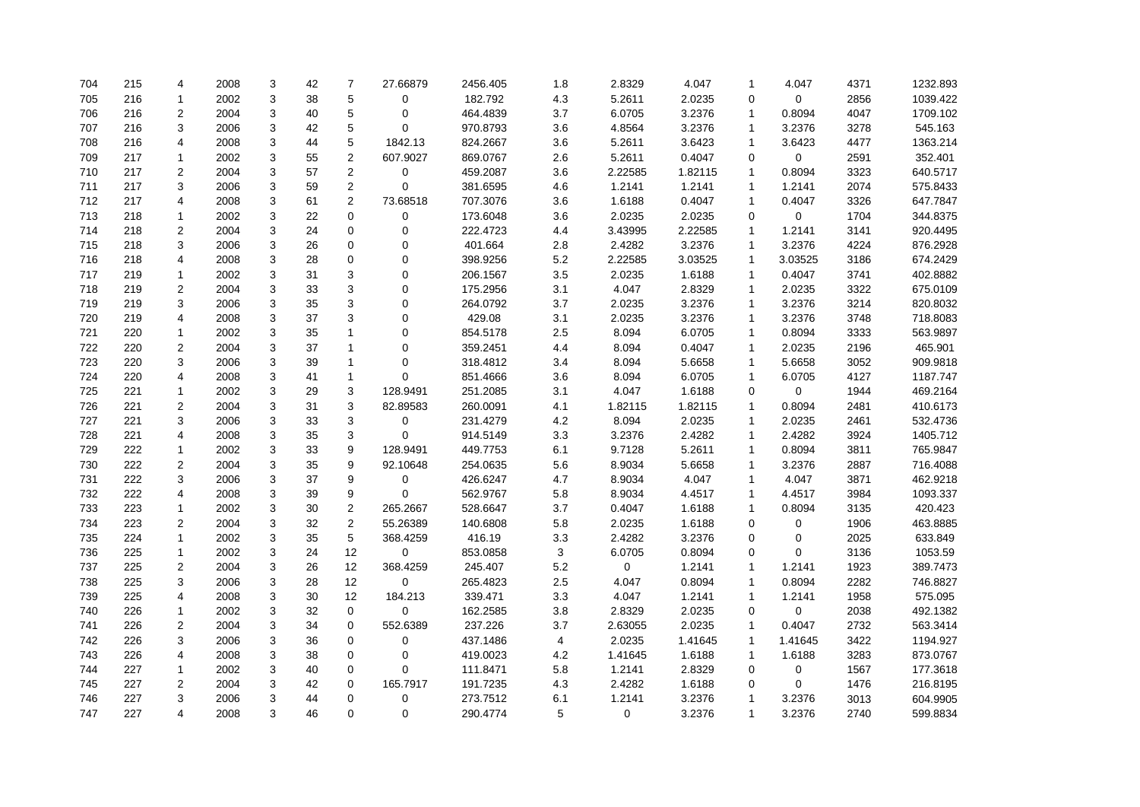| 704 | 215 | 4                | 2008 | 3 | 42 | $\overline{7}$   | 27.66879    | 2456.405 | 1.8            | 2.8329  | 4.047   | 1            | 4.047       | 4371 | 1232.893 |
|-----|-----|------------------|------|---|----|------------------|-------------|----------|----------------|---------|---------|--------------|-------------|------|----------|
| 705 | 216 | 1                | 2002 | 3 | 38 | $\mathbf 5$      | $\mathbf 0$ | 182.792  | 4.3            | 5.2611  | 2.0235  | 0            | $\mathbf 0$ | 2856 | 1039.422 |
| 706 | 216 | $\overline{c}$   | 2004 | 3 | 40 | 5                | $\mathbf 0$ | 464.4839 | 3.7            | 6.0705  | 3.2376  | $\mathbf{1}$ | 0.8094      | 4047 | 1709.102 |
| 707 | 216 | 3                | 2006 | 3 | 42 | 5                | 0           | 970.8793 | 3.6            | 4.8564  | 3.2376  | $\mathbf{1}$ | 3.2376      | 3278 | 545.163  |
| 708 | 216 | 4                | 2008 | 3 | 44 | 5                | 1842.13     | 824.2667 | 3.6            | 5.2611  | 3.6423  | $\mathbf{1}$ | 3.6423      | 4477 | 1363.214 |
| 709 | 217 | 1                | 2002 | 3 | 55 | $\overline{2}$   | 607.9027    | 869.0767 | 2.6            | 5.2611  | 0.4047  | $\mathbf 0$  | 0           | 2591 | 352.401  |
| 710 | 217 | 2                | 2004 | 3 | 57 | $\overline{2}$   | $\mathbf 0$ | 459.2087 | 3.6            | 2.22585 | 1.82115 | $\mathbf{1}$ | 0.8094      | 3323 | 640.5717 |
| 711 | 217 | 3                | 2006 | 3 | 59 | $\boldsymbol{2}$ | $\mathbf 0$ | 381.6595 | 4.6            | 1.2141  | 1.2141  | $\mathbf 1$  | 1.2141      | 2074 | 575.8433 |
| 712 | 217 | 4                | 2008 | 3 | 61 | $\overline{2}$   | 73.68518    | 707.3076 | 3.6            | 1.6188  | 0.4047  | $\mathbf{1}$ | 0.4047      | 3326 | 647.7847 |
| 713 | 218 | 1                | 2002 | 3 | 22 | $\pmb{0}$        | 0           | 173.6048 | 3.6            | 2.0235  | 2.0235  | 0            | 0           | 1704 | 344.8375 |
| 714 | 218 | $\overline{2}$   | 2004 | 3 | 24 | $\mathbf 0$      | $\mathbf 0$ | 222.4723 | 4.4            | 3.43995 | 2.22585 | $\mathbf{1}$ | 1.2141      | 3141 | 920.4495 |
| 715 | 218 | 3                | 2006 | 3 | 26 | $\mathbf 0$      | 0           | 401.664  | 2.8            | 2.4282  | 3.2376  | 1            | 3.2376      | 4224 | 876.2928 |
| 716 | 218 | 4                | 2008 | 3 | 28 | $\mathbf 0$      | $\mathbf 0$ | 398.9256 | 5.2            | 2.22585 | 3.03525 | $\mathbf{1}$ | 3.03525     | 3186 | 674.2429 |
| 717 | 219 | $\mathbf{1}$     | 2002 | 3 | 31 | 3                | 0           | 206.1567 | 3.5            | 2.0235  | 1.6188  | $\mathbf{1}$ | 0.4047      | 3741 | 402.8882 |
| 718 | 219 | 2                | 2004 | 3 | 33 | 3                | $\mathbf 0$ | 175.2956 | 3.1            | 4.047   | 2.8329  | $\mathbf{1}$ | 2.0235      | 3322 | 675.0109 |
| 719 | 219 | 3                | 2006 | 3 | 35 | 3                | $\mathbf 0$ | 264.0792 | 3.7            | 2.0235  | 3.2376  | $\mathbf{1}$ | 3.2376      | 3214 | 820.8032 |
| 720 | 219 | 4                | 2008 | 3 | 37 | 3                | $\mathbf 0$ | 429.08   | 3.1            | 2.0235  | 3.2376  | $\mathbf{1}$ | 3.2376      | 3748 | 718.8083 |
| 721 | 220 | 1                | 2002 | 3 | 35 | $\mathbf{1}$     | $\mathbf 0$ | 854.5178 | 2.5            | 8.094   | 6.0705  | $\mathbf{1}$ | 0.8094      | 3333 | 563.9897 |
| 722 | 220 | $\boldsymbol{2}$ | 2004 | 3 | 37 | 1                | $\Omega$    | 359.2451 | 4.4            | 8.094   | 0.4047  | 1            | 2.0235      | 2196 | 465.901  |
| 723 | 220 | 3                | 2006 | 3 | 39 | $\mathbf{1}$     | $\mathbf 0$ | 318.4812 | 3.4            | 8.094   | 5.6658  | $\mathbf{1}$ | 5.6658      | 3052 | 909.9818 |
| 724 | 220 | 4                | 2008 | 3 | 41 | $\mathbf{1}$     | 0           | 851.4666 | 3.6            | 8.094   | 6.0705  | $\mathbf{1}$ | 6.0705      | 4127 | 1187.747 |
| 725 | 221 | 1                | 2002 | 3 | 29 | 3                | 128.9491    | 251.2085 | 3.1            | 4.047   | 1.6188  | 0            | $\mathbf 0$ | 1944 | 469.2164 |
| 726 | 221 | $\overline{c}$   | 2004 | 3 | 31 | 3                | 82.89583    | 260.0091 | 4.1            | 1.82115 | 1.82115 | $\mathbf{1}$ | 0.8094      | 2481 | 410.6173 |
| 727 | 221 | 3                | 2006 | 3 | 33 | 3                | $\Omega$    | 231.4279 | 4.2            | 8.094   | 2.0235  | $\mathbf{1}$ | 2.0235      | 2461 | 532.4736 |
| 728 | 221 | 4                | 2008 | 3 | 35 | 3                | $\mathbf 0$ | 914.5149 | 3.3            | 3.2376  | 2.4282  | $\mathbf{1}$ | 2.4282      | 3924 | 1405.712 |
| 729 | 222 | 1                | 2002 | 3 | 33 | 9                | 128.9491    | 449.7753 | 6.1            | 9.7128  | 5.2611  | $\mathbf{1}$ | 0.8094      | 3811 | 765.9847 |
| 730 | 222 | 2                | 2004 | 3 | 35 | 9                | 92.10648    | 254.0635 | 5.6            | 8.9034  | 5.6658  | $\mathbf{1}$ | 3.2376      | 2887 | 716.4088 |
| 731 | 222 | 3                | 2006 | 3 | 37 | 9                | $\mathbf 0$ | 426.6247 | 4.7            | 8.9034  | 4.047   | $\mathbf{1}$ | 4.047       | 3871 | 462.9218 |
| 732 | 222 | 4                | 2008 | 3 | 39 | 9                | $\Omega$    | 562.9767 | 5.8            | 8.9034  | 4.4517  | $\mathbf{1}$ | 4.4517      | 3984 | 1093.337 |
| 733 | 223 | 1                | 2002 | 3 | 30 | $\boldsymbol{2}$ | 265.2667    | 528.6647 | 3.7            | 0.4047  | 1.6188  | $\mathbf{1}$ | 0.8094      | 3135 | 420.423  |
| 734 | 223 | $\overline{2}$   | 2004 | 3 | 32 | $\overline{c}$   | 55.26389    | 140.6808 | 5.8            | 2.0235  | 1.6188  | 0            | $\mathbf 0$ | 1906 | 463.8885 |
| 735 | 224 | 1                | 2002 | 3 | 35 | $\mathbf 5$      | 368.4259    | 416.19   | 3.3            | 2.4282  | 3.2376  | 0            | $\mathbf 0$ | 2025 | 633.849  |
| 736 | 225 | $\mathbf{1}$     | 2002 | 3 | 24 | 12               | $\mathbf 0$ | 853.0858 | 3              | 6.0705  | 0.8094  | 0            | $\mathbf 0$ | 3136 | 1053.59  |
| 737 | 225 | 2                | 2004 | 3 | 26 | 12               | 368.4259    | 245.407  | 5.2            | 0       | 1.2141  | $\mathbf{1}$ | 1.2141      | 1923 | 389.7473 |
| 738 | 225 | 3                | 2006 | 3 | 28 | 12               | $\mathbf 0$ | 265.4823 | 2.5            | 4.047   | 0.8094  | $\mathbf{1}$ | 0.8094      | 2282 | 746.8827 |
| 739 | 225 | 4                | 2008 | 3 | 30 | 12               | 184.213     | 339.471  | 3.3            | 4.047   | 1.2141  | $\mathbf{1}$ | 1.2141      | 1958 | 575.095  |
| 740 | 226 | 1                | 2002 | 3 | 32 | $\mathbf 0$      | $\mathbf 0$ | 162.2585 | 3.8            | 2.8329  | 2.0235  | $\mathbf 0$  | $\mathbf 0$ | 2038 | 492.1382 |
| 741 | 226 | $\overline{c}$   | 2004 | 3 | 34 | $\mathbf 0$      | 552.6389    | 237.226  | 3.7            | 2.63055 | 2.0235  | $\mathbf{1}$ | 0.4047      | 2732 | 563.3414 |
| 742 | 226 | 3                | 2006 | 3 | 36 | $\Omega$         | $\mathbf 0$ | 437.1486 | $\overline{4}$ | 2.0235  | 1.41645 | $\mathbf{1}$ | 1.41645     | 3422 | 1194.927 |
| 743 | 226 | 4                | 2008 | 3 | 38 | $\mathbf 0$      | 0           | 419.0023 | 4.2            | 1.41645 | 1.6188  | $\mathbf{1}$ | 1.6188      | 3283 | 873.0767 |
| 744 | 227 | 1                | 2002 | 3 | 40 | $\Omega$         | $\Omega$    | 111.8471 | 5.8            | 1.2141  | 2.8329  | $\Omega$     | 0           | 1567 | 177.3618 |
| 745 | 227 | 2                | 2004 | 3 | 42 | $\mathbf 0$      | 165.7917    | 191.7235 | 4.3            | 2.4282  | 1.6188  | 0            | $\mathbf 0$ | 1476 | 216.8195 |
| 746 | 227 | 3                | 2006 | 3 | 44 | $\mathbf 0$      | 0           | 273.7512 | 6.1            | 1.2141  | 3.2376  | 1            | 3.2376      | 3013 | 604.9905 |
| 747 | 227 | 4                | 2008 | 3 | 46 | $\overline{0}$   | $\Omega$    | 290.4774 | 5              | 0       | 3.2376  | $\mathbf{1}$ | 3.2376      | 2740 | 599.8834 |
|     |     |                  |      |   |    |                  |             |          |                |         |         |              |             |      |          |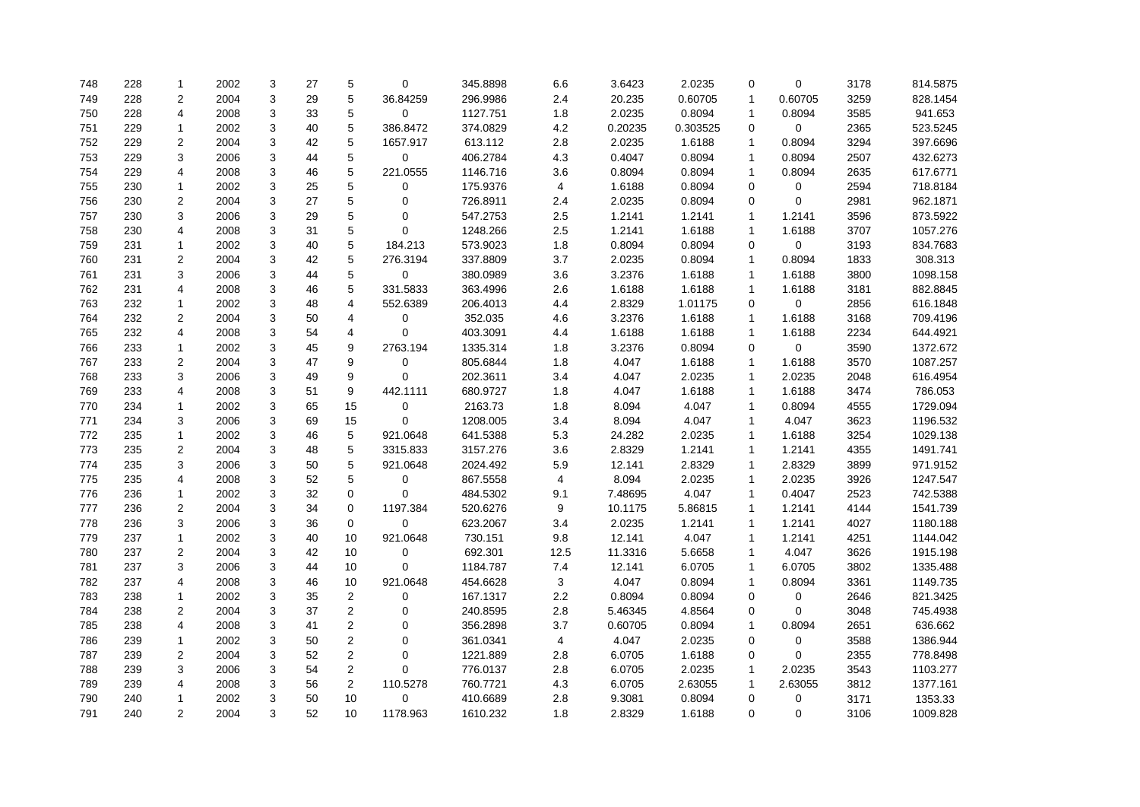| 748 | 228 | 1              | 2002 | 3 | 27 | 5              | $\mathbf 0$ | 345.8898 | 6.6            | 3.6423  | 2.0235   | 0            | 0           | 3178 | 814.5875 |
|-----|-----|----------------|------|---|----|----------------|-------------|----------|----------------|---------|----------|--------------|-------------|------|----------|
| 749 | 228 | 2              | 2004 | 3 | 29 | 5              | 36.84259    | 296.9986 | 2.4            | 20.235  | 0.60705  | 1            | 0.60705     | 3259 | 828.1454 |
| 750 | 228 | 4              | 2008 | 3 | 33 | 5              | $\mathbf 0$ | 1127.751 | 1.8            | 2.0235  | 0.8094   | 1            | 0.8094      | 3585 | 941.653  |
| 751 | 229 | $\mathbf{1}$   | 2002 | 3 | 40 | 5              | 386.8472    | 374.0829 | 4.2            | 0.20235 | 0.303525 | $\mathbf 0$  | $\mathbf 0$ | 2365 | 523.5245 |
| 752 | 229 | 2              | 2004 | 3 | 42 | 5              | 1657.917    | 613.112  | 2.8            | 2.0235  | 1.6188   | $\mathbf{1}$ | 0.8094      | 3294 | 397.6696 |
| 753 | 229 | 3              | 2006 | 3 | 44 | 5              | $\mathbf 0$ | 406.2784 | 4.3            | 0.4047  | 0.8094   | $\mathbf{1}$ | 0.8094      | 2507 | 432.6273 |
| 754 | 229 | 4              | 2008 | 3 | 46 | 5              | 221.0555    | 1146.716 | 3.6            | 0.8094  | 0.8094   | $\mathbf{1}$ | 0.8094      | 2635 | 617.6771 |
| 755 | 230 | $\mathbf{1}$   | 2002 | 3 | 25 | 5              | 0           | 175.9376 | 4              | 1.6188  | 0.8094   | $\Omega$     | $\mathbf 0$ | 2594 | 718.8184 |
| 756 | 230 | 2              | 2004 | 3 | 27 | 5              | $\mathbf 0$ | 726.8911 | 2.4            | 2.0235  | 0.8094   | $\Omega$     | $\mathbf 0$ | 2981 | 962.1871 |
| 757 | 230 | 3              | 2006 | 3 | 29 | 5              | 0           | 547.2753 | $2.5\,$        | 1.2141  | 1.2141   | 1            | 1.2141      | 3596 | 873.5922 |
| 758 | 230 | 4              | 2008 | 3 | 31 | 5              | $\Omega$    | 1248.266 | 2.5            | 1.2141  | 1.6188   | $\mathbf{1}$ | 1.6188      | 3707 | 1057.276 |
| 759 | 231 | 1              | 2002 | 3 | 40 | 5              | 184.213     | 573.9023 | 1.8            | 0.8094  | 0.8094   | 0            | 0           | 3193 | 834.7683 |
| 760 | 231 | 2              | 2004 | 3 | 42 | 5              | 276.3194    | 337.8809 | 3.7            | 2.0235  | 0.8094   | $\mathbf{1}$ | 0.8094      | 1833 | 308.313  |
| 761 | 231 | 3              | 2006 | 3 | 44 | 5              | $\mathbf 0$ | 380.0989 | 3.6            | 3.2376  | 1.6188   | $\mathbf{1}$ | 1.6188      | 3800 | 1098.158 |
| 762 | 231 | 4              | 2008 | 3 | 46 | 5              | 331.5833    | 363.4996 | 2.6            | 1.6188  | 1.6188   | $\mathbf{1}$ | 1.6188      | 3181 | 882.8845 |
| 763 | 232 | 1              | 2002 | 3 | 48 | $\overline{4}$ | 552.6389    | 206.4013 | 4.4            | 2.8329  | 1.01175  | 0            | 0           | 2856 | 616.1848 |
| 764 | 232 | $\overline{2}$ | 2004 | 3 | 50 | $\overline{4}$ | 0           | 352.035  | 4.6            | 3.2376  | 1.6188   | $\mathbf{1}$ | 1.6188      | 3168 | 709.4196 |
| 765 | 232 | 4              | 2008 | 3 | 54 | $\overline{4}$ | $\mathbf 0$ | 403.3091 | 4.4            | 1.6188  | 1.6188   | $\mathbf{1}$ | 1.6188      | 2234 | 644.4921 |
| 766 | 233 | 1              | 2002 | 3 | 45 | 9              | 2763.194    | 1335.314 | 1.8            | 3.2376  | 0.8094   | $\Omega$     | 0           | 3590 | 1372.672 |
| 767 | 233 | $\overline{2}$ | 2004 | 3 | 47 | 9              | $\mathbf 0$ | 805.6844 | 1.8            | 4.047   | 1.6188   | $\mathbf{1}$ | 1.6188      | 3570 | 1087.257 |
| 768 | 233 | 3              | 2006 | 3 | 49 | 9              | $\mathbf 0$ | 202.3611 | 3.4            | 4.047   | 2.0235   | $\mathbf{1}$ | 2.0235      | 2048 | 616.4954 |
| 769 | 233 | 4              | 2008 | 3 | 51 | 9              | 442.1111    | 680.9727 | 1.8            | 4.047   | 1.6188   | 1            | 1.6188      | 3474 | 786.053  |
| 770 | 234 | 1              | 2002 | 3 | 65 | 15             | 0           | 2163.73  | 1.8            | 8.094   | 4.047    | $\mathbf{1}$ | 0.8094      | 4555 | 1729.094 |
| 771 | 234 | 3              | 2006 | 3 | 69 | 15             | $\Omega$    | 1208.005 | 3.4            | 8.094   | 4.047    | 1            | 4.047       | 3623 | 1196.532 |
| 772 | 235 | $\mathbf{1}$   | 2002 | 3 | 46 | 5              | 921.0648    | 641.5388 | 5.3            | 24.282  | 2.0235   | $\mathbf{1}$ | 1.6188      | 3254 | 1029.138 |
| 773 | 235 | 2              | 2004 | 3 | 48 | 5              | 3315.833    | 3157.276 | 3.6            | 2.8329  | 1.2141   | $\mathbf{1}$ | 1.2141      | 4355 | 1491.741 |
| 774 | 235 | 3              | 2006 | 3 | 50 | 5              | 921.0648    | 2024.492 | 5.9            | 12.141  | 2.8329   | $\mathbf{1}$ | 2.8329      | 3899 | 971.9152 |
| 775 | 235 | 4              | 2008 | 3 | 52 | 5              | $\mathbf 0$ | 867.5558 | $\overline{4}$ | 8.094   | 2.0235   | $\mathbf{1}$ | 2.0235      | 3926 | 1247.547 |
| 776 | 236 | 1              | 2002 | 3 | 32 | $\mathbf 0$    | $\mathbf 0$ | 484.5302 | 9.1            | 7.48695 | 4.047    | 1            | 0.4047      | 2523 | 742.5388 |
| 777 | 236 | 2              | 2004 | 3 | 34 | 0              | 1197.384    | 520.6276 | 9              | 10.1175 | 5.86815  | 1            | 1.2141      | 4144 | 1541.739 |
| 778 | 236 | 3              | 2006 | 3 | 36 | 0              | $\mathbf 0$ | 623.2067 | 3.4            | 2.0235  | 1.2141   | $\mathbf{1}$ | 1.2141      | 4027 | 1180.188 |
| 779 | 237 | 1              | 2002 | 3 | 40 | 10             | 921.0648    | 730.151  | 9.8            | 12.141  | 4.047    | 1            | 1.2141      | 4251 | 1144.042 |
| 780 | 237 | $\overline{2}$ | 2004 | 3 | 42 | 10             | 0           | 692.301  | 12.5           | 11.3316 | 5.6658   | $\mathbf{1}$ | 4.047       | 3626 | 1915.198 |
| 781 | 237 | 3              | 2006 | 3 | 44 | 10             | $\mathbf 0$ | 1184.787 | 7.4            | 12.141  | 6.0705   | 1            | 6.0705      | 3802 | 1335.488 |
| 782 | 237 | 4              | 2008 | 3 | 46 | 10             | 921.0648    | 454.6628 | 3              | 4.047   | 0.8094   | $\mathbf{1}$ | 0.8094      | 3361 | 1149.735 |
| 783 | 238 | 1              | 2002 | 3 | 35 | $\overline{2}$ | 0           | 167.1317 | 2.2            | 0.8094  | 0.8094   | 0            | 0           | 2646 | 821.3425 |
| 784 | 238 | $\overline{2}$ | 2004 | 3 | 37 | $\overline{2}$ | 0           | 240.8595 | 2.8            | 5.46345 | 4.8564   | $\mathbf 0$  | $\Omega$    | 3048 | 745.4938 |
| 785 | 238 | 4              | 2008 | 3 | 41 | $\overline{2}$ | 0           | 356.2898 | 3.7            | 0.60705 | 0.8094   | $\mathbf{1}$ | 0.8094      | 2651 | 636.662  |
| 786 | 239 | $\mathbf{1}$   | 2002 | 3 | 50 | $\overline{2}$ | $\Omega$    | 361.0341 | $\overline{4}$ | 4.047   | 2.0235   | $\mathbf 0$  | 0           | 3588 | 1386.944 |
| 787 | 239 | 2              | 2004 | 3 | 52 | 2              | $\mathbf 0$ | 1221.889 | 2.8            | 6.0705  | 1.6188   | 0            | $\mathbf 0$ | 2355 | 778.8498 |
| 788 | 239 | 3              | 2006 | 3 | 54 | $\overline{2}$ | $\Omega$    | 776.0137 | 2.8            | 6.0705  | 2.0235   | $\mathbf{1}$ | 2.0235      | 3543 | 1103.277 |
| 789 | 239 | 4              | 2008 | 3 | 56 | $\overline{2}$ | 110.5278    | 760.7721 | 4.3            | 6.0705  | 2.63055  | $\mathbf{1}$ | 2.63055     | 3812 | 1377.161 |
| 790 | 240 | 1              | 2002 | 3 | 50 | 10             | 0           | 410.6689 | 2.8            | 9.3081  | 0.8094   | 0            | 0           | 3171 | 1353.33  |
| 791 | 240 | $\overline{2}$ | 2004 | 3 | 52 | 10             | 1178.963    | 1610.232 | 1.8            | 2.8329  | 1.6188   | $\Omega$     | $\Omega$    | 3106 | 1009.828 |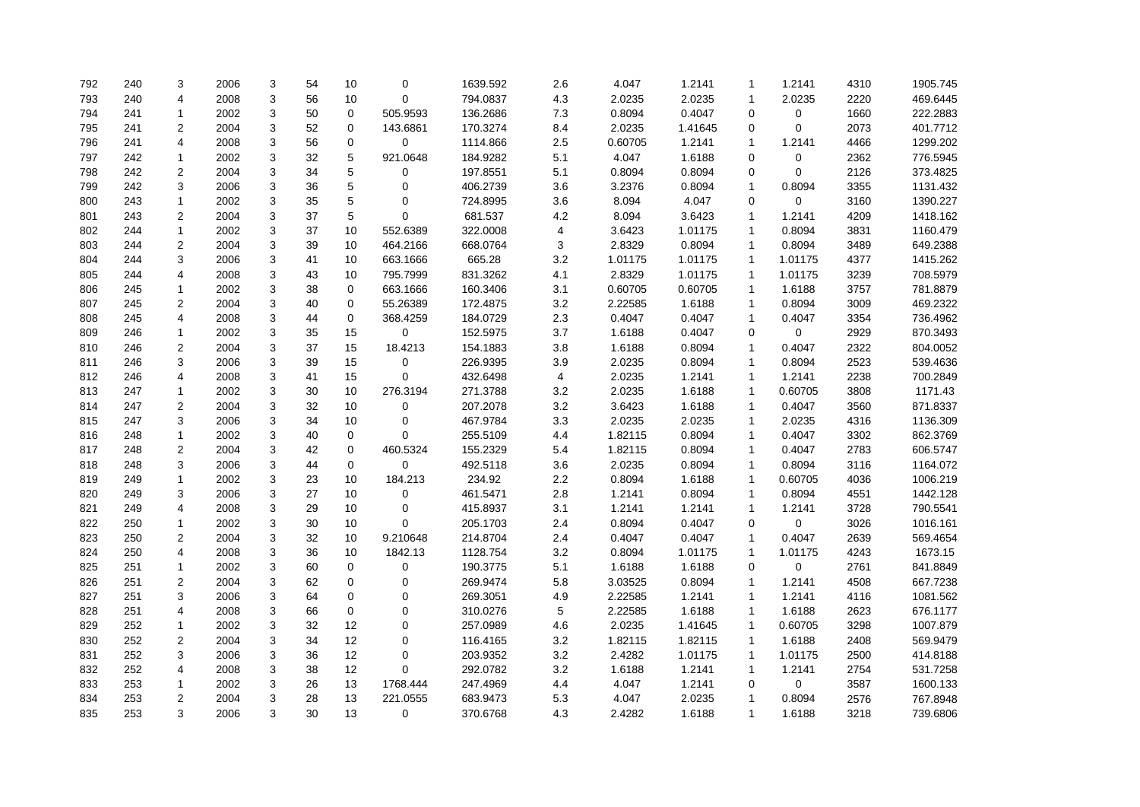| 792 | 240 | 3              | 2006 | 3 | 54 | 10          | 0           | 1639.592 | 2.6            | 4.047   | 1.2141  | 1            | 1.2141      | 4310 | 1905.745 |
|-----|-----|----------------|------|---|----|-------------|-------------|----------|----------------|---------|---------|--------------|-------------|------|----------|
| 793 | 240 | 4              | 2008 | 3 | 56 | 10          | $\Omega$    | 794.0837 | 4.3            | 2.0235  | 2.0235  | 1            | 2.0235      | 2220 | 469.6445 |
| 794 | 241 | 1              | 2002 | 3 | 50 | 0           | 505.9593    | 136.2686 | 7.3            | 0.8094  | 0.4047  | 0            | 0           | 1660 | 222.2883 |
| 795 | 241 | $\overline{2}$ | 2004 | 3 | 52 | 0           | 143.6861    | 170.3274 | 8.4            | 2.0235  | 1.41645 | 0            | $\Omega$    | 2073 | 401.7712 |
| 796 | 241 | 4              | 2008 | 3 | 56 | 0           | 0           | 1114.866 | 2.5            | 0.60705 | 1.2141  | $\mathbf{1}$ | 1.2141      | 4466 | 1299.202 |
| 797 | 242 | 1              | 2002 | 3 | 32 | 5           | 921.0648    | 184.9282 | 5.1            | 4.047   | 1.6188  | 0            | 0           | 2362 | 776.5945 |
| 798 | 242 | $\overline{2}$ | 2004 | 3 | 34 | 5           | $\mathbf 0$ | 197.8551 | 5.1            | 0.8094  | 0.8094  | 0            | $\Omega$    | 2126 | 373.4825 |
| 799 | 242 | 3              | 2006 | 3 | 36 | 5           | 0           | 406.2739 | 3.6            | 3.2376  | 0.8094  | $\mathbf{1}$ | 0.8094      | 3355 | 1131.432 |
| 800 | 243 | 1              | 2002 | 3 | 35 | 5           | $\Omega$    | 724.8995 | 3.6            | 8.094   | 4.047   | $\Omega$     | $\mathbf 0$ | 3160 | 1390.227 |
| 801 | 243 | 2              | 2004 | 3 | 37 | 5           | $\Omega$    | 681.537  | 4.2            | 8.094   | 3.6423  | $\mathbf{1}$ | 1.2141      | 4209 | 1418.162 |
| 802 | 244 | $\mathbf{1}$   | 2002 | 3 | 37 | 10          | 552.6389    | 322.0008 | $\overline{4}$ | 3.6423  | 1.01175 | $\mathbf{1}$ | 0.8094      | 3831 | 1160.479 |
| 803 | 244 | 2              | 2004 | 3 | 39 | 10          | 464.2166    | 668.0764 | 3              | 2.8329  | 0.8094  | 1            | 0.8094      | 3489 | 649.2388 |
| 804 | 244 | 3              | 2006 | 3 | 41 | 10          | 663.1666    | 665.28   | 3.2            | 1.01175 | 1.01175 | 1            | 1.01175     | 4377 | 1415.262 |
| 805 | 244 | 4              | 2008 | 3 | 43 | 10          | 795.7999    | 831.3262 | 4.1            | 2.8329  | 1.01175 | $\mathbf{1}$ | 1.01175     | 3239 | 708.5979 |
| 806 | 245 | $\mathbf{1}$   | 2002 | 3 | 38 | 0           | 663.1666    | 160.3406 | 3.1            | 0.60705 | 0.60705 | $\mathbf{1}$ | 1.6188      | 3757 | 781.8879 |
| 807 | 245 | 2              | 2004 | 3 | 40 | 0           | 55.26389    | 172.4875 | 3.2            | 2.22585 | 1.6188  | $\mathbf{1}$ | 0.8094      | 3009 | 469.2322 |
| 808 | 245 | 4              | 2008 | 3 | 44 | 0           | 368.4259    | 184.0729 | 2.3            | 0.4047  | 0.4047  | 1            | 0.4047      | 3354 | 736.4962 |
| 809 | 246 | $\mathbf{1}$   | 2002 | 3 | 35 | 15          | $\mathbf 0$ | 152.5975 | 3.7            | 1.6188  | 0.4047  | $\mathbf 0$  | $\mathbf 0$ | 2929 | 870.3493 |
| 810 | 246 | 2              | 2004 | 3 | 37 | 15          | 18.4213     | 154.1883 | 3.8            | 1.6188  | 0.8094  | $\mathbf{1}$ | 0.4047      | 2322 | 804.0052 |
| 811 | 246 | 3              | 2006 | 3 | 39 | 15          | 0           | 226.9395 | 3.9            | 2.0235  | 0.8094  | 1            | 0.8094      | 2523 | 539.4636 |
| 812 | 246 | 4              | 2008 | 3 | 41 | 15          | $\mathbf 0$ | 432.6498 | $\overline{4}$ | 2.0235  | 1.2141  | $\mathbf{1}$ | 1.2141      | 2238 | 700.2849 |
| 813 | 247 | 1              | 2002 | 3 | 30 | 10          | 276.3194    | 271.3788 | 3.2            | 2.0235  | 1.6188  | 1            | 0.60705     | 3808 | 1171.43  |
| 814 | 247 | $\overline{2}$ | 2004 | 3 | 32 | 10          | 0           | 207.2078 | 3.2            | 3.6423  | 1.6188  | 1            | 0.4047      | 3560 | 871.8337 |
| 815 | 247 | 3              | 2006 | 3 | 34 | 10          | $\mathbf 0$ | 467.9784 | 3.3            | 2.0235  | 2.0235  | 1            | 2.0235      | 4316 | 1136.309 |
| 816 | 248 | $\mathbf{1}$   | 2002 | 3 | 40 | 0           | $\Omega$    | 255.5109 | 4.4            | 1.82115 | 0.8094  | $\mathbf{1}$ | 0.4047      | 3302 | 862.3769 |
| 817 | 248 | 2              | 2004 | 3 | 42 | 0           | 460.5324    | 155.2329 | 5.4            | 1.82115 | 0.8094  | $\mathbf{1}$ | 0.4047      | 2783 | 606.5747 |
| 818 | 248 | 3              | 2006 | 3 | 44 | $\mathbf 0$ | $\Omega$    | 492.5118 | 3.6            | 2.0235  | 0.8094  | 1            | 0.8094      | 3116 | 1164.072 |
| 819 | 249 | $\mathbf{1}$   | 2002 | 3 | 23 | 10          | 184.213     | 234.92   | 2.2            | 0.8094  | 1.6188  | $\mathbf{1}$ | 0.60705     | 4036 | 1006.219 |
| 820 | 249 | 3              | 2006 | 3 | 27 | 10          | 0           | 461.5471 | 2.8            | 1.2141  | 0.8094  | 1            | 0.8094      | 4551 | 1442.128 |
| 821 | 249 | 4              | 2008 | 3 | 29 | 10          | 0           | 415.8937 | 3.1            | 1.2141  | 1.2141  | $\mathbf{1}$ | 1.2141      | 3728 | 790.5541 |
| 822 | 250 | 1              | 2002 | 3 | 30 | 10          | $\mathbf 0$ | 205.1703 | 2.4            | 0.8094  | 0.4047  | 0            | 0           | 3026 | 1016.161 |
| 823 | 250 | 2              | 2004 | 3 | 32 | 10          | 9.210648    | 214.8704 | 2.4            | 0.4047  | 0.4047  | $\mathbf{1}$ | 0.4047      | 2639 | 569.4654 |
| 824 | 250 | 4              | 2008 | 3 | 36 | 10          | 1842.13     | 1128.754 | 3.2            | 0.8094  | 1.01175 | 1            | 1.01175     | 4243 | 1673.15  |
| 825 | 251 | $\mathbf{1}$   | 2002 | 3 | 60 | 0           | $\mathbf 0$ | 190.3775 | 5.1            | 1.6188  | 1.6188  | $\Omega$     | $\mathbf 0$ | 2761 | 841.8849 |
| 826 | 251 | 2              | 2004 | 3 | 62 | 0           | 0           | 269.9474 | 5.8            | 3.03525 | 0.8094  | $\mathbf{1}$ | 1.2141      | 4508 | 667.7238 |
| 827 | 251 | 3              | 2006 | 3 | 64 | 0           | 0           | 269.3051 | 4.9            | 2.22585 | 1.2141  | 1            | 1.2141      | 4116 | 1081.562 |
| 828 | 251 | 4              | 2008 | 3 | 66 | 0           | $\mathbf 0$ | 310.0276 | 5              | 2.22585 | 1.6188  | $\mathbf{1}$ | 1.6188      | 2623 | 676.1177 |
| 829 | 252 | 1              | 2002 | 3 | 32 | 12          | 0           | 257.0989 | 4.6            | 2.0235  | 1.41645 | $\mathbf{1}$ | 0.60705     | 3298 | 1007.879 |
| 830 | 252 | 2              | 2004 | 3 | 34 | 12          | $\Omega$    | 116.4165 | 3.2            | 1.82115 | 1.82115 | 1            | 1.6188      | 2408 | 569.9479 |
| 831 | 252 | 3              | 2006 | 3 | 36 | 12          | 0           | 203.9352 | 3.2            | 2.4282  | 1.01175 | $\mathbf{1}$ | 1.01175     | 2500 | 414.8188 |
| 832 | 252 | 4              | 2008 | 3 | 38 | 12          | $\Omega$    | 292.0782 | 3.2            | 1.6188  | 1.2141  | $\mathbf{1}$ | 1.2141      | 2754 | 531.7258 |
| 833 | 253 | $\mathbf{1}$   | 2002 | 3 | 26 | 13          | 1768.444    | 247.4969 | 4.4            | 4.047   | 1.2141  | $\mathbf 0$  | 0           | 3587 | 1600.133 |
| 834 | 253 | $\overline{2}$ | 2004 | 3 | 28 | 13          | 221.0555    | 683.9473 | 5.3            | 4.047   | 2.0235  | $\mathbf{1}$ | 0.8094      | 2576 | 767.8948 |
| 835 | 253 | 3              | 2006 | 3 | 30 | 13          | $\Omega$    | 370.6768 | 4.3            | 2.4282  | 1.6188  | $\mathbf{1}$ | 1.6188      | 3218 | 739.6806 |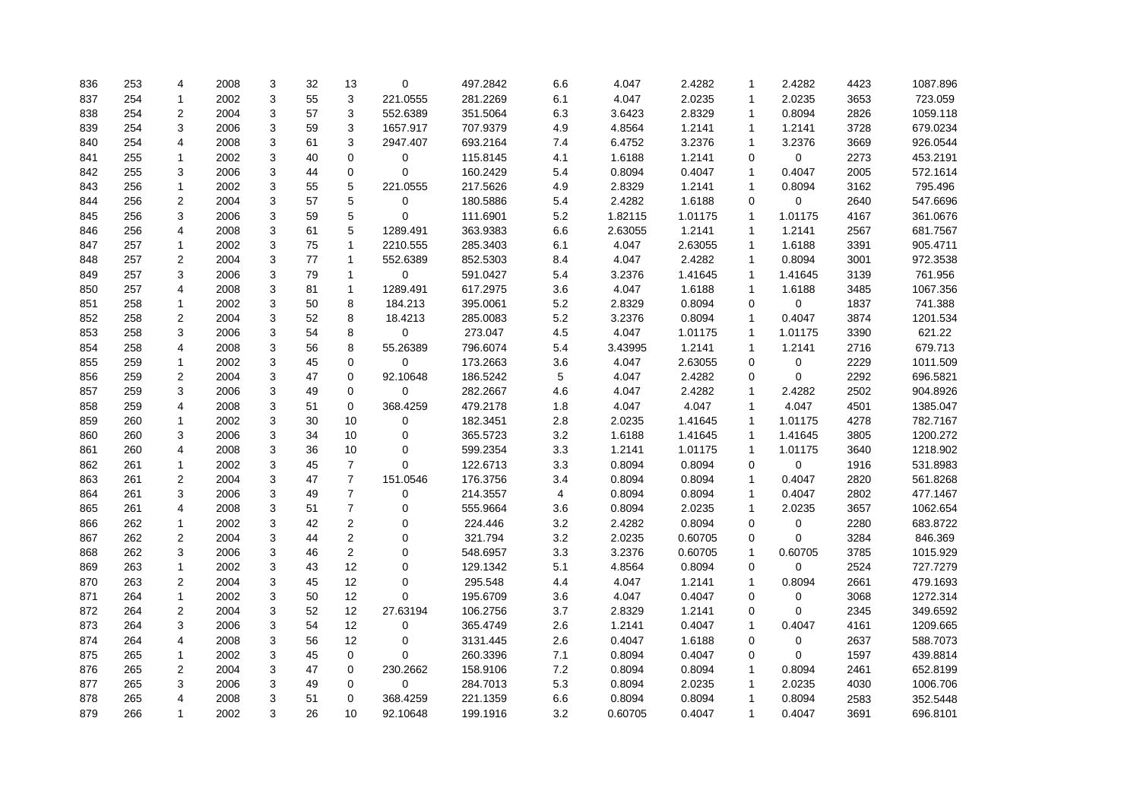| 836 | 253 | 4              | 2008 | 3 | 32 | 13               | 0           | 497.2842 | 6.6 | 4.047   | 2.4282  | 1            | 2.4282      | 4423 | 1087.896 |
|-----|-----|----------------|------|---|----|------------------|-------------|----------|-----|---------|---------|--------------|-------------|------|----------|
| 837 | 254 | 1              | 2002 | 3 | 55 | 3                | 221.0555    | 281.2269 | 6.1 | 4.047   | 2.0235  | 1            | 2.0235      | 3653 | 723.059  |
| 838 | 254 | 2              | 2004 | 3 | 57 | 3                | 552.6389    | 351.5064 | 6.3 | 3.6423  | 2.8329  | $\mathbf{1}$ | 0.8094      | 2826 | 1059.118 |
| 839 | 254 | 3              | 2006 | 3 | 59 | 3                | 1657.917    | 707.9379 | 4.9 | 4.8564  | 1.2141  | $\mathbf{1}$ | 1.2141      | 3728 | 679.0234 |
| 840 | 254 | 4              | 2008 | 3 | 61 | 3                | 2947.407    | 693.2164 | 7.4 | 6.4752  | 3.2376  | $\mathbf{1}$ | 3.2376      | 3669 | 926.0544 |
| 841 | 255 | 1              | 2002 | 3 | 40 | $\mathbf 0$      | 0           | 115.8145 | 4.1 | 1.6188  | 1.2141  | $\mathbf 0$  | $\mathbf 0$ | 2273 | 453.2191 |
| 842 | 255 | 3              | 2006 | 3 | 44 | $\mathbf 0$      | $\mathbf 0$ | 160.2429 | 5.4 | 0.8094  | 0.4047  | $\mathbf{1}$ | 0.4047      | 2005 | 572.1614 |
| 843 | 256 | 1              | 2002 | 3 | 55 | 5                | 221.0555    | 217.5626 | 4.9 | 2.8329  | 1.2141  | $\mathbf{1}$ | 0.8094      | 3162 | 795.496  |
| 844 | 256 | 2              | 2004 | 3 | 57 | 5                | 0           | 180.5886 | 5.4 | 2.4282  | 1.6188  | 0            | 0           | 2640 | 547.6696 |
| 845 | 256 | 3              | 2006 | 3 | 59 | 5                | $\Omega$    | 111.6901 | 5.2 | 1.82115 | 1.01175 | $\mathbf{1}$ | 1.01175     | 4167 | 361.0676 |
| 846 | 256 | 4              | 2008 | 3 | 61 | 5                | 1289.491    | 363.9383 | 6.6 | 2.63055 | 1.2141  | $\mathbf{1}$ | 1.2141      | 2567 | 681.7567 |
| 847 | 257 | 1              | 2002 | 3 | 75 | $\mathbf{1}$     | 2210.555    | 285.3403 | 6.1 | 4.047   | 2.63055 | 1            | 1.6188      | 3391 | 905.4711 |
| 848 | 257 | 2              | 2004 | 3 | 77 | $\mathbf{1}$     | 552.6389    | 852.5303 | 8.4 | 4.047   | 2.4282  | 1            | 0.8094      | 3001 | 972.3538 |
| 849 | 257 | 3              | 2006 | 3 | 79 | $\mathbf{1}$     | $\mathbf 0$ | 591.0427 | 5.4 | 3.2376  | 1.41645 | $\mathbf{1}$ | 1.41645     | 3139 | 761.956  |
| 850 | 257 | 4              | 2008 | 3 | 81 | $\mathbf{1}$     | 1289.491    | 617.2975 | 3.6 | 4.047   | 1.6188  | $\mathbf{1}$ | 1.6188      | 3485 | 1067.356 |
| 851 | 258 | 1              | 2002 | 3 | 50 | 8                | 184.213     | 395.0061 | 5.2 | 2.8329  | 0.8094  | 0            | 0           | 1837 | 741.388  |
| 852 | 258 | 2              | 2004 | 3 | 52 | 8                | 18.4213     | 285.0083 | 5.2 | 3.2376  | 0.8094  | $\mathbf{1}$ | 0.4047      | 3874 | 1201.534 |
| 853 | 258 | 3              | 2006 | 3 | 54 | 8                | $\mathbf 0$ | 273.047  | 4.5 | 4.047   | 1.01175 | $\mathbf{1}$ | 1.01175     | 3390 | 621.22   |
| 854 | 258 | 4              | 2008 | 3 | 56 | 8                | 55.26389    | 796.6074 | 5.4 | 3.43995 | 1.2141  | $\mathbf{1}$ | 1.2141      | 2716 | 679.713  |
| 855 | 259 | 1              | 2002 | 3 | 45 | $\mathbf 0$      | $\Omega$    | 173.2663 | 3.6 | 4.047   | 2.63055 | $\mathbf 0$  | 0           | 2229 | 1011.509 |
| 856 | 259 | 2              | 2004 | 3 | 47 | $\mathbf 0$      | 92.10648    | 186.5242 | 5   | 4.047   | 2.4282  | 0            | $\mathbf 0$ | 2292 | 696.5821 |
| 857 | 259 | 3              | 2006 | 3 | 49 | $\mathbf 0$      | $\mathbf 0$ | 282.2667 | 4.6 | 4.047   | 2.4282  | 1            | 2.4282      | 2502 | 904.8926 |
| 858 | 259 | 4              | 2008 | 3 | 51 | 0                | 368.4259    | 479.2178 | 1.8 | 4.047   | 4.047   | 1            | 4.047       | 4501 | 1385.047 |
| 859 | 260 | 1              | 2002 | 3 | 30 | 10               | $\mathbf 0$ | 182.3451 | 2.8 | 2.0235  | 1.41645 | 1            | 1.01175     | 4278 | 782.7167 |
| 860 | 260 | 3              | 2006 | 3 | 34 | 10               | 0           | 365.5723 | 3.2 | 1.6188  | 1.41645 | $\mathbf{1}$ | 1.41645     | 3805 | 1200.272 |
| 861 | 260 | 4              | 2008 | 3 | 36 | 10               | $\Omega$    | 599.2354 | 3.3 | 1.2141  | 1.01175 | $\mathbf{1}$ | 1.01175     | 3640 | 1218.902 |
| 862 | 261 | 1              | 2002 | 3 | 45 | $\overline{7}$   | $\Omega$    | 122.6713 | 3.3 | 0.8094  | 0.8094  | 0            | $\mathbf 0$ | 1916 | 531.8983 |
| 863 | 261 | $\overline{2}$ | 2004 | 3 | 47 | $\overline{7}$   | 151.0546    | 176.3756 | 3.4 | 0.8094  | 0.8094  | $\mathbf{1}$ | 0.4047      | 2820 | 561.8268 |
| 864 | 261 | 3              | 2006 | 3 | 49 | $\overline{7}$   | $\mathbf 0$ | 214.3557 | 4   | 0.8094  | 0.8094  | 1            | 0.4047      | 2802 | 477.1467 |
| 865 | 261 | 4              | 2008 | 3 | 51 | $\overline{7}$   | 0           | 555.9664 | 3.6 | 0.8094  | 2.0235  | $\mathbf{1}$ | 2.0235      | 3657 | 1062.654 |
| 866 | 262 | $\mathbf{1}$   | 2002 | 3 | 42 | $\overline{c}$   | $\mathbf 0$ | 224.446  | 3.2 | 2.4282  | 0.8094  | $\mathbf 0$  | $\mathbf 0$ | 2280 | 683.8722 |
| 867 | 262 | 2              | 2004 | 3 | 44 | $\boldsymbol{2}$ | 0           | 321.794  | 3.2 | 2.0235  | 0.60705 | 0            | 0           | 3284 | 846.369  |
| 868 | 262 | 3              | 2006 | 3 | 46 | $\overline{2}$   | $\mathbf 0$ | 548.6957 | 3.3 | 3.2376  | 0.60705 | $\mathbf{1}$ | 0.60705     | 3785 | 1015.929 |
| 869 | 263 | 1              | 2002 | 3 | 43 | 12               | 0           | 129.1342 | 5.1 | 4.8564  | 0.8094  | $\mathbf 0$  | $\mathbf 0$ | 2524 | 727.7279 |
| 870 | 263 | $\overline{2}$ | 2004 | 3 | 45 | 12               | $\mathbf 0$ | 295.548  | 4.4 | 4.047   | 1.2141  | $\mathbf{1}$ | 0.8094      | 2661 | 479.1693 |
| 871 | 264 | 1              | 2002 | 3 | 50 | 12               | 0           | 195.6709 | 3.6 | 4.047   | 0.4047  | 0            | 0           | 3068 | 1272.314 |
| 872 | 264 | 2              | 2004 | 3 | 52 | 12               | 27.63194    | 106.2756 | 3.7 | 2.8329  | 1.2141  | $\mathbf 0$  | $\Omega$    | 2345 | 349.6592 |
| 873 | 264 | 3              | 2006 | 3 | 54 | 12               | $\mathbf 0$ | 365.4749 | 2.6 | 1.2141  | 0.4047  | $\mathbf{1}$ | 0.4047      | 4161 | 1209.665 |
| 874 | 264 | 4              | 2008 | 3 | 56 | 12               | $\Omega$    | 3131.445 | 2.6 | 0.4047  | 1.6188  | $\mathbf 0$  | $\mathbf 0$ | 2637 | 588.7073 |
| 875 | 265 | 1              | 2002 | 3 | 45 | 0                | $\Omega$    | 260.3396 | 7.1 | 0.8094  | 0.4047  | $\mathbf 0$  | $\mathbf 0$ | 1597 | 439.8814 |
| 876 | 265 | 2              | 2004 | 3 | 47 | 0                | 230.2662    | 158.9106 | 7.2 | 0.8094  | 0.8094  | $\mathbf{1}$ | 0.8094      | 2461 | 652.8199 |
| 877 | 265 | 3              | 2006 | 3 | 49 | $\mathbf 0$      | $\mathbf 0$ | 284.7013 | 5.3 | 0.8094  | 2.0235  | $\mathbf{1}$ | 2.0235      | 4030 | 1006.706 |
| 878 | 265 | 4              | 2008 | 3 | 51 | $\mathbf 0$      | 368.4259    | 221.1359 | 6.6 | 0.8094  | 0.8094  | $\mathbf{1}$ | 0.8094      | 2583 | 352.5448 |
| 879 | 266 | 1              | 2002 | 3 | 26 | 10               | 92.10648    | 199.1916 | 3.2 | 0.60705 | 0.4047  | $\mathbf{1}$ | 0.4047      | 3691 | 696.8101 |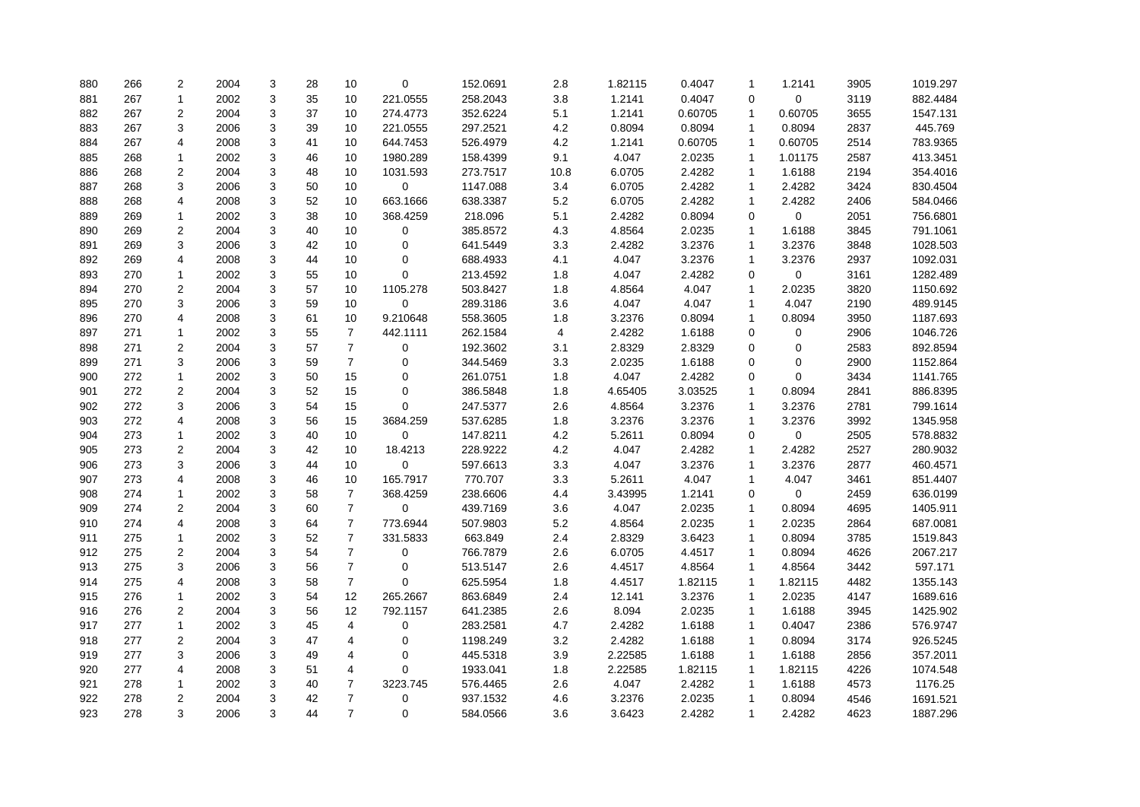| 880 | 266 | $\overline{2}$ | 2004 | 3 | 28 | 10             | $\mathbf 0$ | 152.0691 | 2.8            | 1.82115 | 0.4047  | 1            | 1.2141      | 3905 | 1019.297 |
|-----|-----|----------------|------|---|----|----------------|-------------|----------|----------------|---------|---------|--------------|-------------|------|----------|
| 881 | 267 | 1              | 2002 | 3 | 35 | 10             | 221.0555    | 258.2043 | 3.8            | 1.2141  | 0.4047  | 0            | $\mathbf 0$ | 3119 | 882.4484 |
| 882 | 267 | $\overline{2}$ | 2004 | 3 | 37 | 10             | 274.4773    | 352.6224 | 5.1            | 1.2141  | 0.60705 | $\mathbf{1}$ | 0.60705     | 3655 | 1547.131 |
| 883 | 267 | 3              | 2006 | 3 | 39 | 10             | 221.0555    | 297.2521 | 4.2            | 0.8094  | 0.8094  | $\mathbf{1}$ | 0.8094      | 2837 | 445.769  |
| 884 | 267 | 4              | 2008 | 3 | 41 | 10             | 644.7453    | 526.4979 | 4.2            | 1.2141  | 0.60705 | $\mathbf{1}$ | 0.60705     | 2514 | 783.9365 |
| 885 | 268 | 1              | 2002 | 3 | 46 | 10             | 1980.289    | 158.4399 | 9.1            | 4.047   | 2.0235  | 1            | 1.01175     | 2587 | 413.3451 |
| 886 | 268 | 2              | 2004 | 3 | 48 | 10             | 1031.593    | 273.7517 | 10.8           | 6.0705  | 2.4282  | 1            | 1.6188      | 2194 | 354.4016 |
| 887 | 268 | 3              | 2006 | 3 | 50 | 10             | 0           | 1147.088 | 3.4            | 6.0705  | 2.4282  | 1            | 2.4282      | 3424 | 830.4504 |
| 888 | 268 | 4              | 2008 | 3 | 52 | 10             | 663.1666    | 638.3387 | 5.2            | 6.0705  | 2.4282  | $\mathbf{1}$ | 2.4282      | 2406 | 584.0466 |
| 889 | 269 | 1              | 2002 | 3 | 38 | 10             | 368.4259    | 218.096  | 5.1            | 2.4282  | 0.8094  | 0            | 0           | 2051 | 756.6801 |
| 890 | 269 | 2              | 2004 | 3 | 40 | 10             | $\Omega$    | 385.8572 | 4.3            | 4.8564  | 2.0235  | $\mathbf{1}$ | 1.6188      | 3845 | 791.1061 |
| 891 | 269 | 3              | 2006 | 3 | 42 | 10             | $\mathbf 0$ | 641.5449 | 3.3            | 2.4282  | 3.2376  | $\mathbf{1}$ | 3.2376      | 3848 | 1028.503 |
| 892 | 269 | 4              | 2008 | 3 | 44 | 10             | 0           | 688.4933 | 4.1            | 4.047   | 3.2376  | 1            | 3.2376      | 2937 | 1092.031 |
| 893 | 270 | 1              | 2002 | 3 | 55 | 10             | $\mathbf 0$ | 213.4592 | 1.8            | 4.047   | 2.4282  | 0            | $\mathbf 0$ | 3161 | 1282.489 |
| 894 | 270 | $\overline{c}$ | 2004 | 3 | 57 | 10             | 1105.278    | 503.8427 | 1.8            | 4.8564  | 4.047   | $\mathbf{1}$ | 2.0235      | 3820 | 1150.692 |
| 895 | 270 | 3              | 2006 | 3 | 59 | 10             | $\mathbf 0$ | 289.3186 | 3.6            | 4.047   | 4.047   | $\mathbf{1}$ | 4.047       | 2190 | 489.9145 |
| 896 | 270 | 4              | 2008 | 3 | 61 | 10             | 9.210648    | 558.3605 | 1.8            | 3.2376  | 0.8094  | 1            | 0.8094      | 3950 | 1187.693 |
| 897 | 271 | $\mathbf{1}$   | 2002 | 3 | 55 | $\overline{7}$ | 442.1111    | 262.1584 | $\overline{4}$ | 2.4282  | 1.6188  | $\mathbf 0$  | $\mathbf 0$ | 2906 | 1046.726 |
| 898 | 271 | $\overline{c}$ | 2004 | 3 | 57 | $\overline{7}$ | 0           | 192.3602 | 3.1            | 2.8329  | 2.8329  | 0            | $\Omega$    | 2583 | 892.8594 |
| 899 | 271 | 3              | 2006 | 3 | 59 | $\overline{7}$ | 0           | 344.5469 | 3.3            | 2.0235  | 1.6188  | 0            | $\Omega$    | 2900 | 1152.864 |
| 900 | 272 | $\mathbf{1}$   | 2002 | 3 | 50 | 15             | $\mathbf 0$ | 261.0751 | 1.8            | 4.047   | 2.4282  | 0            | $\mathbf 0$ | 3434 | 1141.765 |
| 901 | 272 | 2              | 2004 | 3 | 52 | 15             | 0           | 386.5848 | 1.8            | 4.65405 | 3.03525 | 1            | 0.8094      | 2841 | 886.8395 |
| 902 | 272 | 3              | 2006 | 3 | 54 | 15             | $\mathbf 0$ | 247.5377 | 2.6            | 4.8564  | 3.2376  | $\mathbf{1}$ | 3.2376      | 2781 | 799.1614 |
| 903 | 272 | 4              | 2008 | 3 | 56 | 15             | 3684.259    | 537.6285 | 1.8            | 3.2376  | 3.2376  | 1            | 3.2376      | 3992 | 1345.958 |
| 904 | 273 | 1              | 2002 | 3 | 40 | 10             | $\mathbf 0$ | 147.8211 | 4.2            | 5.2611  | 0.8094  | $\mathbf 0$  | $\mathbf 0$ | 2505 | 578.8832 |
| 905 | 273 | $\overline{c}$ | 2004 | 3 | 42 | 10             | 18.4213     | 228.9222 | 4.2            | 4.047   | 2.4282  | $\mathbf{1}$ | 2.4282      | 2527 | 280.9032 |
| 906 | 273 | 3              | 2006 | 3 | 44 | 10             | $\Omega$    | 597.6613 | 3.3            | 4.047   | 3.2376  | 1            | 3.2376      | 2877 | 460.4571 |
| 907 | 273 | 4              | 2008 | 3 | 46 | 10             | 165.7917    | 770.707  | 3.3            | 5.2611  | 4.047   | 1            | 4.047       | 3461 | 851.4407 |
| 908 | 274 | 1              | 2002 | 3 | 58 | $\overline{7}$ | 368.4259    | 238.6606 | 4.4            | 3.43995 | 1.2141  | 0            | 0           | 2459 | 636.0199 |
| 909 | 274 | 2              | 2004 | 3 | 60 | $\overline{7}$ | $\mathbf 0$ | 439.7169 | 3.6            | 4.047   | 2.0235  | $\mathbf{1}$ | 0.8094      | 4695 | 1405.911 |
| 910 | 274 | 4              | 2008 | 3 | 64 | $\overline{7}$ | 773.6944    | 507.9803 | 5.2            | 4.8564  | 2.0235  | $\mathbf{1}$ | 2.0235      | 2864 | 687.0081 |
| 911 | 275 | 1              | 2002 | 3 | 52 | $\overline{7}$ | 331.5833    | 663.849  | 2.4            | 2.8329  | 3.6423  | $\mathbf{1}$ | 0.8094      | 3785 | 1519.843 |
| 912 | 275 | 2              | 2004 | 3 | 54 | 7              | 0           | 766.7879 | 2.6            | 6.0705  | 4.4517  | 1            | 0.8094      | 4626 | 2067.217 |
| 913 | 275 | 3              | 2006 | 3 | 56 | $\overline{7}$ | $\mathbf 0$ | 513.5147 | 2.6            | 4.4517  | 4.8564  | 1            | 4.8564      | 3442 | 597.171  |
| 914 | 275 | 4              | 2008 | 3 | 58 | $\overline{7}$ | $\mathbf 0$ | 625.5954 | 1.8            | 4.4517  | 1.82115 | $\mathbf{1}$ | 1.82115     | 4482 | 1355.143 |
| 915 | 276 | 1              | 2002 | 3 | 54 | 12             | 265.2667    | 863.6849 | 2.4            | 12.141  | 3.2376  | 1            | 2.0235      | 4147 | 1689.616 |
| 916 | 276 | 2              | 2004 | 3 | 56 | 12             | 792.1157    | 641.2385 | 2.6            | 8.094   | 2.0235  | $\mathbf{1}$ | 1.6188      | 3945 | 1425.902 |
| 917 | 277 | 1              | 2002 | 3 | 45 | 4              | 0           | 283.2581 | 4.7            | 2.4282  | 1.6188  | $\mathbf{1}$ | 0.4047      | 2386 | 576.9747 |
| 918 | 277 | 2              | 2004 | 3 | 47 | $\overline{4}$ | $\Omega$    | 1198.249 | 3.2            | 2.4282  | 1.6188  | 1            | 0.8094      | 3174 | 926.5245 |
| 919 | 277 | 3              | 2006 | 3 | 49 | $\overline{4}$ | 0           | 445.5318 | 3.9            | 2.22585 | 1.6188  | $\mathbf{1}$ | 1.6188      | 2856 | 357.2011 |
| 920 | 277 | 4              | 2008 | 3 | 51 | $\overline{4}$ | $\Omega$    | 1933.041 | 1.8            | 2.22585 | 1.82115 | $\mathbf{1}$ | 1.82115     | 4226 | 1074.548 |
| 921 | 278 | 1              | 2002 | 3 | 40 | $\overline{7}$ | 3223.745    | 576.4465 | 2.6            | 4.047   | 2.4282  | $\mathbf{1}$ | 1.6188      | 4573 | 1176.25  |
| 922 | 278 | 2              | 2004 | 3 | 42 | $\overline{7}$ | 0           | 937.1532 | 4.6            | 3.2376  | 2.0235  | 1            | 0.8094      | 4546 | 1691.521 |
| 923 | 278 | 3              | 2006 | 3 | 44 | $\overline{7}$ | $\Omega$    | 584.0566 | 3.6            | 3.6423  | 2.4282  | $\mathbf{1}$ | 2.4282      | 4623 | 1887.296 |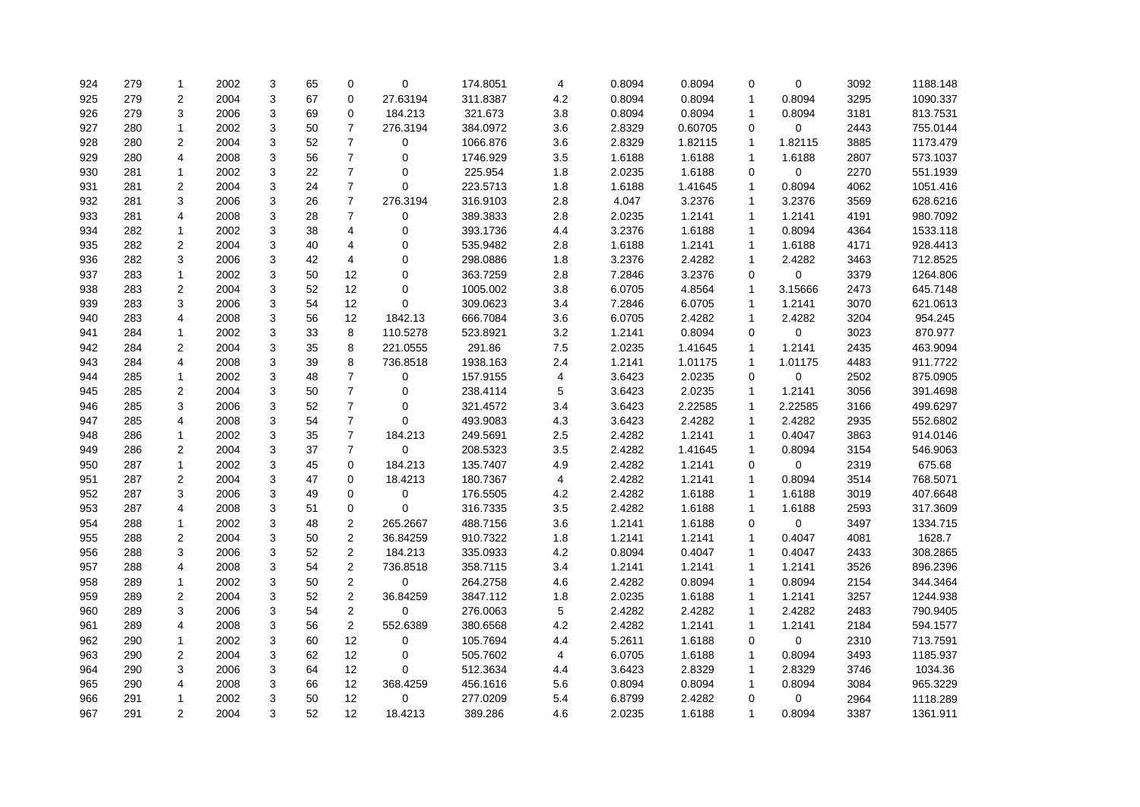| 924 | 279 | 1              | 2002 | 3 | 65 | 0                       | $\mathbf 0$ | 174.8051 | 4       | 0.8094 | 0.8094  | 0            | $\mathbf 0$ | 3092 | 1188.148 |
|-----|-----|----------------|------|---|----|-------------------------|-------------|----------|---------|--------|---------|--------------|-------------|------|----------|
| 925 | 279 | 2              | 2004 | 3 | 67 | $\mathbf 0$             | 27.63194    | 311.8387 | 4.2     | 0.8094 | 0.8094  | 1            | 0.8094      | 3295 | 1090.337 |
| 926 | 279 | 3              | 2006 | 3 | 69 | 0                       | 184.213     | 321.673  | 3.8     | 0.8094 | 0.8094  | $\mathbf{1}$ | 0.8094      | 3181 | 813.7531 |
| 927 | 280 | $\mathbf{1}$   | 2002 | 3 | 50 | $\overline{7}$          | 276.3194    | 384.0972 | 3.6     | 2.8329 | 0.60705 | $\mathbf 0$  | $\mathbf 0$ | 2443 | 755.0144 |
| 928 | 280 | 2              | 2004 | 3 | 52 | $\overline{7}$          | 0           | 1066.876 | 3.6     | 2.8329 | 1.82115 | $\mathbf{1}$ | 1.82115     | 3885 | 1173.479 |
| 929 | 280 | 4              | 2008 | 3 | 56 | $\overline{7}$          | $\mathbf 0$ | 1746.929 | 3.5     | 1.6188 | 1.6188  | $\mathbf{1}$ | 1.6188      | 2807 | 573.1037 |
| 930 | 281 | 1              | 2002 | 3 | 22 | $\overline{7}$          | $\mathbf 0$ | 225.954  | 1.8     | 2.0235 | 1.6188  | 0            | 0           | 2270 | 551.1939 |
| 931 | 281 | 2              | 2004 | 3 | 24 | $\overline{7}$          | 0           | 223.5713 | 1.8     | 1.6188 | 1.41645 | $\mathbf{1}$ | 0.8094      | 4062 | 1051.416 |
| 932 | 281 | 3              | 2006 | 3 | 26 | $\overline{7}$          | 276.3194    | 316.9103 | 2.8     | 4.047  | 3.2376  | $\mathbf{1}$ | 3.2376      | 3569 | 628.6216 |
| 933 | 281 | 4              | 2008 | 3 | 28 | $\overline{7}$          | 0           | 389.3833 | 2.8     | 2.0235 | 1.2141  | 1            | 1.2141      | 4191 | 980.7092 |
| 934 | 282 | $\mathbf{1}$   | 2002 | 3 | 38 | $\overline{4}$          | $\mathbf 0$ | 393.1736 | 4.4     | 3.2376 | 1.6188  | $\mathbf{1}$ | 0.8094      | 4364 | 1533.118 |
| 935 | 282 | 2              | 2004 | 3 | 40 | 4                       | 0           | 535.9482 | 2.8     | 1.6188 | 1.2141  | 1            | 1.6188      | 4171 | 928.4413 |
| 936 | 282 | 3              | 2006 | 3 | 42 | $\overline{\mathbf{4}}$ | $\mathbf 0$ | 298.0886 | 1.8     | 3.2376 | 2.4282  | $\mathbf{1}$ | 2.4282      | 3463 | 712.8525 |
| 937 | 283 | 1              | 2002 | 3 | 50 | 12                      | 0           | 363.7259 | 2.8     | 7.2846 | 3.2376  | 0            | 0           | 3379 | 1264.806 |
| 938 | 283 | 2              | 2004 | 3 | 52 | 12                      | 0           | 1005.002 | 3.8     | 6.0705 | 4.8564  | $\mathbf{1}$ | 3.15666     | 2473 | 645.7148 |
| 939 | 283 | 3              | 2006 | 3 | 54 | 12                      | $\mathbf 0$ | 309.0623 | 3.4     | 7.2846 | 6.0705  | $\mathbf{1}$ | 1.2141      | 3070 | 621.0613 |
| 940 | 283 | $\overline{4}$ | 2008 | 3 | 56 | 12                      | 1842.13     | 666.7084 | 3.6     | 6.0705 | 2.4282  | $\mathbf{1}$ | 2.4282      | 3204 | 954.245  |
| 941 | 284 | $\mathbf{1}$   | 2002 | 3 | 33 | 8                       | 110.5278    | 523.8921 | 3.2     | 1.2141 | 0.8094  | $\mathbf 0$  | $\mathbf 0$ | 3023 | 870.977  |
| 942 | 284 | 2              | 2004 | 3 | 35 | 8                       | 221.0555    | 291.86   | $7.5\,$ | 2.0235 | 1.41645 | 1            | 1.2141      | 2435 | 463.9094 |
| 943 | 284 | $\overline{4}$ | 2008 | 3 | 39 | 8                       | 736.8518    | 1938.163 | 2.4     | 1.2141 | 1.01175 | $\mathbf{1}$ | 1.01175     | 4483 | 911.7722 |
| 944 | 285 | 1              | 2002 | 3 | 48 | $\overline{7}$          | 0           | 157.9155 | 4       | 3.6423 | 2.0235  | $\mathbf 0$  | 0           | 2502 | 875.0905 |
| 945 | 285 | $\overline{2}$ | 2004 | 3 | 50 | $\overline{7}$          | $\mathbf 0$ | 238.4114 | 5       | 3.6423 | 2.0235  | 1            | 1.2141      | 3056 | 391.4698 |
| 946 | 285 | 3              | 2006 | 3 | 52 | $\overline{7}$          | 0           | 321.4572 | 3.4     | 3.6423 | 2.22585 | 1            | 2.22585     | 3166 | 499.6297 |
| 947 | 285 | 4              | 2008 | 3 | 54 | $\overline{7}$          | $\Omega$    | 493.9083 | 4.3     | 3.6423 | 2.4282  | $\mathbf{1}$ | 2.4282      | 2935 | 552.6802 |
| 948 | 286 | $\mathbf{1}$   | 2002 | 3 | 35 | $\overline{7}$          | 184.213     | 249.5691 | 2.5     | 2.4282 | 1.2141  | $\mathbf{1}$ | 0.4047      | 3863 | 914.0146 |
| 949 | 286 | 2              | 2004 | 3 | 37 | $\overline{7}$          | $\Omega$    | 208.5323 | 3.5     | 2.4282 | 1.41645 | $\mathbf{1}$ | 0.8094      | 3154 | 546.9063 |
| 950 | 287 | $\mathbf{1}$   | 2002 | 3 | 45 | 0                       | 184.213     | 135.7407 | 4.9     | 2.4282 | 1.2141  | 0            | $\mathbf 0$ | 2319 | 675.68   |
| 951 | 287 | $\overline{2}$ | 2004 | 3 | 47 | $\mathbf 0$             | 18.4213     | 180.7367 | 4       | 2.4282 | 1.2141  | $\mathbf{1}$ | 0.8094      | 3514 | 768.5071 |
| 952 | 287 | 3              | 2006 | 3 | 49 | 0                       | $\mathbf 0$ | 176.5505 | 4.2     | 2.4282 | 1.6188  | 1            | 1.6188      | 3019 | 407.6648 |
| 953 | 287 | 4              | 2008 | 3 | 51 | 0                       | $\Omega$    | 316.7335 | 3.5     | 2.4282 | 1.6188  | $\mathbf{1}$ | 1.6188      | 2593 | 317.3609 |
| 954 | 288 | $\mathbf{1}$   | 2002 | 3 | 48 | $\overline{2}$          | 265.2667    | 488.7156 | 3.6     | 1.2141 | 1.6188  | $\mathbf 0$  | $\mathbf 0$ | 3497 | 1334.715 |
| 955 | 288 | 2              | 2004 | 3 | 50 | $\overline{\mathbf{c}}$ | 36.84259    | 910.7322 | 1.8     | 1.2141 | 1.2141  | 1            | 0.4047      | 4081 | 1628.7   |
| 956 | 288 | 3              | 2006 | 3 | 52 | $\mathbf{2}$            | 184.213     | 335.0933 | 4.2     | 0.8094 | 0.4047  | $\mathbf{1}$ | 0.4047      | 2433 | 308.2865 |
| 957 | 288 | 4              | 2008 | 3 | 54 | $\overline{\mathbf{c}}$ | 736.8518    | 358.7115 | 3.4     | 1.2141 | 1.2141  | $\mathbf{1}$ | 1.2141      | 3526 | 896.2396 |
| 958 | 289 | $\mathbf{1}$   | 2002 | 3 | 50 | $\overline{2}$          | 0           | 264.2758 | 4.6     | 2.4282 | 0.8094  | $\mathbf{1}$ | 0.8094      | 2154 | 344.3464 |
| 959 | 289 | 2              | 2004 | 3 | 52 | $\overline{2}$          | 36.84259    | 3847.112 | 1.8     | 2.0235 | 1.6188  | 1            | 1.2141      | 3257 | 1244.938 |
| 960 | 289 | 3              | 2006 | 3 | 54 | $\overline{2}$          | $\Omega$    | 276.0063 | 5       | 2.4282 | 2.4282  | $\mathbf{1}$ | 2.4282      | 2483 | 790.9405 |
| 961 | 289 | 4              | 2008 | 3 | 56 | $\mathbf{2}$            | 552.6389    | 380.6568 | 4.2     | 2.4282 | 1.2141  | $\mathbf{1}$ | 1.2141      | 2184 | 594.1577 |
| 962 | 290 | $\mathbf{1}$   | 2002 | 3 | 60 | 12                      | $\mathbf 0$ | 105.7694 | 4.4     | 5.2611 | 1.6188  | 0            | $\mathbf 0$ | 2310 | 713.7591 |
| 963 | 290 | 2              | 2004 | 3 | 62 | 12                      | 0           | 505.7602 | 4       | 6.0705 | 1.6188  | $\mathbf{1}$ | 0.8094      | 3493 | 1185.937 |
| 964 | 290 | 3              | 2006 | 3 | 64 | 12                      | $\Omega$    | 512.3634 | 4.4     | 3.6423 | 2.8329  | $\mathbf{1}$ | 2.8329      | 3746 | 1034.36  |
| 965 | 290 | 4              | 2008 | 3 | 66 | 12                      | 368.4259    | 456.1616 | 5.6     | 0.8094 | 0.8094  | $\mathbf{1}$ | 0.8094      | 3084 | 965.3229 |
| 966 | 291 | 1              | 2002 | 3 | 50 | 12                      | 0           | 277.0209 | 5.4     | 6.8799 | 2.4282  | 0            | 0           | 2964 | 1118.289 |
| 967 | 291 | $\overline{2}$ | 2004 | 3 | 52 | 12                      | 18.4213     | 389.286  | 4.6     | 2.0235 | 1.6188  | $\mathbf{1}$ | 0.8094      | 3387 | 1361.911 |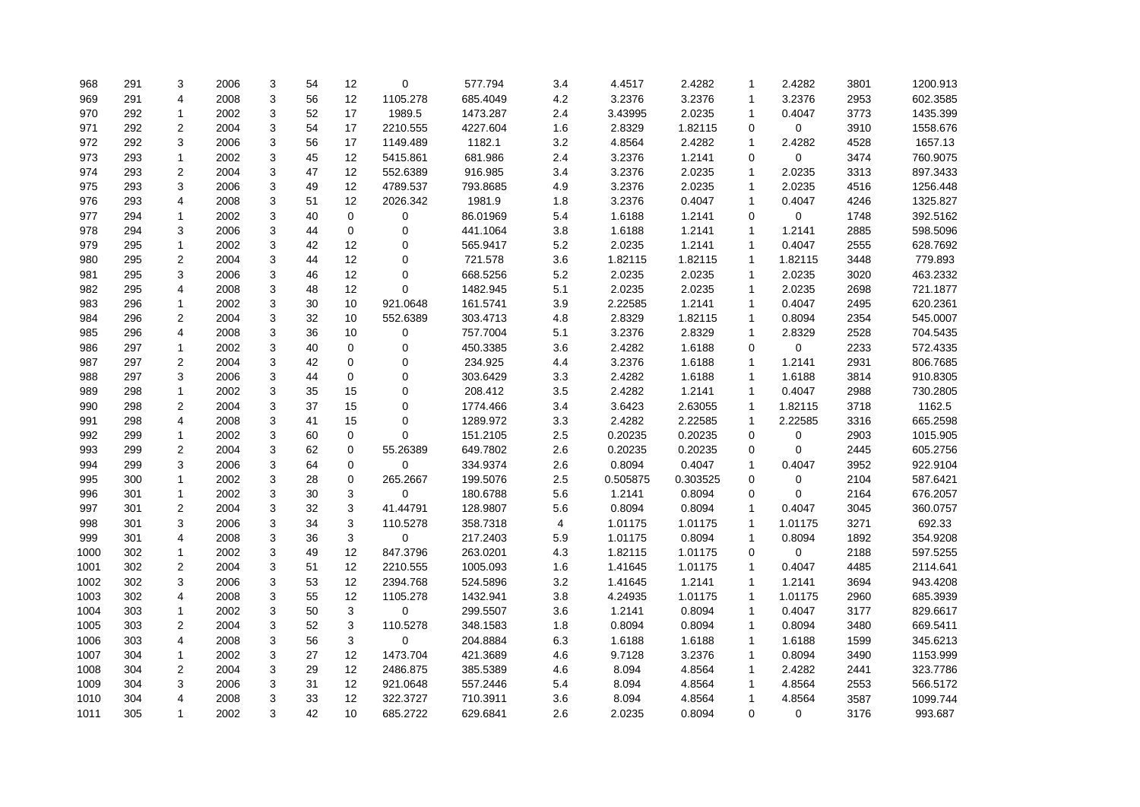| 968  | 291 | 3              | 2006 | 3 | 54 | 12          | $\mathbf 0$ | 577.794  | 3.4 | 4.4517   | 2.4282   | 1            | 2.4282      | 3801 | 1200.913 |
|------|-----|----------------|------|---|----|-------------|-------------|----------|-----|----------|----------|--------------|-------------|------|----------|
| 969  | 291 | 4              | 2008 | 3 | 56 | 12          | 1105.278    | 685.4049 | 4.2 | 3.2376   | 3.2376   | 1            | 3.2376      | 2953 | 602.3585 |
| 970  | 292 | 1              | 2002 | 3 | 52 | 17          | 1989.5      | 1473.287 | 2.4 | 3.43995  | 2.0235   | $\mathbf{1}$ | 0.4047      | 3773 | 1435.399 |
| 971  | 292 | 2              | 2004 | 3 | 54 | 17          | 2210.555    | 4227.604 | 1.6 | 2.8329   | 1.82115  | 0            | $\mathbf 0$ | 3910 | 1558.676 |
| 972  | 292 | 3              | 2006 | 3 | 56 | 17          | 1149.489    | 1182.1   | 3.2 | 4.8564   | 2.4282   | $\mathbf{1}$ | 2.4282      | 4528 | 1657.13  |
| 973  | 293 | 1              | 2002 | 3 | 45 | 12          | 5415.861    | 681.986  | 2.4 | 3.2376   | 1.2141   | 0            | 0           | 3474 | 760.9075 |
| 974  | 293 | 2              | 2004 | 3 | 47 | 12          | 552.6389    | 916.985  | 3.4 | 3.2376   | 2.0235   | $\mathbf{1}$ | 2.0235      | 3313 | 897.3433 |
| 975  | 293 | 3              | 2006 | 3 | 49 | 12          | 4789.537    | 793.8685 | 4.9 | 3.2376   | 2.0235   | $\mathbf{1}$ | 2.0235      | 4516 | 1256.448 |
| 976  | 293 | 4              | 2008 | 3 | 51 | 12          | 2026.342    | 1981.9   | 1.8 | 3.2376   | 0.4047   | $\mathbf{1}$ | 0.4047      | 4246 | 1325.827 |
| 977  | 294 | 1              | 2002 | 3 | 40 | 0           | 0           | 86.01969 | 5.4 | 1.6188   | 1.2141   | 0            | 0           | 1748 | 392.5162 |
| 978  | 294 | 3              | 2006 | 3 | 44 | $\mathbf 0$ | $\mathbf 0$ | 441.1064 | 3.8 | 1.6188   | 1.2141   | $\mathbf{1}$ | 1.2141      | 2885 | 598.5096 |
| 979  | 295 | 1              | 2002 | 3 | 42 | 12          | 0           | 565.9417 | 5.2 | 2.0235   | 1.2141   | $\mathbf{1}$ | 0.4047      | 2555 | 628.7692 |
| 980  | 295 | $\overline{c}$ | 2004 | 3 | 44 | 12          | 0           | 721.578  | 3.6 | 1.82115  | 1.82115  | 1            | 1.82115     | 3448 | 779.893  |
| 981  | 295 | 3              | 2006 | 3 | 46 | 12          | $\mathbf 0$ | 668.5256 | 5.2 | 2.0235   | 2.0235   | $\mathbf{1}$ | 2.0235      | 3020 | 463.2332 |
| 982  | 295 | 4              | 2008 | 3 | 48 | 12          | $\mathbf 0$ | 1482.945 | 5.1 | 2.0235   | 2.0235   | 1            | 2.0235      | 2698 | 721.1877 |
| 983  | 296 | 1              | 2002 | 3 | 30 | 10          | 921.0648    | 161.5741 | 3.9 | 2.22585  | 1.2141   | $\mathbf{1}$ | 0.4047      | 2495 | 620.2361 |
| 984  | 296 | 2              | 2004 | 3 | 32 | 10          | 552.6389    | 303.4713 | 4.8 | 2.8329   | 1.82115  | 1            | 0.8094      | 2354 | 545.0007 |
| 985  | 296 | 4              | 2008 | 3 | 36 | 10          | $\mathbf 0$ | 757.7004 | 5.1 | 3.2376   | 2.8329   | $\mathbf{1}$ | 2.8329      | 2528 | 704.5435 |
| 986  | 297 | 1              | 2002 | 3 | 40 | $\mathbf 0$ | $\mathbf 0$ | 450.3385 | 3.6 | 2.4282   | 1.6188   | 0            | 0           | 2233 | 572.4335 |
| 987  | 297 | $\overline{c}$ | 2004 | 3 | 42 | $\mathbf 0$ | 0           | 234.925  | 4.4 | 3.2376   | 1.6188   | $\mathbf 1$  | 1.2141      | 2931 | 806.7685 |
| 988  | 297 | 3              | 2006 | 3 | 44 | 0           | $\mathbf 0$ | 303.6429 | 3.3 | 2.4282   | 1.6188   | $\mathbf{1}$ | 1.6188      | 3814 | 910.8305 |
| 989  | 298 | 1              | 2002 | 3 | 35 | 15          | 0           | 208.412  | 3.5 | 2.4282   | 1.2141   | 1            | 0.4047      | 2988 | 730.2805 |
| 990  | 298 | 2              | 2004 | 3 | 37 | 15          | $\mathbf 0$ | 1774.466 | 3.4 | 3.6423   | 2.63055  | $\mathbf{1}$ | 1.82115     | 3718 | 1162.5   |
| 991  | 298 | 4              | 2008 | 3 | 41 | 15          | $\mathbf 0$ | 1289.972 | 3.3 | 2.4282   | 2.22585  | 1            | 2.22585     | 3316 | 665.2598 |
| 992  | 299 | $\mathbf{1}$   | 2002 | 3 | 60 | 0           | $\Omega$    | 151.2105 | 2.5 | 0.20235  | 0.20235  | $\mathbf 0$  | 0           | 2903 | 1015.905 |
| 993  | 299 | $\overline{c}$ | 2004 | 3 | 62 | $\mathbf 0$ | 55.26389    | 649.7802 | 2.6 | 0.20235  | 0.20235  | 0            | $\mathbf 0$ | 2445 | 605.2756 |
| 994  | 299 | 3              | 2006 | 3 | 64 | $\pmb{0}$   | $\Omega$    | 334.9374 | 2.6 | 0.8094   | 0.4047   | $\mathbf{1}$ | 0.4047      | 3952 | 922.9104 |
| 995  | 300 | $\mathbf{1}$   | 2002 | 3 | 28 | $\mathbf 0$ | 265.2667    | 199.5076 | 2.5 | 0.505875 | 0.303525 | 0            | $\mathbf 0$ | 2104 | 587.6421 |
| 996  | 301 | 1              | 2002 | 3 | 30 | 3           | 0           | 180.6788 | 5.6 | 1.2141   | 0.8094   | 0            | $\mathbf 0$ | 2164 | 676.2057 |
| 997  | 301 | 2              | 2004 | 3 | 32 | 3           | 41.44791    | 128.9807 | 5.6 | 0.8094   | 0.8094   | $\mathbf{1}$ | 0.4047      | 3045 | 360.0757 |
| 998  | 301 | 3              | 2006 | 3 | 34 | 3           | 110.5278    | 358.7318 | 4   | 1.01175  | 1.01175  | $\mathbf{1}$ | 1.01175     | 3271 | 692.33   |
| 999  | 301 | $\overline{4}$ | 2008 | 3 | 36 | 3           | 0           | 217.2403 | 5.9 | 1.01175  | 0.8094   | $\mathbf{1}$ | 0.8094      | 1892 | 354.9208 |
| 1000 | 302 | 1              | 2002 | 3 | 49 | 12          | 847.3796    | 263.0201 | 4.3 | 1.82115  | 1.01175  | 0            | $\mathbf 0$ | 2188 | 597.5255 |
| 1001 | 302 | 2              | 2004 | 3 | 51 | 12          | 2210.555    | 1005.093 | 1.6 | 1.41645  | 1.01175  | $\mathbf{1}$ | 0.4047      | 4485 | 2114.641 |
| 1002 | 302 | 3              | 2006 | 3 | 53 | 12          | 2394.768    | 524.5896 | 3.2 | 1.41645  | 1.2141   | $\mathbf{1}$ | 1.2141      | 3694 | 943.4208 |
| 1003 | 302 | 4              | 2008 | 3 | 55 | 12          | 1105.278    | 1432.941 | 3.8 | 4.24935  | 1.01175  | 1            | 1.01175     | 2960 | 685.3939 |
| 1004 | 303 | $\mathbf{1}$   | 2002 | 3 | 50 | 3           | $\mathbf 0$ | 299.5507 | 3.6 | 1.2141   | 0.8094   | $\mathbf{1}$ | 0.4047      | 3177 | 829.6617 |
| 1005 | 303 | 2              | 2004 | 3 | 52 | 3           | 110.5278    | 348.1583 | 1.8 | 0.8094   | 0.8094   | $\mathbf{1}$ | 0.8094      | 3480 | 669.5411 |
| 1006 | 303 | 4              | 2008 | 3 | 56 | 3           | 0           | 204.8884 | 6.3 | 1.6188   | 1.6188   | 1            | 1.6188      | 1599 | 345.6213 |
| 1007 | 304 | 1              | 2002 | 3 | 27 | 12          | 1473.704    | 421.3689 | 4.6 | 9.7128   | 3.2376   | $\mathbf{1}$ | 0.8094      | 3490 | 1153.999 |
| 1008 | 304 | $\overline{2}$ | 2004 | 3 | 29 | 12          | 2486.875    | 385.5389 | 4.6 | 8.094    | 4.8564   | $\mathbf{1}$ | 2.4282      | 2441 | 323.7786 |
| 1009 | 304 | 3              | 2006 | 3 | 31 | 12          | 921.0648    | 557.2446 | 5.4 | 8.094    | 4.8564   | 1            | 4.8564      | 2553 | 566.5172 |
| 1010 | 304 | 4              | 2008 | 3 | 33 | 12          | 322.3727    | 710.3911 | 3.6 | 8.094    | 4.8564   | $\mathbf{1}$ | 4.8564      | 3587 | 1099.744 |
| 1011 | 305 | 1              | 2002 | 3 | 42 | 10          | 685.2722    | 629.6841 | 2.6 | 2.0235   | 0.8094   | $\Omega$     | $\Omega$    | 3176 | 993.687  |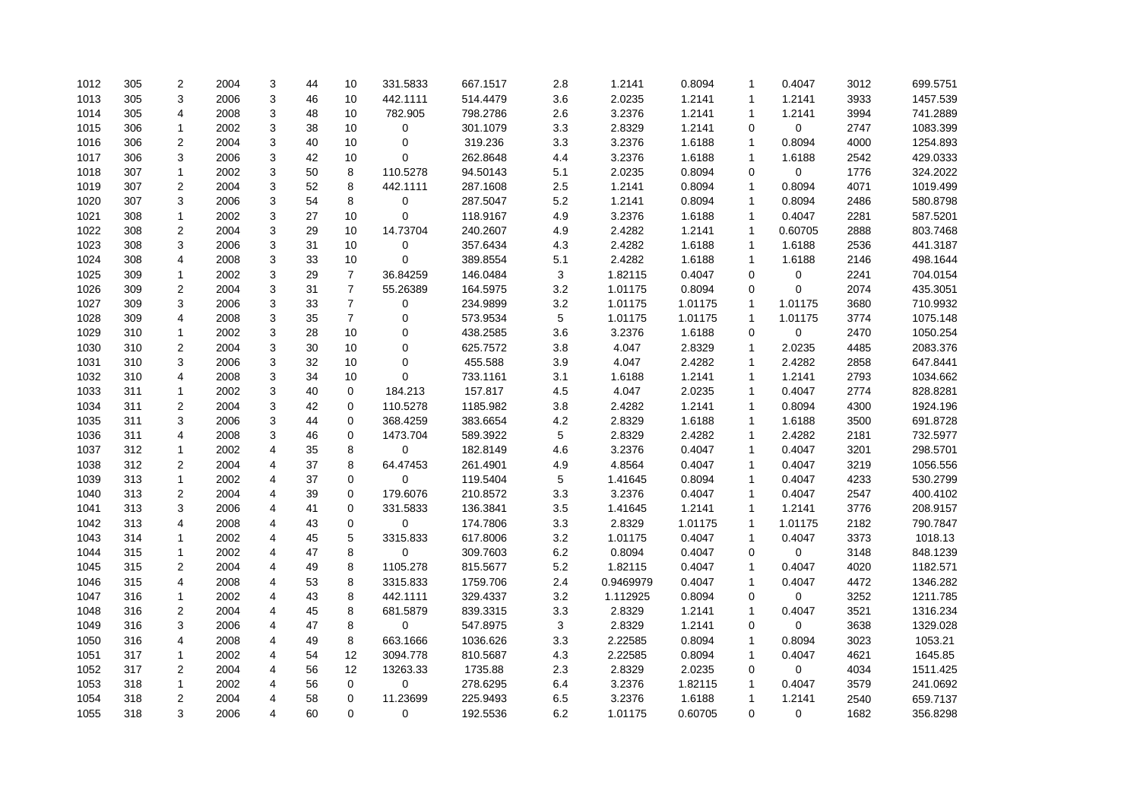| 1012 | 305 | $\overline{2}$ | 2004 | 3              | 44 | 10             | 331.5833     | 667.1517 | 2.8 | 1.2141    | 0.8094  | 1            | 0.4047      | 3012 | 699.5751 |
|------|-----|----------------|------|----------------|----|----------------|--------------|----------|-----|-----------|---------|--------------|-------------|------|----------|
| 1013 | 305 | 3              | 2006 | 3              | 46 | 10             | 442.1111     | 514.4479 | 3.6 | 2.0235    | 1.2141  | $\mathbf{1}$ | 1.2141      | 3933 | 1457.539 |
| 1014 | 305 | 4              | 2008 | 3              | 48 | 10             | 782.905      | 798.2786 | 2.6 | 3.2376    | 1.2141  | $\mathbf{1}$ | 1.2141      | 3994 | 741.2889 |
| 1015 | 306 | $\mathbf{1}$   | 2002 | 3              | 38 | 10             | $\Omega$     | 301.1079 | 3.3 | 2.8329    | 1.2141  | $\Omega$     | $\mathbf 0$ | 2747 | 1083.399 |
| 1016 | 306 | 2              | 2004 | 3              | 40 | 10             | $\mathbf 0$  | 319.236  | 3.3 | 3.2376    | 1.6188  | $\mathbf{1}$ | 0.8094      | 4000 | 1254.893 |
| 1017 | 306 | 3              | 2006 | 3              | 42 | 10             | $\mathbf 0$  | 262.8648 | 4.4 | 3.2376    | 1.6188  | $\mathbf{1}$ | 1.6188      | 2542 | 429.0333 |
| 1018 | 307 | $\mathbf{1}$   | 2002 | 3              | 50 | 8              | 110.5278     | 94.50143 | 5.1 | 2.0235    | 0.8094  | 0            | $\mathbf 0$ | 1776 | 324.2022 |
| 1019 | 307 | $\overline{2}$ | 2004 | 3              | 52 | 8              | 442.1111     | 287.1608 | 2.5 | 1.2141    | 0.8094  | $\mathbf{1}$ | 0.8094      | 4071 | 1019.499 |
| 1020 | 307 | 3              | 2006 | 3              | 54 | 8              | $\mathbf 0$  | 287.5047 | 5.2 | 1.2141    | 0.8094  | $\mathbf{1}$ | 0.8094      | 2486 | 580.8798 |
| 1021 | 308 | $\mathbf{1}$   | 2002 | 3              | 27 | 10             | $\mathbf 0$  | 118.9167 | 4.9 | 3.2376    | 1.6188  | $\mathbf{1}$ | 0.4047      | 2281 | 587.5201 |
| 1022 | 308 | $\mathbf{2}$   | 2004 | 3              | 29 | 10             | 14.73704     | 240.2607 | 4.9 | 2.4282    | 1.2141  | $\mathbf{1}$ | 0.60705     | 2888 | 803.7468 |
| 1023 | 308 | 3              | 2006 | 3              | 31 | 10             | $\mathbf 0$  | 357.6434 | 4.3 | 2.4282    | 1.6188  | $\mathbf{1}$ | 1.6188      | 2536 | 441.3187 |
| 1024 | 308 | 4              | 2008 | 3              | 33 | 10             | $\Omega$     | 389.8554 | 5.1 | 2.4282    | 1.6188  | $\mathbf{1}$ | 1.6188      | 2146 | 498.1644 |
| 1025 | 309 | 1              | 2002 | 3              | 29 | $\overline{7}$ | 36.84259     | 146.0484 | 3   | 1.82115   | 0.4047  | 0            | $\mathbf 0$ | 2241 | 704.0154 |
| 1026 | 309 | $\overline{2}$ | 2004 | 3              | 31 | $\overline{7}$ | 55.26389     | 164.5975 | 3.2 | 1.01175   | 0.8094  | 0            | 0           | 2074 | 435.3051 |
| 1027 | 309 | 3              | 2006 | 3              | 33 | $\overline{7}$ | $\mathbf 0$  | 234.9899 | 3.2 | 1.01175   | 1.01175 | $\mathbf{1}$ | 1.01175     | 3680 | 710.9932 |
| 1028 | 309 | 4              | 2008 | 3              | 35 | $\overline{7}$ | $\mathbf 0$  | 573.9534 | 5   | 1.01175   | 1.01175 | $\mathbf{1}$ | 1.01175     | 3774 | 1075.148 |
| 1029 | 310 | $\mathbf{1}$   | 2002 | 3              | 28 | 10             | $\mathbf 0$  | 438.2585 | 3.6 | 3.2376    | 1.6188  | $\mathbf 0$  | $\mathbf 0$ | 2470 | 1050.254 |
| 1030 | 310 | 2              | 2004 | 3              | 30 | 10             | $\mathbf 0$  | 625.7572 | 3.8 | 4.047     | 2.8329  | $\mathbf{1}$ | 2.0235      | 4485 | 2083.376 |
| 1031 | 310 | 3              | 2006 | 3              | 32 | 10             | $\mathbf 0$  | 455.588  | 3.9 | 4.047     | 2.4282  | $\mathbf{1}$ | 2.4282      | 2858 | 647.8441 |
| 1032 | 310 | $\overline{4}$ | 2008 | 3              | 34 | 10             | $\Omega$     | 733.1161 | 3.1 | 1.6188    | 1.2141  | $\mathbf{1}$ | 1.2141      | 2793 | 1034.662 |
| 1033 | 311 | 1              | 2002 | 3              | 40 | 0              | 184.213      | 157.817  | 4.5 | 4.047     | 2.0235  | 1            | 0.4047      | 2774 | 828.8281 |
| 1034 | 311 | $\mathbf{2}$   | 2004 | 3              | 42 | $\mathbf 0$    | 110.5278     | 1185.982 | 3.8 | 2.4282    | 1.2141  | $\mathbf{1}$ | 0.8094      | 4300 | 1924.196 |
| 1035 | 311 | 3              | 2006 | 3              | 44 | $\mathbf 0$    | 368.4259     | 383.6654 | 4.2 | 2.8329    | 1.6188  | $\mathbf{1}$ | 1.6188      | 3500 | 691.8728 |
| 1036 | 311 | $\overline{4}$ | 2008 | 3              | 46 | $\mathbf 0$    | 1473.704     | 589.3922 | 5   | 2.8329    | 2.4282  | $\mathbf{1}$ | 2.4282      | 2181 | 732.5977 |
| 1037 | 312 | 1              | 2002 | 4              | 35 | 8              | $\mathbf 0$  | 182.8149 | 4.6 | 3.2376    | 0.4047  | $\mathbf{1}$ | 0.4047      | 3201 | 298.5701 |
| 1038 | 312 | $\overline{c}$ | 2004 | 4              | 37 | 8              | 64.47453     | 261.4901 | 4.9 | 4.8564    | 0.4047  | $\mathbf{1}$ | 0.4047      | 3219 | 1056.556 |
| 1039 | 313 | $\mathbf{1}$   | 2002 | 4              | 37 | 0              | $\mathbf{0}$ | 119.5404 | 5   | 1.41645   | 0.8094  | $\mathbf{1}$ | 0.4047      | 4233 | 530.2799 |
| 1040 | 313 | $\overline{c}$ | 2004 | 4              | 39 | 0              | 179.6076     | 210.8572 | 3.3 | 3.2376    | 0.4047  | 1            | 0.4047      | 2547 | 400.4102 |
| 1041 | 313 | 3              | 2006 | $\overline{4}$ | 41 | $\mathbf 0$    | 331.5833     | 136.3841 | 3.5 | 1.41645   | 1.2141  | 1            | 1.2141      | 3776 | 208.9157 |
| 1042 | 313 | 4              | 2008 | 4              | 43 | 0              | 0            | 174.7806 | 3.3 | 2.8329    | 1.01175 | $\mathbf{1}$ | 1.01175     | 2182 | 790.7847 |
| 1043 | 314 | $\mathbf{1}$   | 2002 | 4              | 45 | 5              | 3315.833     | 617.8006 | 3.2 | 1.01175   | 0.4047  | $\mathbf{1}$ | 0.4047      | 3373 | 1018.13  |
| 1044 | 315 | 1              | 2002 | 4              | 47 | 8              | $\mathbf 0$  | 309.7603 | 6.2 | 0.8094    | 0.4047  | 0            | 0           | 3148 | 848.1239 |
| 1045 | 315 | $\mathbf{2}$   | 2004 | $\overline{4}$ | 49 | 8              | 1105.278     | 815.5677 | 5.2 | 1.82115   | 0.4047  | $\mathbf{1}$ | 0.4047      | 4020 | 1182.571 |
| 1046 | 315 | 4              | 2008 | 4              | 53 | 8              | 3315.833     | 1759.706 | 2.4 | 0.9469979 | 0.4047  | $\mathbf{1}$ | 0.4047      | 4472 | 1346.282 |
| 1047 | 316 | 1              | 2002 | 4              | 43 | 8              | 442.1111     | 329.4337 | 3.2 | 1.112925  | 0.8094  | 0            | 0           | 3252 | 1211.785 |
| 1048 | 316 | $\overline{c}$ | 2004 | $\overline{4}$ | 45 | 8              | 681.5879     | 839.3315 | 3.3 | 2.8329    | 1.2141  | $\mathbf{1}$ | 0.4047      | 3521 | 1316.234 |
| 1049 | 316 | 3              | 2006 | 4              | 47 | 8              | $\mathbf 0$  | 547.8975 | 3   | 2.8329    | 1.2141  | 0            | 0           | 3638 | 1329.028 |
| 1050 | 316 | 4              | 2008 | 4              | 49 | 8              | 663.1666     | 1036.626 | 3.3 | 2.22585   | 0.8094  | $\mathbf{1}$ | 0.8094      | 3023 | 1053.21  |
| 1051 | 317 | 1              | 2002 | 4              | 54 | 12             | 3094.778     | 810.5687 | 4.3 | 2.22585   | 0.8094  | $\mathbf{1}$ | 0.4047      | 4621 | 1645.85  |
| 1052 | 317 | $\mathbf{2}$   | 2004 | $\overline{4}$ | 56 | 12             | 13263.33     | 1735.88  | 2.3 | 2.8329    | 2.0235  | 0            | $\mathbf 0$ | 4034 | 1511.425 |
| 1053 | 318 | $\mathbf{1}$   | 2002 | 4              | 56 | $\mathbf 0$    | 0            | 278.6295 | 6.4 | 3.2376    | 1.82115 | $\mathbf{1}$ | 0.4047      | 3579 | 241.0692 |
| 1054 | 318 | 2              | 2004 | 4              | 58 | $\Omega$       | 11.23699     | 225.9493 | 6.5 | 3.2376    | 1.6188  | $\mathbf{1}$ | 1.2141      | 2540 | 659.7137 |
| 1055 | 318 | 3              | 2006 | 4              | 60 | $\Omega$       | $\Omega$     | 192.5536 | 6.2 | 1.01175   | 0.60705 | 0            | $\Omega$    | 1682 | 356.8298 |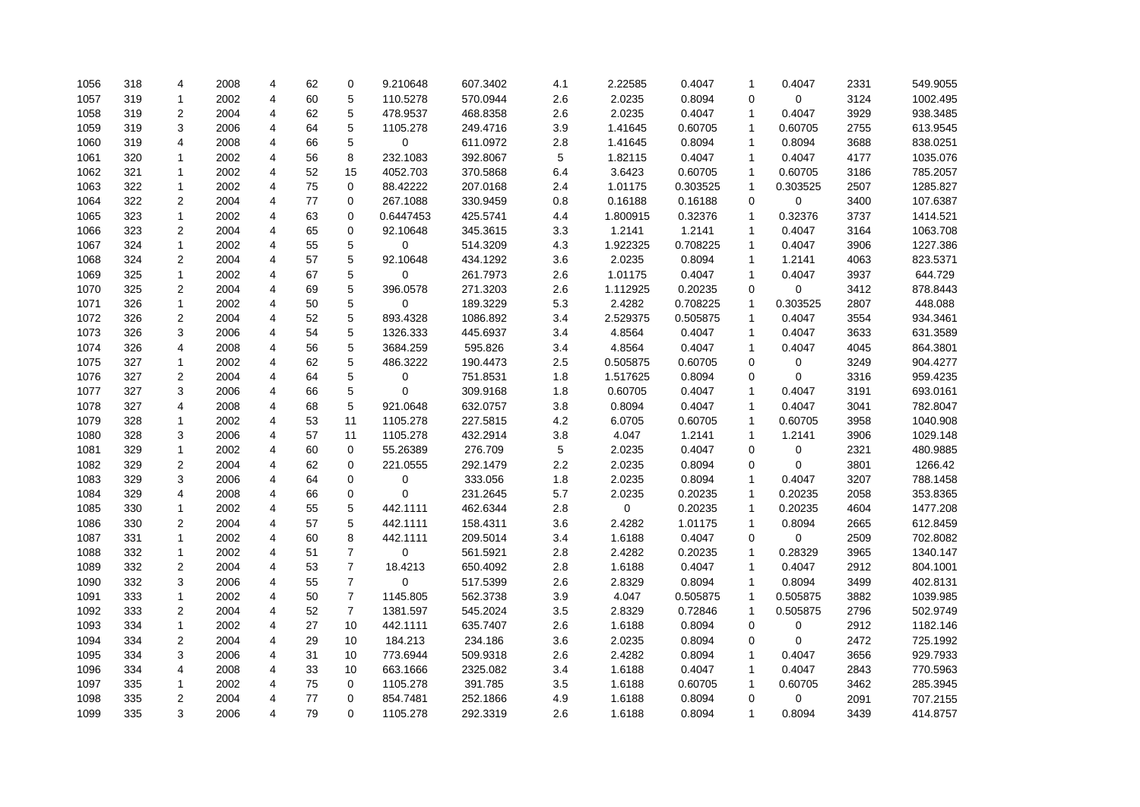| 1056 | 318 | 4                | 2008 | 4              | 62 | 0              | 9.210648    | 607.3402 | 4.1 | 2.22585   | 0.4047   | 1            | 0.4047      | 2331 | 549.9055 |
|------|-----|------------------|------|----------------|----|----------------|-------------|----------|-----|-----------|----------|--------------|-------------|------|----------|
| 1057 | 319 | 1                | 2002 | $\overline{4}$ | 60 | 5              | 110.5278    | 570.0944 | 2.6 | 2.0235    | 0.8094   | $\mathbf 0$  | $\mathbf 0$ | 3124 | 1002.495 |
| 1058 | 319 | 2                | 2004 | 4              | 62 | 5              | 478.9537    | 468.8358 | 2.6 | 2.0235    | 0.4047   | $\mathbf{1}$ | 0.4047      | 3929 | 938.3485 |
| 1059 | 319 | 3                | 2006 | $\overline{4}$ | 64 | 5              | 1105.278    | 249.4716 | 3.9 | 1.41645   | 0.60705  | $\mathbf{1}$ | 0.60705     | 2755 | 613.9545 |
| 1060 | 319 | $\overline{4}$   | 2008 | $\overline{4}$ | 66 | 5              | 0           | 611.0972 | 2.8 | 1.41645   | 0.8094   | $\mathbf{1}$ | 0.8094      | 3688 | 838.0251 |
| 1061 | 320 | 1                | 2002 | $\overline{4}$ | 56 | 8              | 232.1083    | 392.8067 | 5   | 1.82115   | 0.4047   | $\mathbf{1}$ | 0.4047      | 4177 | 1035.076 |
| 1062 | 321 | $\mathbf{1}$     | 2002 | $\overline{4}$ | 52 | 15             | 4052.703    | 370.5868 | 6.4 | 3.6423    | 0.60705  | $\mathbf{1}$ | 0.60705     | 3186 | 785.2057 |
| 1063 | 322 | $\mathbf{1}$     | 2002 | $\overline{4}$ | 75 | $\mathbf 0$    | 88.42222    | 207.0168 | 2.4 | 1.01175   | 0.303525 | $\mathbf 1$  | 0.303525    | 2507 | 1285.827 |
| 1064 | 322 | 2                | 2004 | $\overline{4}$ | 77 | $\mathbf 0$    | 267.1088    | 330.9459 | 0.8 | 0.16188   | 0.16188  | $\mathbf 0$  | 0           | 3400 | 107.6387 |
| 1065 | 323 | $\mathbf{1}$     | 2002 | $\overline{4}$ | 63 | 0              | 0.6447453   | 425.5741 | 4.4 | 1.800915  | 0.32376  | $\mathbf{1}$ | 0.32376     | 3737 | 1414.521 |
| 1066 | 323 | $\mathbf{2}$     | 2004 | $\overline{4}$ | 65 | $\mathbf 0$    | 92.10648    | 345.3615 | 3.3 | 1.2141    | 1.2141   | $\mathbf{1}$ | 0.4047      | 3164 | 1063.708 |
| 1067 | 324 | $\mathbf{1}$     | 2002 | $\overline{4}$ | 55 | 5              | 0           | 514.3209 | 4.3 | 1.922325  | 0.708225 | 1            | 0.4047      | 3906 | 1227.386 |
| 1068 | 324 | 2                | 2004 | $\overline{4}$ | 57 | 5              | 92.10648    | 434.1292 | 3.6 | 2.0235    | 0.8094   | $\mathbf{1}$ | 1.2141      | 4063 | 823.5371 |
| 1069 | 325 | $\mathbf{1}$     | 2002 | $\overline{4}$ | 67 | 5              | 0           | 261.7973 | 2.6 | 1.01175   | 0.4047   | $\mathbf{1}$ | 0.4047      | 3937 | 644.729  |
| 1070 | 325 | 2                | 2004 | $\overline{4}$ | 69 | 5              | 396.0578    | 271.3203 | 2.6 | 1.112925  | 0.20235  | $\mathbf 0$  | $\mathbf 0$ | 3412 | 878.8443 |
| 1071 | 326 | $\mathbf{1}$     | 2002 | $\overline{4}$ | 50 | 5              | 0           | 189.3229 | 5.3 | 2.4282    | 0.708225 | 1            | 0.303525    | 2807 | 448.088  |
| 1072 | 326 | $\mathbf{2}$     | 2004 | $\overline{4}$ | 52 | 5              | 893.4328    | 1086.892 | 3.4 | 2.529375  | 0.505875 | $\mathbf{1}$ | 0.4047      | 3554 | 934.3461 |
| 1073 | 326 | 3                | 2006 | $\overline{4}$ | 54 | 5              | 1326.333    | 445.6937 | 3.4 | 4.8564    | 0.4047   | $\mathbf{1}$ | 0.4047      | 3633 | 631.3589 |
| 1074 | 326 | $\overline{4}$   | 2008 | $\overline{4}$ | 56 | 5              | 3684.259    | 595.826  | 3.4 | 4.8564    | 0.4047   | $\mathbf{1}$ | 0.4047      | 4045 | 864.3801 |
| 1075 | 327 | $\mathbf{1}$     | 2002 | $\overline{4}$ | 62 | 5              | 486.3222    | 190.4473 | 2.5 | 0.505875  | 0.60705  | $\mathbf 0$  | 0           | 3249 | 904.4277 |
| 1076 | 327 | $\overline{c}$   | 2004 | $\overline{4}$ | 64 | 5              | $\mathbf 0$ | 751.8531 | 1.8 | 1.517625  | 0.8094   | 0            | 0           | 3316 | 959.4235 |
| 1077 | 327 | 3                | 2006 | $\overline{4}$ | 66 | 5              | $\Omega$    | 309.9168 | 1.8 | 0.60705   | 0.4047   | 1            | 0.4047      | 3191 | 693.0161 |
| 1078 | 327 | 4                | 2008 | $\overline{4}$ | 68 | 5              | 921.0648    | 632.0757 | 3.8 | 0.8094    | 0.4047   | $\mathbf{1}$ | 0.4047      | 3041 | 782.8047 |
| 1079 | 328 | $\mathbf{1}$     | 2002 | $\overline{4}$ | 53 | 11             | 1105.278    | 227.5815 | 4.2 | 6.0705    | 0.60705  | $\mathbf{1}$ | 0.60705     | 3958 | 1040.908 |
| 1080 | 328 | 3                | 2006 | 4              | 57 | 11             | 1105.278    | 432.2914 | 3.8 | 4.047     | 1.2141   | $\mathbf{1}$ | 1.2141      | 3906 | 1029.148 |
| 1081 | 329 | $\mathbf{1}$     | 2002 | $\overline{4}$ | 60 | $\mathbf 0$    | 55.26389    | 276.709  | 5   | 2.0235    | 0.4047   | $\mathbf 0$  | $\mathbf 0$ | 2321 | 480.9885 |
| 1082 | 329 | $\boldsymbol{2}$ | 2004 | $\overline{4}$ | 62 | 0              | 221.0555    | 292.1479 | 2.2 | 2.0235    | 0.8094   | 0            | $\mathbf 0$ | 3801 | 1266.42  |
| 1083 | 329 | 3                | 2006 | $\overline{4}$ | 64 | $\mathbf 0$    | $\Omega$    | 333.056  | 1.8 | 2.0235    | 0.8094   | $\mathbf{1}$ | 0.4047      | 3207 | 788.1458 |
| 1084 | 329 | $\overline{4}$   | 2008 | $\overline{4}$ | 66 | $\mathbf 0$    | $\Omega$    | 231.2645 | 5.7 | 2.0235    | 0.20235  | 1            | 0.20235     | 2058 | 353.8365 |
| 1085 | 330 | $\mathbf{1}$     | 2002 | $\overline{4}$ | 55 | 5              | 442.1111    | 462.6344 | 2.8 | $\pmb{0}$ | 0.20235  | $\mathbf{1}$ | 0.20235     | 4604 | 1477.208 |
| 1086 | 330 | 2                | 2004 | $\overline{4}$ | 57 | 5              | 442.1111    | 158.4311 | 3.6 | 2.4282    | 1.01175  | $\mathbf{1}$ | 0.8094      | 2665 | 612.8459 |
| 1087 | 331 | 1                | 2002 | 4              | 60 | 8              | 442.1111    | 209.5014 | 3.4 | 1.6188    | 0.4047   | 0            | 0           | 2509 | 702.8082 |
| 1088 | 332 | $\mathbf{1}$     | 2002 | $\overline{4}$ | 51 | $\overline{7}$ | 0           | 561.5921 | 2.8 | 2.4282    | 0.20235  | $\mathbf{1}$ | 0.28329     | 3965 | 1340.147 |
| 1089 | 332 | $\overline{c}$   | 2004 | $\overline{4}$ | 53 | $\overline{7}$ | 18.4213     | 650.4092 | 2.8 | 1.6188    | 0.4047   | 1            | 0.4047      | 2912 | 804.1001 |
| 1090 | 332 | 3                | 2006 | $\overline{4}$ | 55 | $\overline{7}$ | $\mathbf 0$ | 517.5399 | 2.6 | 2.8329    | 0.8094   | $\mathbf{1}$ | 0.8094      | 3499 | 402.8131 |
| 1091 | 333 | 1                | 2002 | $\overline{4}$ | 50 | $\overline{7}$ | 1145.805    | 562.3738 | 3.9 | 4.047     | 0.505875 | 1            | 0.505875    | 3882 | 1039.985 |
| 1092 | 333 | $\overline{2}$   | 2004 | $\overline{4}$ | 52 | $\overline{7}$ | 1381.597    | 545.2024 | 3.5 | 2.8329    | 0.72846  | $\mathbf{1}$ | 0.505875    | 2796 | 502.9749 |
| 1093 | 334 | $\mathbf{1}$     | 2002 | $\overline{4}$ | 27 | 10             | 442.1111    | 635.7407 | 2.6 | 1.6188    | 0.8094   | 0            | 0           | 2912 | 1182.146 |
| 1094 | 334 | $\overline{c}$   | 2004 | $\overline{4}$ | 29 | 10             | 184.213     | 234.186  | 3.6 | 2.0235    | 0.8094   | $\Omega$     | $\Omega$    | 2472 | 725.1992 |
| 1095 | 334 | 3                | 2006 | $\overline{4}$ | 31 | 10             | 773.6944    | 509.9318 | 2.6 | 2.4282    | 0.8094   | $\mathbf{1}$ | 0.4047      | 3656 | 929.7933 |
| 1096 | 334 | 4                | 2008 | $\overline{4}$ | 33 | 10             | 663.1666    | 2325.082 | 3.4 | 1.6188    | 0.4047   | $\mathbf{1}$ | 0.4047      | 2843 | 770.5963 |
| 1097 | 335 | $\mathbf{1}$     | 2002 | $\overline{4}$ | 75 | 0              | 1105.278    | 391.785  | 3.5 | 1.6188    | 0.60705  | $\mathbf{1}$ | 0.60705     | 3462 | 285.3945 |
| 1098 | 335 | 2                | 2004 | $\overline{4}$ | 77 | 0              | 854.7481    | 252.1866 | 4.9 | 1.6188    | 0.8094   | $\Omega$     | 0           | 2091 | 707.2155 |
| 1099 | 335 | 3                | 2006 | $\overline{4}$ | 79 | $\Omega$       | 1105.278    | 292.3319 | 2.6 | 1.6188    | 0.8094   | $\mathbf{1}$ | 0.8094      | 3439 | 414.8757 |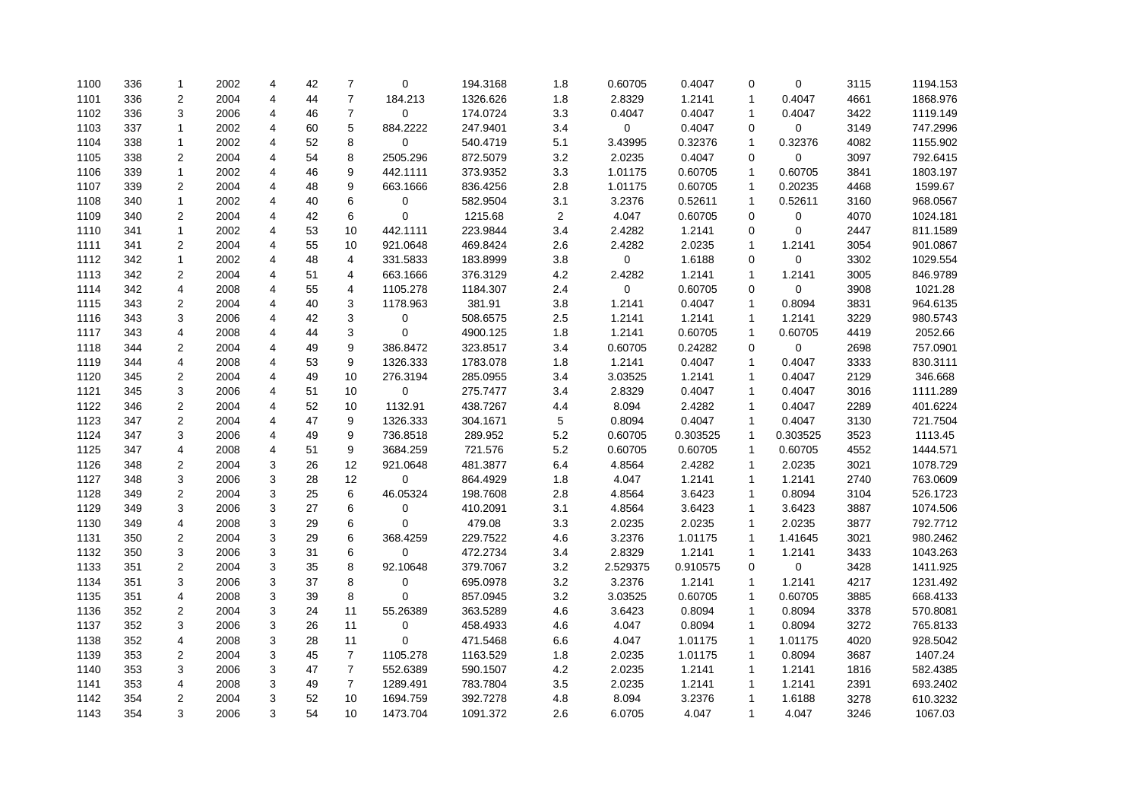| 1100 | 336 | $\mathbf{1}$   | 2002 | 4              | 42 | 7              | 0           | 194.3168 | 1.8            | 0.60705  | 0.4047   | 0            | 0           | 3115 | 1194.153 |
|------|-----|----------------|------|----------------|----|----------------|-------------|----------|----------------|----------|----------|--------------|-------------|------|----------|
| 1101 | 336 | $\overline{2}$ | 2004 | 4              | 44 | $\overline{7}$ | 184.213     | 1326.626 | 1.8            | 2.8329   | 1.2141   | $\mathbf{1}$ | 0.4047      | 4661 | 1868.976 |
| 1102 | 336 | 3              | 2006 | 4              | 46 | 7              | $\mathbf 0$ | 174.0724 | 3.3            | 0.4047   | 0.4047   | 1            | 0.4047      | 3422 | 1119.149 |
| 1103 | 337 | $\mathbf{1}$   | 2002 | 4              | 60 | 5              | 884.2222    | 247.9401 | 3.4            | 0        | 0.4047   | $\mathbf 0$  | $\mathbf 0$ | 3149 | 747.2996 |
| 1104 | 338 | 1              | 2002 | 4              | 52 | 8              | $\mathbf 0$ | 540.4719 | 5.1            | 3.43995  | 0.32376  | $\mathbf{1}$ | 0.32376     | 4082 | 1155.902 |
| 1105 | 338 | $\overline{2}$ | 2004 | 4              | 54 | 8              | 2505.296    | 872.5079 | 3.2            | 2.0235   | 0.4047   | $\mathbf 0$  | $\mathbf 0$ | 3097 | 792.6415 |
| 1106 | 339 | $\mathbf{1}$   | 2002 | 4              | 46 | 9              | 442.1111    | 373.9352 | 3.3            | 1.01175  | 0.60705  | $\mathbf{1}$ | 0.60705     | 3841 | 1803.197 |
| 1107 | 339 | $\overline{2}$ | 2004 | 4              | 48 | 9              | 663.1666    | 836.4256 | 2.8            | 1.01175  | 0.60705  | $\mathbf{1}$ | 0.20235     | 4468 | 1599.67  |
| 1108 | 340 | $\mathbf{1}$   | 2002 | 4              | 40 | 6              | 0           | 582.9504 | 3.1            | 3.2376   | 0.52611  | 1            | 0.52611     | 3160 | 968.0567 |
| 1109 | 340 | 2              | 2004 | 4              | 42 | 6              | $\Omega$    | 1215.68  | $\overline{2}$ | 4.047    | 0.60705  | 0            | 0           | 4070 | 1024.181 |
| 1110 | 341 | $\mathbf{1}$   | 2002 | 4              | 53 | 10             | 442.1111    | 223.9844 | 3.4            | 2.4282   | 1.2141   | 0            | $\mathbf 0$ | 2447 | 811.1589 |
| 1111 | 341 | 2              | 2004 | $\overline{4}$ | 55 | 10             | 921.0648    | 469.8424 | 2.6            | 2.4282   | 2.0235   | $\mathbf{1}$ | 1.2141      | 3054 | 901.0867 |
| 1112 | 342 | $\mathbf{1}$   | 2002 | 4              | 48 | 4              | 331.5833    | 183.8999 | 3.8            | 0        | 1.6188   | 0            | $\mathbf 0$ | 3302 | 1029.554 |
| 1113 | 342 | $\overline{2}$ | 2004 | 4              | 51 | 4              | 663.1666    | 376.3129 | 4.2            | 2.4282   | 1.2141   | $\mathbf{1}$ | 1.2141      | 3005 | 846.9789 |
| 1114 | 342 | 4              | 2008 | 4              | 55 | 4              | 1105.278    | 1184.307 | 2.4            | 0        | 0.60705  | 0            | 0           | 3908 | 1021.28  |
| 1115 | 343 | 2              | 2004 | 4              | 40 | 3              | 1178.963    | 381.91   | 3.8            | 1.2141   | 0.4047   | 1            | 0.8094      | 3831 | 964.6135 |
| 1116 | 343 | 3              | 2006 | 4              | 42 | 3              | $\mathbf 0$ | 508.6575 | 2.5            | 1.2141   | 1.2141   | 1            | 1.2141      | 3229 | 980.5743 |
| 1117 | 343 | 4              | 2008 | 4              | 44 | 3              | $\Omega$    | 4900.125 | 1.8            | 1.2141   | 0.60705  | $\mathbf{1}$ | 0.60705     | 4419 | 2052.66  |
| 1118 | 344 | 2              | 2004 | 4              | 49 | 9              | 386.8472    | 323.8517 | 3.4            | 0.60705  | 0.24282  | 0            | 0           | 2698 | 757.0901 |
| 1119 | 344 | 4              | 2008 | 4              | 53 | 9              | 1326.333    | 1783.078 | 1.8            | 1.2141   | 0.4047   | $\mathbf{1}$ | 0.4047      | 3333 | 830.3111 |
| 1120 | 345 | $\overline{2}$ | 2004 | 4              | 49 | 10             | 276.3194    | 285.0955 | 3.4            | 3.03525  | 1.2141   | $\mathbf{1}$ | 0.4047      | 2129 | 346.668  |
| 1121 | 345 | 3              | 2006 | 4              | 51 | 10             | $\Omega$    | 275.7477 | 3.4            | 2.8329   | 0.4047   | $\mathbf{1}$ | 0.4047      | 3016 | 1111.289 |
| 1122 | 346 | $\overline{2}$ | 2004 | 4              | 52 | 10             | 1132.91     | 438.7267 | 4.4            | 8.094    | 2.4282   | $\mathbf{1}$ | 0.4047      | 2289 | 401.6224 |
| 1123 | 347 | 2              | 2004 | 4              | 47 | 9              | 1326.333    | 304.1671 | 5              | 0.8094   | 0.4047   | $\mathbf{1}$ | 0.4047      | 3130 | 721.7504 |
| 1124 | 347 | 3              | 2006 | 4              | 49 | 9              | 736.8518    | 289.952  | 5.2            | 0.60705  | 0.303525 | $\mathbf{1}$ | 0.303525    | 3523 | 1113.45  |
| 1125 | 347 | 4              | 2008 | 4              | 51 | 9              | 3684.259    | 721.576  | 5.2            | 0.60705  | 0.60705  | $\mathbf{1}$ | 0.60705     | 4552 | 1444.571 |
| 1126 | 348 | $\overline{2}$ | 2004 | 3              | 26 | 12             | 921.0648    | 481.3877 | 6.4            | 4.8564   | 2.4282   | $\mathbf{1}$ | 2.0235      | 3021 | 1078.729 |
| 1127 | 348 | 3              | 2006 | 3              | 28 | 12             | $\mathbf 0$ | 864.4929 | 1.8            | 4.047    | 1.2141   | $\mathbf{1}$ | 1.2141      | 2740 | 763.0609 |
| 1128 | 349 | $\overline{2}$ | 2004 | 3              | 25 | 6              | 46.05324    | 198.7608 | 2.8            | 4.8564   | 3.6423   | $\mathbf{1}$ | 0.8094      | 3104 | 526.1723 |
| 1129 | 349 | 3              | 2006 | 3              | 27 | 6              | 0           | 410.2091 | 3.1            | 4.8564   | 3.6423   | 1            | 3.6423      | 3887 | 1074.506 |
| 1130 | 349 | $\overline{4}$ | 2008 | 3              | 29 | 6              | $\Omega$    | 479.08   | 3.3            | 2.0235   | 2.0235   | $\mathbf{1}$ | 2.0235      | 3877 | 792.7712 |
| 1131 | 350 | 2              | 2004 | 3              | 29 | 6              | 368.4259    | 229.7522 | 4.6            | 3.2376   | 1.01175  | $\mathbf{1}$ | 1.41645     | 3021 | 980.2462 |
| 1132 | 350 | 3              | 2006 | 3              | 31 | 6              | $\Omega$    | 472.2734 | 3.4            | 2.8329   | 1.2141   | $\mathbf{1}$ | 1.2141      | 3433 | 1043.263 |
| 1133 | 351 | 2              | 2004 | 3              | 35 | 8              | 92.10648    | 379.7067 | 3.2            | 2.529375 | 0.910575 | 0            | $\mathbf 0$ | 3428 | 1411.925 |
| 1134 | 351 | 3              | 2006 | 3              | 37 | 8              | $\Omega$    | 695.0978 | 3.2            | 3.2376   | 1.2141   | $\mathbf{1}$ | 1.2141      | 4217 | 1231.492 |
| 1135 | 351 | 4              | 2008 | 3              | 39 | 8              | $\Omega$    | 857.0945 | 3.2            | 3.03525  | 0.60705  | $\mathbf{1}$ | 0.60705     | 3885 | 668.4133 |
| 1136 | 352 | 2              | 2004 | 3              | 24 | 11             | 55.26389    | 363.5289 | 4.6            | 3.6423   | 0.8094   | $\mathbf{1}$ | 0.8094      | 3378 | 570.8081 |
| 1137 | 352 | 3              | 2006 | 3              | 26 | 11             | $\mathbf 0$ | 458.4933 | 4.6            | 4.047    | 0.8094   | $\mathbf{1}$ | 0.8094      | 3272 | 765.8133 |
| 1138 | 352 | 4              | 2008 | 3              | 28 | 11             | $\Omega$    | 471.5468 | 6.6            | 4.047    | 1.01175  | $\mathbf{1}$ | 1.01175     | 4020 | 928.5042 |
| 1139 | 353 | 2              | 2004 | 3              | 45 | $\overline{7}$ | 1105.278    | 1163.529 | 1.8            | 2.0235   | 1.01175  | $\mathbf{1}$ | 0.8094      | 3687 | 1407.24  |
| 1140 | 353 | 3              | 2006 | 3              | 47 | $\overline{7}$ | 552.6389    | 590.1507 | 4.2            | 2.0235   | 1.2141   | $\mathbf{1}$ | 1.2141      | 1816 | 582.4385 |
| 1141 | 353 | 4              | 2008 | 3              | 49 | $\overline{7}$ | 1289.491    | 783.7804 | 3.5            | 2.0235   | 1.2141   | $\mathbf{1}$ | 1.2141      | 2391 | 693.2402 |
| 1142 | 354 | 2              | 2004 | 3              | 52 | 10             | 1694.759    | 392.7278 | 4.8            | 8.094    | 3.2376   | $\mathbf{1}$ | 1.6188      | 3278 | 610.3232 |
| 1143 | 354 | 3              | 2006 | 3              | 54 | 10             | 1473.704    | 1091.372 | 2.6            | 6.0705   | 4.047    | $\mathbf{1}$ | 4.047       | 3246 | 1067.03  |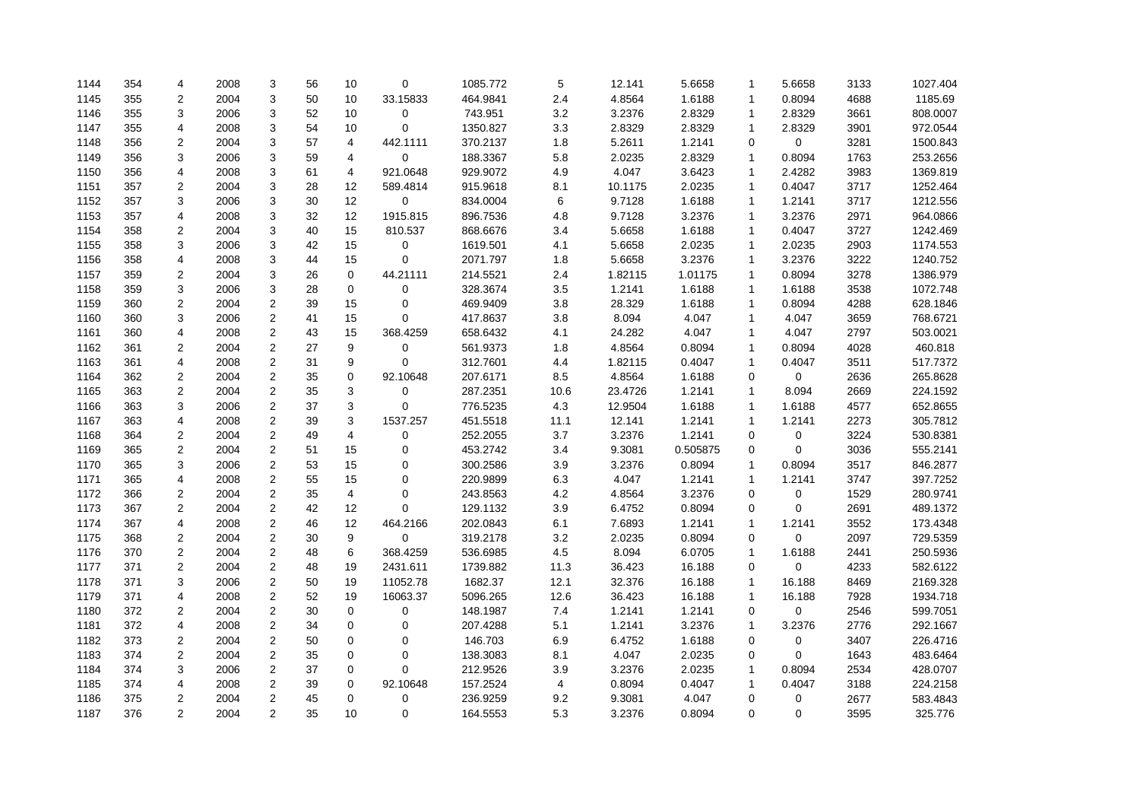| 1144 | 354 | 4              | 2008 | 3                | 56 | 10       | 0           | 1085.772 | 5    | 12.141  | 5.6658   | 1            | 5.6658      | 3133 | 1027.404 |
|------|-----|----------------|------|------------------|----|----------|-------------|----------|------|---------|----------|--------------|-------------|------|----------|
| 1145 | 355 | $\overline{2}$ | 2004 | 3                | 50 | 10       | 33.15833    | 464.9841 | 2.4  | 4.8564  | 1.6188   | $\mathbf{1}$ | 0.8094      | 4688 | 1185.69  |
| 1146 | 355 | 3              | 2006 | 3                | 52 | 10       | 0           | 743.951  | 3.2  | 3.2376  | 2.8329   | $\mathbf{1}$ | 2.8329      | 3661 | 808.0007 |
| 1147 | 355 | 4              | 2008 | 3                | 54 | 10       | $\Omega$    | 1350.827 | 3.3  | 2.8329  | 2.8329   | $\mathbf{1}$ | 2.8329      | 3901 | 972.0544 |
| 1148 | 356 | 2              | 2004 | 3                | 57 | 4        | 442.1111    | 370.2137 | 1.8  | 5.2611  | 1.2141   | 0            | 0           | 3281 | 1500.843 |
| 1149 | 356 | 3              | 2006 | 3                | 59 | 4        | $\Omega$    | 188.3367 | 5.8  | 2.0235  | 2.8329   | 1            | 0.8094      | 1763 | 253.2656 |
| 1150 | 356 | 4              | 2008 | 3                | 61 | 4        | 921.0648    | 929.9072 | 4.9  | 4.047   | 3.6423   | $\mathbf{1}$ | 2.4282      | 3983 | 1369.819 |
| 1151 | 357 | 2              | 2004 | 3                | 28 | 12       | 589.4814    | 915.9618 | 8.1  | 10.1175 | 2.0235   | 1            | 0.4047      | 3717 | 1252.464 |
| 1152 | 357 | 3              | 2006 | 3                | 30 | 12       | $\mathbf 0$ | 834.0004 | 6    | 9.7128  | 1.6188   | $\mathbf{1}$ | 1.2141      | 3717 | 1212.556 |
| 1153 | 357 | 4              | 2008 | 3                | 32 | 12       | 1915.815    | 896.7536 | 4.8  | 9.7128  | 3.2376   | 1            | 3.2376      | 2971 | 964.0866 |
| 1154 | 358 | $\overline{2}$ | 2004 | 3                | 40 | 15       | 810.537     | 868.6676 | 3.4  | 5.6658  | 1.6188   | $\mathbf{1}$ | 0.4047      | 3727 | 1242.469 |
| 1155 | 358 | 3              | 2006 | 3                | 42 | 15       | $\mathbf 0$ | 1619.501 | 4.1  | 5.6658  | 2.0235   | $\mathbf{1}$ | 2.0235      | 2903 | 1174.553 |
| 1156 | 358 | 4              | 2008 | 3                | 44 | 15       | $\Omega$    | 2071.797 | 1.8  | 5.6658  | 3.2376   | $\mathbf{1}$ | 3.2376      | 3222 | 1240.752 |
| 1157 | 359 | 2              | 2004 | 3                | 26 | 0        | 44.21111    | 214.5521 | 2.4  | 1.82115 | 1.01175  | $\mathbf{1}$ | 0.8094      | 3278 | 1386.979 |
| 1158 | 359 | 3              | 2006 | 3                | 28 | 0        | $\mathbf 0$ | 328.3674 | 3.5  | 1.2141  | 1.6188   | $\mathbf{1}$ | 1.6188      | 3538 | 1072.748 |
| 1159 | 360 | $\overline{2}$ | 2004 | $\overline{2}$   | 39 | 15       | $\Omega$    | 469.9409 | 3.8  | 28.329  | 1.6188   | $\mathbf{1}$ | 0.8094      | 4288 | 628.1846 |
| 1160 | 360 | 3              | 2006 | $\overline{2}$   | 41 | 15       | $\Omega$    | 417.8637 | 3.8  | 8.094   | 4.047    | $\mathbf{1}$ | 4.047       | 3659 | 768.6721 |
| 1161 | 360 | 4              | 2008 | 2                | 43 | 15       | 368.4259    | 658.6432 | 4.1  | 24.282  | 4.047    | $\mathbf{1}$ | 4.047       | 2797 | 503.0021 |
| 1162 | 361 | 2              | 2004 | $\overline{2}$   | 27 | 9        | $\mathbf 0$ | 561.9373 | 1.8  | 4.8564  | 0.8094   | 1            | 0.8094      | 4028 | 460.818  |
| 1163 | 361 | 4              | 2008 | $\overline{2}$   | 31 | 9        | $\Omega$    | 312.7601 | 4.4  | 1.82115 | 0.4047   | $\mathbf{1}$ | 0.4047      | 3511 | 517.7372 |
| 1164 | 362 | 2              | 2004 | $\overline{2}$   | 35 | 0        | 92.10648    | 207.6171 | 8.5  | 4.8564  | 1.6188   | 0            | $\mathbf 0$ | 2636 | 265.8628 |
| 1165 | 363 | 2              | 2004 | $\overline{2}$   | 35 | 3        | 0           | 287.2351 | 10.6 | 23.4726 | 1.2141   | $\mathbf{1}$ | 8.094       | 2669 | 224.1592 |
| 1166 | 363 | 3              | 2006 | $\overline{2}$   | 37 | 3        | $\Omega$    | 776.5235 | 4.3  | 12.9504 | 1.6188   | 1            | 1.6188      | 4577 | 652.8655 |
| 1167 | 363 | 4              | 2008 | $\boldsymbol{2}$ | 39 | 3        | 1537.257    | 451.5518 | 11.1 | 12.141  | 1.2141   | 1            | 1.2141      | 2273 | 305.7812 |
| 1168 | 364 | 2              | 2004 | $\overline{2}$   | 49 | 4        | $\mathbf 0$ | 252.2055 | 3.7  | 3.2376  | 1.2141   | $\Omega$     | 0           | 3224 | 530.8381 |
| 1169 | 365 | 2              | 2004 | 2                | 51 | 15       | 0           | 453.2742 | 3.4  | 9.3081  | 0.505875 | 0            | $\mathbf 0$ | 3036 | 555.2141 |
| 1170 | 365 | 3              | 2006 | $\sqrt{2}$       | 53 | 15       | 0           | 300.2586 | 3.9  | 3.2376  | 0.8094   | $\mathbf{1}$ | 0.8094      | 3517 | 846.2877 |
| 1171 | 365 | 4              | 2008 | $\overline{2}$   | 55 | 15       | $\mathbf 0$ | 220.9899 | 6.3  | 4.047   | 1.2141   | $\mathbf{1}$ | 1.2141      | 3747 | 397.7252 |
| 1172 | 366 | 2              | 2004 | 2                | 35 | 4        | $\Omega$    | 243.8563 | 4.2  | 4.8564  | 3.2376   | 0            | 0           | 1529 | 280.9741 |
| 1173 | 367 | $\overline{2}$ | 2004 | 2                | 42 | 12       | $\Omega$    | 129.1132 | 3.9  | 6.4752  | 0.8094   | 0            | $\mathbf 0$ | 2691 | 489.1372 |
| 1174 | 367 | 4              | 2008 | $\overline{2}$   | 46 | 12       | 464.2166    | 202.0843 | 6.1  | 7.6893  | 1.2141   | 1            | 1.2141      | 3552 | 173.4348 |
| 1175 | 368 | 2              | 2004 | $\overline{2}$   | 30 | 9        | 0           | 319.2178 | 3.2  | 2.0235  | 0.8094   | 0            | $\mathbf 0$ | 2097 | 729.5359 |
| 1176 | 370 | 2              | 2004 | $\overline{2}$   | 48 | 6        | 368.4259    | 536.6985 | 4.5  | 8.094   | 6.0705   | $\mathbf{1}$ | 1.6188      | 2441 | 250.5936 |
| 1177 | 371 | $\overline{2}$ | 2004 | 2                | 48 | 19       | 2431.611    | 1739.882 | 11.3 | 36.423  | 16.188   | 0            | $\mathbf 0$ | 4233 | 582.6122 |
| 1178 | 371 | 3              | 2006 | 2                | 50 | 19       | 11052.78    | 1682.37  | 12.1 | 32.376  | 16.188   | $\mathbf{1}$ | 16.188      | 8469 | 2169.328 |
| 1179 | 371 | 4              | 2008 | 2                | 52 | 19       | 16063.37    | 5096.265 | 12.6 | 36.423  | 16.188   | $\mathbf{1}$ | 16.188      | 7928 | 1934.718 |
| 1180 | 372 | 2              | 2004 | $\overline{2}$   | 30 | 0        | $\mathbf 0$ | 148.1987 | 7.4  | 1.2141  | 1.2141   | 0            | $\mathbf 0$ | 2546 | 599.7051 |
| 1181 | 372 | 4              | 2008 | $\overline{2}$   | 34 | 0        | 0           | 207.4288 | 5.1  | 1.2141  | 3.2376   | $\mathbf{1}$ | 3.2376      | 2776 | 292.1667 |
| 1182 | 373 | 2              | 2004 | $\overline{2}$   | 50 | $\Omega$ | $\Omega$    | 146.703  | 6.9  | 6.4752  | 1.6188   | 0            | 0           | 3407 | 226.4716 |
| 1183 | 374 | 2              | 2004 | 2                | 35 | 0        | $\mathbf 0$ | 138.3083 | 8.1  | 4.047   | 2.0235   | 0            | $\mathbf 0$ | 1643 | 483.6464 |
| 1184 | 374 | 3              | 2006 | 2                | 37 | $\Omega$ | $\Omega$    | 212.9526 | 3.9  | 3.2376  | 2.0235   | $\mathbf{1}$ | 0.8094      | 2534 | 428.0707 |
| 1185 | 374 | 4              | 2008 | $\overline{2}$   | 39 | $\Omega$ | 92.10648    | 157.2524 | 4    | 0.8094  | 0.4047   | $\mathbf{1}$ | 0.4047      | 3188 | 224.2158 |
| 1186 | 375 | $\overline{2}$ | 2004 | 2                | 45 | $\Omega$ | $\Omega$    | 236.9259 | 9.2  | 9.3081  | 4.047    | 0            | 0           | 2677 | 583.4843 |
| 1187 | 376 | $\overline{2}$ | 2004 | $\overline{2}$   | 35 | 10       | $\Omega$    | 164.5553 | 5.3  | 3.2376  | 0.8094   | 0            | $\Omega$    | 3595 | 325.776  |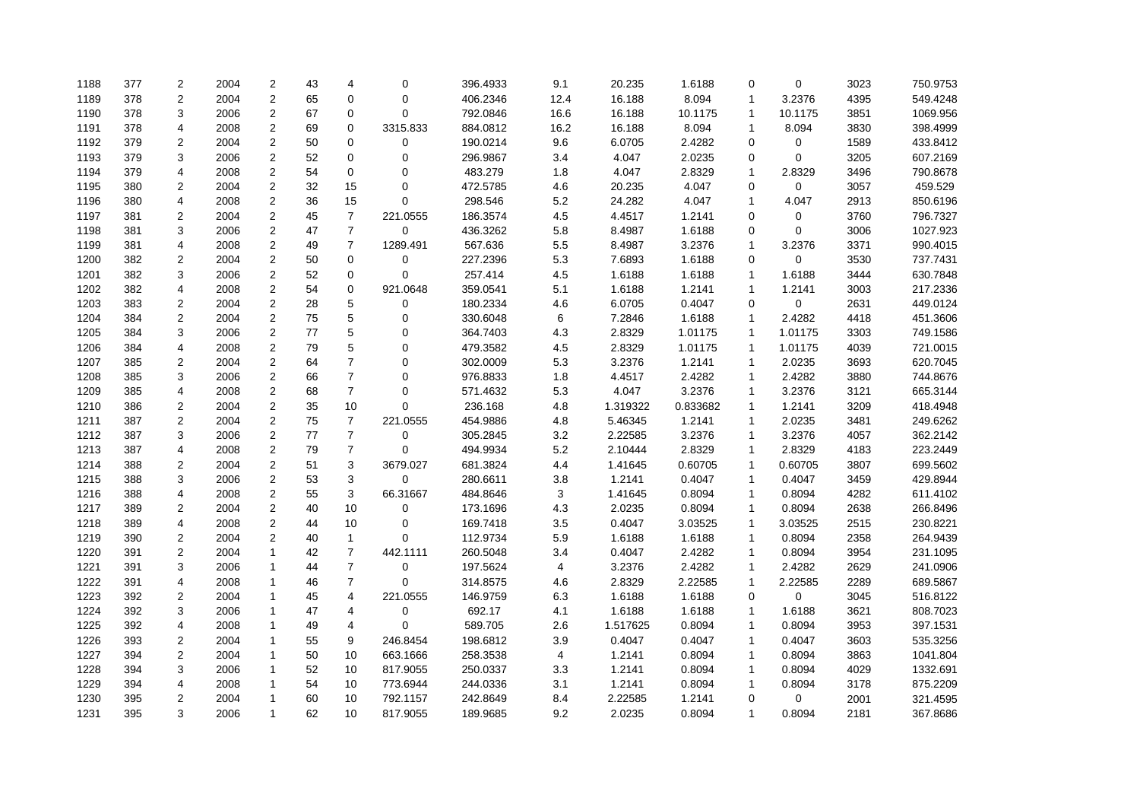| 1188 | 377 | $\overline{c}$ | 2004 | $\overline{c}$   | 43   | 4              | $\mathbf 0$ | 396.4933 | 9.1  | 20.235   | 1.6188   | 0            | 0           | 3023 | 750.9753 |
|------|-----|----------------|------|------------------|------|----------------|-------------|----------|------|----------|----------|--------------|-------------|------|----------|
| 1189 | 378 | $\mathbf{2}$   | 2004 | $\sqrt{2}$       | 65   | 0              | $\Omega$    | 406.2346 | 12.4 | 16.188   | 8.094    | 1            | 3.2376      | 4395 | 549.4248 |
| 1190 | 378 | 3              | 2006 | 2                | 67   | $\mathbf 0$    | $\mathbf 0$ | 792.0846 | 16.6 | 16.188   | 10.1175  | 1            | 10.1175     | 3851 | 1069.956 |
| 1191 | 378 | 4              | 2008 | $\sqrt{2}$       | 69   | $\Omega$       | 3315.833    | 884.0812 | 16.2 | 16.188   | 8.094    | 1            | 8.094       | 3830 | 398.4999 |
| 1192 | 379 | 2              | 2004 | $\boldsymbol{2}$ | 50   | 0              | $\mathbf 0$ | 190.0214 | 9.6  | 6.0705   | 2.4282   | 0            | $\mathbf 0$ | 1589 | 433.8412 |
| 1193 | 379 | 3              | 2006 | $\overline{c}$   | 52   | 0              | $\mathbf 0$ | 296.9867 | 3.4  | 4.047    | 2.0235   | 0            | 0           | 3205 | 607.2169 |
| 1194 | 379 | 4              | 2008 | $\boldsymbol{2}$ | 54   | $\mathbf 0$    | $\Omega$    | 483.279  | 1.8  | 4.047    | 2.8329   | $\mathbf{1}$ | 2.8329      | 3496 | 790.8678 |
| 1195 | 380 | 2              | 2004 | 2                | 32   | 15             | $\mathbf 0$ | 472.5785 | 4.6  | 20.235   | 4.047    | 0            | $\mathbf 0$ | 3057 | 459.529  |
| 1196 | 380 | 4              | 2008 | $\boldsymbol{2}$ | 36   | 15             | $\Omega$    | 298.546  | 5.2  | 24.282   | 4.047    | 1            | 4.047       | 2913 | 850.6196 |
| 1197 | 381 | $\overline{2}$ | 2004 | $\overline{2}$   | 45   | $\overline{7}$ | 221.0555    | 186.3574 | 4.5  | 4.4517   | 1.2141   | 0            | $\mathbf 0$ | 3760 | 796.7327 |
| 1198 | 381 | 3              | 2006 | $\sqrt{2}$       | 47   | $\overline{7}$ | $\mathbf 0$ | 436.3262 | 5.8  | 8.4987   | 1.6188   | 0            | $\mathbf 0$ | 3006 | 1027.923 |
| 1199 | 381 | 4              | 2008 | $\boldsymbol{2}$ | 49   | $\overline{7}$ | 1289.491    | 567.636  | 5.5  | 8.4987   | 3.2376   | $\mathbf{1}$ | 3.2376      | 3371 | 990.4015 |
| 1200 | 382 | $\overline{2}$ | 2004 | $\overline{c}$   | 50   | $\mathbf 0$    | $\mathbf 0$ | 227.2396 | 5.3  | 7.6893   | 1.6188   | 0            | 0           | 3530 | 737.7431 |
| 1201 | 382 | 3              | 2006 | $\overline{2}$   | 52   | $\mathbf 0$    | $\Omega$    | 257.414  | 4.5  | 1.6188   | 1.6188   | $\mathbf{1}$ | 1.6188      | 3444 | 630.7848 |
| 1202 | 382 | 4              | 2008 | 2                | 54   | 0              | 921.0648    | 359.0541 | 5.1  | 1.6188   | 1.2141   | $\mathbf{1}$ | 1.2141      | 3003 | 217.2336 |
| 1203 | 383 | $\overline{2}$ | 2004 | 2                | 28   | 5              | 0           | 180.2334 | 4.6  | 6.0705   | 0.4047   | 0            | 0           | 2631 | 449.0124 |
| 1204 | 384 | $\mathbf{2}$   | 2004 | $\boldsymbol{2}$ | 75   | 5              | $\mathbf 0$ | 330.6048 | 6    | 7.2846   | 1.6188   | $\mathbf{1}$ | 2.4282      | 4418 | 451.3606 |
| 1205 | 384 | 3              | 2006 | $\overline{c}$   | 77   | 5              | $\mathbf 0$ | 364.7403 | 4.3  | 2.8329   | 1.01175  | $\mathbf{1}$ | 1.01175     | 3303 | 749.1586 |
| 1206 | 384 | 4              | 2008 | $\overline{2}$   | 79   | 5              | $\Omega$    | 479.3582 | 4.5  | 2.8329   | 1.01175  | 1            | 1.01175     | 4039 | 721.0015 |
| 1207 | 385 | $\overline{2}$ | 2004 | $\boldsymbol{2}$ | 64   | $\overline{7}$ | $\mathbf 0$ | 302.0009 | 5.3  | 3.2376   | 1.2141   | $\mathbf 1$  | 2.0235      | 3693 | 620.7045 |
| 1208 | 385 | 3              | 2006 | $\overline{c}$   | 66   | $\overline{7}$ | $\Omega$    | 976.8833 | 1.8  | 4.4517   | 2.4282   | $\mathbf{1}$ | 2.4282      | 3880 | 744.8676 |
| 1209 | 385 | 4              | 2008 | $\boldsymbol{2}$ | 68   | $\overline{7}$ | $\Omega$    | 571.4632 | 5.3  | 4.047    | 3.2376   | $\mathbf 1$  | 3.2376      | 3121 | 665.3144 |
| 1210 | 386 | $\overline{2}$ | 2004 | $\overline{c}$   | 35   | 10             | $\mathbf 0$ | 236.168  | 4.8  | 1.319322 | 0.833682 | 1            | 1.2141      | 3209 | 418.4948 |
| 1211 | 387 | $\mathbf{2}$   | 2004 | $\overline{2}$   | 75   | $\overline{7}$ | 221.0555    | 454.9886 | 4.8  | 5.46345  | 1.2141   | $\mathbf{1}$ | 2.0235      | 3481 | 249.6262 |
| 1212 | 387 | 3              | 2006 | $\overline{c}$   | $77$ | $\overline{7}$ | 0           | 305.2845 | 3.2  | 2.22585  | 3.2376   | $\mathbf{1}$ | 3.2376      | 4057 | 362.2142 |
| 1213 | 387 | 4              | 2008 | $\boldsymbol{2}$ | 79   | $\overline{7}$ | $\Omega$    | 494.9934 | 5.2  | 2.10444  | 2.8329   | 1            | 2.8329      | 4183 | 223.2449 |
| 1214 | 388 | $\overline{c}$ | 2004 | $\boldsymbol{2}$ | 51   | 3              | 3679.027    | 681.3824 | 4.4  | 1.41645  | 0.60705  | $\mathbf{1}$ | 0.60705     | 3807 | 699.5602 |
| 1215 | 388 | 3              | 2006 | $\overline{c}$   | 53   | 3              | $\mathbf 0$ | 280.6611 | 3.8  | 1.2141   | 0.4047   | $\mathbf{1}$ | 0.4047      | 3459 | 429.8944 |
| 1216 | 388 | 4              | 2008 | $\overline{2}$   | 55   | 3              | 66.31667    | 484.8646 | 3    | 1.41645  | 0.8094   | 1            | 0.8094      | 4282 | 611.4102 |
| 1217 | 389 | 2              | 2004 | $\overline{2}$   | 40   | 10             | $\mathbf 0$ | 173.1696 | 4.3  | 2.0235   | 0.8094   | $\mathbf{1}$ | 0.8094      | 2638 | 266.8496 |
| 1218 | 389 | $\overline{4}$ | 2008 | $\overline{2}$   | 44   | 10             | $\Omega$    | 169.7418 | 3.5  | 0.4047   | 3.03525  | $\mathbf{1}$ | 3.03525     | 2515 | 230.8221 |
| 1219 | 390 | $\overline{2}$ | 2004 | $\overline{2}$   | 40   | $\mathbf{1}$   | $\Omega$    | 112.9734 | 5.9  | 1.6188   | 1.6188   | $\mathbf 1$  | 0.8094      | 2358 | 264.9439 |
| 1220 | 391 | $\overline{2}$ | 2004 | $\mathbf{1}$     | 42   | $\overline{7}$ | 442.1111    | 260.5048 | 3.4  | 0.4047   | 2.4282   | 1            | 0.8094      | 3954 | 231.1095 |
| 1221 | 391 | 3              | 2006 | $\mathbf{1}$     | 44   | $\overline{7}$ | $\mathbf 0$ | 197.5624 | 4    | 3.2376   | 2.4282   | 1            | 2.4282      | 2629 | 241.0906 |
| 1222 | 391 | 4              | 2008 | $\mathbf{1}$     | 46   | $\overline{7}$ | $\mathbf 0$ | 314.8575 | 4.6  | 2.8329   | 2.22585  | $\mathbf 1$  | 2.22585     | 2289 | 689.5867 |
| 1223 | 392 | 2              | 2004 | $\mathbf{1}$     | 45   | 4              | 221.0555    | 146.9759 | 6.3  | 1.6188   | 1.6188   | 0            | 0           | 3045 | 516.8122 |
| 1224 | 392 | 3              | 2006 | $\mathbf{1}$     | 47   | 4              | $\mathbf 0$ | 692.17   | 4.1  | 1.6188   | 1.6188   | $\mathbf{1}$ | 1.6188      | 3621 | 808.7023 |
| 1225 | 392 | 4              | 2008 | $\mathbf{1}$     | 49   | 4              | $\Omega$    | 589.705  | 2.6  | 1.517625 | 0.8094   | $\mathbf{1}$ | 0.8094      | 3953 | 397.1531 |
| 1226 | 393 | $\overline{2}$ | 2004 | $\mathbf{1}$     | 55   | 9              | 246.8454    | 198.6812 | 3.9  | 0.4047   | 0.4047   | $\mathbf{1}$ | 0.4047      | 3603 | 535.3256 |
| 1227 | 394 | $\overline{c}$ | 2004 | $\mathbf{1}$     | 50   | 10             | 663.1666    | 258.3538 | 4    | 1.2141   | 0.8094   | $\mathbf{1}$ | 0.8094      | 3863 | 1041.804 |
| 1228 | 394 | 3              | 2006 | $\mathbf{1}$     | 52   | 10             | 817.9055    | 250.0337 | 3.3  | 1.2141   | 0.8094   | $\mathbf{1}$ | 0.8094      | 4029 | 1332.691 |
| 1229 | 394 | 4              | 2008 | $\mathbf{1}$     | 54   | 10             | 773.6944    | 244.0336 | 3.1  | 1.2141   | 0.8094   | $\mathbf{1}$ | 0.8094      | 3178 | 875.2209 |
| 1230 | 395 | $\mathbf{2}$   | 2004 | $\mathbf{1}$     | 60   | 10             | 792.1157    | 242.8649 | 8.4  | 2.22585  | 1.2141   | 0            | 0           | 2001 | 321.4595 |
| 1231 | 395 | 3              | 2006 | $\mathbf{1}$     | 62   | 10             | 817.9055    | 189.9685 | 9.2  | 2.0235   | 0.8094   | $\mathbf{1}$ | 0.8094      | 2181 | 367.8686 |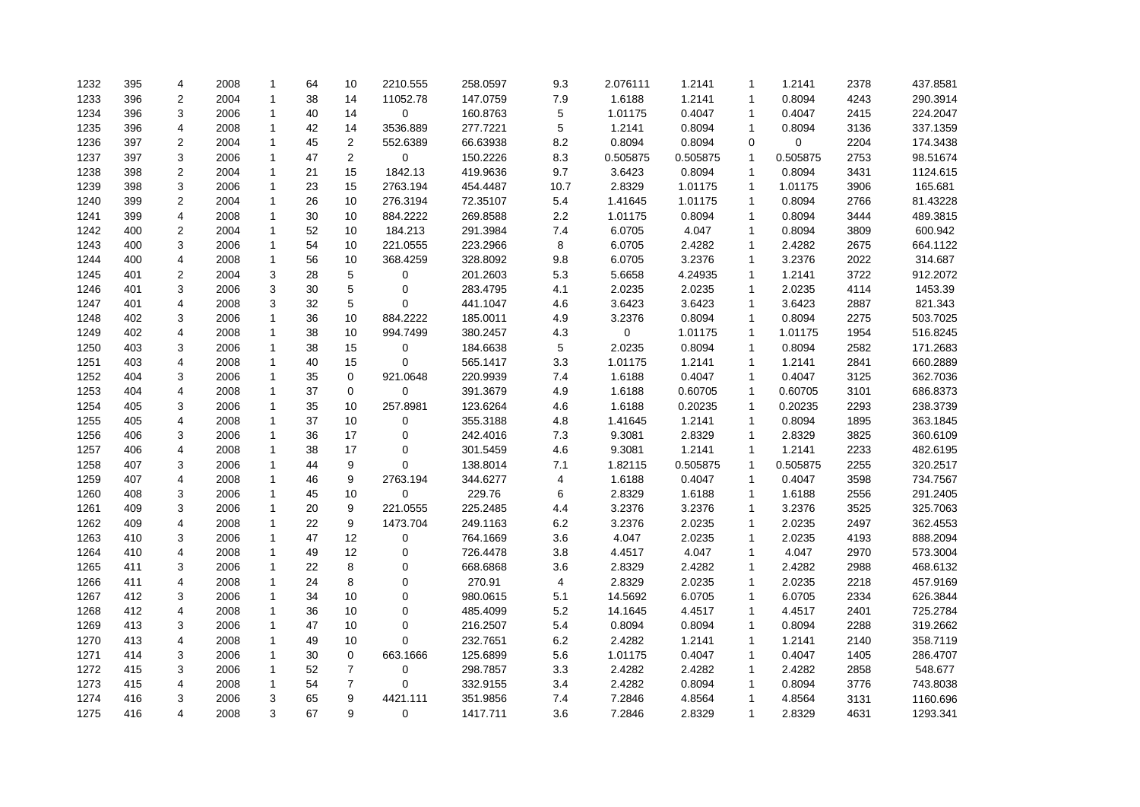| 1232 | 395 | 4                       | 2008 | 1            | 64 | 10             | 2210.555    | 258.0597 | 9.3  | 2.076111 | 1.2141   | 1            | 1.2141   | 2378 | 437.8581 |
|------|-----|-------------------------|------|--------------|----|----------------|-------------|----------|------|----------|----------|--------------|----------|------|----------|
| 1233 | 396 | $\mathbf{2}$            | 2004 | $\mathbf{1}$ | 38 | 14             | 11052.78    | 147.0759 | 7.9  | 1.6188   | 1.2141   | $\mathbf{1}$ | 0.8094   | 4243 | 290.3914 |
| 1234 | 396 | 3                       | 2006 | $\mathbf{1}$ | 40 | 14             | 0           | 160.8763 | 5    | 1.01175  | 0.4047   | 1            | 0.4047   | 2415 | 224.2047 |
| 1235 | 396 | 4                       | 2008 | $\mathbf{1}$ | 42 | 14             | 3536.889    | 277.7221 | 5    | 1.2141   | 0.8094   | 1            | 0.8094   | 3136 | 337.1359 |
| 1236 | 397 | 2                       | 2004 | $\mathbf{1}$ | 45 | 2              | 552.6389    | 66.63938 | 8.2  | 0.8094   | 0.8094   | 0            | 0        | 2204 | 174.3438 |
| 1237 | 397 | 3                       | 2006 | $\mathbf{1}$ | 47 | $\overline{2}$ | 0           | 150.2226 | 8.3  | 0.505875 | 0.505875 | 1            | 0.505875 | 2753 | 98.51674 |
| 1238 | 398 | $\overline{\mathbf{c}}$ | 2004 | $\mathbf{1}$ | 21 | 15             | 1842.13     | 419.9636 | 9.7  | 3.6423   | 0.8094   | $\mathbf{1}$ | 0.8094   | 3431 | 1124.615 |
| 1239 | 398 | 3                       | 2006 | $\mathbf{1}$ | 23 | 15             | 2763.194    | 454.4487 | 10.7 | 2.8329   | 1.01175  | $\mathbf{1}$ | 1.01175  | 3906 | 165.681  |
| 1240 | 399 | $\mathbf{2}$            | 2004 | $\mathbf{1}$ | 26 | 10             | 276.3194    | 72.35107 | 5.4  | 1.41645  | 1.01175  | 1            | 0.8094   | 2766 | 81.43228 |
| 1241 | 399 | 4                       | 2008 | $\mathbf{1}$ | 30 | 10             | 884.2222    | 269.8588 | 2.2  | 1.01175  | 0.8094   | $\mathbf{1}$ | 0.8094   | 3444 | 489.3815 |
| 1242 | 400 | $\mathbf{2}$            | 2004 | $\mathbf{1}$ | 52 | 10             | 184.213     | 291.3984 | 7.4  | 6.0705   | 4.047    | $\mathbf{1}$ | 0.8094   | 3809 | 600.942  |
| 1243 | 400 | 3                       | 2006 | $\mathbf{1}$ | 54 | 10             | 221.0555    | 223.2966 | 8    | 6.0705   | 2.4282   | $\mathbf{1}$ | 2.4282   | 2675 | 664.1122 |
| 1244 | 400 | 4                       | 2008 | $\mathbf{1}$ | 56 | 10             | 368.4259    | 328.8092 | 9.8  | 6.0705   | 3.2376   | 1            | 3.2376   | 2022 | 314.687  |
| 1245 | 401 | $\overline{\mathbf{c}}$ | 2004 | 3            | 28 | 5              | $\mathbf 0$ | 201.2603 | 5.3  | 5.6658   | 4.24935  | $\mathbf{1}$ | 1.2141   | 3722 | 912.2072 |
| 1246 | 401 | 3                       | 2006 | 3            | 30 | 5              | $\mathbf 0$ | 283.4795 | 4.1  | 2.0235   | 2.0235   | $\mathbf{1}$ | 2.0235   | 4114 | 1453.39  |
| 1247 | 401 | $\overline{4}$          | 2008 | 3            | 32 | 5              | $\Omega$    | 441.1047 | 4.6  | 3.6423   | 3.6423   | 1            | 3.6423   | 2887 | 821.343  |
| 1248 | 402 | 3                       | 2006 | $\mathbf{1}$ | 36 | 10             | 884.2222    | 185.0011 | 4.9  | 3.2376   | 0.8094   | $\mathbf{1}$ | 0.8094   | 2275 | 503.7025 |
| 1249 | 402 | $\overline{4}$          | 2008 | $\mathbf{1}$ | 38 | 10             | 994.7499    | 380.2457 | 4.3  | 0        | 1.01175  | $\mathbf{1}$ | 1.01175  | 1954 | 516.8245 |
| 1250 | 403 | 3                       | 2006 | $\mathbf{1}$ | 38 | 15             | $\mathbf 0$ | 184.6638 | 5    | 2.0235   | 0.8094   | 1            | 0.8094   | 2582 | 171.2683 |
| 1251 | 403 | 4                       | 2008 | $\mathbf{1}$ | 40 | 15             | $\Omega$    | 565.1417 | 3.3  | 1.01175  | 1.2141   | $\mathbf{1}$ | 1.2141   | 2841 | 660.2889 |
| 1252 | 404 | 3                       | 2006 | $\mathbf{1}$ | 35 | $\mathbf 0$    | 921.0648    | 220.9939 | 7.4  | 1.6188   | 0.4047   | $\mathbf{1}$ | 0.4047   | 3125 | 362.7036 |
| 1253 | 404 | 4                       | 2008 | $\mathbf{1}$ | 37 | 0              | 0           | 391.3679 | 4.9  | 1.6188   | 0.60705  | 1            | 0.60705  | 3101 | 686.8373 |
| 1254 | 405 | 3                       | 2006 | $\mathbf{1}$ | 35 | 10             | 257.8981    | 123.6264 | 4.6  | 1.6188   | 0.20235  | 1            | 0.20235  | 2293 | 238.3739 |
| 1255 | 405 | 4                       | 2008 | $\mathbf{1}$ | 37 | 10             | $\mathbf 0$ | 355.3188 | 4.8  | 1.41645  | 1.2141   | $\mathbf{1}$ | 0.8094   | 1895 | 363.1845 |
| 1256 | 406 | 3                       | 2006 | $\mathbf{1}$ | 36 | 17             | $\Omega$    | 242.4016 | 7.3  | 9.3081   | 2.8329   | $\mathbf{1}$ | 2.8329   | 3825 | 360.6109 |
| 1257 | 406 | 4                       | 2008 | $\mathbf{1}$ | 38 | 17             | $\mathbf 0$ | 301.5459 | 4.6  | 9.3081   | 1.2141   | $\mathbf{1}$ | 1.2141   | 2233 | 482.6195 |
| 1258 | 407 | 3                       | 2006 | $\mathbf{1}$ | 44 | 9              | $\Omega$    | 138.8014 | 7.1  | 1.82115  | 0.505875 | 1            | 0.505875 | 2255 | 320.2517 |
| 1259 | 407 | 4                       | 2008 | $\mathbf{1}$ | 46 | 9              | 2763.194    | 344.6277 | 4    | 1.6188   | 0.4047   | $\mathbf{1}$ | 0.4047   | 3598 | 734.7567 |
| 1260 | 408 | 3                       | 2006 | $\mathbf{1}$ | 45 | 10             | 0           | 229.76   | 6    | 2.8329   | 1.6188   | 1            | 1.6188   | 2556 | 291.2405 |
| 1261 | 409 | 3                       | 2006 | $\mathbf{1}$ | 20 | 9              | 221.0555    | 225.2485 | 4.4  | 3.2376   | 3.2376   | 1            | 3.2376   | 3525 | 325.7063 |
| 1262 | 409 | 4                       | 2008 | $\mathbf{1}$ | 22 | 9              | 1473.704    | 249.1163 | 6.2  | 3.2376   | 2.0235   | $\mathbf{1}$ | 2.0235   | 2497 | 362.4553 |
| 1263 | 410 | 3                       | 2006 | $\mathbf{1}$ | 47 | 12             | $\mathbf 0$ | 764.1669 | 3.6  | 4.047    | 2.0235   | $\mathbf{1}$ | 2.0235   | 4193 | 888.2094 |
| 1264 | 410 | 4                       | 2008 | $\mathbf{1}$ | 49 | 12             | 0           | 726.4478 | 3.8  | 4.4517   | 4.047    | 1            | 4.047    | 2970 | 573.3004 |
| 1265 | 411 | 3                       | 2006 | $\mathbf{1}$ | 22 | 8              | $\mathbf 0$ | 668.6868 | 3.6  | 2.8329   | 2.4282   | $\mathbf{1}$ | 2.4282   | 2988 | 468.6132 |
| 1266 | 411 | 4                       | 2008 | $\mathbf{1}$ | 24 | 8              | $\mathbf 0$ | 270.91   | 4    | 2.8329   | 2.0235   | $\mathbf{1}$ | 2.0235   | 2218 | 457.9169 |
| 1267 | 412 | 3                       | 2006 | $\mathbf{1}$ | 34 | 10             | $\mathbf 0$ | 980.0615 | 5.1  | 14.5692  | 6.0705   | 1            | 6.0705   | 2334 | 626.3844 |
| 1268 | 412 | 4                       | 2008 | $\mathbf{1}$ | 36 | 10             | $\mathbf 0$ | 485.4099 | 5.2  | 14.1645  | 4.4517   | $\mathbf{1}$ | 4.4517   | 2401 | 725.2784 |
| 1269 | 413 | 3                       | 2006 | $\mathbf{1}$ | 47 | 10             | $\mathbf 0$ | 216.2507 | 5.4  | 0.8094   | 0.8094   | $\mathbf{1}$ | 0.8094   | 2288 | 319.2662 |
| 1270 | 413 | 4                       | 2008 | $\mathbf{1}$ | 49 | 10             | $\Omega$    | 232.7651 | 6.2  | 2.4282   | 1.2141   | 1            | 1.2141   | 2140 | 358.7119 |
| 1271 | 414 | 3                       | 2006 | $\mathbf{1}$ | 30 | 0              | 663.1666    | 125.6899 | 5.6  | 1.01175  | 0.4047   | 1            | 0.4047   | 1405 | 286.4707 |
| 1272 | 415 | 3                       | 2006 | $\mathbf{1}$ | 52 | $\overline{7}$ | $\mathbf 0$ | 298.7857 | 3.3  | 2.4282   | 2.4282   | $\mathbf{1}$ | 2.4282   | 2858 | 548.677  |
| 1273 | 415 | 4                       | 2008 | $\mathbf{1}$ | 54 | $\overline{7}$ | $\mathbf 0$ | 332.9155 | 3.4  | 2.4282   | 0.8094   | $\mathbf{1}$ | 0.8094   | 3776 | 743.8038 |
| 1274 | 416 | 3                       | 2006 | 3            | 65 | 9              | 4421.111    | 351.9856 | 7.4  | 7.2846   | 4.8564   | 1            | 4.8564   | 3131 | 1160.696 |
| 1275 | 416 | 4                       | 2008 | 3            | 67 | 9              | $\Omega$    | 1417.711 | 3.6  | 7.2846   | 2.8329   | $\mathbf{1}$ | 2.8329   | 4631 | 1293.341 |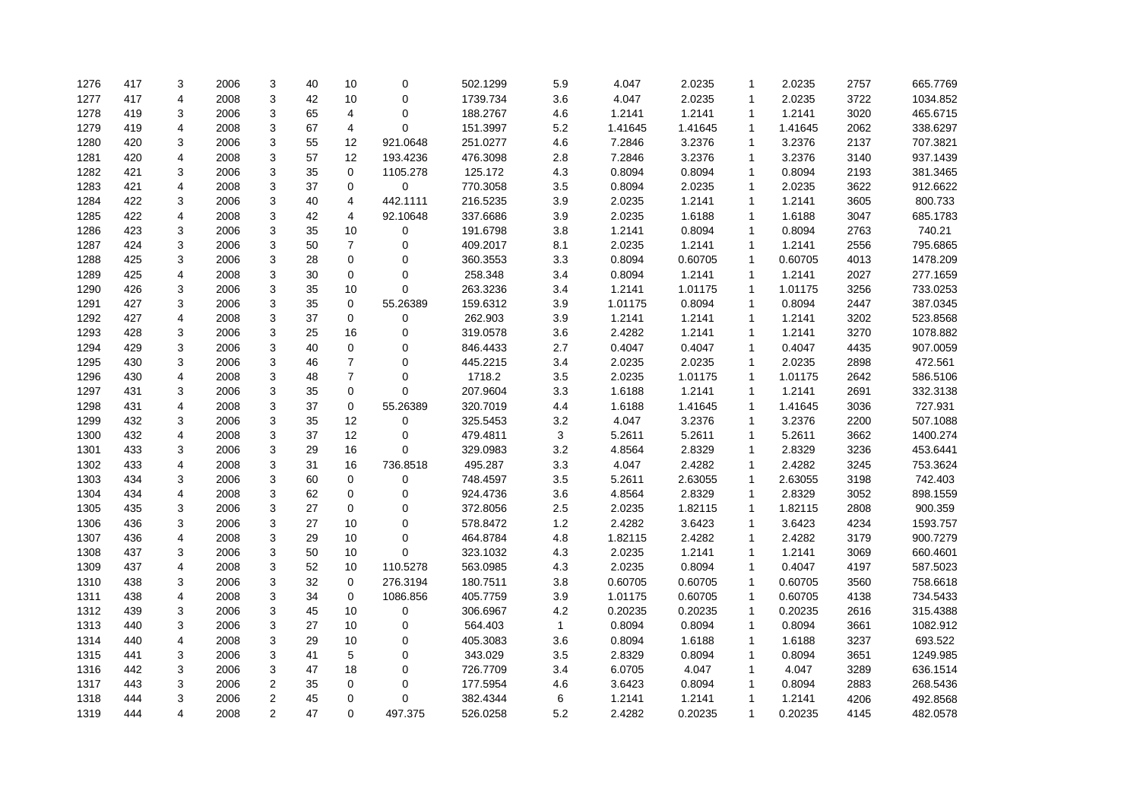| 1276 | 417 | 3              | 2006 | 3                         | 40 | 10             | 0           | 502.1299 | 5.9          | 4.047   | 2.0235  | 1            | 2.0235  | 2757 | 665.7769 |
|------|-----|----------------|------|---------------------------|----|----------------|-------------|----------|--------------|---------|---------|--------------|---------|------|----------|
| 1277 | 417 | $\overline{4}$ | 2008 | 3                         | 42 | 10             | $\Omega$    | 1739.734 | 3.6          | 4.047   | 2.0235  | $\mathbf 1$  | 2.0235  | 3722 | 1034.852 |
| 1278 | 419 | 3              | 2006 | 3                         | 65 | 4              | $\mathbf 0$ | 188.2767 | 4.6          | 1.2141  | 1.2141  | $\mathbf{1}$ | 1.2141  | 3020 | 465.6715 |
| 1279 | 419 | 4              | 2008 | 3                         | 67 | 4              | 0           | 151.3997 | 5.2          | 1.41645 | 1.41645 | 1            | 1.41645 | 2062 | 338.6297 |
| 1280 | 420 | 3              | 2006 | 3                         | 55 | 12             | 921.0648    | 251.0277 | 4.6          | 7.2846  | 3.2376  | $\mathbf 1$  | 3.2376  | 2137 | 707.3821 |
| 1281 | 420 | 4              | 2008 | 3                         | 57 | 12             | 193.4236    | 476.3098 | 2.8          | 7.2846  | 3.2376  | 1            | 3.2376  | 3140 | 937.1439 |
| 1282 | 421 | 3              | 2006 | 3                         | 35 | 0              | 1105.278    | 125.172  | 4.3          | 0.8094  | 0.8094  | $\mathbf{1}$ | 0.8094  | 2193 | 381.3465 |
| 1283 | 421 | 4              | 2008 | 3                         | 37 | $\mathbf 0$    | 0           | 770.3058 | 3.5          | 0.8094  | 2.0235  | $\mathbf{1}$ | 2.0235  | 3622 | 912.6622 |
| 1284 | 422 | 3              | 2006 | 3                         | 40 | $\overline{4}$ | 442.1111    | 216.5235 | 3.9          | 2.0235  | 1.2141  | 1            | 1.2141  | 3605 | 800.733  |
| 1285 | 422 | 4              | 2008 | 3                         | 42 | 4              | 92.10648    | 337.6686 | 3.9          | 2.0235  | 1.6188  | $\mathbf{1}$ | 1.6188  | 3047 | 685.1783 |
| 1286 | 423 | 3              | 2006 | 3                         | 35 | 10             | $\Omega$    | 191.6798 | 3.8          | 1.2141  | 0.8094  | $\mathbf{1}$ | 0.8094  | 2763 | 740.21   |
| 1287 | 424 | 3              | 2006 | 3                         | 50 | $\overline{7}$ | $\mathbf 0$ | 409.2017 | 8.1          | 2.0235  | 1.2141  | $\mathbf{1}$ | 1.2141  | 2556 | 795.6865 |
| 1288 | 425 | 3              | 2006 | 3                         | 28 | 0              | $\Omega$    | 360.3553 | 3.3          | 0.8094  | 0.60705 | 1            | 0.60705 | 4013 | 1478.209 |
| 1289 | 425 | 4              | 2008 | 3                         | 30 | $\mathbf 0$    | $\mathbf 0$ | 258.348  | 3.4          | 0.8094  | 1.2141  | $\mathbf{1}$ | 1.2141  | 2027 | 277.1659 |
| 1290 | 426 | 3              | 2006 | 3                         | 35 | 10             | 0           | 263.3236 | 3.4          | 1.2141  | 1.01175 | $\mathbf{1}$ | 1.01175 | 3256 | 733.0253 |
| 1291 | 427 | 3              | 2006 | 3                         | 35 | $\mathbf 0$    | 55.26389    | 159.6312 | 3.9          | 1.01175 | 0.8094  | 1            | 0.8094  | 2447 | 387.0345 |
| 1292 | 427 | 4              | 2008 | $\ensuremath{\mathsf{3}}$ | 37 | 0              | 0           | 262.903  | 3.9          | 1.2141  | 1.2141  | $\mathbf{1}$ | 1.2141  | 3202 | 523.8568 |
| 1293 | 428 | 3              | 2006 | 3                         | 25 | 16             | $\mathbf 0$ | 319.0578 | 3.6          | 2.4282  | 1.2141  | $\mathbf{1}$ | 1.2141  | 3270 | 1078.882 |
| 1294 | 429 | 3              | 2006 | 3                         | 40 | $\mathbf 0$    | $\mathbf 0$ | 846.4433 | 2.7          | 0.4047  | 0.4047  | 1            | 0.4047  | 4435 | 907.0059 |
| 1295 | 430 | 3              | 2006 | 3                         | 46 | $\overline{7}$ | $\Omega$    | 445.2215 | 3.4          | 2.0235  | 2.0235  | $\mathbf{1}$ | 2.0235  | 2898 | 472.561  |
| 1296 | 430 | 4              | 2008 | 3                         | 48 | $\overline{7}$ | $\mathbf 0$ | 1718.2   | 3.5          | 2.0235  | 1.01175 | $\mathbf{1}$ | 1.01175 | 2642 | 586.5106 |
| 1297 | 431 | 3              | 2006 | 3                         | 35 | 0              | $\Omega$    | 207.9604 | 3.3          | 1.6188  | 1.2141  | 1            | 1.2141  | 2691 | 332.3138 |
| 1298 | 431 | 4              | 2008 | 3                         | 37 | $\mathbf 0$    | 55.26389    | 320.7019 | 4.4          | 1.6188  | 1.41645 | 1            | 1.41645 | 3036 | 727.931  |
| 1299 | 432 | 3              | 2006 | 3                         | 35 | 12             | $\mathbf 0$ | 325.5453 | 3.2          | 4.047   | 3.2376  | 1            | 3.2376  | 2200 | 507.1088 |
| 1300 | 432 | 4              | 2008 | 3                         | 37 | 12             | $\mathbf 0$ | 479.4811 | 3            | 5.2611  | 5.2611  | $\mathbf{1}$ | 5.2611  | 3662 | 1400.274 |
| 1301 | 433 | 3              | 2006 | 3                         | 29 | 16             | $\Omega$    | 329.0983 | 3.2          | 4.8564  | 2.8329  | 1            | 2.8329  | 3236 | 453.6441 |
| 1302 | 433 | 4              | 2008 | 3                         | 31 | 16             | 736.8518    | 495.287  | 3.3          | 4.047   | 2.4282  | 1            | 2.4282  | 3245 | 753.3624 |
| 1303 | 434 | 3              | 2006 | 3                         | 60 | $\mathbf 0$    | $\mathbf 0$ | 748.4597 | 3.5          | 5.2611  | 2.63055 | $\mathbf{1}$ | 2.63055 | 3198 | 742.403  |
| 1304 | 434 | 4              | 2008 | 3                         | 62 | 0              | 0           | 924.4736 | 3.6          | 4.8564  | 2.8329  | 1            | 2.8329  | 3052 | 898.1559 |
| 1305 | 435 | 3              | 2006 | 3                         | 27 | $\mathbf 0$    | $\mathbf 0$ | 372.8056 | 2.5          | 2.0235  | 1.82115 | $\mathbf 1$  | 1.82115 | 2808 | 900.359  |
| 1306 | 436 | 3              | 2006 | 3                         | 27 | 10             | $\mathbf 0$ | 578.8472 | 1.2          | 2.4282  | 3.6423  | $\mathbf 1$  | 3.6423  | 4234 | 1593.757 |
| 1307 | 436 | 4              | 2008 | 3                         | 29 | 10             | $\mathbf 0$ | 464.8784 | 4.8          | 1.82115 | 2.4282  | $\mathbf{1}$ | 2.4282  | 3179 | 900.7279 |
| 1308 | 437 | 3              | 2006 | 3                         | 50 | 10             | $\Omega$    | 323.1032 | 4.3          | 2.0235  | 1.2141  | $\mathbf{1}$ | 1.2141  | 3069 | 660.4601 |
| 1309 | 437 | 4              | 2008 | $\ensuremath{\mathsf{3}}$ | 52 | 10             | 110.5278    | 563.0985 | 4.3          | 2.0235  | 0.8094  | $\mathbf{1}$ | 0.4047  | 4197 | 587.5023 |
| 1310 | 438 | 3              | 2006 | 3                         | 32 | $\mathbf 0$    | 276.3194    | 180.7511 | 3.8          | 0.60705 | 0.60705 | $\mathbf{1}$ | 0.60705 | 3560 | 758.6618 |
| 1311 | 438 | 4              | 2008 | 3                         | 34 | 0              | 1086.856    | 405.7759 | 3.9          | 1.01175 | 0.60705 | 1            | 0.60705 | 4138 | 734.5433 |
| 1312 | 439 | 3              | 2006 | 3                         | 45 | 10             | $\mathbf 0$ | 306.6967 | 4.2          | 0.20235 | 0.20235 | 1            | 0.20235 | 2616 | 315.4388 |
| 1313 | 440 | 3              | 2006 | 3                         | 27 | 10             | 0           | 564.403  | $\mathbf{1}$ | 0.8094  | 0.8094  | $\mathbf{1}$ | 0.8094  | 3661 | 1082.912 |
| 1314 | 440 | $\overline{4}$ | 2008 | 3                         | 29 | 10             | $\mathbf 0$ | 405.3083 | 3.6          | 0.8094  | 1.6188  | 1            | 1.6188  | 3237 | 693.522  |
| 1315 | 441 | 3              | 2006 | 3                         | 41 | 5              | $\mathbf 0$ | 343.029  | 3.5          | 2.8329  | 0.8094  | 1            | 0.8094  | 3651 | 1249.985 |
| 1316 | 442 | 3              | 2006 | 3                         | 47 | 18             | $\mathbf 0$ | 726.7709 | 3.4          | 6.0705  | 4.047   | $\mathbf{1}$ | 4.047   | 3289 | 636.1514 |
| 1317 | 443 | 3              | 2006 | 2                         | 35 | 0              | 0           | 177.5954 | 4.6          | 3.6423  | 0.8094  | $\mathbf 1$  | 0.8094  | 2883 | 268.5436 |
| 1318 | 444 | 3              | 2006 | 2                         | 45 | 0              | $\Omega$    | 382.4344 | 6            | 1.2141  | 1.2141  | 1            | 1.2141  | 4206 | 492.8568 |
| 1319 | 444 | 4              | 2008 | $\overline{2}$            | 47 | $\Omega$       | 497.375     | 526.0258 | 5.2          | 2.4282  | 0.20235 | 1            | 0.20235 | 4145 | 482.0578 |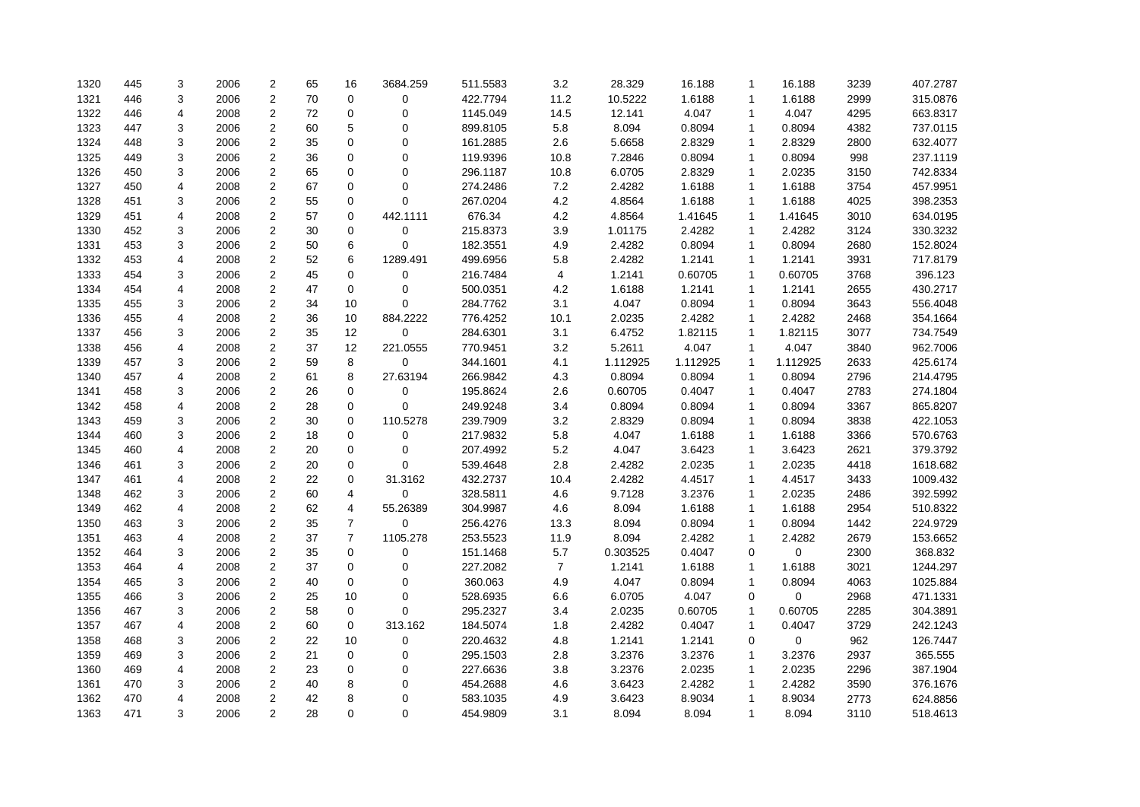| 1320 | 445 | 3              | 2006 | $\overline{c}$   | 65 | 16             | 3684.259    | 511.5583 | 3.2            | 28.329   | 16.188   | 1            | 16.188      | 3239 | 407.2787 |
|------|-----|----------------|------|------------------|----|----------------|-------------|----------|----------------|----------|----------|--------------|-------------|------|----------|
| 1321 | 446 | 3              | 2006 | $\boldsymbol{2}$ | 70 | 0              | 0           | 422.7794 | 11.2           | 10.5222  | 1.6188   | 1            | 1.6188      | 2999 | 315.0876 |
| 1322 | 446 | 4              | 2008 | $\overline{2}$   | 72 | $\mathbf 0$    | $\mathbf 0$ | 1145.049 | 14.5           | 12.141   | 4.047    | $\mathbf 1$  | 4.047       | 4295 | 663.8317 |
| 1323 | 447 | 3              | 2006 | 2                | 60 | 5              | $\mathbf 0$ | 899.8105 | 5.8            | 8.094    | 0.8094   | $\mathbf{1}$ | 0.8094      | 4382 | 737.0115 |
| 1324 | 448 | 3              | 2006 | 2                | 35 | $\Omega$       | $\mathbf 0$ | 161.2885 | 2.6            | 5.6658   | 2.8329   | $\mathbf{1}$ | 2.8329      | 2800 | 632.4077 |
| 1325 | 449 | 3              | 2006 | $\overline{2}$   | 36 | $\Omega$       | $\Omega$    | 119.9396 | 10.8           | 7.2846   | 0.8094   | $\mathbf{1}$ | 0.8094      | 998  | 237.1119 |
| 1326 | 450 | 3              | 2006 | $\overline{2}$   | 65 | $\mathbf 0$    | $\mathbf 0$ | 296.1187 | 10.8           | 6.0705   | 2.8329   | $\mathbf{1}$ | 2.0235      | 3150 | 742.8334 |
| 1327 | 450 | 4              | 2008 | $\boldsymbol{2}$ | 67 | $\Omega$       | $\Omega$    | 274.2486 | 7.2            | 2.4282   | 1.6188   | $\mathbf{1}$ | 1.6188      | 3754 | 457.9951 |
| 1328 | 451 | 3              | 2006 | 2                | 55 | 0              | $\mathbf 0$ | 267.0204 | 4.2            | 4.8564   | 1.6188   | 1            | 1.6188      | 4025 | 398.2353 |
| 1329 | 451 | 4              | 2008 | $\boldsymbol{2}$ | 57 | 0              | 442.1111    | 676.34   | 4.2            | 4.8564   | 1.41645  | 1            | 1.41645     | 3010 | 634.0195 |
| 1330 | 452 | 3              | 2006 | 2                | 30 | 0              | $\mathbf 0$ | 215.8373 | 3.9            | 1.01175  | 2.4282   | $\mathbf{1}$ | 2.4282      | 3124 | 330.3232 |
| 1331 | 453 | 3              | 2006 | $\overline{c}$   | 50 | 6              | 0           | 182.3551 | 4.9            | 2.4282   | 0.8094   | 1            | 0.8094      | 2680 | 152.8024 |
| 1332 | 453 | $\overline{4}$ | 2008 | $\overline{2}$   | 52 | 6              | 1289.491    | 499.6956 | 5.8            | 2.4282   | 1.2141   | $\mathbf{1}$ | 1.2141      | 3931 | 717.8179 |
| 1333 | 454 | 3              | 2006 | $\boldsymbol{2}$ | 45 | 0              | $\mathbf 0$ | 216.7484 | 4              | 1.2141   | 0.60705  | $\mathbf{1}$ | 0.60705     | 3768 | 396.123  |
| 1334 | 454 | $\overline{4}$ | 2008 | $\overline{2}$   | 47 | $\Omega$       | $\Omega$    | 500.0351 | 4.2            | 1.6188   | 1.2141   | $\mathbf{1}$ | 1.2141      | 2655 | 430.2717 |
| 1335 | 455 | 3              | 2006 | $\overline{2}$   | 34 | 10             | $\mathbf 0$ | 284.7762 | 3.1            | 4.047    | 0.8094   | 1            | 0.8094      | 3643 | 556.4048 |
| 1336 | 455 | 4              | 2008 | $\overline{2}$   | 36 | 10             | 884.2222    | 776.4252 | 10.1           | 2.0235   | 2.4282   | $\mathbf{1}$ | 2.4282      | 2468 | 354.1664 |
| 1337 | 456 | 3              | 2006 | $\overline{2}$   | 35 | 12             | $\mathbf 0$ | 284.6301 | 3.1            | 6.4752   | 1.82115  | $\mathbf{1}$ | 1.82115     | 3077 | 734.7549 |
| 1338 | 456 | 4              | 2008 | 2                | 37 | 12             | 221.0555    | 770.9451 | 3.2            | 5.2611   | 4.047    | 1            | 4.047       | 3840 | 962.7006 |
| 1339 | 457 | 3              | 2006 | $\overline{2}$   | 59 | 8              | $\mathbf 0$ | 344.1601 | 4.1            | 1.112925 | 1.112925 | $\mathbf{1}$ | 1.112925    | 2633 | 425.6174 |
| 1340 | 457 | 4              | 2008 | $\boldsymbol{2}$ | 61 | 8              | 27.63194    | 266.9842 | 4.3            | 0.8094   | 0.8094   | $\mathbf{1}$ | 0.8094      | 2796 | 214.4795 |
| 1341 | 458 | 3              | 2006 | $\overline{2}$   | 26 | 0              | $\Omega$    | 195.8624 | 2.6            | 0.60705  | 0.4047   | 1            | 0.4047      | 2783 | 274.1804 |
| 1342 | 458 | 4              | 2008 | $\overline{c}$   | 28 | $\mathbf 0$    | $\mathbf 0$ | 249.9248 | 3.4            | 0.8094   | 0.8094   | 1            | 0.8094      | 3367 | 865.8207 |
| 1343 | 459 | 3              | 2006 | $\overline{2}$   | 30 | $\mathbf 0$    | 110.5278    | 239.7909 | 3.2            | 2.8329   | 0.8094   | $\mathbf{1}$ | 0.8094      | 3838 | 422.1053 |
| 1344 | 460 | 3              | 2006 | 2                | 18 | 0              | $\mathbf 0$ | 217.9832 | 5.8            | 4.047    | 1.6188   | $\mathbf{1}$ | 1.6188      | 3366 | 570.6763 |
| 1345 | 460 | $\overline{4}$ | 2008 | 2                | 20 | $\mathbf 0$    | $\Omega$    | 207.4992 | 5.2            | 4.047    | 3.6423   | 1            | 3.6423      | 2621 | 379.3792 |
| 1346 | 461 | 3              | 2006 | $\overline{2}$   | 20 | 0              | $\mathbf 0$ | 539.4648 | 2.8            | 2.4282   | 2.0235   | $\mathbf{1}$ | 2.0235      | 4418 | 1618.682 |
| 1347 | 461 | $\overline{4}$ | 2008 | 2                | 22 | $\Omega$       | 31.3162     | 432.2737 | 10.4           | 2.4282   | 4.4517   | $\mathbf{1}$ | 4.4517      | 3433 | 1009.432 |
| 1348 | 462 | 3              | 2006 | $\overline{2}$   | 60 | 4              | $\mathbf 0$ | 328.5811 | 4.6            | 9.7128   | 3.2376   | 1            | 2.0235      | 2486 | 392.5992 |
| 1349 | 462 | 4              | 2008 | $\sqrt{2}$       | 62 | 4              | 55.26389    | 304.9987 | 4.6            | 8.094    | 1.6188   | $\mathbf{1}$ | 1.6188      | 2954 | 510.8322 |
| 1350 | 463 | 3              | 2006 | $\overline{2}$   | 35 | $\overline{7}$ | $\mathbf 0$ | 256.4276 | 13.3           | 8.094    | 0.8094   | $\mathbf{1}$ | 0.8094      | 1442 | 224.9729 |
| 1351 | 463 | 4              | 2008 | $\overline{c}$   | 37 | $\overline{7}$ | 1105.278    | 253.5523 | 11.9           | 8.094    | 2.4282   | $\mathbf{1}$ | 2.4282      | 2679 | 153.6652 |
| 1352 | 464 | 3              | 2006 | $\overline{2}$   | 35 | $\mathbf 0$    | 0           | 151.1468 | 5.7            | 0.303525 | 0.4047   | $\mathbf 0$  | 0           | 2300 | 368.832  |
| 1353 | 464 | 4              | 2008 | $\boldsymbol{2}$ | 37 | $\mathbf 0$    | $\mathbf 0$ | 227.2082 | $\overline{7}$ | 1.2141   | 1.6188   | $\mathbf{1}$ | 1.6188      | 3021 | 1244.297 |
| 1354 | 465 | 3              | 2006 | $\overline{2}$   | 40 | $\mathbf 0$    | $\mathbf 0$ | 360.063  | 4.9            | 4.047    | 0.8094   | $\mathbf{1}$ | 0.8094      | 4063 | 1025.884 |
| 1355 | 466 | 3              | 2006 | $\overline{c}$   | 25 | 10             | 0           | 528.6935 | 6.6            | 6.0705   | 4.047    | 0            | 0           | 2968 | 471.1331 |
| 1356 | 467 | 3              | 2006 | $\overline{2}$   | 58 | $\mathbf 0$    | $\mathbf 0$ | 295.2327 | 3.4            | 2.0235   | 0.60705  | $\mathbf{1}$ | 0.60705     | 2285 | 304.3891 |
| 1357 | 467 | 4              | 2008 | $\overline{2}$   | 60 | $\mathbf 0$    | 313.162     | 184.5074 | 1.8            | 2.4282   | 0.4047   | $\mathbf{1}$ | 0.4047      | 3729 | 242.1243 |
| 1358 | 468 | 3              | 2006 | $\overline{2}$   | 22 | 10             | $\mathbf 0$ | 220.4632 | 4.8            | 1.2141   | 1.2141   | 0            | $\mathbf 0$ | 962  | 126.7447 |
| 1359 | 469 | 3              | 2006 | 2                | 21 | $\mathbf 0$    | 0           | 295.1503 | 2.8            | 3.2376   | 3.2376   | $\mathbf{1}$ | 3.2376      | 2937 | 365.555  |
| 1360 | 469 | 4              | 2008 | $\boldsymbol{2}$ | 23 | 0              | $\mathbf 0$ | 227.6636 | 3.8            | 3.2376   | 2.0235   | $\mathbf{1}$ | 2.0235      | 2296 | 387.1904 |
| 1361 | 470 | 3              | 2006 | 2                | 40 | 8              | $\mathbf 0$ | 454.2688 | 4.6            | 3.6423   | 2.4282   | $\mathbf{1}$ | 2.4282      | 3590 | 376.1676 |
| 1362 | 470 | 4              | 2008 | 2                | 42 | 8              | $\Omega$    | 583.1035 | 4.9            | 3.6423   | 8.9034   | 1            | 8.9034      | 2773 | 624.8856 |
| 1363 | 471 | 3              | 2006 | $\overline{2}$   | 28 | $\Omega$       | $\Omega$    | 454.9809 | 3.1            | 8.094    | 8.094    | 1            | 8.094       | 3110 | 518.4613 |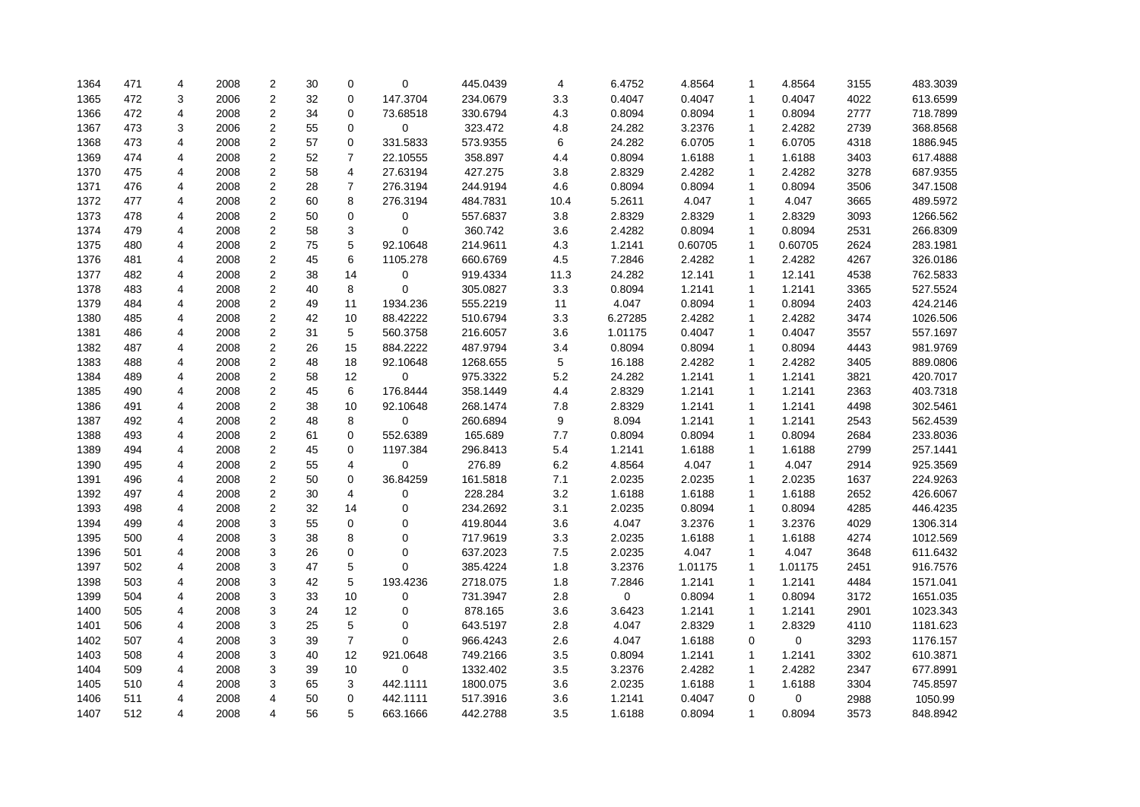| 1364 | 471 | 4              | 2008 | $\overline{2}$   | 30 | 0              | 0           | 445.0439 | 4    | 6.4752  | 4.8564  | 1            | 4.8564      | 3155 | 483.3039 |
|------|-----|----------------|------|------------------|----|----------------|-------------|----------|------|---------|---------|--------------|-------------|------|----------|
| 1365 | 472 | 3              | 2006 | $\boldsymbol{2}$ | 32 | 0              | 147.3704    | 234.0679 | 3.3  | 0.4047  | 0.4047  | 1            | 0.4047      | 4022 | 613.6599 |
| 1366 | 472 | 4              | 2008 | $\overline{2}$   | 34 | 0              | 73.68518    | 330.6794 | 4.3  | 0.8094  | 0.8094  | $\mathbf{1}$ | 0.8094      | 2777 | 718.7899 |
| 1367 | 473 | 3              | 2006 | 2                | 55 | $\mathbf 0$    | $\Omega$    | 323.472  | 4.8  | 24.282  | 3.2376  | $\mathbf{1}$ | 2.4282      | 2739 | 368.8568 |
| 1368 | 473 | $\overline{4}$ | 2008 | 2                | 57 | $\mathbf 0$    | 331.5833    | 573.9355 | 6    | 24.282  | 6.0705  | $\mathbf{1}$ | 6.0705      | 4318 | 1886.945 |
| 1369 | 474 | 4              | 2008 | 2                | 52 | $\overline{7}$ | 22.10555    | 358.897  | 4.4  | 0.8094  | 1.6188  | $\mathbf{1}$ | 1.6188      | 3403 | 617.4888 |
| 1370 | 475 | 4              | 2008 | 2                | 58 | 4              | 27.63194    | 427.275  | 3.8  | 2.8329  | 2.4282  | $\mathbf{1}$ | 2.4282      | 3278 | 687.9355 |
| 1371 | 476 | 4              | 2008 | $\overline{c}$   | 28 | $\overline{7}$ | 276.3194    | 244.9194 | 4.6  | 0.8094  | 0.8094  | $\mathbf{1}$ | 0.8094      | 3506 | 347.1508 |
| 1372 | 477 | $\overline{4}$ | 2008 | $\overline{2}$   | 60 | 8              | 276.3194    | 484.7831 | 10.4 | 5.2611  | 4.047   | 1            | 4.047       | 3665 | 489.5972 |
| 1373 | 478 | 4              | 2008 | $\overline{c}$   | 50 | 0              | 0           | 557.6837 | 3.8  | 2.8329  | 2.8329  | $\mathbf{1}$ | 2.8329      | 3093 | 1266.562 |
| 1374 | 479 | $\overline{4}$ | 2008 | 2                | 58 | 3              | $\Omega$    | 360.742  | 3.6  | 2.4282  | 0.8094  | $\mathbf{1}$ | 0.8094      | 2531 | 266.8309 |
| 1375 | 480 | $\overline{4}$ | 2008 | $\overline{2}$   | 75 | 5              | 92.10648    | 214.9611 | 4.3  | 1.2141  | 0.60705 | 1            | 0.60705     | 2624 | 283.1981 |
| 1376 | 481 | $\overline{4}$ | 2008 | 2                | 45 | 6              | 1105.278    | 660.6769 | 4.5  | 7.2846  | 2.4282  | $\mathbf{1}$ | 2.4282      | 4267 | 326.0186 |
| 1377 | 482 | $\overline{4}$ | 2008 | 2                | 38 | 14             | 0           | 919.4334 | 11.3 | 24.282  | 12.141  | $\mathbf{1}$ | 12.141      | 4538 | 762.5833 |
| 1378 | 483 | $\overline{4}$ | 2008 | 2                | 40 | 8              | $\mathbf 0$ | 305.0827 | 3.3  | 0.8094  | 1.2141  | $\mathbf{1}$ | 1.2141      | 3365 | 527.5524 |
| 1379 | 484 | $\overline{4}$ | 2008 | 2                | 49 | 11             | 1934.236    | 555.2219 | 11   | 4.047   | 0.8094  | $\mathbf{1}$ | 0.8094      | 2403 | 424.2146 |
| 1380 | 485 | $\overline{4}$ | 2008 | $\overline{2}$   | 42 | 10             | 88.42222    | 510.6794 | 3.3  | 6.27285 | 2.4282  | 1            | 2.4282      | 3474 | 1026.506 |
| 1381 | 486 | 4              | 2008 | 2                | 31 | 5              | 560.3758    | 216.6057 | 3.6  | 1.01175 | 0.4047  | $\mathbf{1}$ | 0.4047      | 3557 | 557.1697 |
| 1382 | 487 | 4              | 2008 | $\boldsymbol{2}$ | 26 | 15             | 884.2222    | 487.9794 | 3.4  | 0.8094  | 0.8094  | 1            | 0.8094      | 4443 | 981.9769 |
| 1383 | 488 | $\overline{4}$ | 2008 | $\overline{c}$   | 48 | 18             | 92.10648    | 1268.655 | 5    | 16.188  | 2.4282  | $\mathbf{1}$ | 2.4282      | 3405 | 889.0806 |
| 1384 | 489 | 4              | 2008 | 2                | 58 | 12             | $\mathbf 0$ | 975.3322 | 5.2  | 24.282  | 1.2141  | $\mathbf{1}$ | 1.2141      | 3821 | 420.7017 |
| 1385 | 490 | $\overline{4}$ | 2008 | $\overline{c}$   | 45 | 6              | 176.8444    | 358.1449 | 4.4  | 2.8329  | 1.2141  | 1            | 1.2141      | 2363 | 403.7318 |
| 1386 | 491 | 4              | 2008 | $\overline{2}$   | 38 | 10             | 92.10648    | 268.1474 | 7.8  | 2.8329  | 1.2141  | $\mathbf{1}$ | 1.2141      | 4498 | 302.5461 |
| 1387 | 492 | $\overline{4}$ | 2008 | 2                | 48 | 8              | $\Omega$    | 260.6894 | 9    | 8.094   | 1.2141  | $\mathbf{1}$ | 1.2141      | 2543 | 562.4539 |
| 1388 | 493 | 4              | 2008 | 2                | 61 | 0              | 552.6389    | 165.689  | 7.7  | 0.8094  | 0.8094  | $\mathbf{1}$ | 0.8094      | 2684 | 233.8036 |
| 1389 | 494 | $\overline{4}$ | 2008 | $\overline{2}$   | 45 | $\mathbf 0$    | 1197.384    | 296.8413 | 5.4  | 1.2141  | 1.6188  | $\mathbf{1}$ | 1.6188      | 2799 | 257.1441 |
| 1390 | 495 | $\overline{4}$ | 2008 | $\overline{c}$   | 55 | 4              | $\mathbf 0$ | 276.89   | 6.2  | 4.8564  | 4.047   | $\mathbf{1}$ | 4.047       | 2914 | 925.3569 |
| 1391 | 496 | $\overline{4}$ | 2008 | 2                | 50 | $\mathbf 0$    | 36.84259    | 161.5818 | 7.1  | 2.0235  | 2.0235  | $\mathbf{1}$ | 2.0235      | 1637 | 224.9263 |
| 1392 | 497 | $\overline{4}$ | 2008 | $\overline{2}$   | 30 | $\overline{4}$ | 0           | 228.284  | 3.2  | 1.6188  | 1.6188  | 1            | 1.6188      | 2652 | 426.6067 |
| 1393 | 498 | $\overline{4}$ | 2008 | $\overline{c}$   | 32 | 14             | 0           | 234.2692 | 3.1  | 2.0235  | 0.8094  | $\mathbf{1}$ | 0.8094      | 4285 | 446.4235 |
| 1394 | 499 | $\overline{4}$ | 2008 | 3                | 55 | $\mathbf 0$    | $\mathbf 0$ | 419.8044 | 3.6  | 4.047   | 3.2376  | $\mathbf{1}$ | 3.2376      | 4029 | 1306.314 |
| 1395 | 500 | 4              | 2008 | 3                | 38 | 8              | 0           | 717.9619 | 3.3  | 2.0235  | 1.6188  | $\mathbf{1}$ | 1.6188      | 4274 | 1012.569 |
| 1396 | 501 | $\overline{4}$ | 2008 | 3                | 26 | $\mathbf 0$    | $\mathbf 0$ | 637.2023 | 7.5  | 2.0235  | 4.047   | 1            | 4.047       | 3648 | 611.6432 |
| 1397 | 502 | 4              | 2008 | 3                | 47 | 5              | $\Omega$    | 385.4224 | 1.8  | 3.2376  | 1.01175 | $\mathbf{1}$ | 1.01175     | 2451 | 916.7576 |
| 1398 | 503 | $\overline{4}$ | 2008 | 3                | 42 | 5              | 193.4236    | 2718.075 | 1.8  | 7.2846  | 1.2141  | $\mathbf{1}$ | 1.2141      | 4484 | 1571.041 |
| 1399 | 504 | $\overline{4}$ | 2008 | 3                | 33 | 10             | 0           | 731.3947 | 2.8  | 0       | 0.8094  | 1            | 0.8094      | 3172 | 1651.035 |
| 1400 | 505 | $\overline{4}$ | 2008 | 3                | 24 | 12             | 0           | 878.165  | 3.6  | 3.6423  | 1.2141  | $\mathbf{1}$ | 1.2141      | 2901 | 1023.343 |
| 1401 | 506 | 4              | 2008 | 3                | 25 | $\mathbf 5$    | $\mathbf 0$ | 643.5197 | 2.8  | 4.047   | 2.8329  | $\mathbf{1}$ | 2.8329      | 4110 | 1181.623 |
| 1402 | 507 | $\overline{4}$ | 2008 | 3                | 39 | $\overline{7}$ | $\Omega$    | 966.4243 | 2.6  | 4.047   | 1.6188  | $\Omega$     | $\mathbf 0$ | 3293 | 1176.157 |
| 1403 | 508 | 4              | 2008 | 3                | 40 | 12             | 921.0648    | 749.2166 | 3.5  | 0.8094  | 1.2141  | $\mathbf{1}$ | 1.2141      | 3302 | 610.3871 |
| 1404 | 509 | 4              | 2008 | 3                | 39 | 10             | $\Omega$    | 1332.402 | 3.5  | 3.2376  | 2.4282  | $\mathbf{1}$ | 2.4282      | 2347 | 677.8991 |
| 1405 | 510 | $\overline{4}$ | 2008 | 3                | 65 | 3              | 442.1111    | 1800.075 | 3.6  | 2.0235  | 1.6188  | $\mathbf{1}$ | 1.6188      | 3304 | 745.8597 |
| 1406 | 511 | 4              | 2008 | $\overline{4}$   | 50 | $\Omega$       | 442.1111    | 517.3916 | 3.6  | 1.2141  | 0.4047  | $\Omega$     | 0           | 2988 | 1050.99  |
| 1407 | 512 | $\overline{4}$ | 2008 | $\overline{4}$   | 56 | 5              | 663.1666    | 442.2788 | 3.5  | 1.6188  | 0.8094  | $\mathbf{1}$ | 0.8094      | 3573 | 848.8942 |